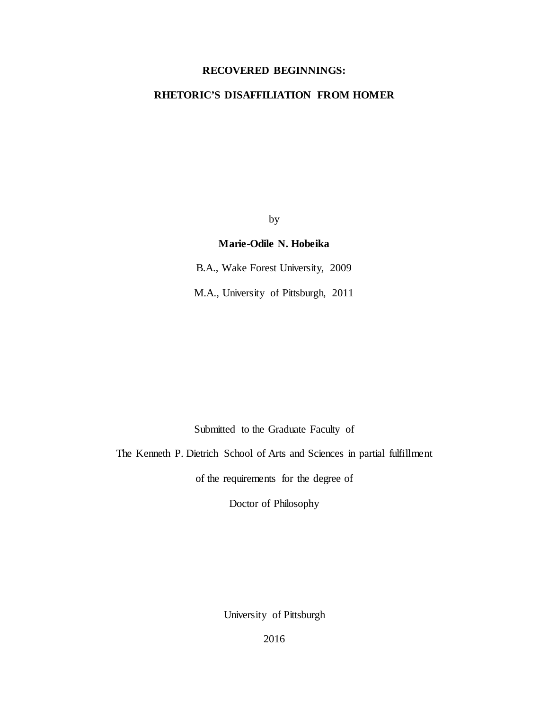## **RECOVERED BEGINNINGS:**

# **RHETORIC'S DISAFFILIATION FROM HOMER**

by

## **Marie-Odile N. Hobeika**

B.A., Wake Forest University, 2009

M.A., University of Pittsburgh, 2011

Submitted to the Graduate Faculty of

The Kenneth P. Dietrich School of Arts and Sciences in partial fulfillment

of the requirements for the degree of

Doctor of Philosophy

University of Pittsburgh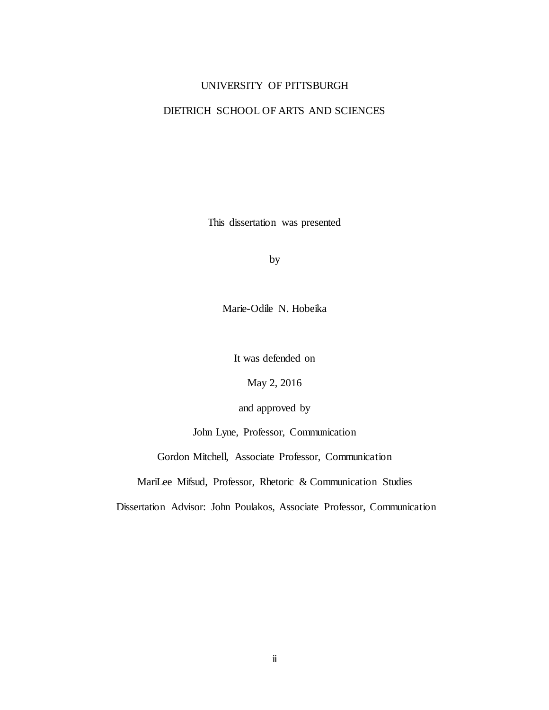## UNIVERSITY OF PITTSBURGH

# DIETRICH SCHOOL OF ARTS AND SCIENCES

This dissertation was presented

by

Marie-Odile N. Hobeika

It was defended on

May 2, 2016

and approved by

John Lyne, Professor, Communication

Gordon Mitchell, Associate Professor, Communication

MariLee Mifsud, Professor, Rhetoric & Communication Studies

Dissertation Advisor: John Poulakos, Associate Professor, Communication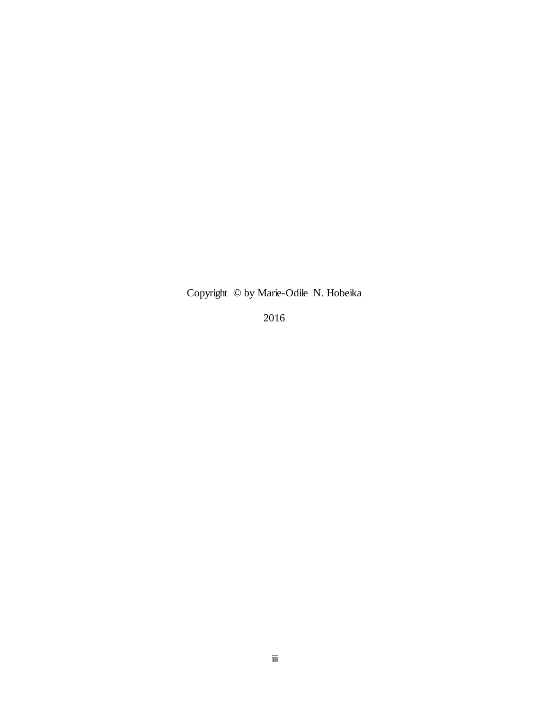Copyright © by Marie-Odile N. Hobeika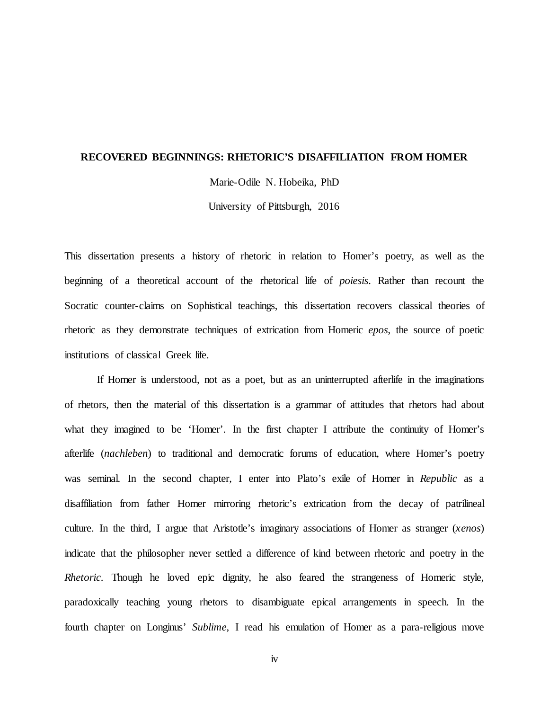#### **RECOVERED BEGINNINGS: RHETORIC'S DISAFFILIATION FROM HOMER**

Marie-Odile N. Hobeika, PhD

University of Pittsburgh, 2016

This dissertation presents a history of rhetoric in relation to Homer's poetry, as well as the beginning of a theoretical account of the rhetorical life of *poiesis*. Rather than recount the Socratic counter-claims on Sophistical teachings, this dissertation recovers classical theories of rhetoric as they demonstrate techniques of extrication from Homeric *epos*, the source of poetic institutions of classical Greek life.

If Homer is understood, not as a poet, but as an uninterrupted afterlife in the imaginations of rhetors, then the material of this dissertation is a grammar of attitudes that rhetors had about what they imagined to be 'Homer'. In the first chapter I attribute the continuity of Homer's afterlife (*nachleben*) to traditional and democratic forums of education, where Homer's poetry was seminal. In the second chapter, I enter into Plato's exile of Homer in *Republic* as a disaffiliation from father Homer mirroring rhetoric's extrication from the decay of patrilineal culture. In the third, I argue that Aristotle's imaginary associations of Homer as stranger (*xenos*) indicate that the philosopher never settled a difference of kind between rhetoric and poetry in the *Rhetoric*. Though he loved epic dignity, he also feared the strangeness of Homeric style, paradoxically teaching young rhetors to disambiguate epical arrangements in speech. In the fourth chapter on Longinus' *Sublime*, I read his emulation of Homer as a para-religious move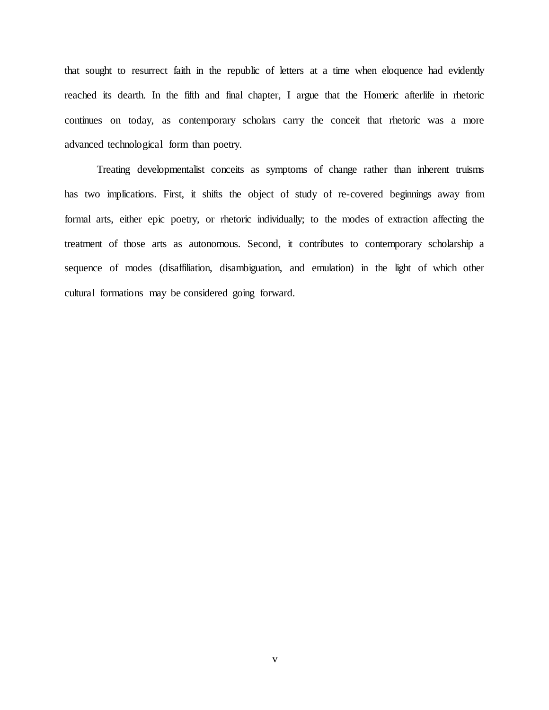that sought to resurrect faith in the republic of letters at a time when eloquence had evidently reached its dearth. In the fifth and final chapter, I argue that the Homeric afterlife in rhetoric continues on today, as contemporary scholars carry the conceit that rhetoric was a more advanced technological form than poetry.

Treating developmentalist conceits as symptoms of change rather than inherent truisms has two implications. First, it shifts the object of study of re-covered beginnings away from formal arts, either epic poetry, or rhetoric individually; to the modes of extraction affecting the treatment of those arts as autonomous. Second, it contributes to contemporary scholarship a sequence of modes (disaffiliation, disambiguation, and emulation) in the light of which other cultural formations may be considered going forward.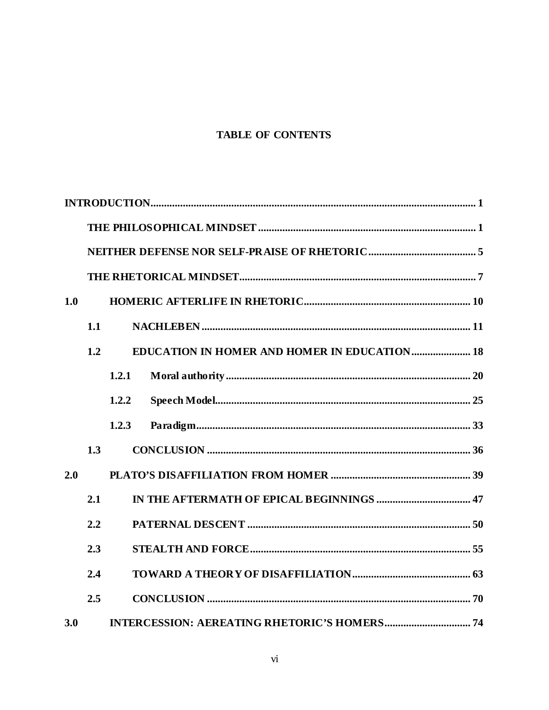# **TABLE OF CONTENTS**

| 1.0 |     |       |                                                     |  |
|-----|-----|-------|-----------------------------------------------------|--|
|     | 1.1 |       |                                                     |  |
|     | 1.2 |       | <b>EDUCATION IN HOMER AND HOMER IN EDUCATION 18</b> |  |
|     |     | 1.2.1 |                                                     |  |
|     |     | 1,2,2 |                                                     |  |
|     |     | 1.2.3 |                                                     |  |
|     | 1.3 |       |                                                     |  |
| 2.0 |     |       |                                                     |  |
|     | 2.1 |       |                                                     |  |
|     | 2.2 |       |                                                     |  |
|     | 2.3 |       |                                                     |  |
|     | 2.4 |       |                                                     |  |
|     | 2.5 |       |                                                     |  |
| 3.0 |     |       |                                                     |  |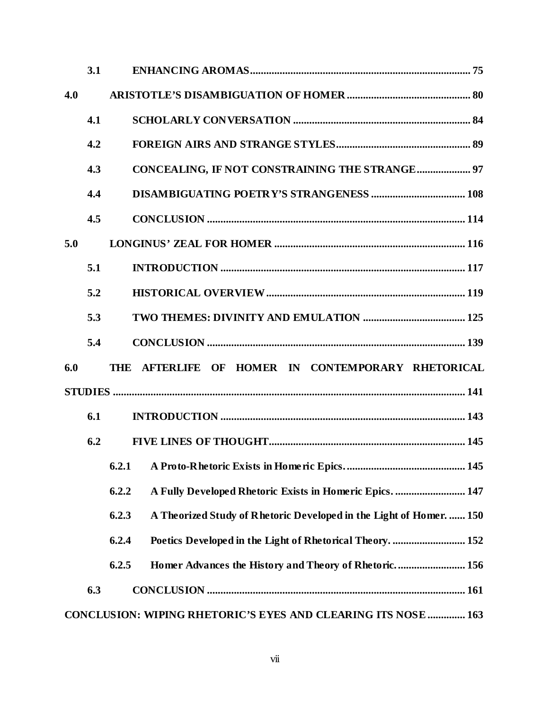|     | 3.1 |                                                                              |  |  |
|-----|-----|------------------------------------------------------------------------------|--|--|
| 4.0 |     |                                                                              |  |  |
|     | 4.1 |                                                                              |  |  |
|     | 4.2 |                                                                              |  |  |
|     | 4.3 | <b>CONCEALING, IF NOT CONSTRAINING THE STRANGE 97</b>                        |  |  |
|     | 4.4 |                                                                              |  |  |
|     | 4.5 |                                                                              |  |  |
| 5.0 |     |                                                                              |  |  |
|     | 5.1 |                                                                              |  |  |
|     | 5.2 |                                                                              |  |  |
|     | 5.3 |                                                                              |  |  |
|     | 5.4 |                                                                              |  |  |
| 6.0 |     | THE AFTERLIFE OF HOMER IN CONTEMPORARY RHETORICAL                            |  |  |
|     |     |                                                                              |  |  |
|     | 6.1 |                                                                              |  |  |
|     | 6.2 |                                                                              |  |  |
|     |     |                                                                              |  |  |
|     |     | 6.2.2<br>A Fully Developed Rhetoric Exists in Homeric Epics.  147            |  |  |
|     |     | 6.2.3<br>A Theorized Study of Rhetoric Developed in the Light of Homer.  150 |  |  |
|     |     | 6.2.4                                                                        |  |  |
|     |     | Homer Advances the History and Theory of Rhetoric 156<br>6.2.5               |  |  |
|     | 6.3 |                                                                              |  |  |
|     |     | <b>CONCLUSION: WIPING RHETORIC'S EYES AND CLEARING ITS NOSE  163</b>         |  |  |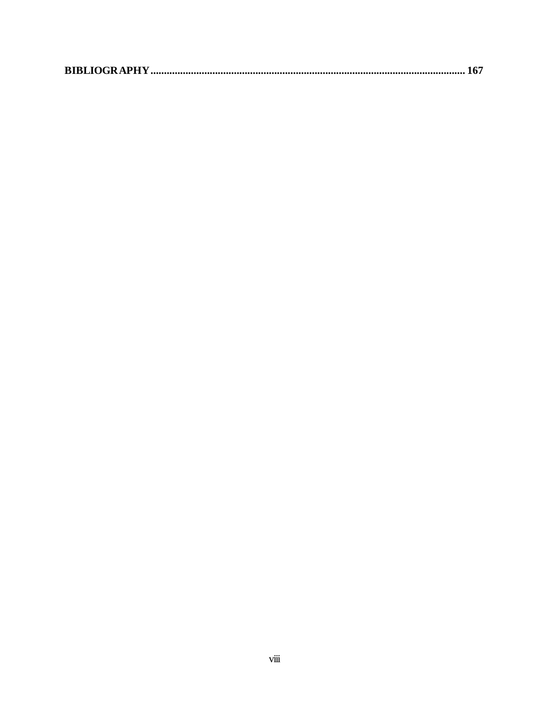|--|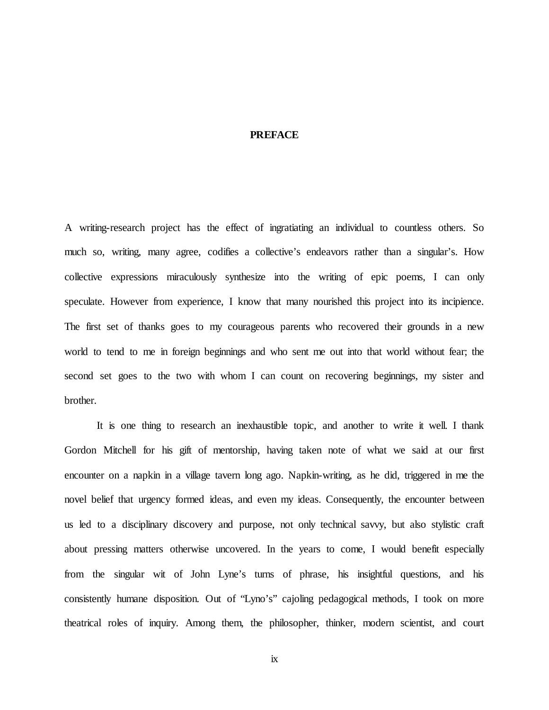## **PREFACE**

A writing-research project has the effect of ingratiating an individual to countless others. So much so, writing, many agree, codifies a collective's endeavors rather than a singular's. How collective expressions miraculously synthesize into the writing of epic poems, I can only speculate. However from experience, I know that many nourished this project into its incipience. The first set of thanks goes to my courageous parents who recovered their grounds in a new world to tend to me in foreign beginnings and who sent me out into that world without fear; the second set goes to the two with whom I can count on recovering beginnings, my sister and brother.

It is one thing to research an inexhaustible topic, and another to write it well. I thank Gordon Mitchell for his gift of mentorship, having taken note of what we said at our first encounter on a napkin in a village tavern long ago. Napkin-writing, as he did, triggered in me the novel belief that urgency formed ideas, and even my ideas. Consequently, the encounter between us led to a disciplinary discovery and purpose, not only technical savvy, but also stylistic craft about pressing matters otherwise uncovered. In the years to come, I would benefit especially from the singular wit of John Lyne's turns of phrase, his insightful questions, and his consistently humane disposition. Out of "Lyno's" cajoling pedagogical methods, I took on more theatrical roles of inquiry. Among them, the philosopher, thinker, modern scientist, and court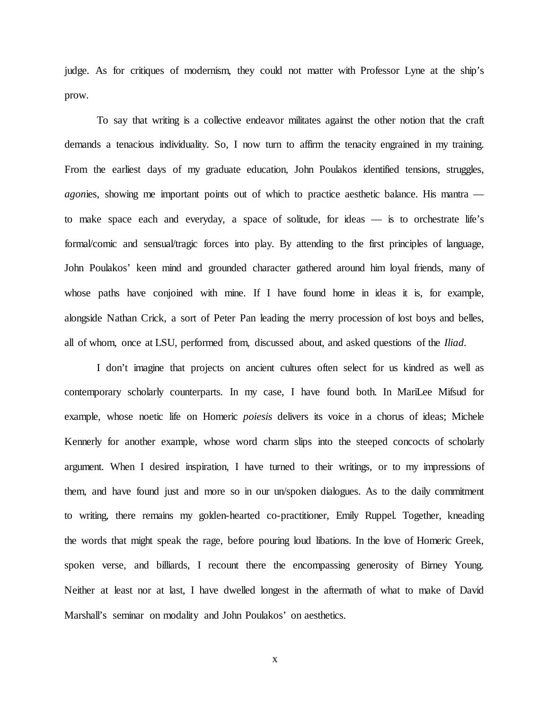judge. As for critiques of modernism, they could not matter with Professor Lyne at the ship's prow.

To say that writing is a collective endeavor militates against the other notion that the craft demands a tenacious individuality. So, I now turn to affirm the tenacity engrained in my training. From the earliest days of my graduate education, John Poulakos identified tensions, struggles, *agonies*, showing me important points out of which to practice aesthetic balance. His mantra to make space each and everyday, a space of solitude, for ideas — is to orchestrate life's formal/comic and sensual/tragic forces into play. By attending to the first principles of language, John Poulakos' keen mind and grounded character gathered around him loyal friends, many of whose paths have conjoined with mine. If I have found home in ideas it is, for example, alongside Nathan Crick, a sort of Peter Pan leading the merry procession of lost boys and belles, all of whom, once at LSU, performed from, discussed about, and asked questions of the *Iliad*.

I don't imagine that projects on ancient cultures often select for us kindred as well as contemporary scholarly counterparts. In my case, I have found both. In MariLee Mifsud for example, whose noetic life on Homeric *poiesis* delivers its voice in a chorus of ideas; Michele Kennerly for another example, whose word charm slips into the steeped concocts of scholarly argument. When I desired inspiration, I have turned to their writings, or to my impressions of them, and have found just and more so in our un/spoken dialogues. As to the daily commitment to writing, there remains my golden-hearted co-practitioner, Emily Ruppel. Together, kneading the words that might speak the rage, before pouring loud libations. In the love of Homeric Greek, spoken verse, and billiards, I recount there the encompassing generosity of Birney Young. Neither at least nor at last, I have dwelled longest in the aftermath of what to make of David Marshall's seminar on modality and John Poulakos' on aesthetics.

x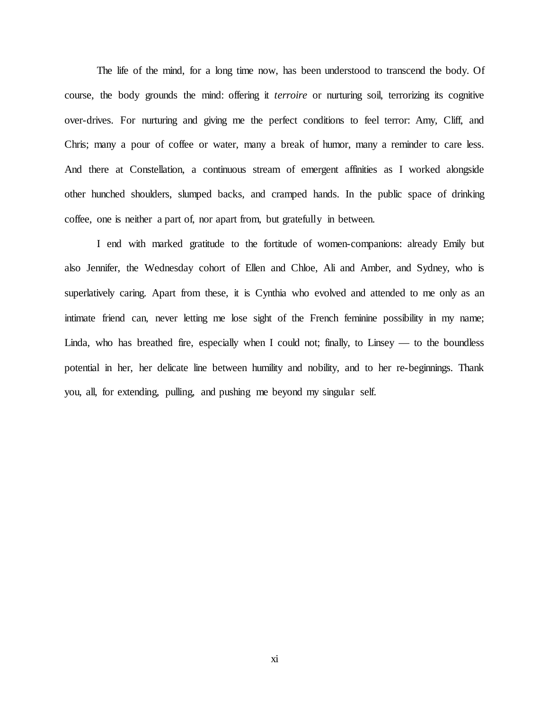The life of the mind, for a long time now, has been understood to transcend the body. Of course, the body grounds the mind: offering it *terroire* or nurturing soil, terrorizing its cognitive over-drives. For nurturing and giving me the perfect conditions to feel terror: Amy, Cliff, and Chris; many a pour of coffee or water, many a break of humor, many a reminder to care less. And there at Constellation, a continuous stream of emergent affinities as I worked alongside other hunched shoulders, slumped backs, and cramped hands. In the public space of drinking coffee, one is neither a part of, nor apart from, but gratefully in between.

I end with marked gratitude to the fortitude of women-companions: already Emily but also Jennifer, the Wednesday cohort of Ellen and Chloe, Ali and Amber, and Sydney, who is superlatively caring. Apart from these, it is Cynthia who evolved and attended to me only as an intimate friend can, never letting me lose sight of the French feminine possibility in my name; Linda, who has breathed fire, especially when I could not; finally, to Linsey  $-$  to the boundless potential in her, her delicate line between humility and nobility, and to her re-beginnings. Thank you, all, for extending, pulling, and pushing me beyond my singular self.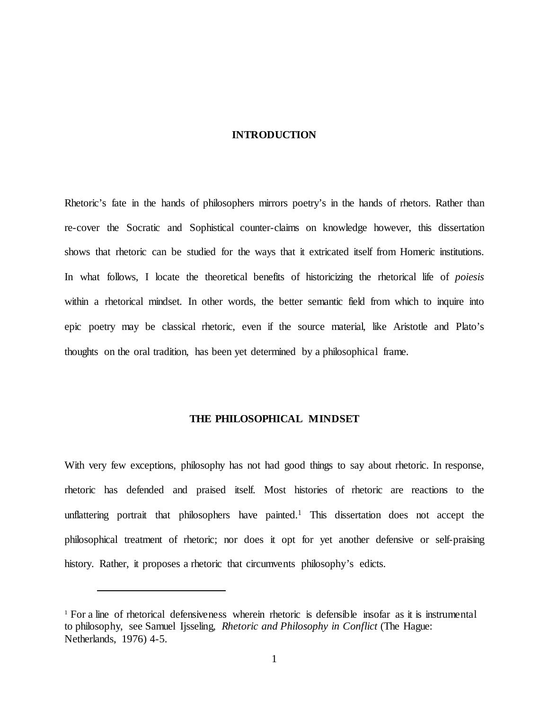#### **INTRODUCTION**

<span id="page-11-0"></span>Rhetoric's fate in the hands of philosophers mirrors poetry's in the hands of rhetors. Rather than re-cover the Socratic and Sophistical counter-claims on knowledge however, this dissertation shows that rhetoric can be studied for the ways that it extricated itself from Homeric institutions. In what follows, I locate the theoretical benefits of historicizing the rhetorical life of *poiesis*  within a rhetorical mindset. In other words, the better semantic field from which to inquire into epic poetry may be classical rhetoric, even if the source material, like Aristotle and Plato's thoughts on the oral tradition, has been yet determined by a philosophical frame.

#### **THE PHILOSOPHICAL MINDSET**

<span id="page-11-1"></span>With very few exceptions, philosophy has not had good things to say about rhetoric. In response, rhetoric has defended and praised itself. Most histories of rhetoric are reactions to the unflattering portrait that philosophers have painted.<sup>1</sup> This dissertation does not accept the philosophical treatment of rhetoric; nor does it opt for yet another defensive or self-praising history. Rather, it proposes a rhetoric that circumvents philosophy's edicts.

<sup>1</sup> For a line of rhetorical defensiveness wherein rhetoric is defensible insofar as it is instrumental to philosophy, see Samuel Ijsseling, *Rhetoric and Philosophy in Conflict* (The Hague: Netherlands, 1976) 4-5.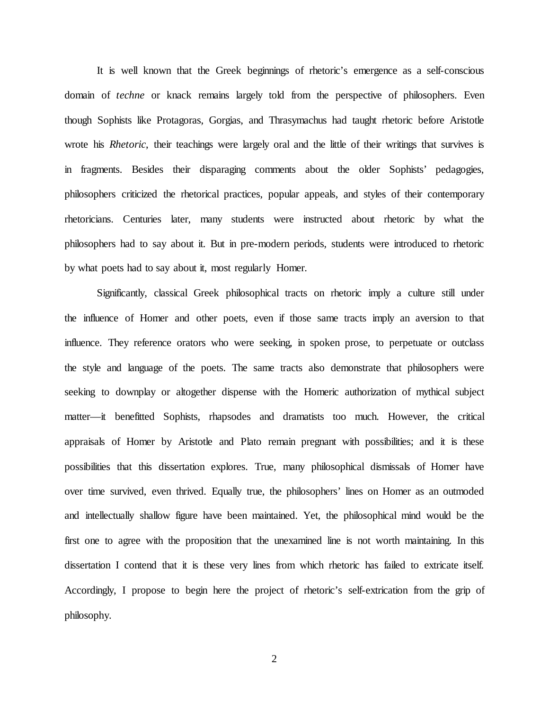It is well known that the Greek beginnings of rhetoric's emergence as a self-conscious domain of *techne* or knack remains largely told from the perspective of philosophers. Even though Sophists like Protagoras, Gorgias, and Thrasymachus had taught rhetoric before Aristotle wrote his *Rhetoric*, their teachings were largely oral and the little of their writings that survives is in fragments. Besides their disparaging comments about the older Sophists' pedagogies, philosophers criticized the rhetorical practices, popular appeals, and styles of their contemporary rhetoricians. Centuries later, many students were instructed about rhetoric by what the philosophers had to say about it. But in pre-modern periods, students were introduced to rhetoric by what poets had to say about it, most regularly Homer.

Significantly, classical Greek philosophical tracts on rhetoric imply a culture still under the influence of Homer and other poets, even if those same tracts imply an aversion to that influence. They reference orators who were seeking, in spoken prose, to perpetuate or outclass the style and language of the poets. The same tracts also demonstrate that philosophers were seeking to downplay or altogether dispense with the Homeric authorization of mythical subject matter—it benefitted Sophists, rhapsodes and dramatists too much. However, the critical appraisals of Homer by Aristotle and Plato remain pregnant with possibilities; and it is these possibilities that this dissertation explores. True, many philosophical dismissals of Homer have over time survived, even thrived. Equally true, the philosophers' lines on Homer as an outmoded and intellectually shallow figure have been maintained. Yet, the philosophical mind would be the first one to agree with the proposition that the unexamined line is not worth maintaining. In this dissertation I contend that it is these very lines from which rhetoric has failed to extricate itself. Accordingly, I propose to begin here the project of rhetoric's self-extrication from the grip of philosophy.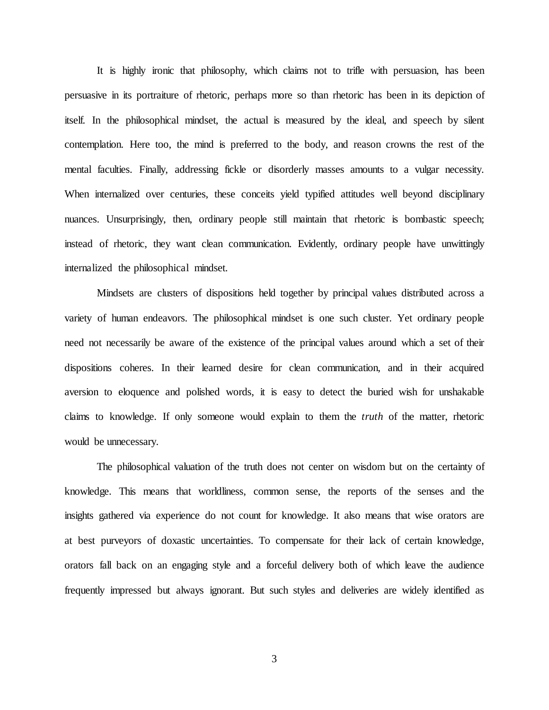It is highly ironic that philosophy, which claims not to trifle with persuasion, has been persuasive in its portraiture of rhetoric, perhaps more so than rhetoric has been in its depiction of itself. In the philosophical mindset, the actual is measured by the ideal, and speech by silent contemplation. Here too, the mind is preferred to the body, and reason crowns the rest of the mental faculties. Finally, addressing fickle or disorderly masses amounts to a vulgar necessity. When internalized over centuries, these conceits yield typified attitudes well beyond disciplinary nuances. Unsurprisingly, then, ordinary people still maintain that rhetoric is bombastic speech; instead of rhetoric, they want clean communication. Evidently, ordinary people have unwittingly internalized the philosophical mindset.

Mindsets are clusters of dispositions held together by principal values distributed across a variety of human endeavors. The philosophical mindset is one such cluster. Yet ordinary people need not necessarily be aware of the existence of the principal values around which a set of their dispositions coheres. In their learned desire for clean communication, and in their acquired aversion to eloquence and polished words, it is easy to detect the buried wish for unshakable claims to knowledge. If only someone would explain to them the *truth* of the matter, rhetoric would be unnecessary.

The philosophical valuation of the truth does not center on wisdom but on the certainty of knowledge. This means that worldliness, common sense, the reports of the senses and the insights gathered via experience do not count for knowledge. It also means that wise orators are at best purveyors of doxastic uncertainties. To compensate for their lack of certain knowledge, orators fall back on an engaging style and a forceful delivery both of which leave the audience frequently impressed but always ignorant. But such styles and deliveries are widely identified as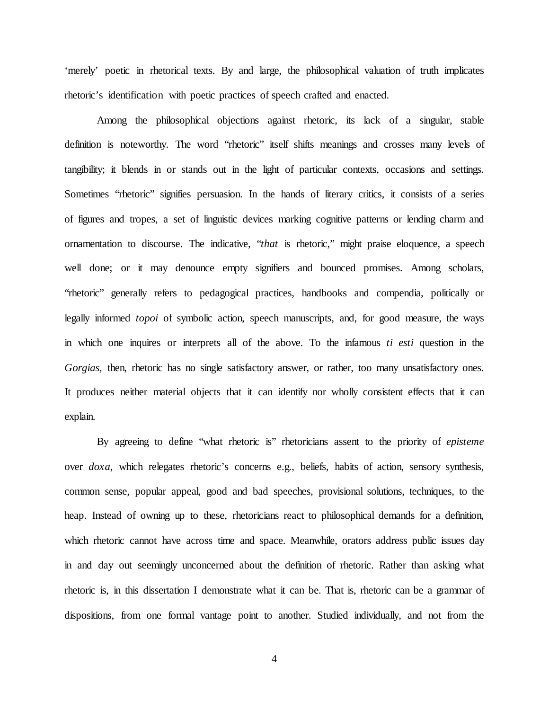'merely' poetic in rhetorical texts. By and large, the philosophical valuation of truth implicates rhetoric's identification with poetic practices of speech crafted and enacted.

Among the philosophical objections against rhetoric, its lack of a singular, stable definition is noteworthy. The word "rhetoric" itself shifts meanings and crosses many levels of tangibility; it blends in or stands out in the light of particular contexts, occasions and settings. Sometimes "rhetoric" signifies persuasion. In the hands of literary critics, it consists of a series of figures and tropes, a set of linguistic devices marking cognitive patterns or lending charm and ornamentation to discourse. The indicative, "*that* is rhetoric," might praise eloquence, a speech well done; or it may denounce empty signifiers and bounced promises. Among scholars, "rhetoric" generally refers to pedagogical practices, handbooks and compendia, politically or legally informed *topoi* of symbolic action, speech manuscripts, and, for good measure, the ways in which one inquires or interprets all of the above. To the infamous *ti esti* question in the *Gorgias*, then, rhetoric has no single satisfactory answer, or rather, too many unsatisfactory ones. It produces neither material objects that it can identify nor wholly consistent effects that it can explain.

By agreeing to define "what rhetoric is" rhetoricians assent to the priority of *episteme* over *doxa*, which relegates rhetoric's concerns e.g., beliefs, habits of action, sensory synthesis, common sense, popular appeal, good and bad speeches, provisional solutions, techniques, to the heap. Instead of owning up to these, rhetoricians react to philosophical demands for a definition, which rhetoric cannot have across time and space. Meanwhile, orators address public issues day in and day out seemingly unconcerned about the definition of rhetoric. Rather than asking what rhetoric is, in this dissertation I demonstrate what it can be. That is, rhetoric can be a grammar of dispositions, from one formal vantage point to another. Studied individually, and not from the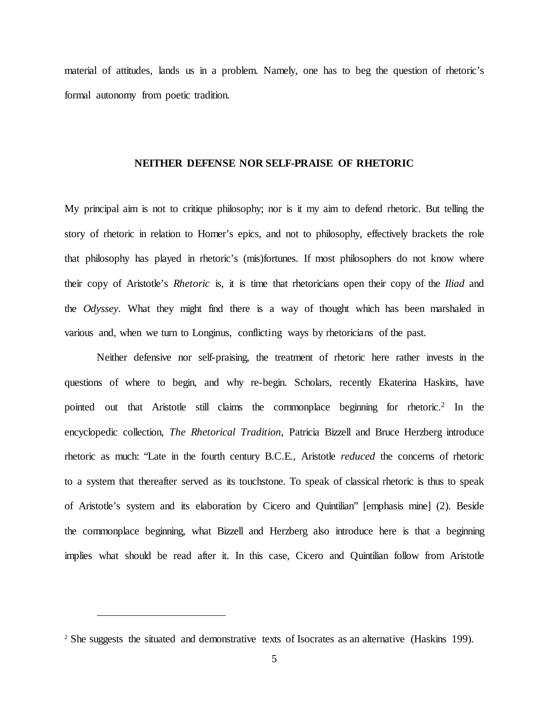<span id="page-15-0"></span>material of attitudes, lands us in a problem. Namely, one has to beg the question of rhetoric's formal autonomy from poetic tradition.

#### **NEITHER DEFENSE NOR SELF-PRAISE OF RHETORIC**

My principal aim is not to critique philosophy; nor is it my aim to defend rhetoric. But telling the story of rhetoric in relation to Homer's epics, and not to philosophy, effectively brackets the role that philosophy has played in rhetoric's (mis)fortunes. If most philosophers do not know where their copy of Aristotle's *Rhetoric* is, it is time that rhetoricians open their copy of the *Iliad* and the *Odyssey*. What they might find there is a way of thought which has been marshaled in various and, when we turn to Longinus, conflicting ways by rhetoricians of the past.

Neither defensive nor self-praising, the treatment of rhetoric here rather invests in the questions of where to begin, and why re-begin. Scholars, recently Ekaterina Haskins, have pointed out that Aristotle still claims the commonplace beginning for rhetoric.<sup>2</sup> In the encyclopedic collection, *The Rhetorical Tradition*, Patricia Bizzell and Bruce Herzberg introduce rhetoric as much: "Late in the fourth century B.C.E., Aristotle *reduced* the concerns of rhetoric to a system that thereafter served as its touchstone. To speak of classical rhetoric is thus to speak of Aristotle's system and its elaboration by Cicero and Quintilian" [emphasis mine] (2). Beside the commonplace beginning, what Bizzell and Herzberg also introduce here is that a beginning implies what should be read after it. In this case, Cicero and Quintilian follow from Aristotle

<sup>&</sup>lt;sup>2</sup> She suggests the situated and demonstrative texts of Isocrates as an alternative (Haskins 199).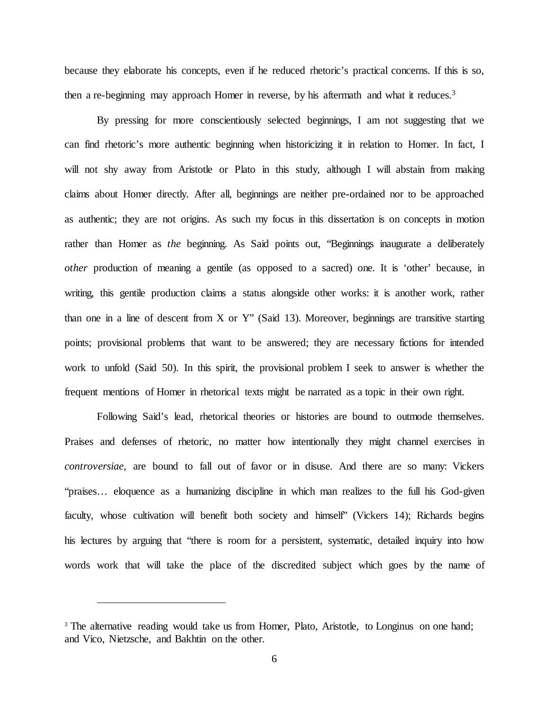because they elaborate his concepts, even if he reduced rhetoric's practical concerns. If this is so, then a re-beginning may approach Homer in reverse, by his aftermath and what it reduces.<sup>3</sup>

By pressing for more conscientiously selected beginnings, I am not suggesting that we can find rhetoric's more authentic beginning when historicizing it in relation to Homer. In fact, I will not shy away from Aristotle or Plato in this study, although I will abstain from making claims about Homer directly. After all, beginnings are neither pre-ordained nor to be approached as authentic; they are not origins. As such my focus in this dissertation is on concepts in motion rather than Homer as *the* beginning. As Said points out, "Beginnings inaugurate a deliberately *other* production of meaning a gentile (as opposed to a sacred) one. It is 'other' because, in writing, this gentile production claims a status alongside other works: it is another work, rather than one in a line of descent from X or Y" (Said 13). Moreover, beginnings are transitive starting points; provisional problems that want to be answered; they are necessary fictions for intended work to unfold (Said 50). In this spirit, the provisional problem I seek to answer is whether the frequent mentions of Homer in rhetorical texts might be narrated as a topic in their own right.

Following Said's lead, rhetorical theories or histories are bound to outmode themselves. Praises and defenses of rhetoric, no matter how intentionally they might channel exercises in *controversiae*, are bound to fall out of favor or in disuse. And there are so many: Vickers "praises… eloquence as a humanizing discipline in which man realizes to the full his God-given faculty, whose cultivation will benefit both society and himself' (Vickers 14); Richards begins his lectures by arguing that "there is room for a persistent, systematic, detailed inquiry into how words work that will take the place of the discredited subject which goes by the name of

<sup>&</sup>lt;sup>3</sup> The alternative reading would take us from Homer, Plato, Aristotle, to Longinus on one hand; and Vico, Nietzsche, and Bakhtin on the other.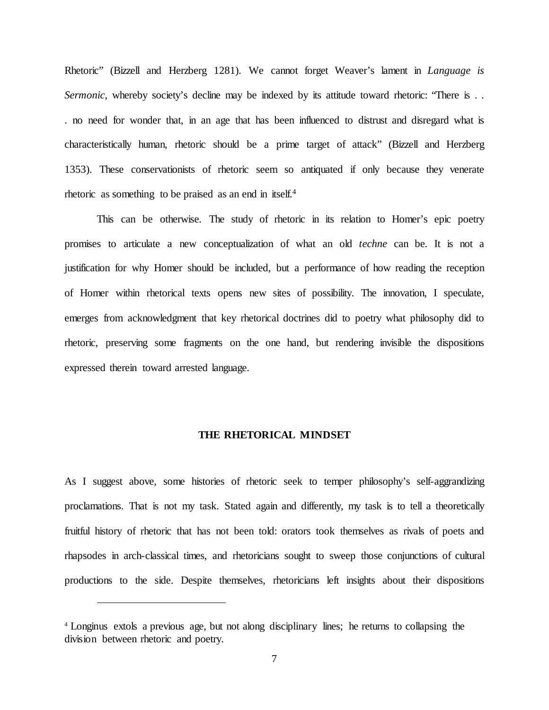Rhetoric" (Bizzell and Herzberg 1281). We cannot forget Weaver's lament in *Language is Sermonic*, whereby society's decline may be indexed by its attitude toward rhetoric: "There is ... . no need for wonder that, in an age that has been influenced to distrust and disregard what is characteristically human, rhetoric should be a prime target of attack" (Bizzell and Herzberg 1353). These conservationists of rhetoric seem so antiquated if only because they venerate rhetoric as something to be praised as an end in itself.4

This can be otherwise. The study of rhetoric in its relation to Homer's epic poetry promises to articulate a new conceptualization of what an old *techne* can be. It is not a justification for why Homer should be included, but a performance of how reading the reception of Homer within rhetorical texts opens new sites of possibility. The innovation, I speculate, emerges from acknowledgment that key rhetorical doctrines did to poetry what philosophy did to rhetoric, preserving some fragments on the one hand, but rendering invisible the dispositions expressed therein toward arrested language.

#### **THE RHETORICAL MINDSET**

<span id="page-17-0"></span>As I suggest above, some histories of rhetoric seek to temper philosophy's self-aggrandizing proclamations. That is not my task. Stated again and differently, my task is to tell a theoretically fruitful history of rhetoric that has not been told: orators took themselves as rivals of poets and rhapsodes in arch-classical times, and rhetoricians sought to sweep those conjunctions of cultural productions to the side. Despite themselves, rhetoricians left insights about their dispositions

<sup>4</sup> Longinus extols a previous age, but not along disciplinary lines; he returns to collapsing the division between rhetoric and poetry.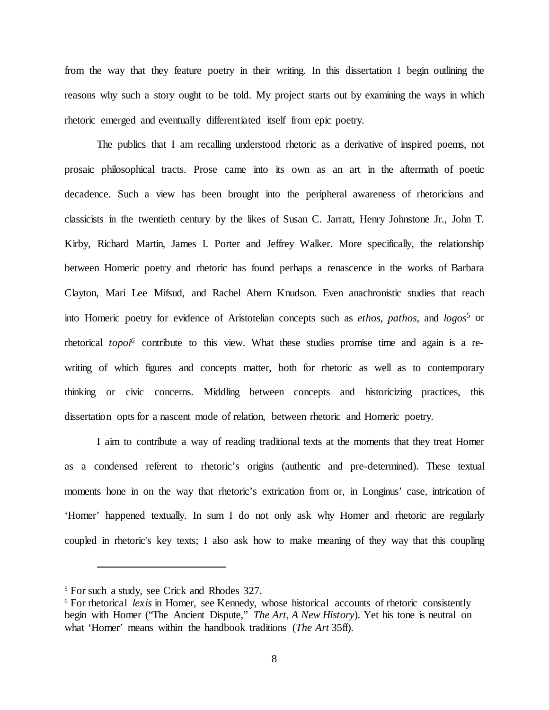from the way that they feature poetry in their writing. In this dissertation I begin outlining the reasons why such a story ought to be told. My project starts out by examining the ways in which rhetoric emerged and eventually differentiated itself from epic poetry.

The publics that I am recalling understood rhetoric as a derivative of inspired poems, not prosaic philosophical tracts. Prose came into its own as an art in the aftermath of poetic decadence. Such a view has been brought into the peripheral awareness of rhetoricians and classicists in the twentieth century by the likes of Susan C. Jarratt, Henry Johnstone Jr., John T. Kirby, Richard Martin, James I. Porter and Jeffrey Walker. More specifically, the relationship between Homeric poetry and rhetoric has found perhaps a renascence in the works of Barbara Clayton, Mari Lee Mifsud, and Rachel Ahern Knudson. Even anachronistic studies that reach into Homeric poetry for evidence of Aristotelian concepts such as *ethos, pathos,* and *logos*<sup>5</sup> or rhetorical *topoi6* contribute to this view. What these studies promise time and again is a rewriting of which figures and concepts matter, both for rhetoric as well as to contemporary thinking or civic concerns. Middling between concepts and historicizing practices, this dissertation opts for a nascent mode of relation, between rhetoric and Homeric poetry.

I aim to contribute a way of reading traditional texts at the moments that they treat Homer as a condensed referent to rhetoric's origins (authentic and pre-determined). These textual moments hone in on the way that rhetoric's extrication from or, in Longinus' case, intrication of 'Homer' happened textually. In sum I do not only ask why Homer and rhetoric are regularly coupled in rhetoric's key texts; I also ask how to make meaning of they way that this coupling

<sup>5</sup> For such a study, see Crick and Rhodes 327.

<sup>&</sup>lt;sup>6</sup> For rhetorical *lexis* in Homer, see Kennedy, whose historical accounts of rhetoric consistently begin with Homer ("The Ancient Dispute," *The Art*, *A New History*). Yet his tone is neutral on what 'Homer' means within the handbook traditions (*The Art* 35ff).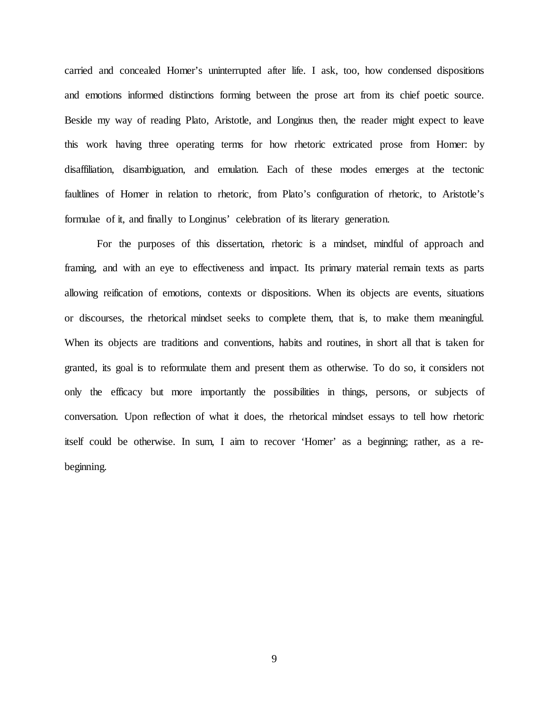carried and concealed Homer's uninterrupted after life. I ask, too, how condensed dispositions and emotions informed distinctions forming between the prose art from its chief poetic source. Beside my way of reading Plato, Aristotle, and Longinus then, the reader might expect to leave this work having three operating terms for how rhetoric extricated prose from Homer: by disaffiliation, disambiguation, and emulation. Each of these modes emerges at the tectonic faultlines of Homer in relation to rhetoric, from Plato's configuration of rhetoric, to Aristotle's formulae of it, and finally to Longinus' celebration of its literary generation.

For the purposes of this dissertation, rhetoric is a mindset, mindful of approach and framing, and with an eye to effectiveness and impact. Its primary material remain texts as parts allowing reification of emotions, contexts or dispositions. When its objects are events, situations or discourses, the rhetorical mindset seeks to complete them, that is, to make them meaningful. When its objects are traditions and conventions, habits and routines, in short all that is taken for granted, its goal is to reformulate them and present them as otherwise. To do so, it considers not only the efficacy but more importantly the possibilities in things, persons, or subjects of conversation. Upon reflection of what it does, the rhetorical mindset essays to tell how rhetoric itself could be otherwise. In sum, I aim to recover 'Homer' as a beginning; rather, as a rebeginning.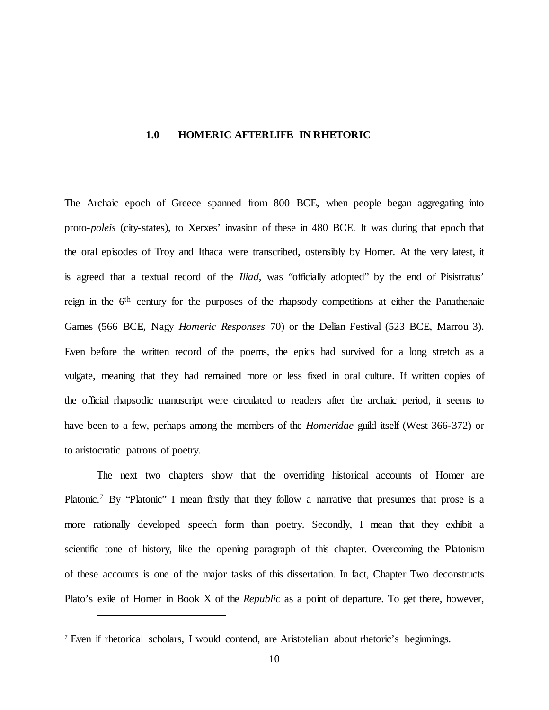### <span id="page-20-0"></span>**1.0 HOMERIC AFTERLIFE IN RHETORIC**

The Archaic epoch of Greece spanned from 800 BCE, when people began aggregating into proto-*poleis* (city-states), to Xerxes' invasion of these in 480 BCE. It was during that epoch that the oral episodes of Troy and Ithaca were transcribed, ostensibly by Homer. At the very latest, it is agreed that a textual record of the *Iliad*, was "officially adopted" by the end of Pisistratus' reign in the 6th century for the purposes of the rhapsody competitions at either the Panathenaic Games (566 BCE, Nagy *Homeric Responses* 70) or the Delian Festival (523 BCE, Marrou 3). Even before the written record of the poems, the epics had survived for a long stretch as a vulgate, meaning that they had remained more or less fixed in oral culture. If written copies of the official rhapsodic manuscript were circulated to readers after the archaic period, it seems to have been to a few, perhaps among the members of the *Homeridae* guild itself (West 366-372) or to aristocratic patrons of poetry.

The next two chapters show that the overriding historical accounts of Homer are Platonic.<sup>7</sup> By "Platonic" I mean firstly that they follow a narrative that presumes that prose is a more rationally developed speech form than poetry. Secondly, I mean that they exhibit a scientific tone of history, like the opening paragraph of this chapter. Overcoming the Platonism of these accounts is one of the major tasks of this dissertation. In fact, Chapter Two deconstructs Plato's exile of Homer in Book X of the *Republic* as a point of departure. To get there, however,

<sup>7</sup> Even if rhetorical scholars, I would contend, are Aristotelian about rhetoric's beginnings.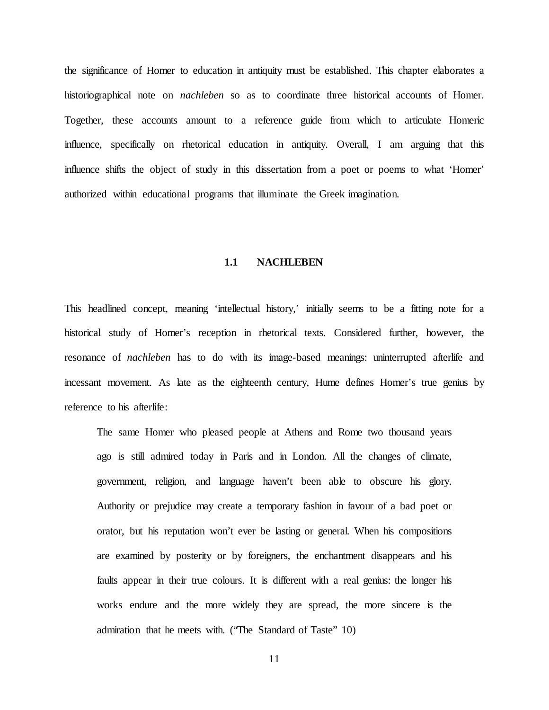the significance of Homer to education in antiquity must be established. This chapter elaborates a historiographical note on *nachleben* so as to coordinate three historical accounts of Homer. Together, these accounts amount to a reference guide from which to articulate Homeric influence, specifically on rhetorical education in antiquity. Overall, I am arguing that this influence shifts the object of study in this dissertation from a poet or poems to what 'Homer' authorized within educational programs that illuminate the Greek imagination.

#### **1.1 NACHLEBEN**

<span id="page-21-0"></span>This headlined concept, meaning 'intellectual history,' initially seems to be a fitting note for a historical study of Homer's reception in rhetorical texts. Considered further, however, the resonance of *nachleben* has to do with its image-based meanings: uninterrupted afterlife and incessant movement. As late as the eighteenth century, Hume defines Homer's true genius by reference to his afterlife:

The same Homer who pleased people at Athens and Rome two thousand years ago is still admired today in Paris and in London. All the changes of climate, government, religion, and language haven't been able to obscure his glory. Authority or prejudice may create a temporary fashion in favour of a bad poet or orator, but his reputation won't ever be lasting or general. When his compositions are examined by posterity or by foreigners, the enchantment disappears and his faults appear in their true colours. It is different with a real genius: the longer his works endure and the more widely they are spread, the more sincere is the admiration that he meets with. ("The Standard of Taste" 10)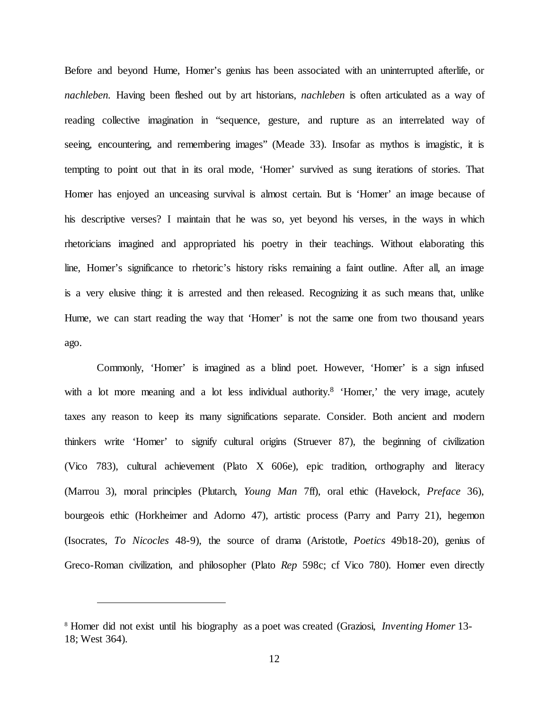Before and beyond Hume, Homer's genius has been associated with an uninterrupted afterlife, or *nachleben.* Having been fleshed out by art historians, *nachleben* is often articulated as a way of reading collective imagination in "sequence, gesture, and rupture as an interrelated way of seeing, encountering, and remembering images" (Meade 33). Insofar as mythos is imagistic, it is tempting to point out that in its oral mode, 'Homer' survived as sung iterations of stories. That Homer has enjoyed an unceasing survival is almost certain. But is 'Homer' an image because of his descriptive verses? I maintain that he was so, yet beyond his verses, in the ways in which rhetoricians imagined and appropriated his poetry in their teachings. Without elaborating this line, Homer's significance to rhetoric's history risks remaining a faint outline. After all, an image is a very elusive thing: it is arrested and then released. Recognizing it as such means that, unlike Hume, we can start reading the way that 'Homer' is not the same one from two thousand years ago.

Commonly, 'Homer' is imagined as a blind poet. However, 'Homer' is a sign infused with a lot more meaning and a lot less individual authority.<sup>8</sup> 'Homer,' the very image, acutely taxes any reason to keep its many significations separate. Consider. Both ancient and modern thinkers write 'Homer' to signify cultural origins (Struever 87), the beginning of civilization (Vico 783), cultural achievement (Plato X 606e), epic tradition, orthography and literacy (Marrou 3), moral principles (Plutarch, *Young Man* 7ff), oral ethic (Havelock, *Preface* 36), bourgeois ethic (Horkheimer and Adorno 47), artistic process (Parry and Parry 21), hegemon (Isocrates, *To Nicocles* 48-9), the source of drama (Aristotle, *Poetics* 49b18-20), genius of Greco-Roman civilization, and philosopher (Plato *Rep* 598c; cf Vico 780). Homer even directly

<sup>8</sup> Homer did not exist until his biography as a poet was created (Graziosi, *Inventing Homer* 13- 18; West 364).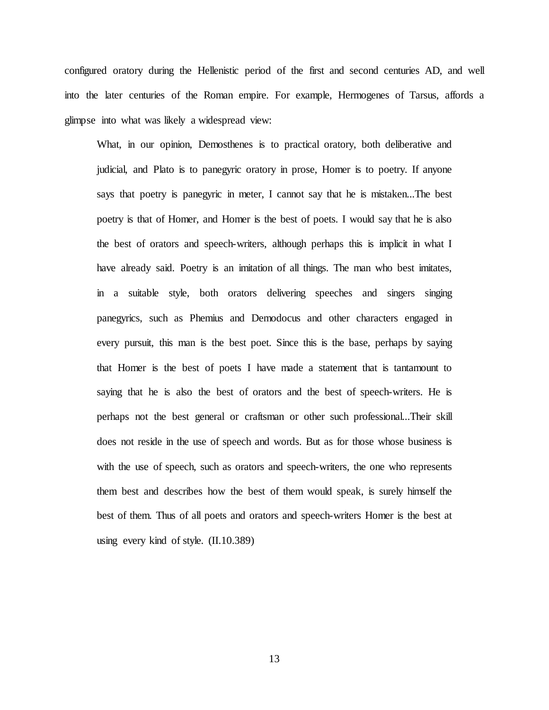configured oratory during the Hellenistic period of the first and second centuries AD, and well into the later centuries of the Roman empire. For example, Hermogenes of Tarsus, affords a glimpse into what was likely a widespread view:

What, in our opinion, Demosthenes is to practical oratory, both deliberative and judicial, and Plato is to panegyric oratory in prose, Homer is to poetry. If anyone says that poetry is panegyric in meter, I cannot say that he is mistaken...The best poetry is that of Homer, and Homer is the best of poets. I would say that he is also the best of orators and speech-writers, although perhaps this is implicit in what I have already said. Poetry is an imitation of all things. The man who best imitates, in a suitable style, both orators delivering speeches and singers singing panegyrics, such as Phemius and Demodocus and other characters engaged in every pursuit, this man is the best poet. Since this is the base, perhaps by saying that Homer is the best of poets I have made a statement that is tantamount to saying that he is also the best of orators and the best of speech-writers. He is perhaps not the best general or craftsman or other such professional...Their skill does not reside in the use of speech and words. But as for those whose business is with the use of speech, such as orators and speech-writers, the one who represents them best and describes how the best of them would speak, is surely himself the best of them. Thus of all poets and orators and speech-writers Homer is the best at using every kind of style. (II.10.389)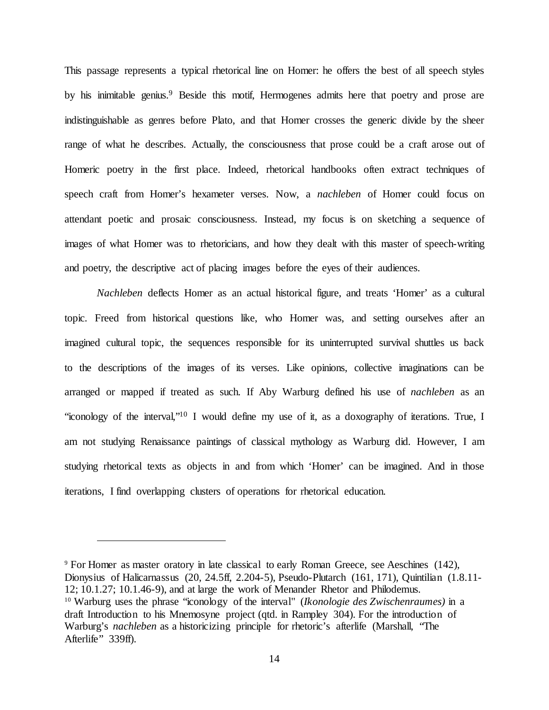This passage represents a typical rhetorical line on Homer: he offers the best of all speech styles by his inimitable genius.<sup>9</sup> Beside this motif, Hermogenes admits here that poetry and prose are indistinguishable as genres before Plato, and that Homer crosses the generic divide by the sheer range of what he describes. Actually, the consciousness that prose could be a craft arose out of Homeric poetry in the first place. Indeed, rhetorical handbooks often extract techniques of speech craft from Homer's hexameter verses. Now, a *nachleben* of Homer could focus on attendant poetic and prosaic consciousness. Instead, my focus is on sketching a sequence of images of what Homer was to rhetoricians, and how they dealt with this master of speech-writing and poetry, the descriptive act of placing images before the eyes of their audiences.

*Nachleben* deflects Homer as an actual historical figure, and treats 'Homer' as a cultural topic. Freed from historical questions like, who Homer was, and setting ourselves after an imagined cultural topic, the sequences responsible for its uninterrupted survival shuttles us back to the descriptions of the images of its verses. Like opinions, collective imaginations can be arranged or mapped if treated as such. If Aby Warburg defined his use of *nachleben* as an "iconology of the interval,"10 I would define my use of it, as a doxography of iterations. True, I am not studying Renaissance paintings of classical mythology as Warburg did. However, I am studying rhetorical texts as objects in and from which 'Homer' can be imagined. And in those iterations, I find overlapping clusters of operations for rhetorical education.

<sup>9</sup> For Homer as master oratory in late classical to early Roman Greece, see Aeschines (142), Dionysius of Halicarnassus (20, 24.5ff, 2.204-5), Pseudo-Plutarch (161, 171), Quintilian (1.8.11- 12; 10.1.27; 10.1.46-9), and at large the work of Menander Rhetor and Philodemus. <sup>10</sup> Warburg uses the phrase "iconology of the interval" (*Ikonologie des Zwischenraumes)* in a draft Introduction to his Mnemosyne project (qtd. in Rampley 304). For the introduction of Warburg's *nachleben* as a historicizing principle for rhetoric's afterlife (Marshall, "The Afterlife" 339ff).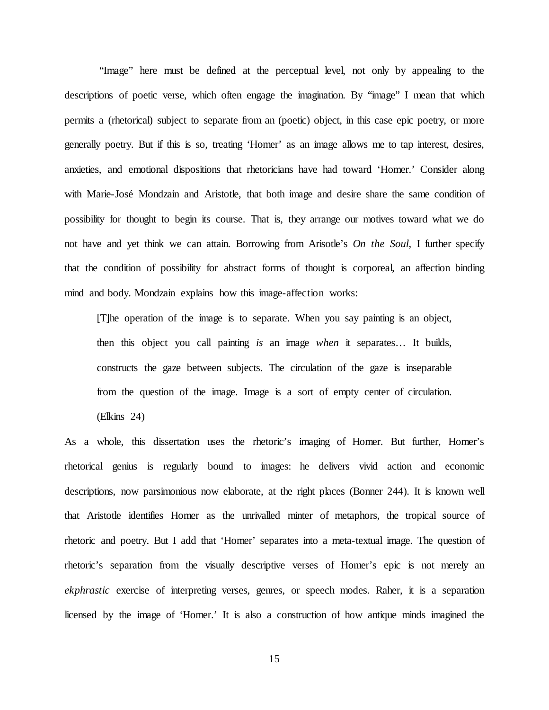"Image" here must be defined at the perceptual level, not only by appealing to the descriptions of poetic verse, which often engage the imagination. By "image" I mean that which permits a (rhetorical) subject to separate from an (poetic) object, in this case epic poetry, or more generally poetry. But if this is so, treating 'Homer' as an image allows me to tap interest, desires, anxieties, and emotional dispositions that rhetoricians have had toward 'Homer.' Consider along with Marie-José Mondzain and Aristotle, that both image and desire share the same condition of possibility for thought to begin its course. That is, they arrange our motives toward what we do not have and yet think we can attain. Borrowing from Arisotle's *On the Soul*, I further specify that the condition of possibility for abstract forms of thought is corporeal, an affection binding mind and body. Mondzain explains how this image-affection works:

[T]he operation of the image is to separate. When you say painting is an object, then this object you call painting *is* an image *when* it separates… It builds, constructs the gaze between subjects. The circulation of the gaze is inseparable from the question of the image. Image is a sort of empty center of circulation.

(Elkins 24)

As a whole, this dissertation uses the rhetoric's imaging of Homer. But further, Homer's rhetorical genius is regularly bound to images: he delivers vivid action and economic descriptions, now parsimonious now elaborate, at the right places (Bonner 244). It is known well that Aristotle identifies Homer as the unrivalled minter of metaphors, the tropical source of rhetoric and poetry. But I add that 'Homer' separates into a meta-textual image. The question of rhetoric's separation from the visually descriptive verses of Homer's epic is not merely an *ekphrastic* exercise of interpreting verses, genres, or speech modes. Raher, it is a separation licensed by the image of 'Homer.' It is also a construction of how antique minds imagined the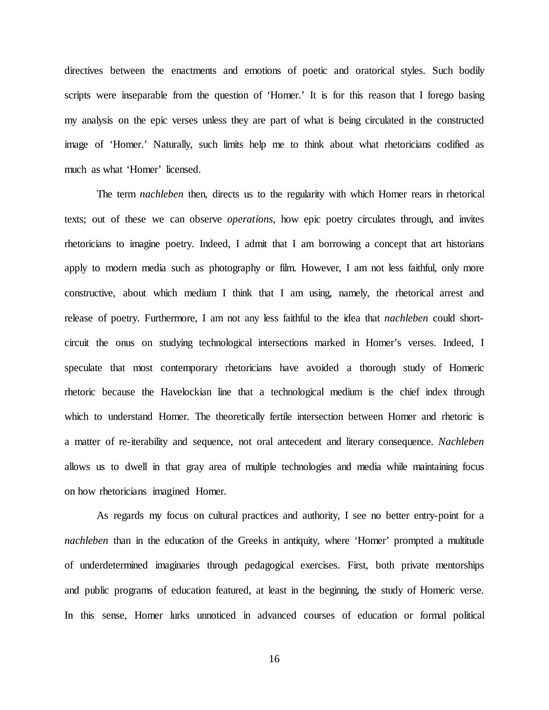directives between the enactments and emotions of poetic and oratorical styles. Such bodily scripts were inseparable from the question of 'Homer.' It is for this reason that I forego basing my analysis on the epic verses unless they are part of what is being circulated in the constructed image of 'Homer.' Naturally, such limits help me to think about what rhetoricians codified as much as what 'Homer' licensed.

The term *nachleben* then, directs us to the regularity with which Homer rears in rhetorical texts; out of these we can observe *operations*, how epic poetry circulates through, and invites rhetoricians to imagine poetry. Indeed, I admit that I am borrowing a concept that art historians apply to modern media such as photography or film. However, I am not less faithful, only more constructive, about which medium I think that I am using, namely, the rhetorical arrest and release of poetry. Furthermore, I am not any less faithful to the idea that *nachleben* could shortcircuit the onus on studying technological intersections marked in Homer's verses. Indeed, I speculate that most contemporary rhetoricians have avoided a thorough study of Homeric rhetoric because the Havelockian line that a technological medium is the chief index through which to understand Homer. The theoretically fertile intersection between Homer and rhetoric is a matter of re-iterability and sequence, not oral antecedent and literary consequence. *Nachleben* allows us to dwell in that gray area of multiple technologies and media while maintaining focus on how rhetoricians imagined Homer.

As regards my focus on cultural practices and authority, I see no better entry-point for a *nachleben* than in the education of the Greeks in antiquity, where 'Homer' prompted a multitude of underdetermined imaginaries through pedagogical exercises. First, both private mentorships and public programs of education featured, at least in the beginning, the study of Homeric verse. In this sense, Homer lurks unnoticed in advanced courses of education or formal political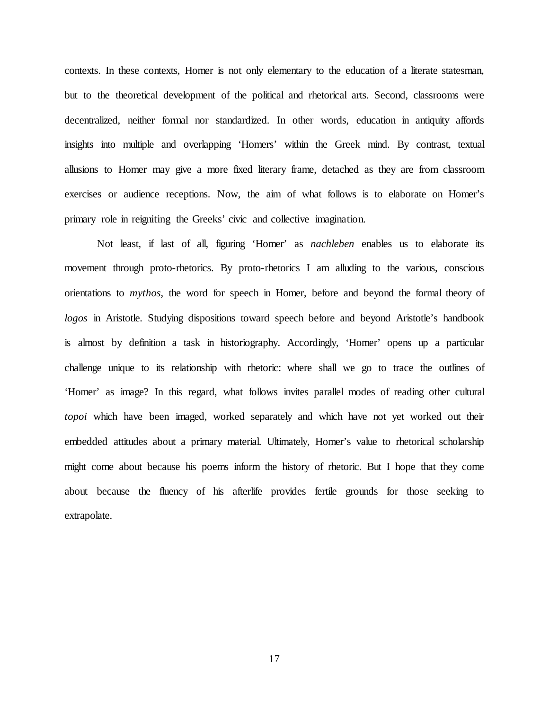contexts. In these contexts, Homer is not only elementary to the education of a literate statesman, but to the theoretical development of the political and rhetorical arts. Second, classrooms were decentralized, neither formal nor standardized. In other words, education in antiquity affords insights into multiple and overlapping 'Homers' within the Greek mind. By contrast, textual allusions to Homer may give a more fixed literary frame, detached as they are from classroom exercises or audience receptions. Now, the aim of what follows is to elaborate on Homer's primary role in reigniting the Greeks' civic and collective imagination.

Not least, if last of all, figuring 'Homer' as *nachleben* enables us to elaborate its movement through proto-rhetorics. By proto-rhetorics I am alluding to the various, conscious orientations to *mythos*, the word for speech in Homer, before and beyond the formal theory of *logos* in Aristotle. Studying dispositions toward speech before and beyond Aristotle's handbook is almost by definition a task in historiography. Accordingly, 'Homer' opens up a particular challenge unique to its relationship with rhetoric: where shall we go to trace the outlines of 'Homer' as image? In this regard, what follows invites parallel modes of reading other cultural *topoi* which have been imaged, worked separately and which have not yet worked out their embedded attitudes about a primary material. Ultimately, Homer's value to rhetorical scholarship might come about because his poems inform the history of rhetoric. But I hope that they come about because the fluency of his afterlife provides fertile grounds for those seeking to extrapolate.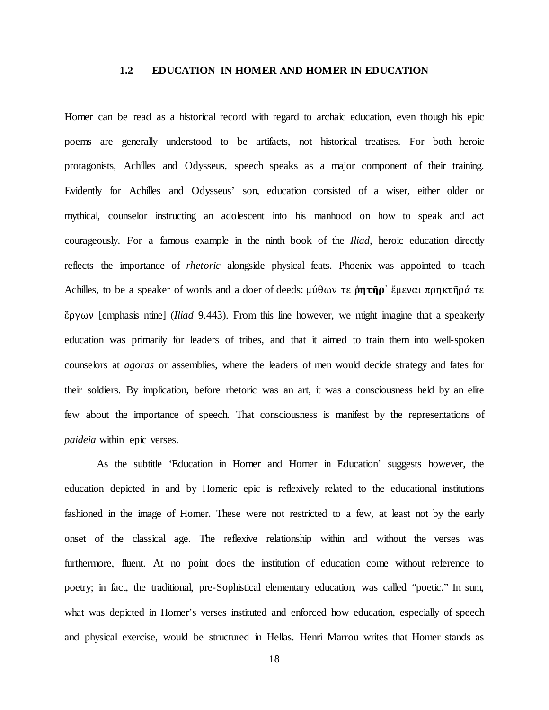#### **1.2 EDUCATION IN HOMER AND HOMER IN EDUCATION**

<span id="page-28-0"></span>Homer can be read as a historical record with regard to archaic education, even though his epic poems are generally understood to be artifacts, not historical treatises. For both heroic protagonists, Achilles and Odysseus, speech speaks as a major component of their training. Evidently for Achilles and Odysseus' son, education consisted of a wiser, either older or mythical, counselor instructing an adolescent into his manhood on how to speak and act courageously. For a famous example in the ninth book of the *Iliad*, heroic education directly reflects the importance of *rhetoric* alongside physical feats. Phoenix was appointed to teach Achilles, to be a speaker of words and a doer of deeds: μύθων τε **ῥητῆρ**᾽ ἔμεναι πρηκτῆρά τε ἔργων [emphasis mine] (*Iliad* 9.443). From this line however, we might imagine that a speakerly education was primarily for leaders of tribes, and that it aimed to train them into well-spoken counselors at *agoras* or assemblies, where the leaders of men would decide strategy and fates for their soldiers. By implication, before rhetoric was an art, it was a consciousness held by an elite few about the importance of speech. That consciousness is manifest by the representations of *paideia* within epic verses.

As the subtitle 'Education in Homer and Homer in Education' suggests however, the education depicted in and by Homeric epic is reflexively related to the educational institutions fashioned in the image of Homer. These were not restricted to a few, at least not by the early onset of the classical age. The reflexive relationship within and without the verses was furthermore, fluent. At no point does the institution of education come without reference to poetry; in fact, the traditional, pre-Sophistical elementary education, was called "poetic." In sum, what was depicted in Homer's verses instituted and enforced how education, especially of speech and physical exercise, would be structured in Hellas. Henri Marrou writes that Homer stands as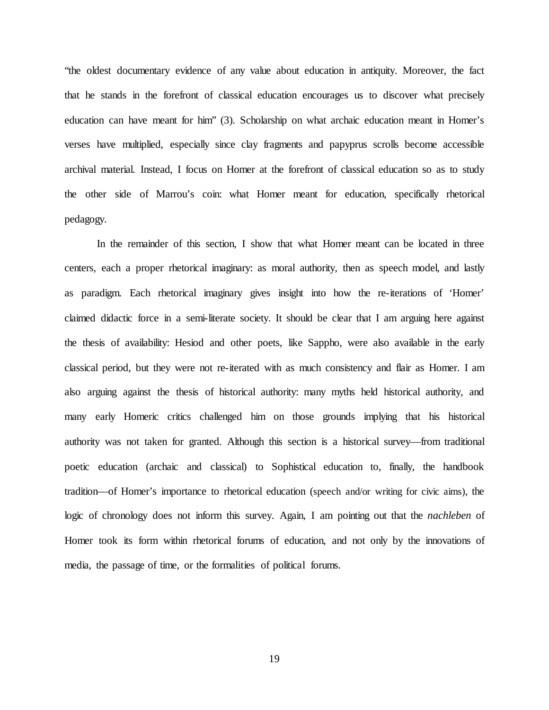"the oldest documentary evidence of any value about education in antiquity. Moreover, the fact that he stands in the forefront of classical education encourages us to discover what precisely education can have meant for him" (3). Scholarship on what archaic education meant in Homer's verses have multiplied, especially since clay fragments and papyprus scrolls become accessible archival material. Instead, I focus on Homer at the forefront of classical education so as to study the other side of Marrou's coin: what Homer meant for education, specifically rhetorical pedagogy.

In the remainder of this section, I show that what Homer meant can be located in three centers, each a proper rhetorical imaginary: as moral authority, then as speech model, and lastly as paradigm. Each rhetorical imaginary gives insight into how the re-iterations of 'Homer' claimed didactic force in a semi-literate society. It should be clear that I am arguing here against the thesis of availability: Hesiod and other poets, like Sappho, were also available in the early classical period, but they were not re-iterated with as much consistency and flair as Homer. I am also arguing against the thesis of historical authority: many myths held historical authority, and many early Homeric critics challenged him on those grounds implying that his historical authority was not taken for granted. Although this section is a historical survey—from traditional poetic education (archaic and classical) to Sophistical education to, finally, the handbook tradition—of Homer's importance to rhetorical education (speech and/or writing for civic aims), the logic of chronology does not inform this survey. Again, I am pointing out that the *nachleben* of Homer took its form within rhetorical forums of education, and not only by the innovations of media, the passage of time, or the formalities of political forums.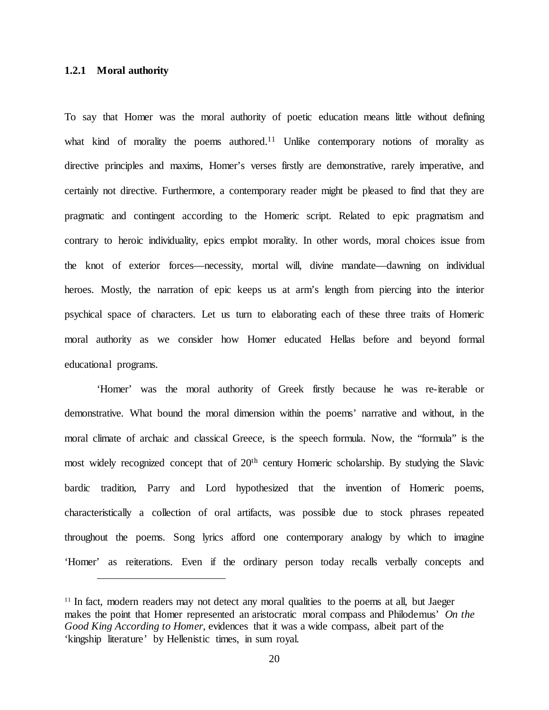### <span id="page-30-0"></span>**1.2.1 Moral authority**

 $\overline{a}$ 

To say that Homer was the moral authority of poetic education means little without defining what kind of morality the poems authored.<sup>11</sup> Unlike contemporary notions of morality as directive principles and maxims, Homer's verses firstly are demonstrative, rarely imperative, and certainly not directive. Furthermore, a contemporary reader might be pleased to find that they are pragmatic and contingent according to the Homeric script. Related to epic pragmatism and contrary to heroic individuality, epics emplot morality. In other words, moral choices issue from the knot of exterior forces—necessity, mortal will, divine mandate—dawning on individual heroes. Mostly, the narration of epic keeps us at arm's length from piercing into the interior psychical space of characters. Let us turn to elaborating each of these three traits of Homeric moral authority as we consider how Homer educated Hellas before and beyond formal educational programs.

'Homer' was the moral authority of Greek firstly because he was re-iterable or demonstrative. What bound the moral dimension within the poems' narrative and without, in the moral climate of archaic and classical Greece, is the speech formula. Now, the "formula" is the most widely recognized concept that of 20<sup>th</sup> century Homeric scholarship. By studying the Slavic bardic tradition, Parry and Lord hypothesized that the invention of Homeric poems, characteristically a collection of oral artifacts, was possible due to stock phrases repeated throughout the poems. Song lyrics afford one contemporary analogy by which to imagine 'Homer' as reiterations. Even if the ordinary person today recalls verbally concepts and

<sup>&</sup>lt;sup>11</sup> In fact, modern readers may not detect any moral qualities to the poems at all, but Jaeger makes the point that Homer represented an aristocratic moral compass and Philodemus' *On the Good King According to Homer*, evidences that it was a wide compass, albeit part of the 'kingship literature' by Hellenistic times, in sum royal.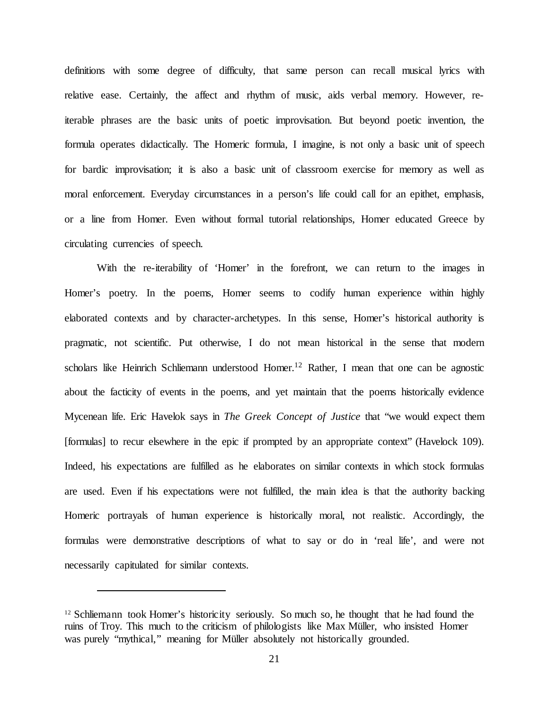definitions with some degree of difficulty, that same person can recall musical lyrics with relative ease. Certainly, the affect and rhythm of music, aids verbal memory. However, reiterable phrases are the basic units of poetic improvisation. But beyond poetic invention, the formula operates didactically. The Homeric formula, I imagine, is not only a basic unit of speech for bardic improvisation; it is also a basic unit of classroom exercise for memory as well as moral enforcement. Everyday circumstances in a person's life could call for an epithet, emphasis, or a line from Homer. Even without formal tutorial relationships, Homer educated Greece by circulating currencies of speech.

With the re-iterability of 'Homer' in the forefront, we can return to the images in Homer's poetry. In the poems, Homer seems to codify human experience within highly elaborated contexts and by character-archetypes. In this sense, Homer's historical authority is pragmatic, not scientific. Put otherwise, I do not mean historical in the sense that modern scholars like Heinrich Schliemann understood Homer.<sup>12</sup> Rather, I mean that one can be agnostic about the facticity of events in the poems, and yet maintain that the poems historically evidence Mycenean life. Eric Havelok says in *The Greek Concept of Justice* that "we would expect them [formulas] to recur elsewhere in the epic if prompted by an appropriate context" (Havelock 109). Indeed, his expectations are fulfilled as he elaborates on similar contexts in which stock formulas are used. Even if his expectations were not fulfilled, the main idea is that the authority backing Homeric portrayals of human experience is historically moral, not realistic. Accordingly, the formulas were demonstrative descriptions of what to say or do in 'real life', and were not necessarily capitulated for similar contexts.

<sup>&</sup>lt;sup>12</sup> Schliemann took Homer's historicity seriously. So much so, he thought that he had found the ruins of Troy. This much to the criticism of philologists like Max Müller, who insisted Homer was purely "mythical," meaning for Müller absolutely not historically grounded.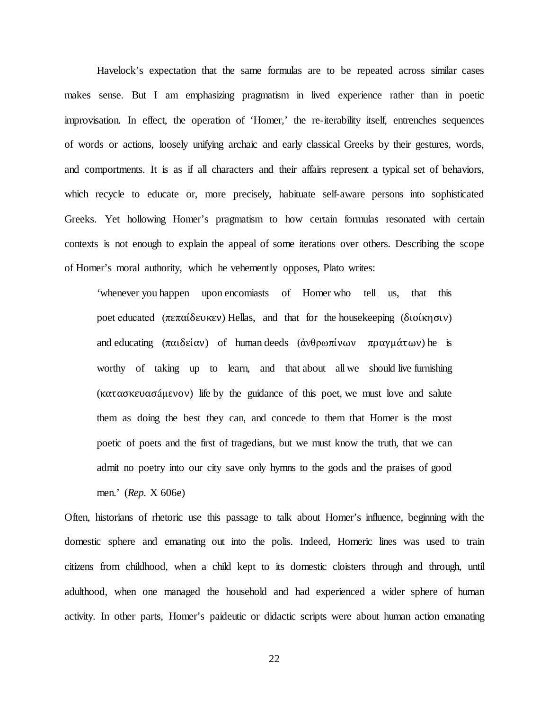Havelock's expectation that the same formulas are to be repeated across similar cases makes sense. But I am emphasizing pragmatism in lived experience rather than in poetic improvisation. In effect, the operation of 'Homer,' the re-iterability itself, entrenches sequences of words or actions, loosely unifying archaic and early classical Greeks by their gestures, words, and comportments. It is as if all characters and their affairs represent a typical set of behaviors, which recycle to educate or, more precisely, habituate self-aware persons into sophisticated Greeks. Yet hollowing Homer's pragmatism to how certain formulas resonated with certain contexts is not enough to explain the appeal of some iterations over others. Describing the scope of Homer's moral authority, which he vehemently opposes, Plato writes:

'whenever you happen upon encomiasts of Homer who tell us, that this poet educated (πεπαίδευκεν) Hellas, and that for the housekeeping (διοίκησιν) and educating  $(\pi \alpha \delta \varepsilon \delta \alpha \nu)$  of human deeds  $(\dot{\alpha} \nu \theta \rho \omega \pi \delta \nu \omega \nu)$  πραγμάτων) he is worthy of taking up to learn, and that about all we should live furnishing (κατασκευασáμενον) life by the guidance of this poet, we must love and salute them as doing the best they can, and concede to them that Homer is the most poetic of poets and the first of tragedians, but we must know the truth, that we can admit no poetry into our city save only hymns to the gods and the praises of good men.' (*Rep.* X 606e)

Often, historians of rhetoric use this passage to talk about Homer's influence, beginning with the domestic sphere and emanating out into the polis. Indeed, Homeric lines was used to train citizens from childhood, when a child kept to its domestic cloisters through and through, until adulthood, when one managed the household and had experienced a wider sphere of human activity. In other parts, Homer's paideutic or didactic scripts were about human action emanating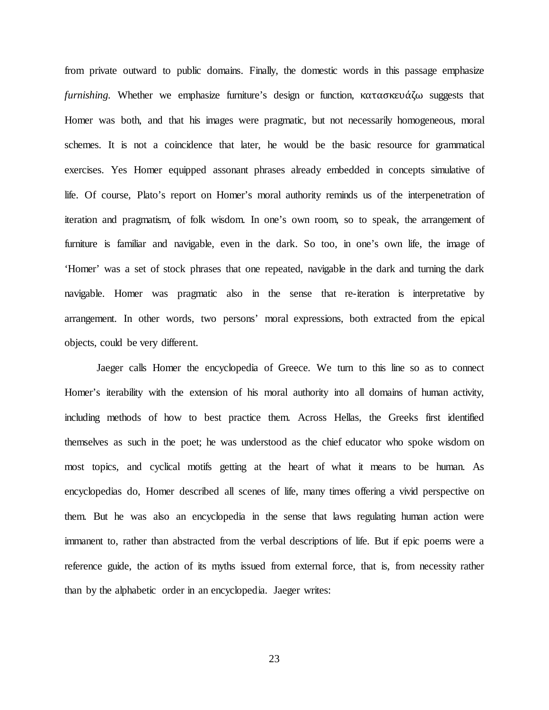from private outward to public domains. Finally, the domestic words in this passage emphasize *furnishing.* Whether we emphasize furniture's design or function, κατασκευάζω suggests that Homer was both, and that his images were pragmatic, but not necessarily homogeneous, moral schemes. It is not a coincidence that later, he would be the basic resource for grammatical exercises. Yes Homer equipped assonant phrases already embedded in concepts simulative of life. Of course, Plato's report on Homer's moral authority reminds us of the interpenetration of iteration and pragmatism, of folk wisdom. In one's own room, so to speak, the arrangement of furniture is familiar and navigable, even in the dark. So too, in one's own life, the image of 'Homer' was a set of stock phrases that one repeated, navigable in the dark and turning the dark navigable. Homer was pragmatic also in the sense that re-iteration is interpretative by arrangement. In other words, two persons' moral expressions, both extracted from the epical objects, could be very different.

Jaeger calls Homer the encyclopedia of Greece. We turn to this line so as to connect Homer's iterability with the extension of his moral authority into all domains of human activity, including methods of how to best practice them. Across Hellas, the Greeks first identified themselves as such in the poet; he was understood as the chief educator who spoke wisdom on most topics, and cyclical motifs getting at the heart of what it means to be human. As encyclopedias do, Homer described all scenes of life, many times offering a vivid perspective on them. But he was also an encyclopedia in the sense that laws regulating human action were immanent to, rather than abstracted from the verbal descriptions of life. But if epic poems were a reference guide, the action of its myths issued from external force, that is, from necessity rather than by the alphabetic order in an encyclopedia. Jaeger writes: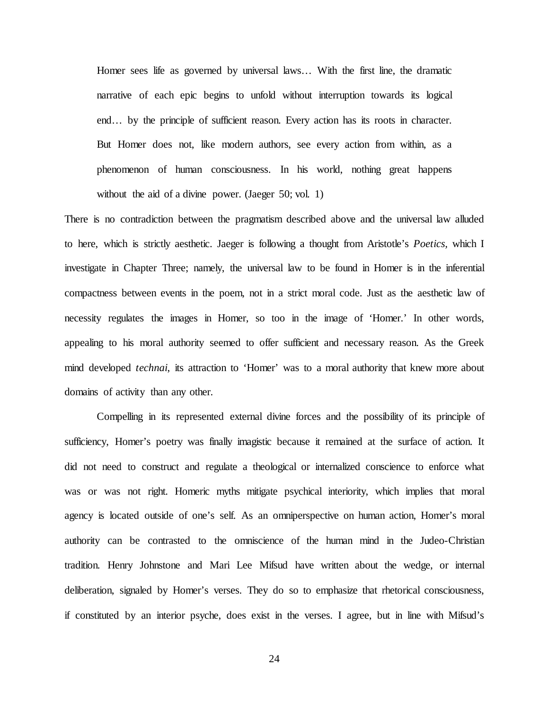Homer sees life as governed by universal laws... With the first line, the dramatic narrative of each epic begins to unfold without interruption towards its logical end… by the principle of sufficient reason. Every action has its roots in character. But Homer does not, like modern authors, see every action from within, as a phenomenon of human consciousness. In his world, nothing great happens without the aid of a divine power. (Jaeger 50; vol. 1)

There is no contradiction between the pragmatism described above and the universal law alluded to here, which is strictly aesthetic. Jaeger is following a thought from Aristotle's *Poetics,* which I investigate in Chapter Three; namely, the universal law to be found in Homer is in the inferential compactness between events in the poem, not in a strict moral code. Just as the aesthetic law of necessity regulates the images in Homer, so too in the image of 'Homer.' In other words, appealing to his moral authority seemed to offer sufficient and necessary reason. As the Greek mind developed *technai*, its attraction to 'Homer' was to a moral authority that knew more about domains of activity than any other.

Compelling in its represented external divine forces and the possibility of its principle of sufficiency, Homer's poetry was finally imagistic because it remained at the surface of action. It did not need to construct and regulate a theological or internalized conscience to enforce what was or was not right. Homeric myths mitigate psychical interiority, which implies that moral agency is located outside of one's self. As an omniperspective on human action, Homer's moral authority can be contrasted to the omniscience of the human mind in the Judeo-Christian tradition. Henry Johnstone and Mari Lee Mifsud have written about the wedge, or internal deliberation, signaled by Homer's verses. They do so to emphasize that rhetorical consciousness, if constituted by an interior psyche, does exist in the verses. I agree, but in line with Mifsud's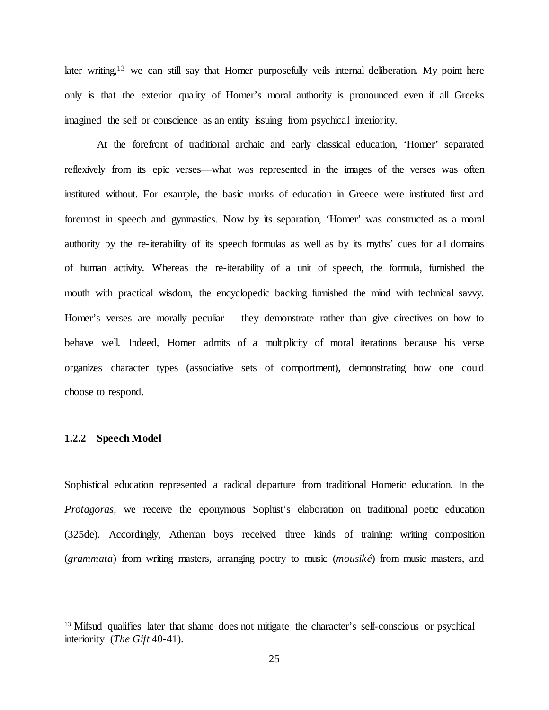later writing,<sup>13</sup> we can still say that Homer purposefully veils internal deliberation. My point here only is that the exterior quality of Homer's moral authority is pronounced even if all Greeks imagined the self or conscience as an entity issuing from psychical interiority.

At the forefront of traditional archaic and early classical education, 'Homer' separated reflexively from its epic verses—what was represented in the images of the verses was often instituted without. For example, the basic marks of education in Greece were instituted first and foremost in speech and gymnastics. Now by its separation, 'Homer' was constructed as a moral authority by the re-iterability of its speech formulas as well as by its myths' cues for all domains of human activity. Whereas the re-iterability of a unit of speech, the formula, furnished the mouth with practical wisdom, the encyclopedic backing furnished the mind with technical savvy. Homer's verses are morally peculiar – they demonstrate rather than give directives on how to behave well. Indeed, Homer admits of a multiplicity of moral iterations because his verse organizes character types (associative sets of comportment), demonstrating how one could choose to respond.

#### <span id="page-35-0"></span>**1.2.2 Speech Model**

 $\overline{a}$ 

Sophistical education represented a radical departure from traditional Homeric education. In the *Protagoras,* we receive the eponymous Sophist's elaboration on traditional poetic education (325de). Accordingly, Athenian boys received three kinds of training: writing composition (*grammata*) from writing masters, arranging poetry to music (*mousiké*) from music masters, and

<sup>&</sup>lt;sup>13</sup> Mifsud qualifies later that shame does not mitigate the character's self-conscious or psychical interiority (*The Gift* 40-41).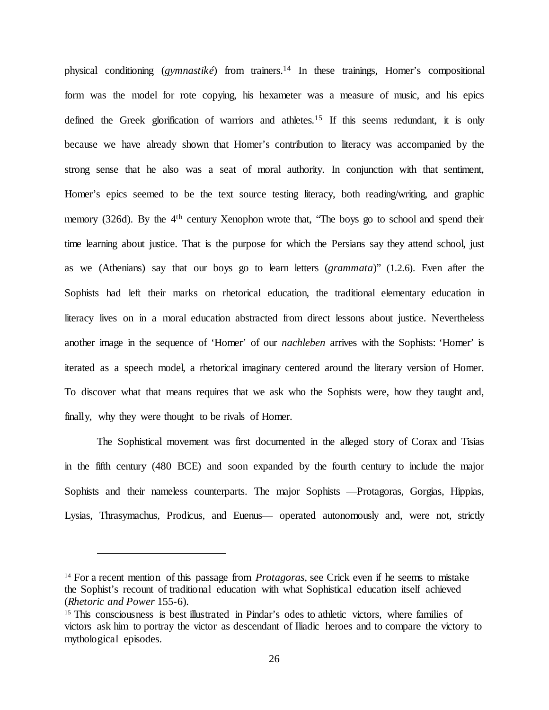physical conditioning (*gymnastiké*) from trainers.14 In these trainings, Homer's compositional form was the model for rote copying, his hexameter was a measure of music, and his epics defined the Greek glorification of warriors and athletes*.* <sup>15</sup> If this seems redundant, it is only because we have already shown that Homer's contribution to literacy was accompanied by the strong sense that he also was a seat of moral authority. In conjunction with that sentiment, Homer's epics seemed to be the text source testing literacy, both reading/writing, and graphic memory (326d). By the 4<sup>th</sup> century Xenophon wrote that, "The boys go to school and spend their time learning about justice. That is the purpose for which the Persians say they attend school, just as we (Athenians) say that our boys go to learn letters (*grammata*)" (1.2.6). Even after the Sophists had left their marks on rhetorical education, the traditional elementary education in literacy lives on in a moral education abstracted from direct lessons about justice. Nevertheless another image in the sequence of 'Homer' of our *nachleben* arrives with the Sophists: 'Homer' is iterated as a speech model, a rhetorical imaginary centered around the literary version of Homer. To discover what that means requires that we ask who the Sophists were, how they taught and, finally, why they were thought to be rivals of Homer.

The Sophistical movement was first documented in the alleged story of Corax and Tisias in the fifth century (480 BCE) and soon expanded by the fourth century to include the major Sophists and their nameless counterparts. The major Sophists —Protagoras, Gorgias, Hippias, Lysias, Thrasymachus, Prodicus, and Euenus— operated autonomously and, were not, strictly

<sup>&</sup>lt;sup>14</sup> For a recent mention of this passage from *Protagoras*, see Crick even if he seems to mistake the Sophist's recount of traditional education with what Sophistical education itself achieved (*Rhetoric and Power* 155-6).

<sup>&</sup>lt;sup>15</sup> This consciousness is best illustrated in Pindar's odes to athletic victors, where families of victors ask him to portray the victor as descendant of Iliadic heroes and to compare the victory to mythological episodes.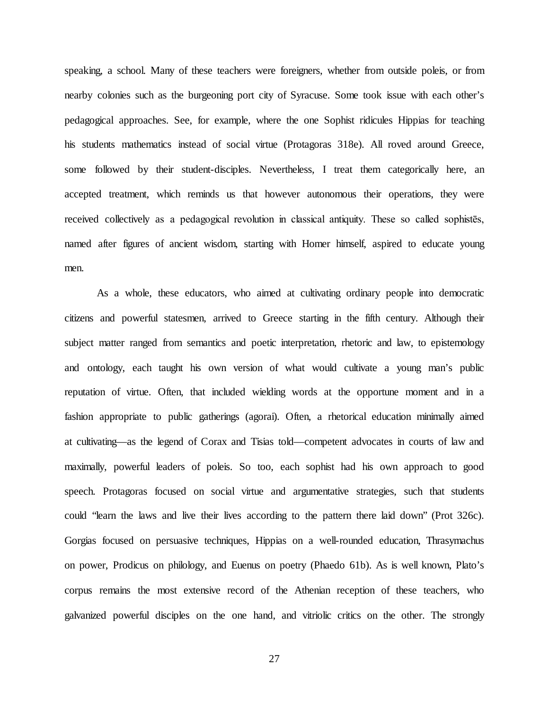speaking, a school. Many of these teachers were foreigners, whether from outside poleis, or from nearby colonies such as the burgeoning port city of Syracuse. Some took issue with each other's pedagogical approaches. See, for example, where the one Sophist ridicules Hippias for teaching his students mathematics instead of social virtue (Protagoras 318e). All roved around Greece, some followed by their student-disciples. Nevertheless, I treat them categorically here, an accepted treatment, which reminds us that however autonomous their operations, they were received collectively as a pedagogical revolution in classical antiquity. These so called sophistēs, named after figures of ancient wisdom, starting with Homer himself, aspired to educate young men.

As a whole, these educators, who aimed at cultivating ordinary people into democratic citizens and powerful statesmen, arrived to Greece starting in the fifth century. Although their subject matter ranged from semantics and poetic interpretation, rhetoric and law, to epistemology and ontology, each taught his own version of what would cultivate a young man's public reputation of virtue. Often, that included wielding words at the opportune moment and in a fashion appropriate to public gatherings (agorai). Often, a rhetorical education minimally aimed at cultivating—as the legend of Corax and Tisias told—competent advocates in courts of law and maximally, powerful leaders of poleis. So too, each sophist had his own approach to good speech. Protagoras focused on social virtue and argumentative strategies, such that students could "learn the laws and live their lives according to the pattern there laid down" (Prot 326c). Gorgias focused on persuasive techniques, Hippias on a well-rounded education, Thrasymachus on power, Prodicus on philology, and Euenus on poetry (Phaedo 61b). As is well known, Plato's corpus remains the most extensive record of the Athenian reception of these teachers, who galvanized powerful disciples on the one hand, and vitriolic critics on the other. The strongly

27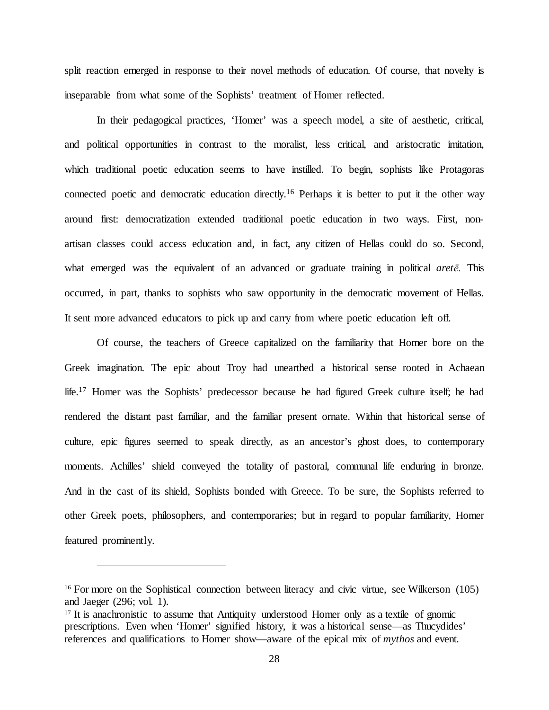split reaction emerged in response to their novel methods of education. Of course, that novelty is inseparable from what some of the Sophists' treatment of Homer reflected.

In their pedagogical practices, 'Homer' was a speech model, a site of aesthetic, critical, and political opportunities in contrast to the moralist, less critical, and aristocratic imitation, which traditional poetic education seems to have instilled. To begin, sophists like Protagoras connected poetic and democratic education directly.16 Perhaps it is better to put it the other way around first: democratization extended traditional poetic education in two ways. First, nonartisan classes could access education and, in fact, any citizen of Hellas could do so. Second, what emerged was the equivalent of an advanced or graduate training in political *aretē.* This occurred, in part, thanks to sophists who saw opportunity in the democratic movement of Hellas. It sent more advanced educators to pick up and carry from where poetic education left off.

Of course, the teachers of Greece capitalized on the familiarity that Homer bore on the Greek imagination. The epic about Troy had unearthed a historical sense rooted in Achaean life.<sup>17</sup> Homer was the Sophists' predecessor because he had figured Greek culture itself; he had rendered the distant past familiar, and the familiar present ornate. Within that historical sense of culture, epic figures seemed to speak directly, as an ancestor's ghost does, to contemporary moments. Achilles' shield conveyed the totality of pastoral, communal life enduring in bronze. And in the cast of its shield, Sophists bonded with Greece. To be sure, the Sophists referred to other Greek poets, philosophers, and contemporaries; but in regard to popular familiarity, Homer featured prominently.

<sup>&</sup>lt;sup>16</sup> For more on the Sophistical connection between literacy and civic virtue, see Wilkerson (105) and Jaeger (296; vol. 1).<br><sup>17</sup> It is anachronistic to assume that Antiquity understood Homer only as a textile of gnomic

prescriptions. Even when 'Homer' signified history, it was a historical sense—as Thucydides' references and qualifications to Homer show—aware of the epical mix of *mythos* and event.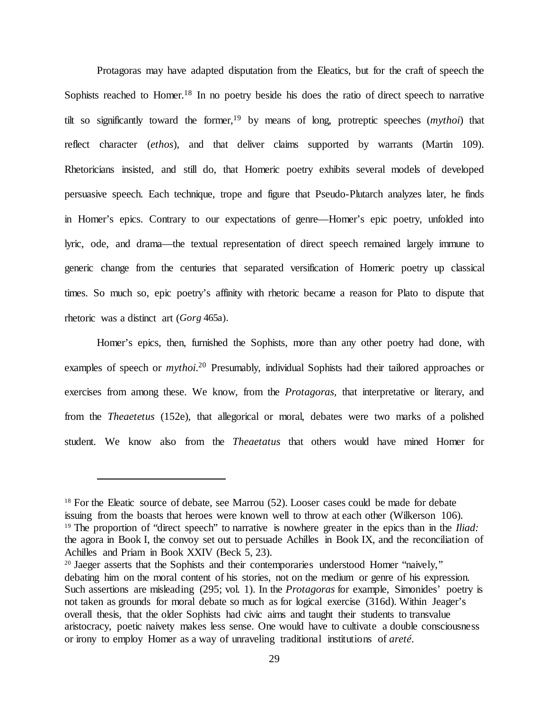Protagoras may have adapted disputation from the Eleatics, but for the craft of speech the Sophists reached to Homer.<sup>18</sup> In no poetry beside his does the ratio of direct speech to narrative tilt so significantly toward the former,19 by means of long, protreptic speeches (*mythoi*) that reflect character (*ethos*), and that deliver claims supported by warrants (Martin 109). Rhetoricians insisted, and still do, that Homeric poetry exhibits several models of developed persuasive speech. Each technique, trope and figure that Pseudo-Plutarch analyzes later, he finds in Homer's epics. Contrary to our expectations of genre—Homer's epic poetry, unfolded into lyric, ode, and drama—the textual representation of direct speech remained largely immune to generic change from the centuries that separated versification of Homeric poetry up classical times. So much so, epic poetry's affinity with rhetoric became a reason for Plato to dispute that rhetoric was a distinct art (*Gorg* 465a).

Homer's epics, then, furnished the Sophists, more than any other poetry had done, with examples of speech or *mythoi*.<sup>20</sup> Presumably, individual Sophists had their tailored approaches or exercises from among these. We know, from the *Protagoras,* that interpretative or literary, and from the *Theaetetus* (152e)*,* that allegorical or moral, debates were two marks of a polished student. We know also from the *Theaetatus* that others would have mined Homer for

<sup>&</sup>lt;sup>18</sup> For the Eleatic source of debate, see Marrou (52). Looser cases could be made for debate issuing from the boasts that heroes were known well to throw at each other (Wilkerson 106). 19 The proportion of "direct speech" to narrative is nowhere greater in the epics than in the *Iliad:*  the agora in Book I, the convoy set out to persuade Achilles in Book IX, and the reconciliation of Achilles and Priam in Book XXIV (Beck 5, 23).

<sup>&</sup>lt;sup>20</sup> Jaeger asserts that the Sophists and their contemporaries understood Homer "naively," debating him on the moral content of his stories, not on the medium or genre of his expression. Such assertions are misleading (295; vol. 1). In the *Protagoras* for example, Simonides' poetry is not taken as grounds for moral debate so much as for logical exercise (316d). Within Jeager's overall thesis, that the older Sophists had civic aims and taught their students to transvalue aristocracy, poetic naivety makes less sense. One would have to cultivate a double consciousness or irony to employ Homer as a way of unraveling traditional institutions of *areté*.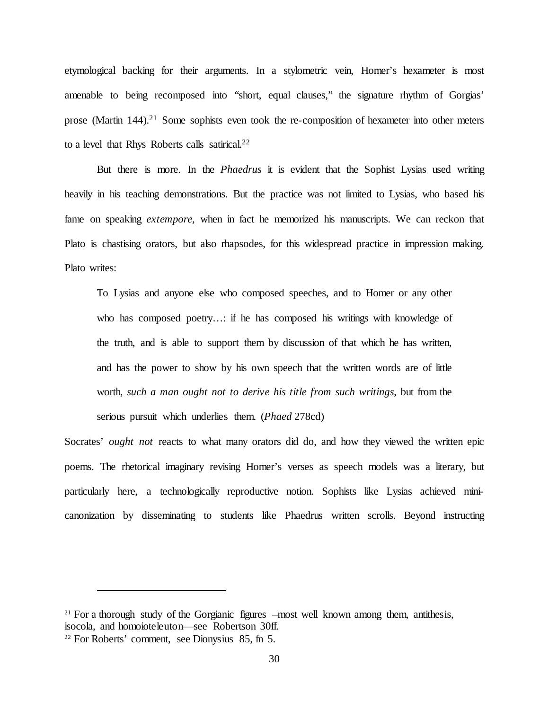etymological backing for their arguments. In a stylometric vein, Homer's hexameter is most amenable to being recomposed into "short, equal clauses," the signature rhythm of Gorgias' prose (Martin 144).<sup>21</sup> Some sophists even took the re-composition of hexameter into other meters to a level that Rhys Roberts calls satirical.<sup>22</sup>

But there is more. In the *Phaedrus* it is evident that the Sophist Lysias used writing heavily in his teaching demonstrations. But the practice was not limited to Lysias, who based his fame on speaking *extempore,* when in fact he memorized his manuscripts. We can reckon that Plato is chastising orators, but also rhapsodes, for this widespread practice in impression making. Plato writes:

To Lysias and anyone else who composed speeches, and to Homer or any other who has composed poetry...: if he has composed his writings with knowledge of the truth, and is able to support them by discussion of that which he has written, and has the power to show by his own speech that the written words are of little worth, *such a man ought not to derive his title from such writings*, but from the serious pursuit which underlies them. (*Phaed* 278cd)

Socrates' *ought not* reacts to what many orators did do, and how they viewed the written epic poems. The rhetorical imaginary revising Homer's verses as speech models was a literary, but particularly here, a technologically reproductive notion. Sophists like Lysias achieved minicanonization by disseminating to students like Phaedrus written scrolls. Beyond instructing

 $21$  For a thorough study of the Gorgianic figures –most well known among them, antithesis, isocola, and homoioteleuton—see Robertson 30ff.

<sup>22</sup> For Roberts' comment, see Dionysius 85, fn 5.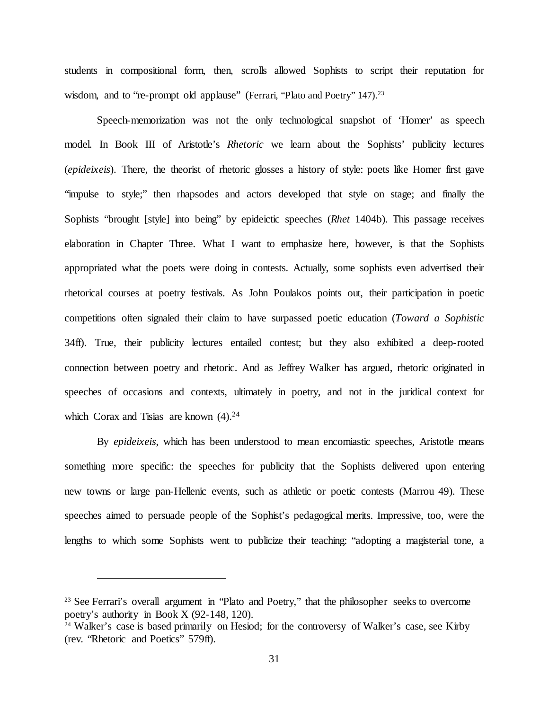students in compositional form, then, scrolls allowed Sophists to script their reputation for wisdom, and to "re-prompt old applause" (Ferrari, "Plato and Poetry" 147).<sup>23</sup>

Speech-memorization was not the only technological snapshot of 'Homer' as speech model. In Book III of Aristotle's *Rhetoric* we learn about the Sophists' publicity lectures (*epideixeis*). There, the theorist of rhetoric glosses a history of style: poets like Homer first gave "impulse to style;" then rhapsodes and actors developed that style on stage; and finally the Sophists "brought [style] into being" by epideictic speeches (*Rhet* 1404b). This passage receives elaboration in Chapter Three. What I want to emphasize here, however, is that the Sophists appropriated what the poets were doing in contests. Actually, some sophists even advertised their rhetorical courses at poetry festivals. As John Poulakos points out, their participation in poetic competitions often signaled their claim to have surpassed poetic education (*Toward a Sophistic*  34ff). True, their publicity lectures entailed contest; but they also exhibited a deep-rooted connection between poetry and rhetoric. And as Jeffrey Walker has argued, rhetoric originated in speeches of occasions and contexts, ultimately in poetry, and not in the juridical context for which Corax and Tisias are known  $(4)$ .<sup>24</sup>

By *epideixeis*, which has been understood to mean encomiastic speeches, Aristotle means something more specific: the speeches for publicity that the Sophists delivered upon entering new towns or large pan-Hellenic events, such as athletic or poetic contests (Marrou 49). These speeches aimed to persuade people of the Sophist's pedagogical merits. Impressive, too, were the lengths to which some Sophists went to publicize their teaching: "adopting a magisterial tone, a

<sup>&</sup>lt;sup>23</sup> See Ferrari's overall argument in "Plato and Poetry," that the philosopher seeks to overcome poetry's authority in Book X (92-148, 120).

<sup>&</sup>lt;sup>24</sup> Walker's case is based primarily on Hesiod; for the controversy of Walker's case, see Kirby (rev. "Rhetoric and Poetics" 579ff).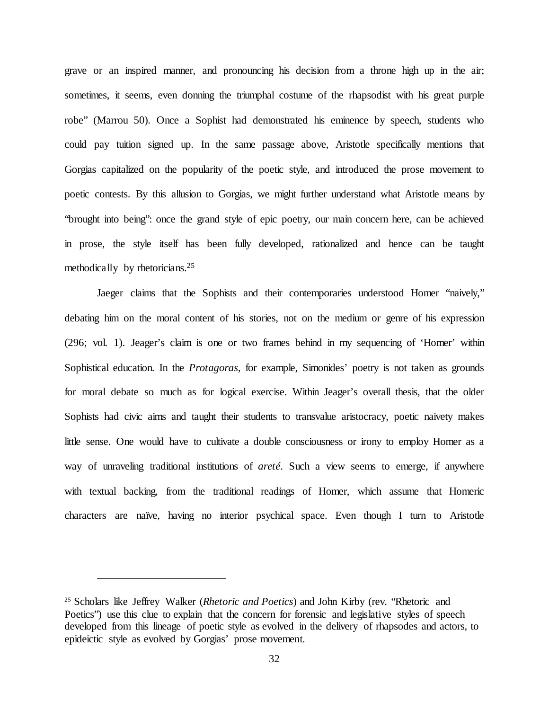grave or an inspired manner, and pronouncing his decision from a throne high up in the air; sometimes, it seems, even donning the triumphal costume of the rhapsodist with his great purple robe" (Marrou 50). Once a Sophist had demonstrated his eminence by speech, students who could pay tuition signed up. In the same passage above, Aristotle specifically mentions that Gorgias capitalized on the popularity of the poetic style, and introduced the prose movement to poetic contests. By this allusion to Gorgias, we might further understand what Aristotle means by "brought into being": once the grand style of epic poetry, our main concern here, can be achieved in prose, the style itself has been fully developed, rationalized and hence can be taught methodically by rhetoricians.25

Jaeger claims that the Sophists and their contemporaries understood Homer "naively," debating him on the moral content of his stories, not on the medium or genre of his expression (296; vol. 1). Jeager's claim is one or two frames behind in my sequencing of 'Homer' within Sophistical education. In the *Protagoras*, for example, Simonides' poetry is not taken as grounds for moral debate so much as for logical exercise. Within Jeager's overall thesis, that the older Sophists had civic aims and taught their students to transvalue aristocracy, poetic naivety makes little sense. One would have to cultivate a double consciousness or irony to employ Homer as a way of unraveling traditional institutions of *areté*. Such a view seems to emerge, if anywhere with textual backing, from the traditional readings of Homer, which assume that Homeric characters are naïve, having no interior psychical space. Even though I turn to Aristotle

<sup>25</sup> Scholars like Jeffrey Walker (*Rhetoric and Poetics*) and John Kirby (rev. "Rhetoric and Poetics") use this clue to explain that the concern for forensic and legislative styles of speech developed from this lineage of poetic style as evolved in the delivery of rhapsodes and actors, to epideictic style as evolved by Gorgias' prose movement.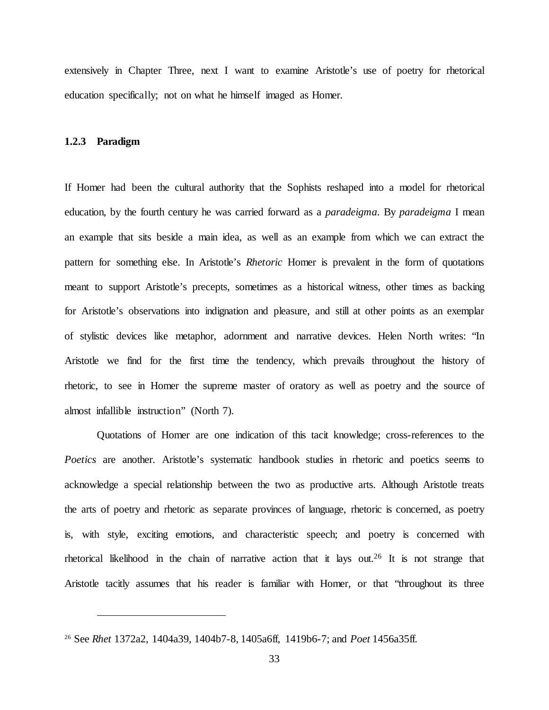extensively in Chapter Three, next I want to examine Aristotle's use of poetry for rhetorical education specifically; not on what he himself imaged as Homer.

#### **1.2.3 Paradigm**

 $\overline{a}$ 

If Homer had been the cultural authority that the Sophists reshaped into a model for rhetorical education, by the fourth century he was carried forward as a *paradeigma*. By *paradeigma* I mean an example that sits beside a main idea, as well as an example from which we can extract the pattern for something else. In Aristotle's *Rhetoric* Homer is prevalent in the form of quotations meant to support Aristotle's precepts, sometimes as a historical witness, other times as backing for Aristotle's observations into indignation and pleasure, and still at other points as an exemplar of stylistic devices like metaphor, adornment and narrative devices. Helen North writes: "In Aristotle we find for the first time the tendency, which prevails throughout the history of rhetoric, to see in Homer the supreme master of oratory as well as poetry and the source of almost infallible instruction" (North 7).

Quotations of Homer are one indication of this tacit knowledge; cross-references to the Poetics are another. Aristotle's systematic handbook studies in rhetoric and poetics seems to acknowledge a special relationship between the two as productive arts. Although Aristotle treats the arts of poetry and rhetoric as separate provinces of language, rhetoric is concerned, as poetry is, with style, exciting emotions, and characteristic speech; and poetry is concerned with rhetorical likelihood in the chain of narrative action that it lays out.26 It is not strange that Aristotle tacitly assumes that his reader is familiar with Homer, or that "throughout its three

<sup>26</sup> See *Rhet* 1372a2, 1404a39, 1404b7-8, 1405a6ff, 1419b6-7; and *Poet* 1456a35ff.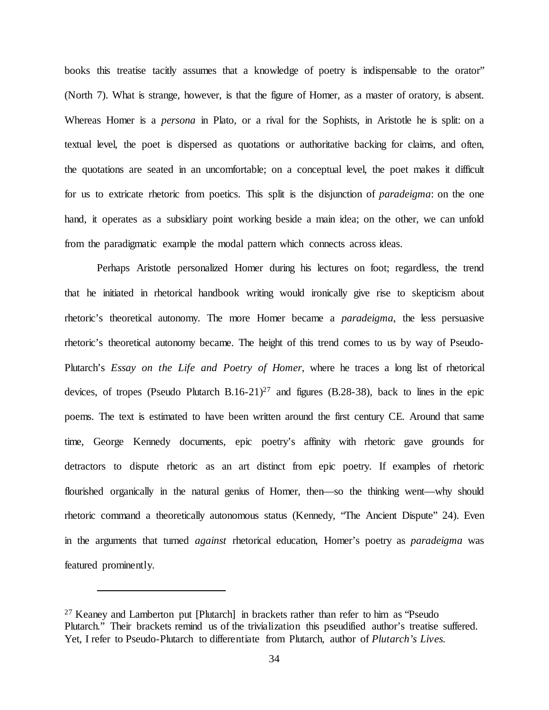books this treatise tacitly assumes that a knowledge of poetry is indispensable to the orator" (North 7). What is strange, however, is that the figure of Homer, as a master of oratory, is absent. Whereas Homer is a *persona* in Plato, or a rival for the Sophists, in Aristotle he is split: on a textual level, the poet is dispersed as quotations or authoritative backing for claims, and often, the quotations are seated in an uncomfortable; on a conceptual level, the poet makes it difficult for us to extricate rhetoric from poetics. This split is the disjunction of *paradeigma*: on the one hand, it operates as a subsidiary point working beside a main idea; on the other, we can unfold from the paradigmatic example the modal pattern which connects across ideas.

Perhaps Aristotle personalized Homer during his lectures on foot; regardless, the trend that he initiated in rhetorical handbook writing would ironically give rise to skepticism about rhetoric's theoretical autonomy. The more Homer became a *paradeigma*, the less persuasive rhetoric's theoretical autonomy became. The height of this trend comes to us by way of Pseudo-Plutarch's *Essay on the Life and Poetry of Homer*, where he traces a long list of rhetorical devices, of tropes (Pseudo Plutarch B.16-21)<sup>27</sup> and figures (B.28-38), back to lines in the epic poems. The text is estimated to have been written around the first century CE. Around that same time, George Kennedy documents, epic poetry's affinity with rhetoric gave grounds for detractors to dispute rhetoric as an art distinct from epic poetry. If examples of rhetoric flourished organically in the natural genius of Homer, then—so the thinking went—why should rhetoric command a theoretically autonomous status (Kennedy, "The Ancient Dispute" 24). Even in the arguments that turned *against* rhetorical education, Homer's poetry as *paradeigma* was featured prominently.

<sup>&</sup>lt;sup>27</sup> Keaney and Lamberton put [Plutarch] in brackets rather than refer to him as "Pseudo" Plutarch." Their brackets remind us of the trivialization this pseudified author's treatise suffered. Yet, I refer to Pseudo-Plutarch to differentiate from Plutarch, author of *Plutarch's Lives.*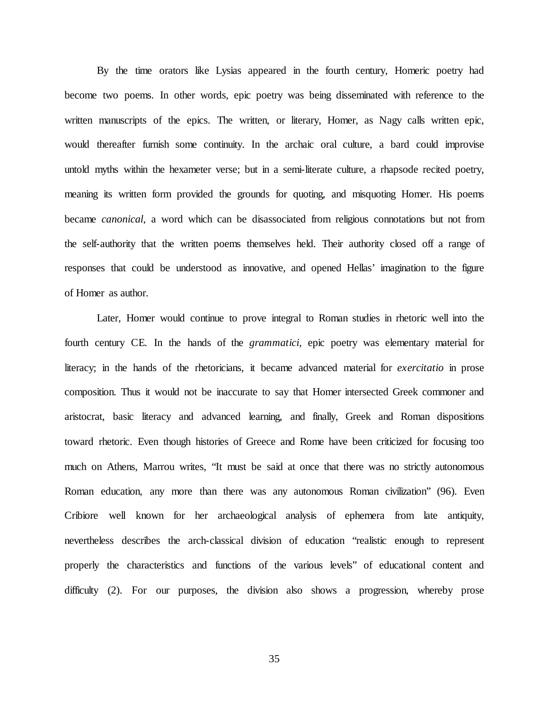By the time orators like Lysias appeared in the fourth century, Homeric poetry had become two poems. In other words, epic poetry was being disseminated with reference to the written manuscripts of the epics. The written, or literary, Homer, as Nagy calls written epic, would thereafter furnish some continuity. In the archaic oral culture, a bard could improvise untold myths within the hexameter verse; but in a semi-literate culture, a rhapsode recited poetry, meaning its written form provided the grounds for quoting, and misquoting Homer. His poems became *canonical*, a word which can be disassociated from religious connotations but not from the self-authority that the written poems themselves held. Their authority closed off a range of responses that could be understood as innovative, and opened Hellas' imagination to the figure of Homer as author.

Later, Homer would continue to prove integral to Roman studies in rhetoric well into the fourth century CE. In the hands of the *grammatici*, epic poetry was elementary material for literacy; in the hands of the rhetoricians, it became advanced material for *exercitatio* in prose composition. Thus it would not be inaccurate to say that Homer intersected Greek commoner and aristocrat, basic literacy and advanced learning, and finally, Greek and Roman dispositions toward rhetoric. Even though histories of Greece and Rome have been criticized for focusing too much on Athens, Marrou writes, "It must be said at once that there was no strictly autonomous Roman education, any more than there was any autonomous Roman civilization" (96). Even Cribiore well known for her archaeological analysis of ephemera from late antiquity, nevertheless describes the arch-classical division of education "realistic enough to represent properly the characteristics and functions of the various levels" of educational content and difficulty (2). For our purposes, the division also shows a progression, whereby prose

35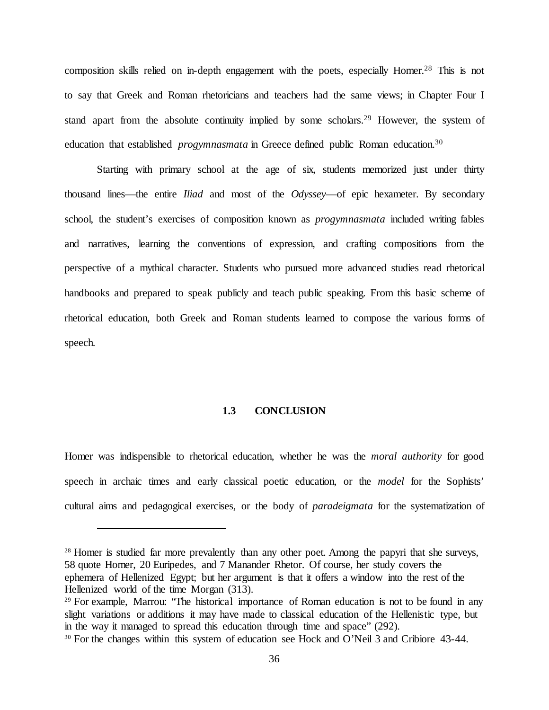composition skills relied on in-depth engagement with the poets, especially Homer.<sup>28</sup> This is not to say that Greek and Roman rhetoricians and teachers had the same views; in Chapter Four I stand apart from the absolute continuity implied by some scholars.<sup>29</sup> However, the system of education that established *progymnasmata* in Greece defined public Roman education.<sup>30</sup>

Starting with primary school at the age of six, students memorized just under thirty thousand lines—the entire *Iliad* and most of the *Odyssey*—of epic hexameter. By secondary school, the student's exercises of composition known as *progymnasmata* included writing fables and narratives, learning the conventions of expression, and crafting compositions from the perspective of a mythical character. Students who pursued more advanced studies read rhetorical handbooks and prepared to speak publicly and teach public speaking. From this basic scheme of rhetorical education, both Greek and Roman students learned to compose the various forms of speech.

### **1.3 CONCLUSION**

Homer was indispensible to rhetorical education, whether he was the *moral authority* for good speech in archaic times and early classical poetic education, or the *model* for the Sophists' cultural aims and pedagogical exercises, or the body of *paradeigmata* for the systematization of

<sup>&</sup>lt;sup>28</sup> Homer is studied far more prevalently than any other poet. Among the papyri that she surveys, 58 quote Homer, 20 Euripedes, and 7 Manander Rhetor. Of course, her study covers the ephemera of Hellenized Egypt; but her argument is that it offers a window into the rest of the Hellenized world of the time Morgan (313).<br><sup>29</sup> For example, Marrou: "The historical importance of Roman education is not to be found in any

slight variations or additions it may have made to classical education of the Hellenistic type, but in the way it managed to spread this education through time and space" (292).

<sup>&</sup>lt;sup>30</sup> For the changes within this system of education see Hock and O'Neil 3 and Cribiore 43-44.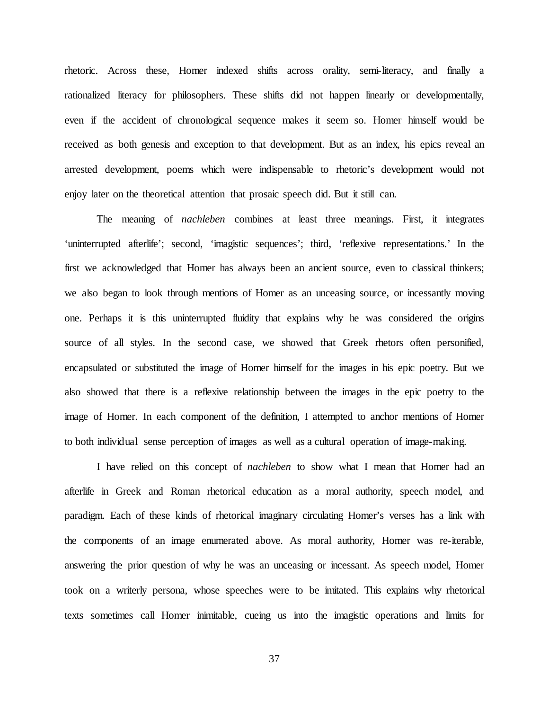rhetoric. Across these, Homer indexed shifts across orality, semi-literacy, and finally a rationalized literacy for philosophers. These shifts did not happen linearly or developmentally, even if the accident of chronological sequence makes it seem so. Homer himself would be received as both genesis and exception to that development. But as an index, his epics reveal an arrested development, poems which were indispensable to rhetoric's development would not enjoy later on the theoretical attention that prosaic speech did. But it still can.

The meaning of *nachleben* combines at least three meanings. First, it integrates 'uninterrupted afterlife'; second, 'imagistic sequences'; third, 'reflexive representations.' In the first we acknowledged that Homer has always been an ancient source, even to classical thinkers; we also began to look through mentions of Homer as an unceasing source, or incessantly moving one. Perhaps it is this uninterrupted fluidity that explains why he was considered the origins source of all styles. In the second case, we showed that Greek rhetors often personified, encapsulated or substituted the image of Homer himself for the images in his epic poetry. But we also showed that there is a reflexive relationship between the images in the epic poetry to the image of Homer. In each component of the definition, I attempted to anchor mentions of Homer to both individual sense perception of images as well as a cultural operation of image-making.

I have relied on this concept of *nachleben* to show what I mean that Homer had an afterlife in Greek and Roman rhetorical education as a moral authority, speech model, and paradigm. Each of these kinds of rhetorical imaginary circulating Homer's verses has a link with the components of an image enumerated above. As moral authority, Homer was re-iterable, answering the prior question of why he was an unceasing or incessant. As speech model, Homer took on a writerly persona, whose speeches were to be imitated. This explains why rhetorical texts sometimes call Homer inimitable, cueing us into the imagistic operations and limits for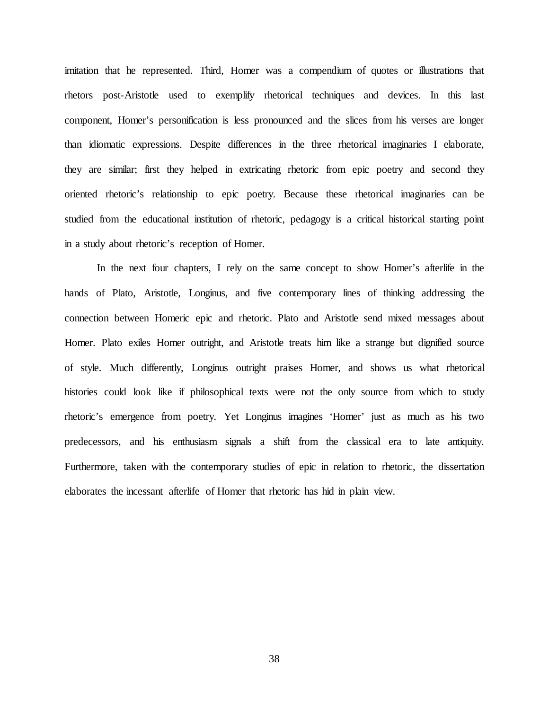imitation that he represented. Third, Homer was a compendium of quotes or illustrations that rhetors post-Aristotle used to exemplify rhetorical techniques and devices. In this last component, Homer's personification is less pronounced and the slices from his verses are longer than idiomatic expressions. Despite differences in the three rhetorical imaginaries I elaborate, they are similar; first they helped in extricating rhetoric from epic poetry and second they oriented rhetoric's relationship to epic poetry. Because these rhetorical imaginaries can be studied from the educational institution of rhetoric, pedagogy is a critical historical starting point in a study about rhetoric's reception of Homer.

In the next four chapters, I rely on the same concept to show Homer's afterlife in the hands of Plato, Aristotle, Longinus, and five contemporary lines of thinking addressing the connection between Homeric epic and rhetoric. Plato and Aristotle send mixed messages about Homer. Plato exiles Homer outright, and Aristotle treats him like a strange but dignified source of style. Much differently, Longinus outright praises Homer, and shows us what rhetorical histories could look like if philosophical texts were not the only source from which to study rhetoric's emergence from poetry. Yet Longinus imagines 'Homer' just as much as his two predecessors, and his enthusiasm signals a shift from the classical era to late antiquity. Furthermore, taken with the contemporary studies of epic in relation to rhetoric, the dissertation elaborates the incessant afterlife of Homer that rhetoric has hid in plain view.

38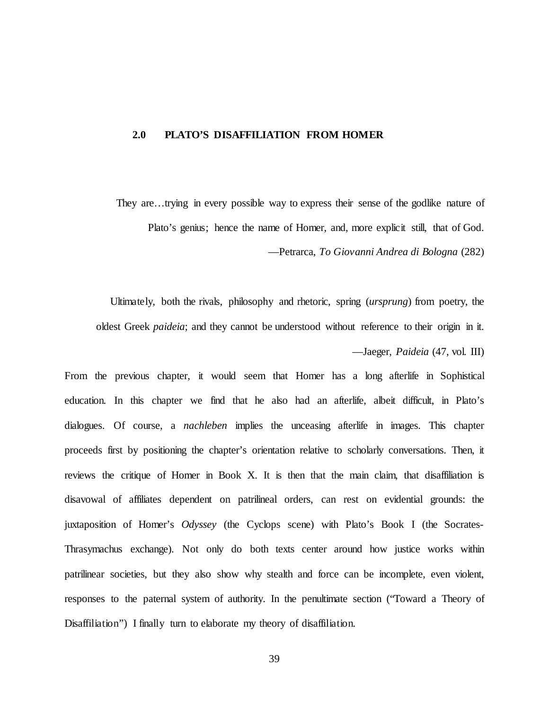### **2.0 PLATO'S DISAFFILIATION FROM HOMER**

They are…trying in every possible way to express their sense of the godlike nature of Plato's genius; hence the name of Homer, and, more explicit still, that of God. —Petrarca, *To Giovanni Andrea di Bologna* (282)

Ultimately, both the rivals, philosophy and rhetoric, spring (*ursprung*) from poetry, the oldest Greek *paideia*; and they cannot be understood without reference to their origin in it. —Jaeger, *Paideia* (47, vol. III)

From the previous chapter, it would seem that Homer has a long afterlife in Sophistical education. In this chapter we find that he also had an afterlife, albeit difficult, in Plato's dialogues. Of course, a *nachleben* implies the unceasing afterlife in images. This chapter proceeds first by positioning the chapter's orientation relative to scholarly conversations. Then, it reviews the critique of Homer in Book X. It is then that the main claim, that disaffiliation is disavowal of affiliates dependent on patrilineal orders, can rest on evidential grounds: the juxtaposition of Homer's *Odyssey* (the Cyclops scene) with Plato's Book I (the Socrates-Thrasymachus exchange). Not only do both texts center around how justice works within patrilinear societies, but they also show why stealth and force can be incomplete, even violent, responses to the paternal system of authority. In the penultimate section ("Toward a Theory of Disaffiliation") I finally turn to elaborate my theory of disaffiliation.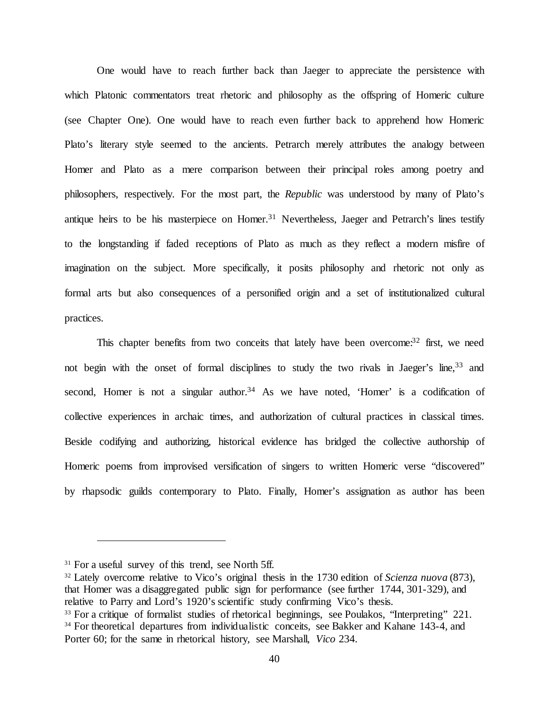One would have to reach further back than Jaeger to appreciate the persistence with which Platonic commentators treat rhetoric and philosophy as the offspring of Homeric culture (see Chapter One). One would have to reach even further back to apprehend how Homeric Plato's literary style seemed to the ancients. Petrarch merely attributes the analogy between Homer and Plato as a mere comparison between their principal roles among poetry and philosophers, respectively. For the most part, the *Republic* was understood by many of Plato's antique heirs to be his masterpiece on Homer.<sup>31</sup> Nevertheless, Jaeger and Petrarch's lines testify to the longstanding if faded receptions of Plato as much as they reflect a modern misfire of imagination on the subject. More specifically, it posits philosophy and rhetoric not only as formal arts but also consequences of a personified origin and a set of institutionalized cultural practices.

This chapter benefits from two conceits that lately have been overcome: $32$  first, we need not begin with the onset of formal disciplines to study the two rivals in Jaeger's line,<sup>33</sup> and second, Homer is not a singular author.<sup>34</sup> As we have noted, 'Homer' is a codification of collective experiences in archaic times, and authorization of cultural practices in classical times. Beside codifying and authorizing, historical evidence has bridged the collective authorship of Homeric poems from improvised versification of singers to written Homeric verse "discovered" by rhapsodic guilds contemporary to Plato. Finally, Homer's assignation as author has been

<sup>&</sup>lt;sup>31</sup> For a useful survey of this trend, see North 5ff.

<sup>32</sup> Lately overcome relative to Vico's original thesis in the 1730 edition of *Scienza nuova* (873), that Homer was a disaggregated public sign for performance (see further 1744, 301-329), and relative to Parry and Lord's 1920's scientific study confirming Vico's thesis.

<sup>&</sup>lt;sup>33</sup> For a critique of formalist studies of rhetorical beginnings, see Poulakos, "Interpreting" 221. <sup>34</sup> For theoretical departures from individualistic conceits, see Bakker and Kahane 143-4, and Porter 60; for the same in rhetorical history, see Marshall, *Vico* 234.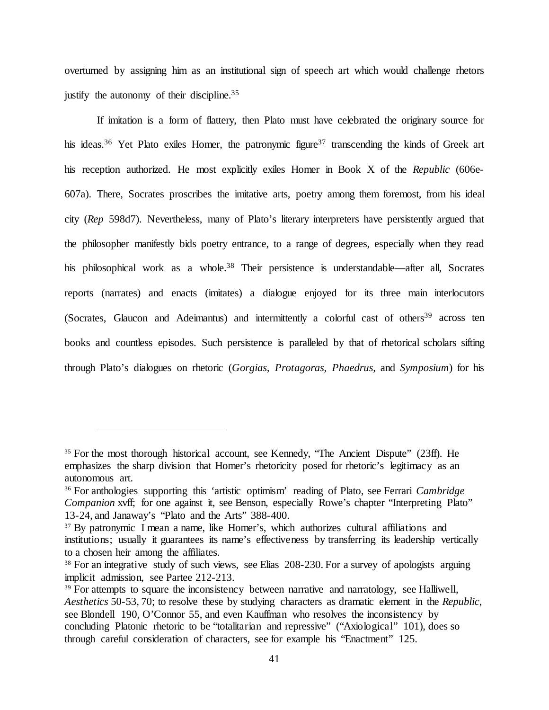overturned by assigning him as an institutional sign of speech art which would challenge rhetors justify the autonomy of their discipline.<sup>35</sup>

If imitation is a form of flattery, then Plato must have celebrated the originary source for his ideas.<sup>36</sup> Yet Plato exiles Homer, the patronymic figure<sup>37</sup> transcending the kinds of Greek art his reception authorized. He most explicitly exiles Homer in Book X of the *Republic* (606e-607a). There, Socrates proscribes the imitative arts, poetry among them foremost, from his ideal city (*Rep* 598d7). Nevertheless, many of Plato's literary interpreters have persistently argued that the philosopher manifestly bids poetry entrance, to a range of degrees, especially when they read his philosophical work as a whole.<sup>38</sup> Their persistence is understandable—after all, Socrates reports (narrates) and enacts (imitates) a dialogue enjoyed for its three main interlocutors (Socrates, Glaucon and Adeimantus) and intermittently a colorful cast of others<sup>39</sup> across ten books and countless episodes. Such persistence is paralleled by that of rhetorical scholars sifting through Plato's dialogues on rhetoric (*Gorgias, Protagoras, Phaedrus,* and *Symposium*) for his

<sup>&</sup>lt;sup>35</sup> For the most thorough historical account, see Kennedy, "The Ancient Dispute" (23ff). He emphasizes the sharp division that Homer's rhetoricity posed for rhetoric's legitimacy as an autonomous art.

<sup>36</sup> For anthologies supporting this 'artistic optimism' reading of Plato, see Ferrari *Cambridge Companion* xvff; for one against it, see Benson, especially Rowe's chapter "Interpreting Plato" 13-24, and Janaway's "Plato and the Arts" 388-400.

<sup>&</sup>lt;sup>37</sup> By patronymic I mean a name, like Homer's, which authorizes cultural affiliations and institutions; usually it guarantees its name's effectiveness by transferring its leadership vertically to a chosen heir among the affiliates.

<sup>&</sup>lt;sup>38</sup> For an integrative study of such views, see Elias 208-230. For a survey of apologists arguing implicit admission, see Partee 212-213.<br><sup>39</sup> For attempts to square the inconsistency between narrative and narratology, see Halliwell,

*Aesthetics* 50-53, 70; to resolve these by studying characters as dramatic element in the *Republic*, see Blondell 190, O'Connor 55, and even Kauffman who resolves the inconsistency by concluding Platonic rhetoric to be "totalitarian and repressive" ("Axiological" 101), does so through careful consideration of characters, see for example his "Enactment" 125.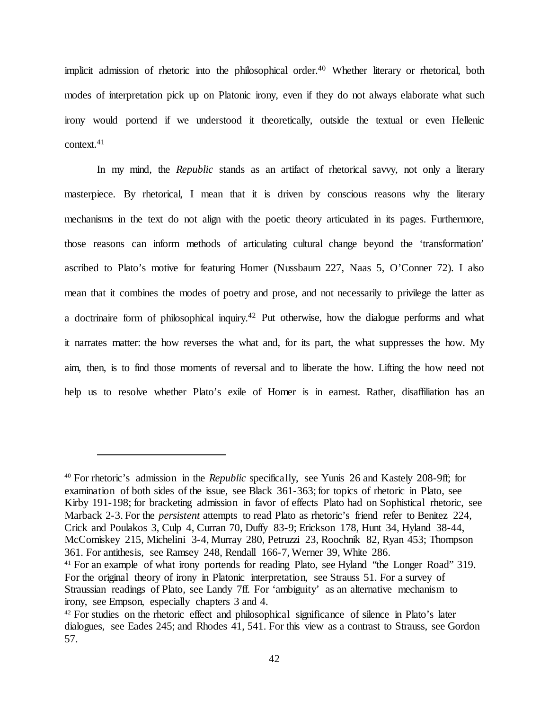implicit admission of rhetoric into the philosophical order.<sup>40</sup> Whether literary or rhetorical, both modes of interpretation pick up on Platonic irony, even if they do not always elaborate what such irony would portend if we understood it theoretically, outside the textual or even Hellenic context.41

In my mind, the *Republic* stands as an artifact of rhetorical savvy, not only a literary masterpiece. By rhetorical, I mean that it is driven by conscious reasons why the literary mechanisms in the text do not align with the poetic theory articulated in its pages. Furthermore, those reasons can inform methods of articulating cultural change beyond the 'transformation' ascribed to Plato's motive for featuring Homer (Nussbaum 227, Naas 5, O'Conner 72). I also mean that it combines the modes of poetry and prose, and not necessarily to privilege the latter as a doctrinaire form of philosophical inquiry.42 Put otherwise, how the dialogue performs and what it narrates matter: the how reverses the what and, for its part, the what suppresses the how. My aim, then, is to find those moments of reversal and to liberate the how. Lifting the how need not help us to resolve whether Plato's exile of Homer is in earnest. Rather, disaffiliation has an

<sup>40</sup> For rhetoric's admission in the *Republic* specifically, see Yunis 26 and Kastely 208-9ff; for examination of both sides of the issue, see Black 361-363; for topics of rhetoric in Plato, see Kirby 191-198; for bracketing admission in favor of effects Plato had on Sophistical rhetoric, see Marback 2-3. For the *persistent* attempts to read Plato as rhetoric's friend refer to Benitez 224, Crick and Poulakos 3, Culp 4, Curran 70, Duffy 83-9; Erickson 178, Hunt 34, Hyland 38-44, McComiskey 215, Michelini 3-4, Murray 280, Petruzzi 23, Roochnik 82, Ryan 453; Thompson 361. For antithesis, see Ramsey 248, Rendall 166-7, Werner 39, White 286. <sup>41</sup> For an example of what irony portends for reading Plato, see Hyland "the Longer Road" 319. For the original theory of irony in Platonic interpretation, see Strauss 51. For a survey of

Straussian readings of Plato, see Landy 7ff. For 'ambiguity' as an alternative mechanism to irony, see Empson, especially chapters 3 and 4.

<sup>&</sup>lt;sup>42</sup> For studies on the rhetoric effect and philosophical significance of silence in Plato's later dialogues, see Eades 245; and Rhodes 41, 541. For this view as a contrast to Strauss, see Gordon 57.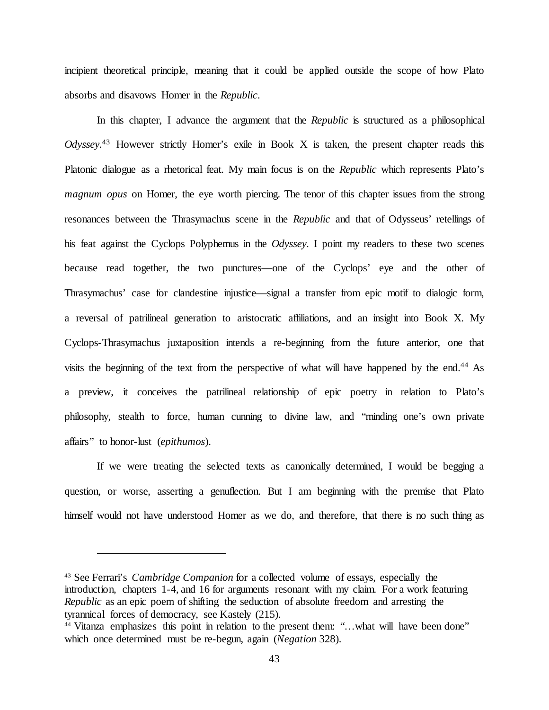incipient theoretical principle, meaning that it could be applied outside the scope of how Plato absorbs and disavows Homer in the *Republic*.

In this chapter, I advance the argument that the *Republic* is structured as a philosophical *Odyssey.*<sup>43</sup> However strictly Homer's exile in Book X is taken, the present chapter reads this Platonic dialogue as a rhetorical feat. My main focus is on the *Republic* which represents Plato's *magnum opus* on Homer, the eye worth piercing. The tenor of this chapter issues from the strong resonances between the Thrasymachus scene in the *Republic* and that of Odysseus' retellings of his feat against the Cyclops Polyphemus in the *Odyssey*. I point my readers to these two scenes because read together, the two punctures—one of the Cyclops' eye and the other of Thrasymachus' case for clandestine injustice—signal a transfer from epic motif to dialogic form, a reversal of patrilineal generation to aristocratic affiliations, and an insight into Book X. My Cyclops-Thrasymachus juxtaposition intends a re-beginning from the future anterior, one that visits the beginning of the text from the perspective of what will have happened by the end.44 As a preview, it conceives the patrilineal relationship of epic poetry in relation to Plato's philosophy, stealth to force, human cunning to divine law, and "minding one's own private affairs" to honor-lust (*epithumos*).

If we were treating the selected texts as canonically determined, I would be begging a question, or worse, asserting a genuflection. But I am beginning with the premise that Plato himself would not have understood Homer as we do, and therefore, that there is no such thing as

<sup>43</sup> See Ferrari's *Cambridge Companion* for a collected volume of essays, especially the introduction, chapters 1-4, and 16 for arguments resonant with my claim. For a work featuring *Republic* as an epic poem of shifting the seduction of absolute freedom and arresting the tyrannical forces of democracy, see Kastely (215).<br><sup>44</sup> Vitanza emphasizes this point in relation to the present them: "…what will have been done"

which once determined must be re-begun, again (*Negation* 328).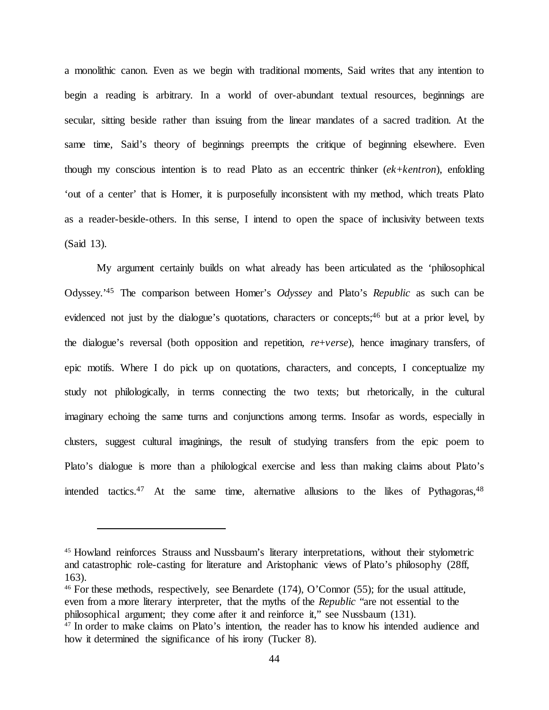a monolithic canon. Even as we begin with traditional moments, Said writes that any intention to begin a reading is arbitrary. In a world of over-abundant textual resources, beginnings are secular, sitting beside rather than issuing from the linear mandates of a sacred tradition. At the same time, Said's theory of beginnings preempts the critique of beginning elsewhere. Even though my conscious intention is to read Plato as an eccentric thinker (*ek*+*kentron*), enfolding 'out of a center' that is Homer, it is purposefully inconsistent with my method, which treats Plato as a reader-beside-others. In this sense, I intend to open the space of inclusivity between texts (Said 13).

My argument certainly builds on what already has been articulated as the 'philosophical Odyssey.'45 The comparison between Homer's *Odyssey* and Plato's *Republic* as such can be evidenced not just by the dialogue's quotations, characters or concepts;<sup>46</sup> but at a prior level, by the dialogue's reversal (both opposition and repetition, *re*+*verse*), hence imaginary transfers, of epic motifs. Where I do pick up on quotations, characters, and concepts, I conceptualize my study not philologically, in terms connecting the two texts; but rhetorically, in the cultural imaginary echoing the same turns and conjunctions among terms. Insofar as words, especially in clusters, suggest cultural imaginings, the result of studying transfers from the epic poem to Plato's dialogue is more than a philological exercise and less than making claims about Plato's intended tactics.<sup>47</sup> At the same time, alternative allusions to the likes of Pythagoras,<sup>48</sup>

 $\overline{a}$ 

<sup>46</sup> For these methods, respectively, see Benardete (174), O'Connor (55); for the usual attitude, even from a more literary interpreter, that the myths of the *Republic* "are not essential to the philosophical argument; they come after it and reinforce it," see Nussbaum (131).

<sup>45</sup> Howland reinforces Strauss and Nussbaum's literary interpretations, without their stylometric and catastrophic role-casting for literature and Aristophanic views of Plato's philosophy (28ff, 163).

<sup>&</sup>lt;sup>47</sup> In order to make claims on Plato's intention, the reader has to know his intended audience and how it determined the significance of his irony (Tucker 8).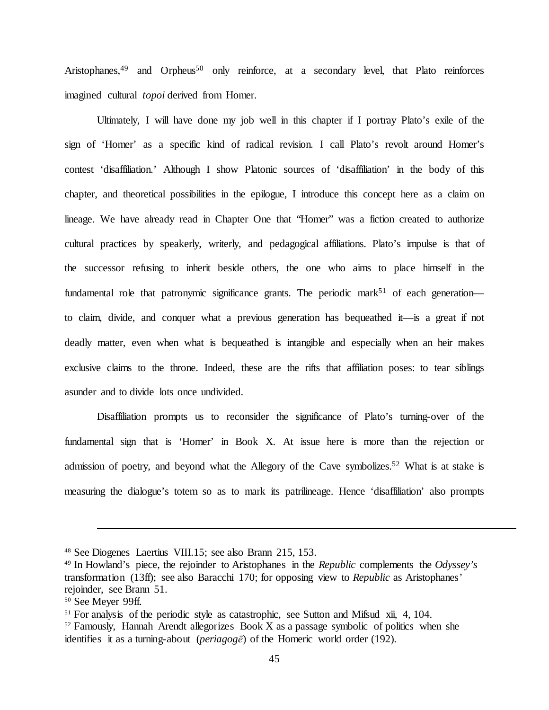Aristophanes,<sup>49</sup> and Orpheus<sup>50</sup> only reinforce, at a secondary level, that Plato reinforces imagined cultural *topoi* derived from Homer.

Ultimately, I will have done my job well in this chapter if I portray Plato's exile of the sign of 'Homer' as a specific kind of radical revision. I call Plato's revolt around Homer's contest 'disaffiliation.' Although I show Platonic sources of 'disaffiliation' in the body of this chapter, and theoretical possibilities in the epilogue, I introduce this concept here as a claim on lineage. We have already read in Chapter One that "Homer" was a fiction created to authorize cultural practices by speakerly, writerly, and pedagogical affiliations. Plato's impulse is that of the successor refusing to inherit beside others, the one who aims to place himself in the fundamental role that patronymic significance grants. The periodic mark<sup>51</sup> of each generation to claim, divide, and conquer what a previous generation has bequeathed it—is a great if not deadly matter, even when what is bequeathed is intangible and especially when an heir makes exclusive claims to the throne. Indeed, these are the rifts that affiliation poses: to tear siblings asunder and to divide lots once undivided.

Disaffiliation prompts us to reconsider the significance of Plato's turning-over of the fundamental sign that is 'Homer' in Book X. At issue here is more than the rejection or admission of poetry, and beyond what the Allegory of the Cave symbolizes.<sup>52</sup> What is at stake is measuring the dialogue's totem so as to mark its patrilineage. Hence 'disaffiliation' also prompts

<sup>48</sup> See Diogenes Laertius VIII.15; see also Brann 215, 153.

<sup>49</sup> In Howland's piece, the rejoinder to Aristophanes in the *Republic* complements the *Odyssey's*  transformation (13ff); see also Baracchi 170; for opposing view to *Republic* as Aristophanes' rejoinder, see Brann 51.

<sup>50</sup> See Meyer 99ff.

<sup>&</sup>lt;sup>51</sup> For analysis of the periodic style as catastrophic, see Sutton and Mifsud xii, 4, 104.

 $52$  Famously, Hannah Arendt allegorizes Book X as a passage symbolic of politics when she identifies it as a turning-about (*periagogē*) of the Homeric world order (192).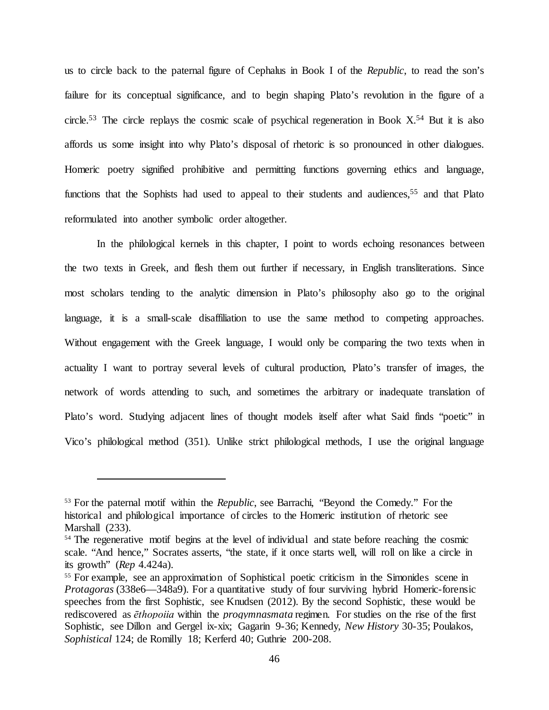us to circle back to the paternal figure of Cephalus in Book I of the *Republic*, to read the son's failure for its conceptual significance, and to begin shaping Plato's revolution in the figure of a circle.<sup>53</sup> The circle replays the cosmic scale of psychical regeneration in Book  $X$ <sup>54</sup> But it is also affords us some insight into why Plato's disposal of rhetoric is so pronounced in other dialogues. Homeric poetry signified prohibitive and permitting functions governing ethics and language, functions that the Sophists had used to appeal to their students and audiences,<sup>55</sup> and that Plato reformulated into another symbolic order altogether.

In the philological kernels in this chapter, I point to words echoing resonances between the two texts in Greek, and flesh them out further if necessary, in English transliterations. Since most scholars tending to the analytic dimension in Plato's philosophy also go to the original language, it is a small-scale disaffiliation to use the same method to competing approaches. Without engagement with the Greek language, I would only be comparing the two texts when in actuality I want to portray several levels of cultural production, Plato's transfer of images, the network of words attending to such, and sometimes the arbitrary or inadequate translation of Plato's word. Studying adjacent lines of thought models itself after what Said finds "poetic" in Vico's philological method (351). Unlike strict philological methods, I use the original language

<sup>53</sup> For the paternal motif within the *Republic*, see Barrachi, "Beyond the Comedy." For the historical and philological importance of circles to the Homeric institution of rhetoric see Marshall (233).

<sup>&</sup>lt;sup>54</sup> The regenerative motif begins at the level of individual and state before reaching the cosmic scale. "And hence," Socrates asserts, "the state, if it once starts well, will roll on like a circle in its growth" (*Rep* 4.424a).

<sup>&</sup>lt;sup>55</sup> For example, see an approximation of Sophistical poetic criticism in the Simonides scene in *Protagoras* (338e6—348a9). For a quantitative study of four surviving hybrid Homeric-forensic speeches from the first Sophistic, see Knudsen (2012). By the second Sophistic, these would be rediscovered as *ēthopoiia* within the *progymnasmata* regimen. For studies on the rise of the first Sophistic, see Dillon and Gergel ix-xix; Gagarin 9-36; Kennedy, *New History* 30-35; Poulakos, *Sophistical* 124; de Romilly 18; Kerferd 40; Guthrie 200-208.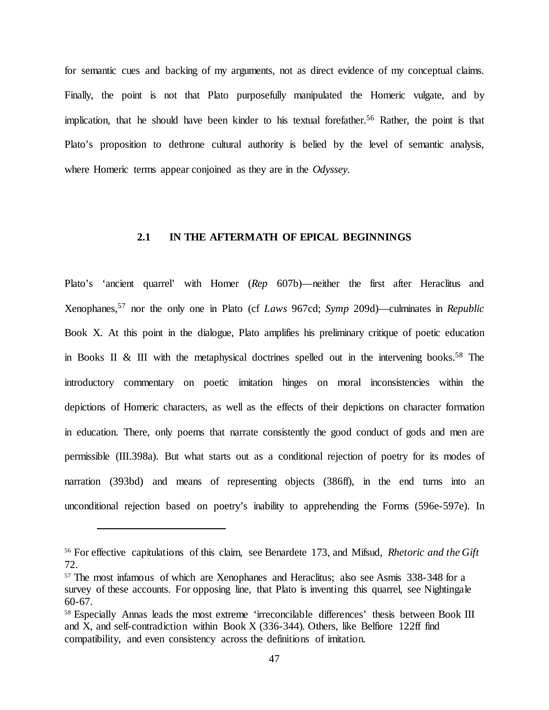for semantic cues and backing of my arguments, not as direct evidence of my conceptual claims. Finally, the point is not that Plato purposefully manipulated the Homeric vulgate, and by implication, that he should have been kinder to his textual forefather.<sup>56</sup> Rather, the point is that Plato's proposition to dethrone cultural authority is belied by the level of semantic analysis, where Homeric terms appear conjoined as they are in the *Odyssey.*

# **2.1 IN THE AFTERMATH OF EPICAL BEGINNINGS**

Plato's 'ancient quarrel' with Homer (*Rep* 607b)—neither the first after Heraclitus and Xenophanes,57 nor the only one in Plato (cf *Laws* 967cd; *Symp* 209d)—culminates in *Republic*  Book X. At this point in the dialogue, Plato amplifies his preliminary critique of poetic education in Books II & III with the metaphysical doctrines spelled out in the intervening books.<sup>58</sup> The introductory commentary on poetic imitation hinges on moral inconsistencies within the depictions of Homeric characters, as well as the effects of their depictions on character formation in education. There, only poems that narrate consistently the good conduct of gods and men are permissible (III.398a). But what starts out as a conditional rejection of poetry for its modes of narration (393bd) and means of representing objects (386ff), in the end turns into an unconditional rejection based on poetry's inability to apprehending the Forms (596e-597e). In

<sup>56</sup> For effective capitulations of this claim, see Benardete 173, and Mifsud, *Rhetoric and the Gift* 72.

<sup>&</sup>lt;sup>57</sup> The most infamous of which are Xenophanes and Heraclitus; also see Asmis 338-348 for a survey of these accounts. For opposing line, that Plato is inventing this quarrel, see Nightingale 60-67.

<sup>&</sup>lt;sup>58</sup> Especially Annas leads the most extreme 'irreconcilable differences' thesis between Book III and X, and self-contradiction within Book X (336-344)*.* Others, like Belfiore 122ff find compatibility, and even consistency across the definitions of imitation.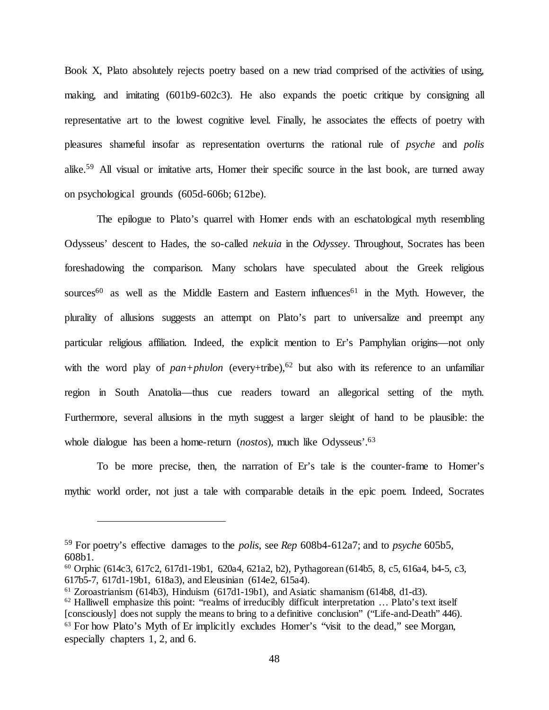Book X, Plato absolutely rejects poetry based on a new triad comprised of the activities of using, making, and imitating (601b9-602c3). He also expands the poetic critique by consigning all representative art to the lowest cognitive level. Finally, he associates the effects of poetry with pleasures shameful insofar as representation overturns the rational rule of *psyche* and *polis* alike.59 All visual or imitative arts, Homer their specific source in the last book, are turned away on psychological grounds (605d-606b; 612be).

The epilogue to Plato's quarrel with Homer ends with an eschatological myth resembling Odysseus' descent to Hades, the so-called *nekuia* in the *Odyssey*. Throughout, Socrates has been foreshadowing the comparison. Many scholars have speculated about the Greek religious sources<sup>60</sup> as well as the Middle Eastern and Eastern influences<sup>61</sup> in the Myth. However, the plurality of allusions suggests an attempt on Plato's part to universalize and preempt any particular religious affiliation. Indeed, the explicit mention to Er's Pamphylian origins—not only with the word play of  $pan+ph$ *vlon* (every+tribe),<sup>62</sup> but also with its reference to an unfamiliar region in South Anatolia—thus cue readers toward an allegorical setting of the myth. Furthermore, several allusions in the myth suggest a larger sleight of hand to be plausible: the whole dialogue has been a home-return (*nostos*), much like Odysseus'.63

To be more precise, then, the narration of Er's tale is the counter-frame to Homer's mythic world order, not just a tale with comparable details in the epic poem. Indeed, Socrates

<sup>59</sup> For poetry's effective damages to the *polis*, see *Rep* 608b4-612a7; and to *psyche* 605b5, 608b1.

<sup>60</sup> Orphic (614c3, 617c2, 617d1-19b1, 620a4, 621a2, b2), Pythagorean (614b5, 8, c5, 616a4, b4-5, c3, 617b5-7, 617d1-19b1, 618a3), and Eleusinian (614e2, 615a4).

 $61$  Zoroastrianism (614b3), Hinduism (617d1-19b1), and Asiatic shamanism (614b8, d1-d3).

<sup>&</sup>lt;sup>62</sup> Halliwell emphasize this point: "realms of irreducibly difficult interpretation ... Plato's text itself [consciously] does not supply the means to bring to a definitive conclusion" ("Life-and-Death" 446). <sup>63</sup> For how Plato's Myth of Er implicitly excludes Homer's "visit to the dead," see Morgan, especially chapters 1, 2, and 6.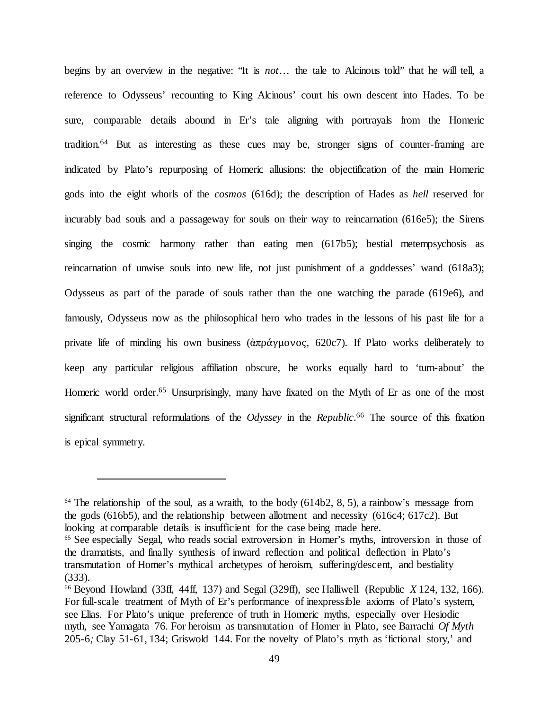begins by an overview in the negative: "It is *not*… the tale to Alcinous told" that he will tell, a reference to Odysseus' recounting to King Alcinous' court his own descent into Hades. To be sure, comparable details abound in Er's tale aligning with portrayals from the Homeric tradition.64 But as interesting as these cues may be, stronger signs of counter-framing are indicated by Plato's repurposing of Homeric allusions: the objectification of the main Homeric gods into the eight whorls of the *cosmos* (616d); the description of Hades as *hell* reserved for incurably bad souls and a passageway for souls on their way to reincarnation (616e5); the Sirens singing the cosmic harmony rather than eating men (617b5); bestial metempsychosis as reincarnation of unwise souls into new life, not just punishment of a goddesses' wand (618a3); Odysseus as part of the parade of souls rather than the one watching the parade (619e6), and famously, Odysseus now as the philosophical hero who trades in the lessons of his past life for a private life of minding his own business ( $\alpha \pi \rho \alpha \gamma \mu \sigma \nu \sigma$ ). If Plato works deliberately to keep any particular religious affiliation obscure, he works equally hard to 'turn-about' the Homeric world order.<sup>65</sup> Unsurprisingly, many have fixated on the Myth of Er as one of the most significant structural reformulations of the *Odyssey* in the *Republic*. <sup>66</sup> The source of this fixation is epical symmetry.

 $64$  The relationship of the soul, as a wraith, to the body (614b2, 8, 5), a rainbow's message from the gods (616b5), and the relationship between allotment and necessity (616c4; 617c2). But looking at comparable details is insufficient for the case being made here.

<sup>&</sup>lt;sup>65</sup> See especially Segal, who reads social extroversion in Homer's myths, introversion in those of the dramatists, and finally synthesis of inward reflection and political deflection in Plato's transmutation of Homer's mythical archetypes of heroism, suffering/descent, and bestiality (333).

<sup>66</sup> Beyond Howland (33ff, 44ff, 137) and Segal (329ff), see Halliwell (Republic *X* 124, 132, 166). For full-scale treatment of Myth of Er's performance of inexpressible axioms of Plato's system, see Elias. For Plato's unique preference of truth in Homeric myths, especially over Hesiodic myth, see Yamagata 76. For heroism as transmutation of Homer in Plato, see Barrachi *Of Myth* 205-6*;* Clay 51-61, 134; Griswold 144. For the novelty of Plato's myth as 'fictional story,' and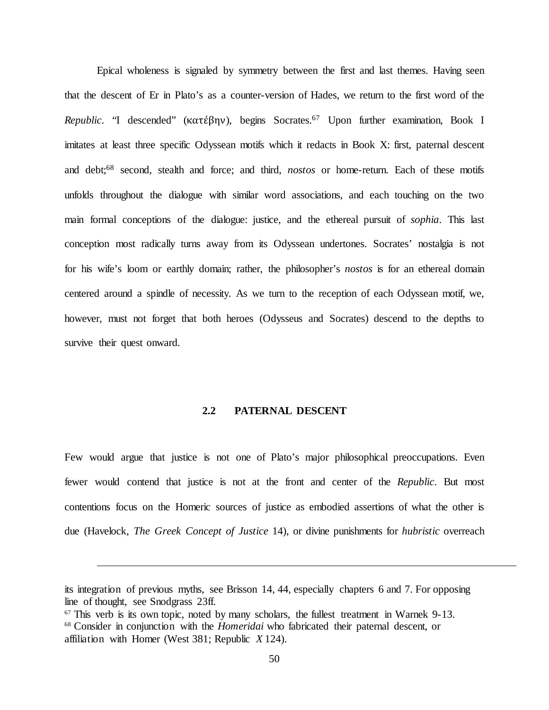Epical wholeness is signaled by symmetry between the first and last themes. Having seen that the descent of Er in Plato's as a counter-version of Hades, we return to the first word of the *Republic*. "I descended" (κατέβην), begins Socrates.67 Upon further examination, Book I imitates at least three specific Odyssean motifs which it redacts in Book X: first, paternal descent and debt;68 second, stealth and force; and third, *nostos* or home-return. Each of these motifs unfolds throughout the dialogue with similar word associations, and each touching on the two main formal conceptions of the dialogue: justice, and the ethereal pursuit of *sophia*. This last conception most radically turns away from its Odyssean undertones. Socrates' nostalgia is not for his wife's loom or earthly domain; rather, the philosopher's *nostos* is for an ethereal domain centered around a spindle of necessity. As we turn to the reception of each Odyssean motif, we, however, must not forget that both heroes (Odysseus and Socrates) descend to the depths to survive their quest onward.

### **2.2 PATERNAL DESCENT**

Few would argue that justice is not one of Plato's major philosophical preoccupations. Even fewer would contend that justice is not at the front and center of the *Republic*. But most contentions focus on the Homeric sources of justice as embodied assertions of what the other is due (Havelock, *The Greek Concept of Justice* 14), or divine punishments for *hubristic* overreach

its integration of previous myths, see Brisson 14, 44, especially chapters 6 and 7. For opposing line of thought, see Snodgrass 23ff.

<sup>67</sup> This verb is its own topic, noted by many scholars, the fullest treatment in Warnek 9-13. 68 Consider in conjunction with the *Homeridai* who fabricated their paternal descent, or affiliation with Homer (West 381; Republic *X* 124).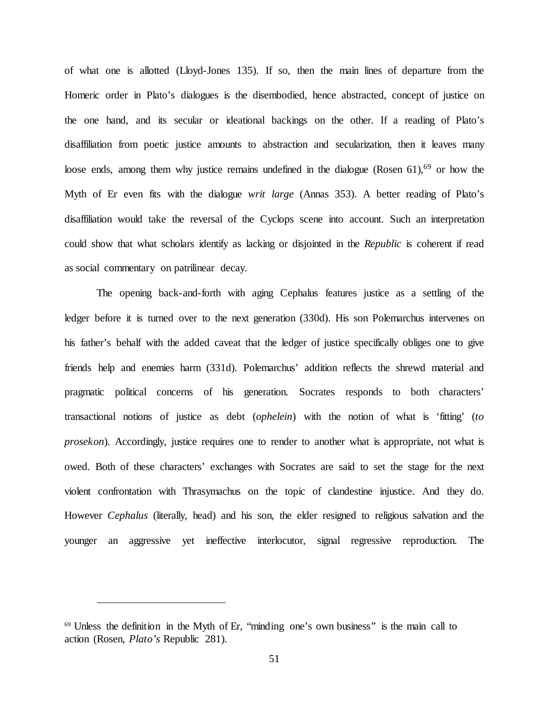of what one is allotted (Lloyd-Jones 135). If so, then the main lines of departure from the Homeric order in Plato's dialogues is the disembodied, hence abstracted, concept of justice on the one hand, and its secular or ideational backings on the other. If a reading of Plato's disaffiliation from poetic justice amounts to abstraction and secularization, then it leaves many loose ends, among them why justice remains undefined in the dialogue (Rosen  $61$ ),<sup>69</sup> or how the Myth of Er even fits with the dialogue *writ large* (Annas 353). A better reading of Plato's disaffiliation would take the reversal of the Cyclops scene into account. Such an interpretation could show that what scholars identify as lacking or disjointed in the *Republic* is coherent if read as social commentary on patrilinear decay.

The opening back-and-forth with aging Cephalus features justice as a settling of the ledger before it is turned over to the next generation (330d). His son Polemarchus intervenes on his father's behalf with the added caveat that the ledger of justice specifically obliges one to give friends help and enemies harm (331d). Polemarchus' addition reflects the shrewd material and pragmatic political concerns of his generation. Socrates responds to both characters' transactional notions of justice as debt (*ophelein*) with the notion of what is 'fitting' (*to prosekon*). Accordingly, justice requires one to render to another what is appropriate, not what is owed. Both of these characters' exchanges with Socrates are said to set the stage for the next violent confrontation with Thrasymachus on the topic of clandestine injustice. And they do. However *Cephalus* (literally, head) and his son, the elder resigned to religious salvation and the younger an aggressive yet ineffective interlocutor, signal regressive reproduction. The

<sup>&</sup>lt;sup>69</sup> Unless the definition in the Myth of Er, "minding one's own business" is the main call to action (Rosen, *Plato's* Republic 281).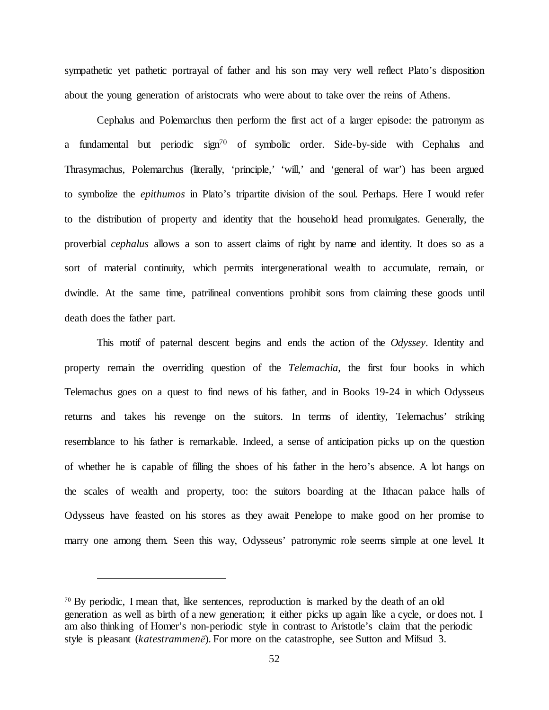sympathetic yet pathetic portrayal of father and his son may very well reflect Plato's disposition about the young generation of aristocrats who were about to take over the reins of Athens.

Cephalus and Polemarchus then perform the first act of a larger episode: the patronym as a fundamental but periodic sign<sup>70</sup> of symbolic order. Side-by-side with Cephalus and Thrasymachus, Polemarchus (literally, 'principle,' 'will,' and 'general of war') has been argued to symbolize the *epithumos* in Plato's tripartite division of the soul. Perhaps. Here I would refer to the distribution of property and identity that the household head promulgates. Generally, the proverbial *cephalus* allows a son to assert claims of right by name and identity. It does so as a sort of material continuity, which permits intergenerational wealth to accumulate, remain, or dwindle. At the same time, patrilineal conventions prohibit sons from claiming these goods until death does the father part.

This motif of paternal descent begins and ends the action of the *Odyssey*. Identity and property remain the overriding question of the *Telemachia*, the first four books in which Telemachus goes on a quest to find news of his father, and in Books 19-24 in which Odysseus returns and takes his revenge on the suitors. In terms of identity, Telemachus' striking resemblance to his father is remarkable. Indeed, a sense of anticipation picks up on the question of whether he is capable of filling the shoes of his father in the hero's absence. A lot hangs on the scales of wealth and property, too: the suitors boarding at the Ithacan palace halls of Odysseus have feasted on his stores as they await Penelope to make good on her promise to marry one among them. Seen this way, Odysseus' patronymic role seems simple at one level. It

<sup>&</sup>lt;sup>70</sup> By periodic, I mean that, like sentences, reproduction is marked by the death of an old generation as well as birth of a new generation; it either picks up again like a cycle, or does not. I am also thinking of Homer's non-periodic style in contrast to Aristotle's claim that the periodic style is pleasant (*katestrammenē*). For more on the catastrophe, see Sutton and Mifsud 3.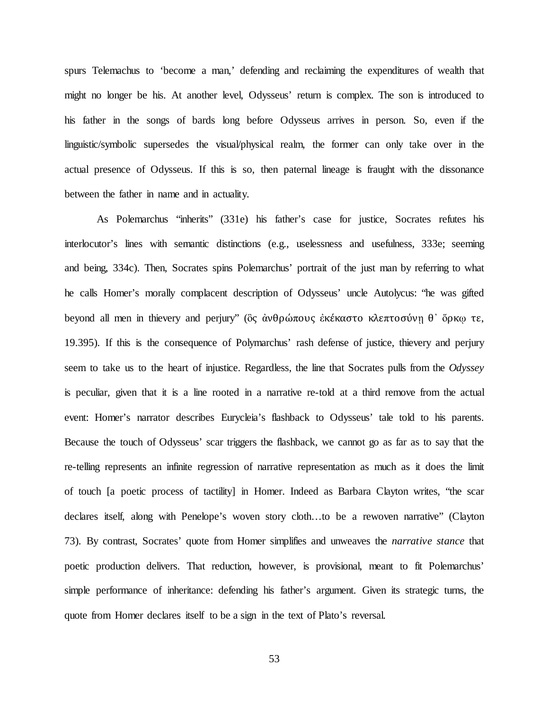spurs Telemachus to 'become a man,' defending and reclaiming the expenditures of wealth that might no longer be his. At another level, Odysseus' return is complex. The son is introduced to his father in the songs of bards long before Odysseus arrives in person. So, even if the linguistic/symbolic supersedes the visual/physical realm, the former can only take over in the actual presence of Odysseus. If this is so, then paternal lineage is fraught with the dissonance between the father in name and in actuality.

As Polemarchus "inherits" (331e) his father's case for justice, Socrates refutes his interlocutor's lines with semantic distinctions (e.g., uselessness and usefulness, 333e; seeming and being, 334c). Then, Socrates spins Polemarchus' portrait of the just man by referring to what he calls Homer's morally complacent description of Odysseus' uncle Autolycus: "he was gifted beyond all men in thievery and perjury" (ὃς ἀνθρώπους ἐκέκαστο κλεπτοσύνῃ θ᾽ ὅρκῳ τε, 19.395). If this is the consequence of Polymarchus' rash defense of justice, thievery and perjury seem to take us to the heart of injustice. Regardless, the line that Socrates pulls from the *Odyssey* is peculiar, given that it is a line rooted in a narrative re-told at a third remove from the actual event: Homer's narrator describes Eurycleia's flashback to Odysseus' tale told to his parents. Because the touch of Odysseus' scar triggers the flashback, we cannot go as far as to say that the re-telling represents an infinite regression of narrative representation as much as it does the limit of touch [a poetic process of tactility] in Homer. Indeed as Barbara Clayton writes, "the scar declares itself, along with Penelope's woven story cloth…to be a rewoven narrative" (Clayton 73). By contrast, Socrates' quote from Homer simplifies and unweaves the *narrative stance* that poetic production delivers. That reduction, however, is provisional, meant to fit Polemarchus' simple performance of inheritance: defending his father's argument. Given its strategic turns, the quote from Homer declares itself to be a sign in the text of Plato's reversal.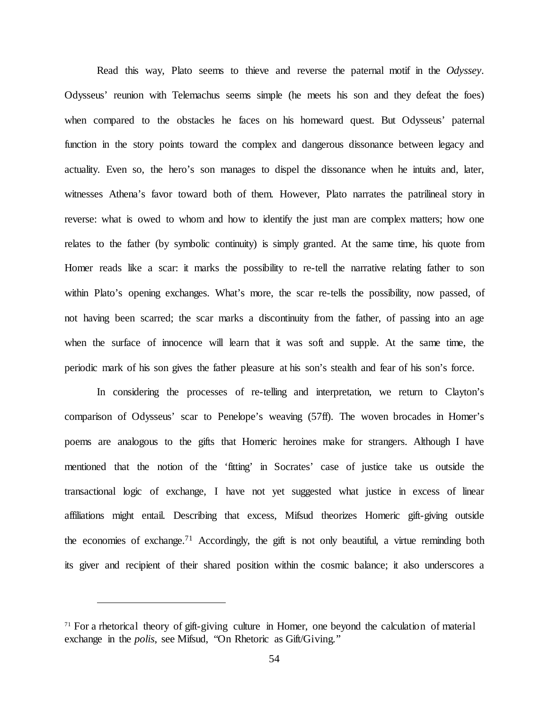Read this way, Plato seems to thieve and reverse the paternal motif in the *Odyssey*. Odysseus' reunion with Telemachus seems simple (he meets his son and they defeat the foes) when compared to the obstacles he faces on his homeward quest. But Odysseus' paternal function in the story points toward the complex and dangerous dissonance between legacy and actuality. Even so, the hero's son manages to dispel the dissonance when he intuits and, later, witnesses Athena's favor toward both of them. However, Plato narrates the patrilineal story in reverse: what is owed to whom and how to identify the just man are complex matters; how one relates to the father (by symbolic continuity) is simply granted. At the same time, his quote from Homer reads like a scar: it marks the possibility to re-tell the narrative relating father to son within Plato's opening exchanges. What's more, the scar re-tells the possibility, now passed, of not having been scarred; the scar marks a discontinuity from the father, of passing into an age when the surface of innocence will learn that it was soft and supple. At the same time, the periodic mark of his son gives the father pleasure at his son's stealth and fear of his son's force.

In considering the processes of re-telling and interpretation, we return to Clayton's comparison of Odysseus' scar to Penelope's weaving (57ff). The woven brocades in Homer's poems are analogous to the gifts that Homeric heroines make for strangers. Although I have mentioned that the notion of the 'fitting' in Socrates' case of justice take us outside the transactional logic of exchange, I have not yet suggested what justice in excess of linear affiliations might entail. Describing that excess, Mifsud theorizes Homeric gift-giving outside the economies of exchange.71 Accordingly, the gift is not only beautiful, a virtue reminding both its giver and recipient of their shared position within the cosmic balance; it also underscores a

<sup>&</sup>lt;sup>71</sup> For a rhetorical theory of gift-giving culture in Homer, one beyond the calculation of material exchange in the *polis*, see Mifsud, "On Rhetoric as Gift/Giving."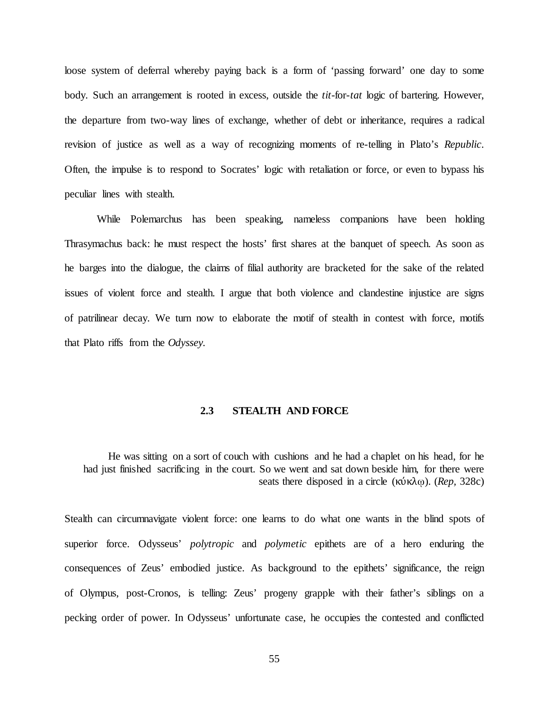loose system of deferral whereby paying back is a form of 'passing forward' one day to some body. Such an arrangement is rooted in excess, outside the *tit-*for-*tat* logic of bartering. However, the departure from two-way lines of exchange, whether of debt or inheritance, requires a radical revision of justice as well as a way of recognizing moments of re-telling in Plato's *Republic*. Often, the impulse is to respond to Socrates' logic with retaliation or force, or even to bypass his peculiar lines with stealth.

While Polemarchus has been speaking, nameless companions have been holding Thrasymachus back: he must respect the hosts' first shares at the banquet of speech. As soon as he barges into the dialogue, the claims of filial authority are bracketed for the sake of the related issues of violent force and stealth. I argue that both violence and clandestine injustice are signs of patrilinear decay. We turn now to elaborate the motif of stealth in contest with force, motifs that Plato riffs from the *Odyssey.*

## **2.3 STEALTH AND FORCE**

He was sitting on a sort of couch with cushions and he had a chaplet on his head, for he had just finished sacrificing in the court. So we went and sat down beside him, for there were seats there disposed in a circle ([κύκλ](http://www.perseus.tufts.edu/hopper/morph?l=ku%2Fklw%7C&la=greek&can=ku%2Fklw%7C0&prior=au)to/qi)ῳ). (*Rep,* 328c)

Stealth can circumnavigate violent force: one learns to do what one wants in the blind spots of superior force. Odysseus' *polytropic* and *polymetic* epithets are of a hero enduring the consequences of Zeus' embodied justice. As background to the epithets' significance, the reign of Olympus, post-Cronos, is telling: Zeus' progeny grapple with their father's siblings on a pecking order of power. In Odysseus' unfortunate case, he occupies the contested and conflicted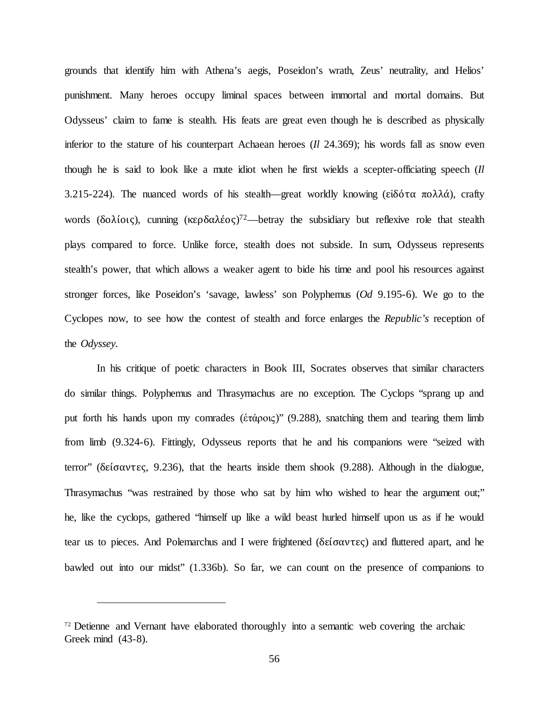grounds that identify him with Athena's aegis, Poseidon's wrath, Zeus' neutrality, and Helios' punishment. Many heroes occupy liminal spaces between immortal and mortal domains. But Odysseus' claim to fame is stealth. His feats are great even though he is described as physically inferior to the stature of his counterpart Achaean heroes (*Il* 24.369); his words fall as snow even though he is said to look like a mute idiot when he first wields a scepter-officiating speech (*Il* 3.215-224). The nuanced words of his stealth—great worldly knowing (είδότα πολλά), crafty words (δολίοις), cunning  $(\kappa \varepsilon \rho \delta \alpha \lambda \varepsilon o \varsigma)^{72}$ —betray the subsidiary but reflexive role that stealth plays compared to force. Unlike force, stealth does not subside. In sum, Odysseus represents stealth's power, that which allows a weaker agent to bide his time and pool his resources against stronger forces, like Poseidon's 'savage, lawless' son Polyphemus (*Od* 9.195-6). We go to the Cyclopes now, to see how the contest of stealth and force enlarges the *Republic's* reception of the *Odyssey.*

In his critique of poetic characters in Book III, Socrates observes that similar characters do similar things. Polyphemus and Thrasymachus are no exception. The Cyclops "sprang up and put forth his hands upon my comrades (ἑτάροις)" (9.288), snatching them and tearing them limb from limb (9.324-6). Fittingly, Odysseus reports that he and his companions were "seized with terror" (δείσαντες, 9.236), that the hearts inside them shook (9.288). Although in the dialogue, Thrasymachus "was restrained by those who sat by him who wished to hear the argument out;" he, like the cyclops, gathered "himself up like a wild beast hurled himself upon us as if he would tear us to pieces. And Polemarchus and I were frightened (δείσαντες) and fluttered apart, and he bawled out into our midst" (1.336b). So far, we can count on the presence of companions to

<sup>72</sup> Detienne and Vernant have elaborated thoroughly into a semantic web covering the archaic Greek mind (43-8).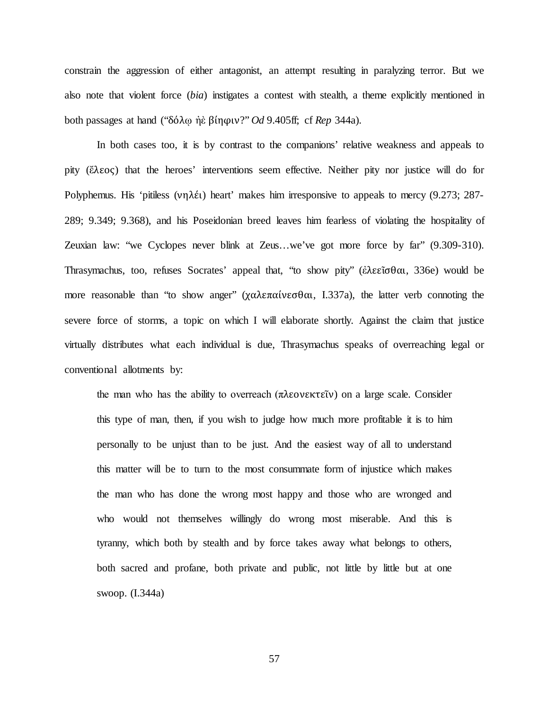constrain the aggression of either antagonist, an attempt resulting in paralyzing terror. But we also note that violent force (*bia*) instigates a contest with stealth, a theme explicitly mentioned in both passages at hand ("δόλῳ ἠὲ βίηφιν?" *Od* 9.405ff; cf *Rep* 344a).

In both cases too, it is by contrast to the companions' relative weakness and appeals to pity (ἔλεος) that the heroes' interventions seem effective. Neither pity nor justice will do for Polyphemus. His 'pitiless (νηλέι) heart' makes him irresponsive to appeals to mercy (9.273; 287- 289; 9.349; 9.368), and his Poseidonian breed leaves him fearless of violating the hospitality of Zeuxian law: "we Cyclopes never blink at Zeus…we've got more force by far" (9.309-310). Thrasymachus, too, refuses Socrates' appeal that, "to show pity" (ἐλεεῖσθαι, 336e) would be more reasonable than "to show anger" (χαλεπαίνεσθαι, I.337a), the latter verb connoting the severe force of storms, a topic on which I will elaborate shortly. Against the claim that justice virtually distributes what each individual is due, Thrasymachus speaks of overreaching legal or conventional allotments by:

the man who has the ability to overreach (πλεονεκτεῖν) on a large scale. Consider this type of man, then, if you wish to judge how much more profitable it is to him personally to be unjust than to be just. And the easiest way of all to understand this matter will be to turn to the most consummate form of injustice which makes the man who has done the wrong most happy and those who are wronged and who would not themselves willingly do wrong most miserable. And this is tyranny, which both by stealth and by force takes away what belongs to others, both sacred and profane, both private and public, not little by little but at one swoop. (I.344a)

57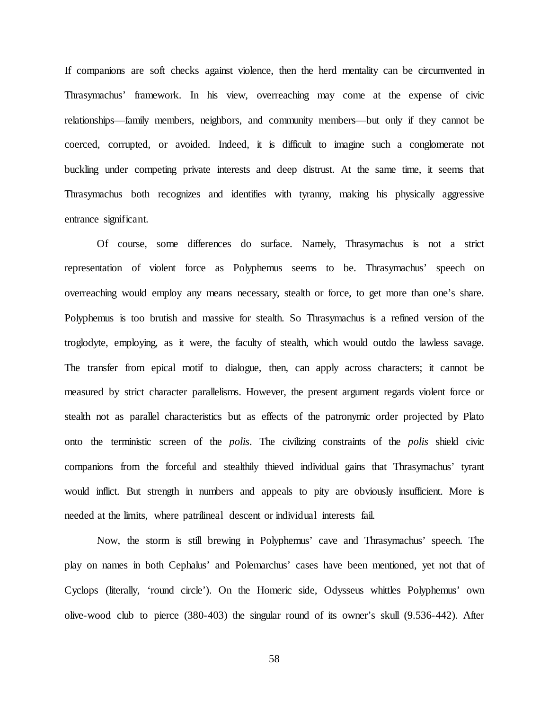If companions are soft checks against violence, then the herd mentality can be circumvented in Thrasymachus' framework. In his view, overreaching may come at the expense of civic relationships—family members, neighbors, and community members—but only if they cannot be coerced, corrupted, or avoided. Indeed, it is difficult to imagine such a conglomerate not buckling under competing private interests and deep distrust. At the same time, it seems that Thrasymachus both recognizes and identifies with tyranny, making his physically aggressive entrance significant.

Of course, some differences do surface. Namely, Thrasymachus is not a strict representation of violent force as Polyphemus seems to be. Thrasymachus' speech on overreaching would employ any means necessary, stealth or force, to get more than one's share. Polyphemus is too brutish and massive for stealth. So Thrasymachus is a refined version of the troglodyte, employing, as it were, the faculty of stealth, which would outdo the lawless savage. The transfer from epical motif to dialogue, then, can apply across characters; it cannot be measured by strict character parallelisms. However, the present argument regards violent force or stealth not as parallel characteristics but as effects of the patronymic order projected by Plato onto the terministic screen of the *polis*. The civilizing constraints of the *polis* shield civic companions from the forceful and stealthily thieved individual gains that Thrasymachus' tyrant would inflict. But strength in numbers and appeals to pity are obviously insufficient. More is needed at the limits, where patrilineal descent or individual interests fail.

Now, the storm is still brewing in Polyphemus' cave and Thrasymachus' speech. The play on names in both Cephalus' and Polemarchus' cases have been mentioned, yet not that of Cyclops (literally, 'round circle'). On the Homeric side, Odysseus whittles Polyphemus' own olive-wood club to pierce (380-403) the singular round of its owner's skull (9.536-442). After

58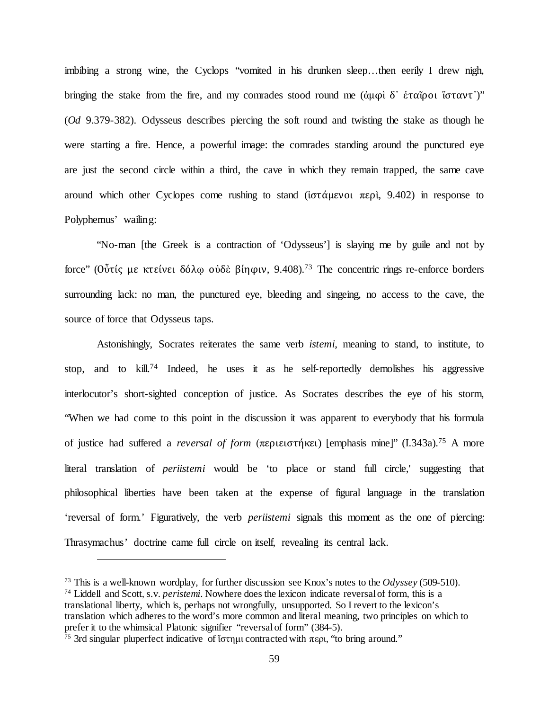imbibing a strong wine, the Cyclops "vomited in his drunken sleep…then eerily I drew nigh, bringing the stake from the fire, and my comrades stood round me (άμφι δ' έταῖροι ἵσταντ')" (*Od* 9.379-382). Odysseus describes piercing the soft round and twisting the stake as though he were starting a fire. Hence, a powerful image: the comrades standing around the punctured eye are just the second circle within a third, the cave in which they remain trapped, the same cave around which other Cyclopes come rushing to stand ( $i\sigma\tau\alpha\mu\epsilon\nu$ )  $\pi\epsilon\rho i$ , 9.402) in response to Polyphemus' wailing:

"No-man [the Greek is a contraction of 'Odysseus'] is slaying me by guile and not by force" (Οὖτίς με κτείνει δόλῳ οὐδὲ βίηφιν, 9.408).73 The concentric rings re-enforce borders surrounding lack: no man, the punctured eye, bleeding and singeing, no access to the cave, the source of force that Odysseus taps.

Astonishingly, Socrates reiterates the same verb *istemi*, meaning to stand, to institute, to stop, and to kill.<sup>74</sup> Indeed, he uses it as he self-reportedly demolishes his aggressive interlocutor's short-sighted conception of justice. As Socrates describes the eye of his storm, "When we had come to this point in the discussion it was apparent to everybody that his formula of justice had suffered a *reversal of form* (περιειστήκει) [emphasis mine]" (I.343a).75 A more literal translation of *periistemi* would be 'to place or stand full circle,' suggesting that philosophical liberties have been taken at the expense of figural language in the translation 'reversal of form.' Figuratively, the verb *periistemi* signals this moment as the one of piercing: Thrasymachus' doctrine came full circle on itself, revealing its central lack.

<sup>73</sup> This is a well-known wordplay, for further discussion see Knox's notes to the *Odyssey* (509-510). <sup>74</sup> Liddell and Scott, s.v. *peristemi*. Nowhere does the lexicon indicate reversal of form, this is a translational liberty, which is, perhaps not wrongfully, unsupported. So I revert to the lexicon's translation which adheres to the word's more common and literal meaning, two principles on which to prefer it to the whimsical Platonic signifier "reversal of form" (384-5).

<sup>&</sup>lt;sup>75</sup> 3rd singular pluperfect indicative of ίστημι contracted with περι, "to bring around."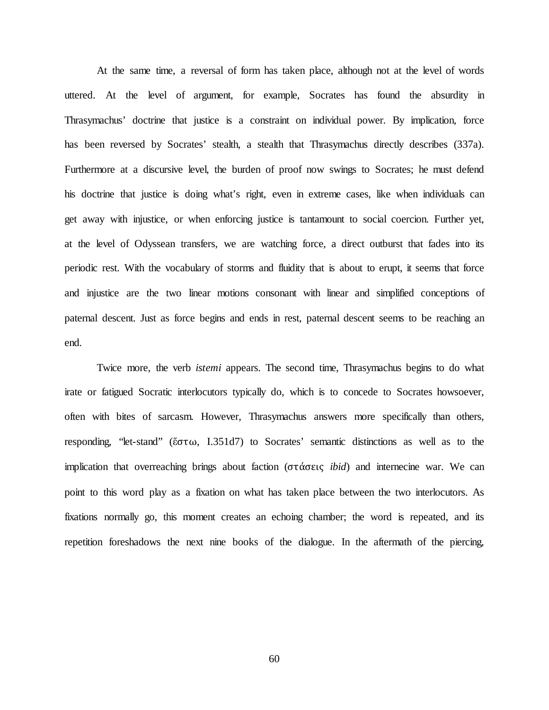At the same time, a reversal of form has taken place, although not at the level of words uttered. At the level of argument, for example, Socrates has found the absurdity in Thrasymachus' doctrine that justice is a constraint on individual power. By implication, force has been reversed by Socrates' stealth, a stealth that Thrasymachus directly describes (337a). Furthermore at a discursive level, the burden of proof now swings to Socrates; he must defend his doctrine that justice is doing what's right, even in extreme cases, like when individuals can get away with injustice, or when enforcing justice is tantamount to social coercion. Further yet, at the level of Odyssean transfers, we are watching force, a direct outburst that fades into its periodic rest. With the vocabulary of storms and fluidity that is about to erupt, it seems that force and injustice are the two linear motions consonant with linear and simplified conceptions of paternal descent. Just as force begins and ends in rest, paternal descent seems to be reaching an end.

Twice more, the verb *istemi* appears. The second time, Thrasymachus begins to do what irate or fatigued Socratic interlocutors typically do, which is to concede to Socrates howsoever, often with bites of sarcasm. However, Thrasymachus answers more specifically than others, responding, "let-stand" (ἔστω, I.351d7) to Socrates' semantic distinctions as well as to the implication that overreaching brings about faction (στάσεις *ibid*) and internecine war. We can point to this word play as a fixation on what has taken place between the two interlocutors. As fixations normally go, this moment creates an echoing chamber; the word is repeated, and its repetition foreshadows the next nine books of the dialogue. In the aftermath of the piercing,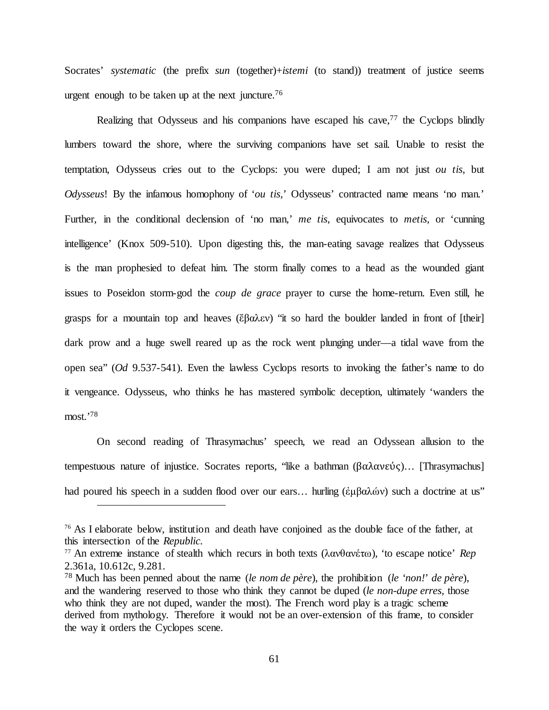Socrates' *systematic* (the prefix *sun* (together)+*istemi* (to stand)) treatment of justice seems urgent enough to be taken up at the next juncture.<sup>76</sup>

Realizing that Odysseus and his companions have escaped his cave,  $77$  the Cyclops blindly lumbers toward the shore, where the surviving companions have set sail. Unable to resist the temptation, Odysseus cries out to the Cyclops: you were duped; I am not just *ou tis*, but *Odysseus*! By the infamous homophony of '*ou tis,*' Odysseus' contracted name means 'no man.' Further, in the conditional declension of 'no man,' *me tis*, equivocates to *metis*, or 'cunning intelligence' (Knox 509-510). Upon digesting this, the man-eating savage realizes that Odysseus is the man prophesied to defeat him. The storm finally comes to a head as the wounded giant issues to Poseidon storm-god the *coup de grace* prayer to curse the home-return. Even still, he grasps for a mountain top and heaves (ἔβαλεν) "it so hard the boulder landed in front of [their] dark prow and a huge swell reared up as the rock went plunging under—a tidal wave from the open sea" (*Od* 9.537-541). Even the lawless Cyclops resorts to invoking the father's name to do it vengeance. Odysseus, who thinks he has mastered symbolic deception, ultimately 'wanders the most.'78

On second reading of Thrasymachus' speech, we read an Odyssean allusion to the tempestuous nature of injustice. Socrates reports, "like a bathman (βαλανεύς)… [Thrasymachus] had poured his speech in a sudden flood over our ears... hurling (ἐμβαλών) such a doctrine at us"

<sup>&</sup>lt;sup>76</sup> As I elaborate below, institution and death have conjoined as the double face of the father, at this intersection of the *Republic.*

<sup>77</sup> An extreme instance of stealth which recurs in both texts (λανθανέτω), 'to escape notice' *Rep*  2.361a, 10.612c, 9.281.

<sup>78</sup> Much has been penned about the name (*le nom de père*), the prohibition (*le 'non!' de père*), and the wandering reserved to those who think they cannot be duped (*le non-dupe erres,* those who think they are not duped, wander the most). The French word play is a tragic scheme derived from mythology. Therefore it would not be an over-extension of this frame, to consider the way it orders the Cyclopes scene.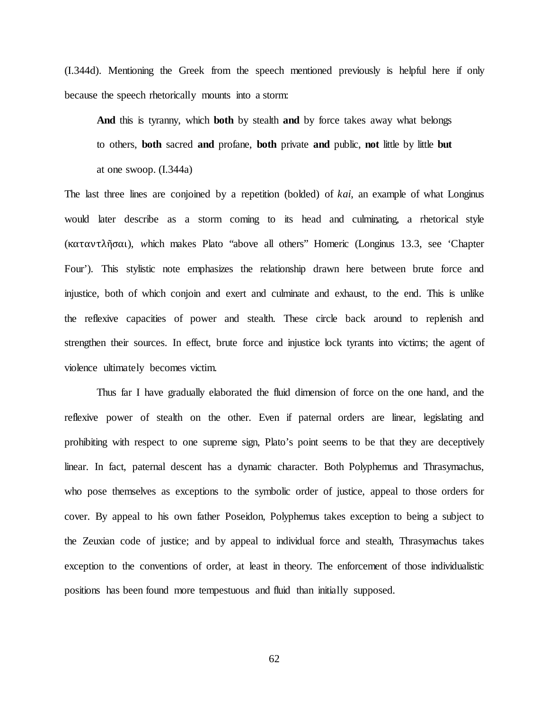(I.344d). Mentioning the Greek from the speech mentioned previously is helpful here if only because the speech rhetorically mounts into a storm:

**And** this is tyranny, which **both** by stealth **and** by force takes away what belongs to others, **both** sacred **and** profane, **both** private **and** public, **not** little by little **but** at one swoop. (I.344a)

The last three lines are conjoined by a repetition (bolded) of *kai*, an example of what Longinus would later describe as a storm coming to its head and culminating, a rhetorical style (καταντλῆσαι), *w*hich makes Plato "above all others" Homeric (Longinus 13.3, see 'Chapter Four'). This stylistic note emphasizes the relationship drawn here between brute force and injustice, both of which conjoin and exert and culminate and exhaust, to the end. This is unlike the reflexive capacities of power and stealth. These circle back around to replenish and strengthen their sources. In effect, brute force and injustice lock tyrants into victims; the agent of violence ultimately becomes victim.

Thus far I have gradually elaborated the fluid dimension of force on the one hand, and the reflexive power of stealth on the other. Even if paternal orders are linear, legislating and prohibiting with respect to one supreme sign, Plato's point seems to be that they are deceptively linear. In fact, paternal descent has a dynamic character. Both Polyphemus and Thrasymachus, who pose themselves as exceptions to the symbolic order of justice, appeal to those orders for cover. By appeal to his own father Poseidon, Polyphemus takes exception to being a subject to the Zeuxian code of justice; and by appeal to individual force and stealth, Thrasymachus takes exception to the conventions of order, at least in theory. The enforcement of those individualistic positions has been found more tempestuous and fluid than initially supposed.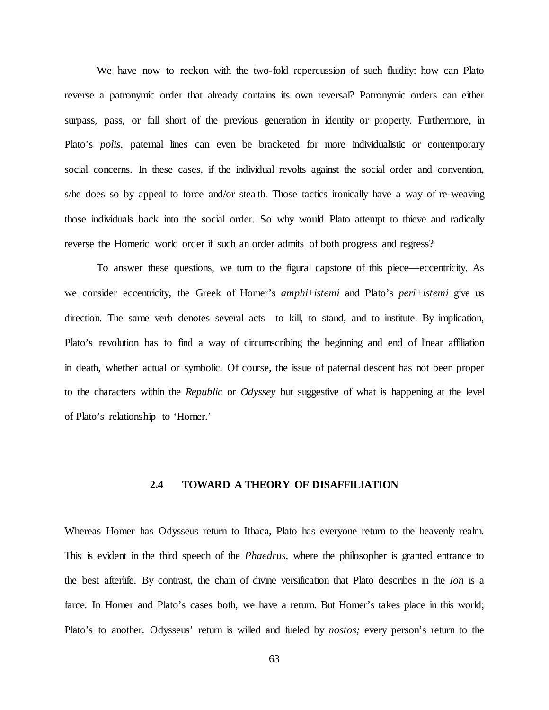We have now to reckon with the two-fold repercussion of such fluidity: how can Plato reverse a patronymic order that already contains its own reversal? Patronymic orders can either surpass, pass, or fall short of the previous generation in identity or property. Furthermore, in Plato's *polis*, paternal lines can even be bracketed for more individualistic or contemporary social concerns. In these cases, if the individual revolts against the social order and convention, s/he does so by appeal to force and/or stealth. Those tactics ironically have a way of re-weaving those individuals back into the social order. So why would Plato attempt to thieve and radically reverse the Homeric world order if such an order admits of both progress and regress?

To answer these questions, we turn to the figural capstone of this piece—eccentricity. As we consider eccentricity, the Greek of Homer's *amphi*+*istemi* and Plato's *peri+istemi* give us direction. The same verb denotes several acts—to kill, to stand, and to institute. By implication, Plato's revolution has to find a way of circumscribing the beginning and end of linear affiliation in death, whether actual or symbolic. Of course, the issue of paternal descent has not been proper to the characters within the *Republic* or *Odyssey* but suggestive of what is happening at the level of Plato's relationship to 'Homer.'

## **2.4 TOWARD A THEORY OF DISAFFILIATION**

Whereas Homer has Odysseus return to Ithaca, Plato has everyone return to the heavenly realm. This is evident in the third speech of the *Phaedrus,* where the philosopher is granted entrance to the best afterlife. By contrast, the chain of divine versification that Plato describes in the *Ion* is a farce. In Homer and Plato's cases both, we have a return. But Homer's takes place in this world; Plato's to another. Odysseus' return is willed and fueled by *nostos;* every person's return to the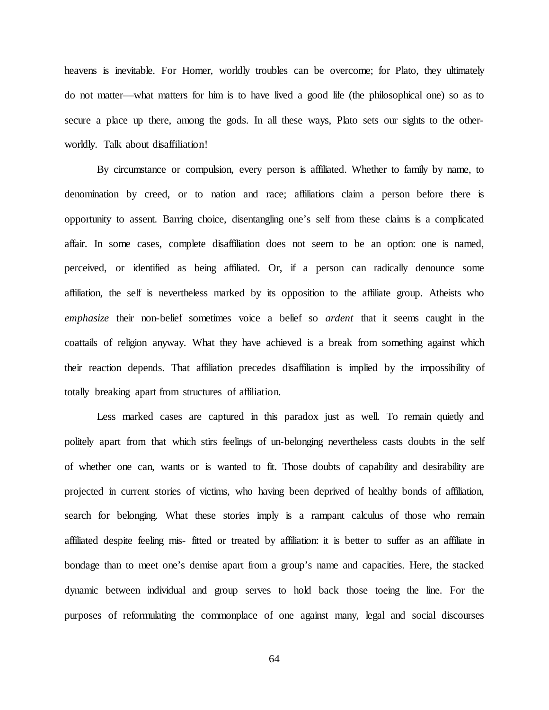heavens is inevitable. For Homer, worldly troubles can be overcome; for Plato, they ultimately do not matter—what matters for him is to have lived a good life (the philosophical one) so as to secure a place up there, among the gods. In all these ways, Plato sets our sights to the otherworldly. Talk about disaffiliation!

By circumstance or compulsion, every person is affiliated. Whether to family by name, to denomination by creed, or to nation and race; affiliations claim a person before there is opportunity to assent. Barring choice, disentangling one's self from these claims is a complicated affair. In some cases, complete disaffiliation does not seem to be an option: one is named, perceived, or identified as being affiliated. Or, if a person can radically denounce some affiliation, the self is nevertheless marked by its opposition to the affiliate group. Atheists who *emphasize* their non-belief sometimes voice a belief so *ardent* that it seems caught in the coattails of religion anyway. What they have achieved is a break from something against which their reaction depends. That affiliation precedes disaffiliation is implied by the impossibility of totally breaking apart from structures of affiliation.

Less marked cases are captured in this paradox just as well. To remain quietly and politely apart from that which stirs feelings of un-belonging nevertheless casts doubts in the self of whether one can, wants or is wanted to fit. Those doubts of capability and desirability are projected in current stories of victims, who having been deprived of healthy bonds of affiliation, search for belonging. What these stories imply is a rampant calculus of those who remain affiliated despite feeling mis- fitted or treated by affiliation: it is better to suffer as an affiliate in bondage than to meet one's demise apart from a group's name and capacities. Here, the stacked dynamic between individual and group serves to hold back those toeing the line. For the purposes of reformulating the commonplace of one against many, legal and social discourses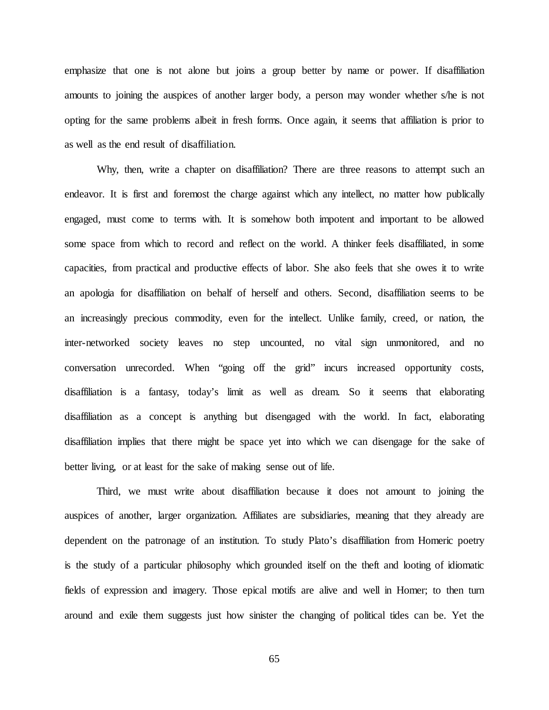emphasize that one is not alone but joins a group better by name or power. If disaffiliation amounts to joining the auspices of another larger body, a person may wonder whether s/he is not opting for the same problems albeit in fresh forms. Once again, it seems that affiliation is prior to as well as the end result of disaffiliation.

Why, then, write a chapter on disaffiliation? There are three reasons to attempt such an endeavor. It is first and foremost the charge against which any intellect, no matter how publically engaged, must come to terms with. It is somehow both impotent and important to be allowed some space from which to record and reflect on the world. A thinker feels disaffiliated, in some capacities, from practical and productive effects of labor. She also feels that she owes it to write an apologia for disaffiliation on behalf of herself and others. Second, disaffiliation seems to be an increasingly precious commodity, even for the intellect. Unlike family, creed, or nation, the inter-networked society leaves no step uncounted, no vital sign unmonitored, and no conversation unrecorded. When "going off the grid" incurs increased opportunity costs, disaffiliation is a fantasy, today's limit as well as dream. So it seems that elaborating disaffiliation as a concept is anything but disengaged with the world. In fact, elaborating disaffiliation implies that there might be space yet into which we can disengage for the sake of better living, or at least for the sake of making sense out of life.

Third, we must write about disaffiliation because it does not amount to joining the auspices of another, larger organization. Affiliates are subsidiaries, meaning that they already are dependent on the patronage of an institution. To study Plato's disaffiliation from Homeric poetry is the study of a particular philosophy which grounded itself on the theft and looting of idiomatic fields of expression and imagery. Those epical motifs are alive and well in Homer; to then turn around and exile them suggests just how sinister the changing of political tides can be. Yet the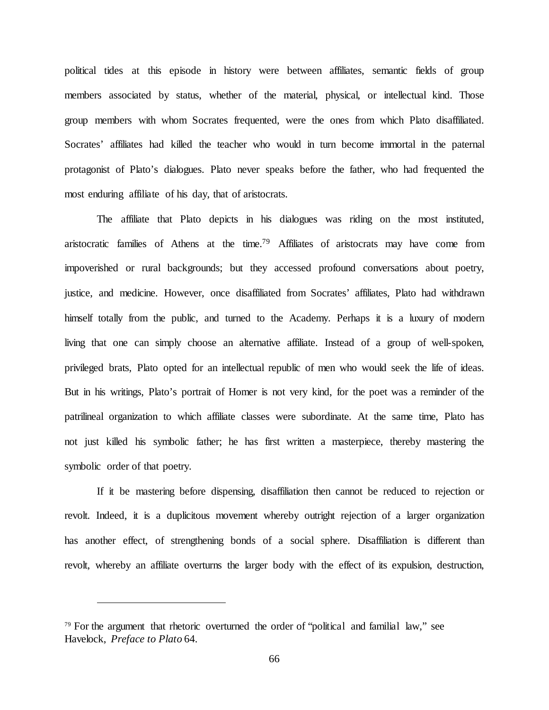political tides at this episode in history were between affiliates, semantic fields of group members associated by status, whether of the material, physical, or intellectual kind. Those group members with whom Socrates frequented, were the ones from which Plato disaffiliated. Socrates' affiliates had killed the teacher who would in turn become immortal in the paternal protagonist of Plato's dialogues. Plato never speaks before the father, who had frequented the most enduring affiliate of his day, that of aristocrats.

The affiliate that Plato depicts in his dialogues was riding on the most instituted, aristocratic families of Athens at the time.79 Affiliates of aristocrats may have come from impoverished or rural backgrounds; but they accessed profound conversations about poetry, justice, and medicine. However, once disaffiliated from Socrates' affiliates, Plato had withdrawn himself totally from the public, and turned to the Academy. Perhaps it is a luxury of modern living that one can simply choose an alternative affiliate. Instead of a group of well-spoken, privileged brats, Plato opted for an intellectual republic of men who would seek the life of ideas. But in his writings, Plato's portrait of Homer is not very kind, for the poet was a reminder of the patrilineal organization to which affiliate classes were subordinate. At the same time, Plato has not just killed his symbolic father; he has first written a masterpiece, thereby mastering the symbolic order of that poetry.

If it be mastering before dispensing, disaffiliation then cannot be reduced to rejection or revolt. Indeed, it is a duplicitous movement whereby outright rejection of a larger organization has another effect, of strengthening bonds of a social sphere. Disaffiliation is different than revolt, whereby an affiliate overturns the larger body with the effect of its expulsion, destruction,

<sup>79</sup> For the argument that rhetoric overturned the order of "political and familial law," see Havelock, *Preface to Plato* 64.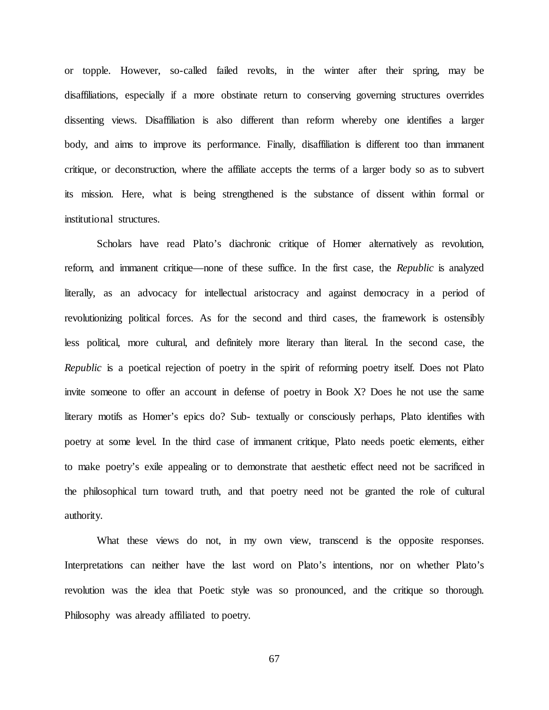or topple. However, so-called failed revolts, in the winter after their spring, may be disaffiliations, especially if a more obstinate return to conserving governing structures overrides dissenting views. Disaffiliation is also different than reform whereby one identifies a larger body, and aims to improve its performance. Finally, disaffiliation is different too than immanent critique, or deconstruction, where the affiliate accepts the terms of a larger body so as to subvert its mission. Here, what is being strengthened is the substance of dissent within formal or institutional structures.

Scholars have read Plato's diachronic critique of Homer alternatively as revolution, reform, and immanent critique—none of these suffice. In the first case, the *Republic* is analyzed literally, as an advocacy for intellectual aristocracy and against democracy in a period of revolutionizing political forces. As for the second and third cases, the framework is ostensibly less political, more cultural, and definitely more literary than literal. In the second case, the *Republic* is a poetical rejection of poetry in the spirit of reforming poetry itself. Does not Plato invite someone to offer an account in defense of poetry in Book X? Does he not use the same literary motifs as Homer's epics do? Sub- textually or consciously perhaps, Plato identifies with poetry at some level. In the third case of immanent critique, Plato needs poetic elements, either to make poetry's exile appealing or to demonstrate that aesthetic effect need not be sacrificed in the philosophical turn toward truth, and that poetry need not be granted the role of cultural authority.

What these views do not, in my own view, transcend is the opposite responses. Interpretations can neither have the last word on Plato's intentions, nor on whether Plato's revolution was the idea that Poetic style was so pronounced, and the critique so thorough. Philosophy was already affiliated to poetry.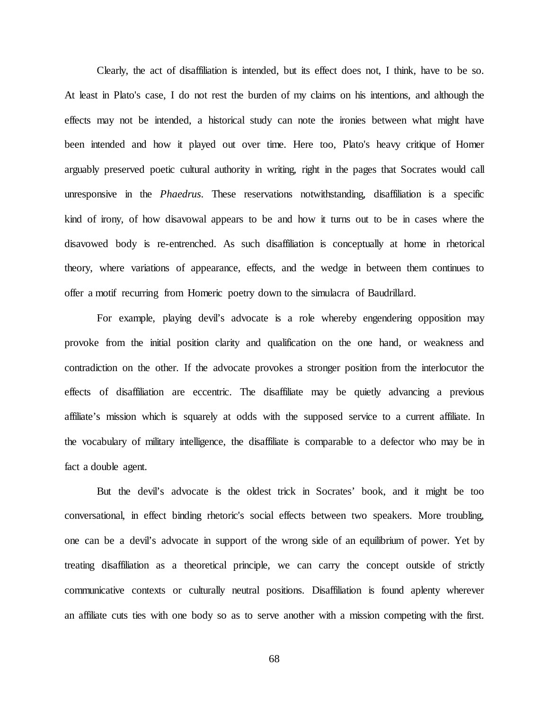Clearly, the act of disaffiliation is intended, but its effect does not, I think, have to be so. At least in Plato's case, I do not rest the burden of my claims on his intentions, and although the effects may not be intended, a historical study can note the ironies between what might have been intended and how it played out over time. Here too, Plato's heavy critique of Homer arguably preserved poetic cultural authority in writing, right in the pages that Socrates would call unresponsive in the *Phaedrus*. These reservations notwithstanding, disaffiliation is a specific kind of irony, of how disavowal appears to be and how it turns out to be in cases where the disavowed body is re-entrenched. As such disaffiliation is conceptually at home in rhetorical theory, where variations of appearance, effects, and the wedge in between them continues to offer a motif recurring from Homeric poetry down to the simulacra of Baudrillard.

For example, playing devil's advocate is a role whereby engendering opposition may provoke from the initial position clarity and qualification on the one hand, or weakness and contradiction on the other. If the advocate provokes a stronger position from the interlocutor the effects of disaffiliation are eccentric. The disaffiliate may be quietly advancing a previous affiliate's mission which is squarely at odds with the supposed service to a current affiliate. In the vocabulary of military intelligence, the disaffiliate is comparable to a defector who may be in fact a double agent.

But the devil's advocate is the oldest trick in Socrates' book, and it might be too conversational, in effect binding rhetoric's social effects between two speakers. More troubling, one can be a devil's advocate in support of the wrong side of an equilibrium of power. Yet by treating disaffiliation as a theoretical principle, we can carry the concept outside of strictly communicative contexts or culturally neutral positions. Disaffiliation is found aplenty wherever an affiliate cuts ties with one body so as to serve another with a mission competing with the first.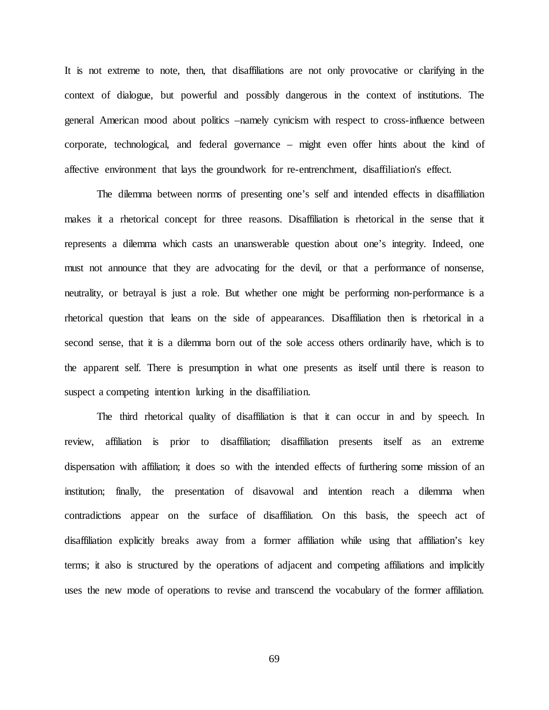It is not extreme to note, then, that disaffiliations are not only provocative or clarifying in the context of dialogue, but powerful and possibly dangerous in the context of institutions. The general American mood about politics –namely cynicism with respect to cross-influence between corporate, technological, and federal governance – might even offer hints about the kind of affective environment that lays the groundwork for re-entrenchment, disaffiliation's effect.

The dilemma between norms of presenting one's self and intended effects in disaffiliation makes it a rhetorical concept for three reasons. Disaffiliation is rhetorical in the sense that it represents a dilemma which casts an unanswerable question about one's integrity. Indeed, one must not announce that they are advocating for the devil, or that a performance of nonsense, neutrality, or betrayal is just a role. But whether one might be performing non-performance is a rhetorical question that leans on the side of appearances. Disaffiliation then is rhetorical in a second sense, that it is a dilemma born out of the sole access others ordinarily have, which is to the apparent self. There is presumption in what one presents as itself until there is reason to suspect a competing intention lurking in the disaffiliation.

The third rhetorical quality of disaffiliation is that it can occur in and by speech. In review, affiliation is prior to disaffiliation; disaffiliation presents itself as an extreme dispensation with affiliation; it does so with the intended effects of furthering some mission of an institution; finally, the presentation of disavowal and intention reach a dilemma when contradictions appear on the surface of disaffiliation. On this basis, the speech act of disaffiliation explicitly breaks away from a former affiliation while using that affiliation's key terms; it also is structured by the operations of adjacent and competing affiliations and implicitly uses the new mode of operations to revise and transcend the vocabulary of the former affiliation.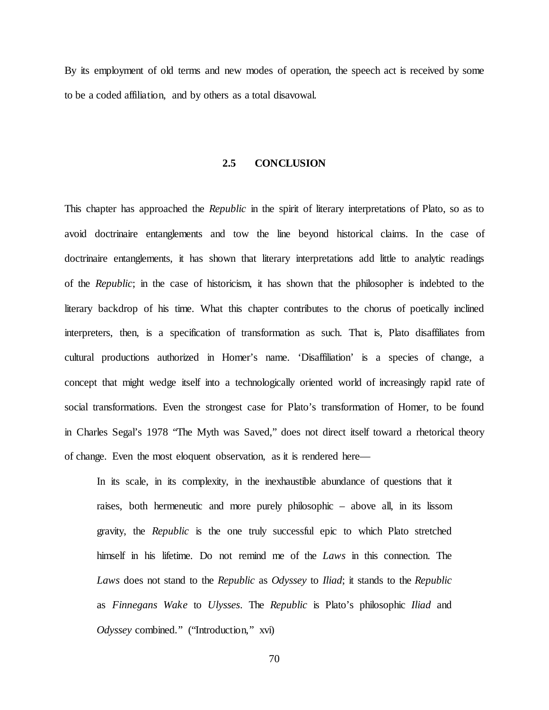By its employment of old terms and new modes of operation, the speech act is received by some to be a coded affiliation, and by others as a total disavowal.

#### **2.5 CONCLUSION**

This chapter has approached the *Republic* in the spirit of literary interpretations of Plato, so as to avoid doctrinaire entanglements and tow the line beyond historical claims. In the case of doctrinaire entanglements, it has shown that literary interpretations add little to analytic readings of the *Republic*; in the case of historicism, it has shown that the philosopher is indebted to the literary backdrop of his time. What this chapter contributes to the chorus of poetically inclined interpreters, then, is a specification of transformation as such. That is, Plato disaffiliates from cultural productions authorized in Homer's name. 'Disaffiliation' is a species of change, a concept that might wedge itself into a technologically oriented world of increasingly rapid rate of social transformations. Even the strongest case for Plato's transformation of Homer, to be found in Charles Segal's 1978 "The Myth was Saved," does not direct itself toward a rhetorical theory of change. Even the most eloquent observation, as it is rendered here—

In its scale, in its complexity, in the inexhaustible abundance of questions that it raises, both hermeneutic and more purely philosophic – above all, in its lissom gravity, the *Republic* is the one truly successful epic to which Plato stretched himself in his lifetime. Do not remind me of the *Laws* in this connection. The *Laws* does not stand to the *Republic* as *Odyssey* to *Iliad*; it stands to the *Republic* as *Finnegans Wake* to *Ulysses*. The *Republic* is Plato's philosophic *Iliad* and *Odyssey* combined." ("Introduction," xvi)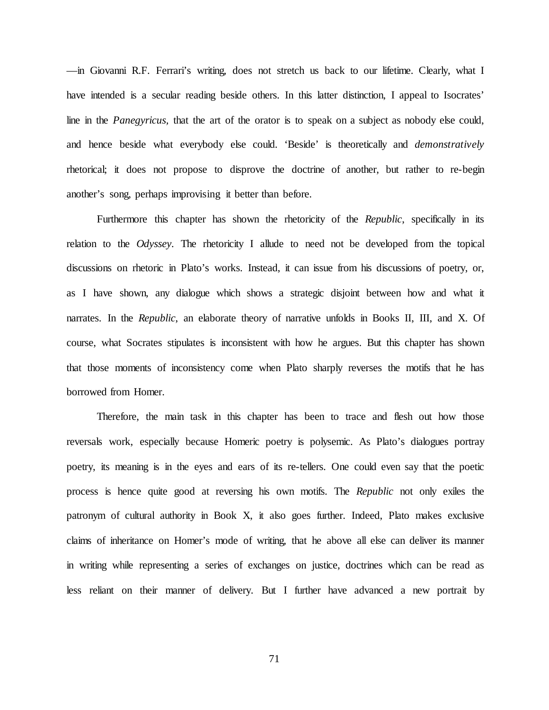—in Giovanni R.F. Ferrari's writing, does not stretch us back to our lifetime. Clearly, what I have intended is a secular reading beside others. In this latter distinction, I appeal to Isocrates' line in the *Panegyricus,* that the art of the orator is to speak on a subject as nobody else could, and hence beside what everybody else could. 'Beside' is theoretically and *demonstratively* rhetorical; it does not propose to disprove the doctrine of another, but rather to re-begin another's song, perhaps improvising it better than before.

Furthermore this chapter has shown the rhetoricity of the *Republic*, specifically in its relation to the *Odyssey*. The rhetoricity I allude to need not be developed from the topical discussions on rhetoric in Plato's works. Instead, it can issue from his discussions of poetry, or, as I have shown, any dialogue which shows a strategic disjoint between how and what it narrates. In the *Republic*, an elaborate theory of narrative unfolds in Books II, III, and X. Of course, what Socrates stipulates is inconsistent with how he argues. But this chapter has shown that those moments of inconsistency come when Plato sharply reverses the motifs that he has borrowed from Homer.

Therefore, the main task in this chapter has been to trace and flesh out how those reversals work, especially because Homeric poetry is polysemic. As Plato's dialogues portray poetry, its meaning is in the eyes and ears of its re-tellers. One could even say that the poetic process is hence quite good at reversing his own motifs. The *Republic* not only exiles the patronym of cultural authority in Book X, it also goes further. Indeed, Plato makes exclusive claims of inheritance on Homer's mode of writing, that he above all else can deliver its manner in writing while representing a series of exchanges on justice, doctrines which can be read as less reliant on their manner of delivery. But I further have advanced a new portrait by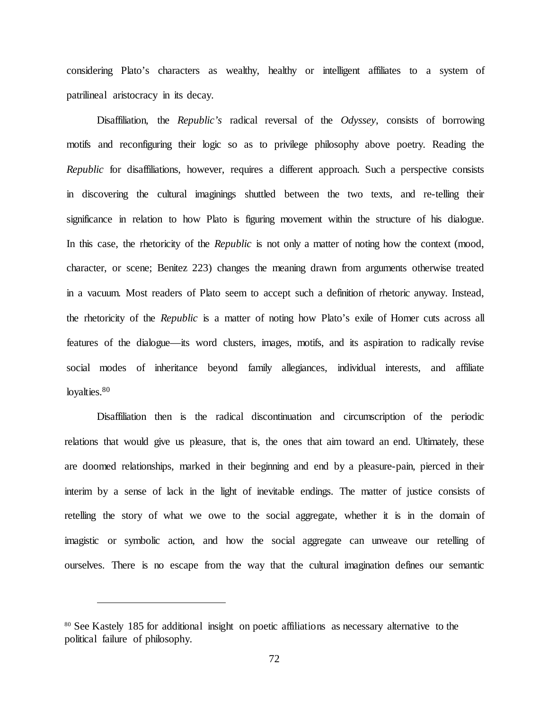considering Plato's characters as wealthy, healthy or intelligent affiliates to a system of patrilineal aristocracy in its decay.

Disaffiliation, the *Republic's* radical reversal of the *Odyssey*, consists of borrowing motifs and reconfiguring their logic so as to privilege philosophy above poetry. Reading the *Republic* for disaffiliations, however, requires a different approach. Such a perspective consists in discovering the cultural imaginings shuttled between the two texts, and re-telling their significance in relation to how Plato is figuring movement within the structure of his dialogue. In this case, the rhetoricity of the *Republic* is not only a matter of noting how the context (mood, character, or scene; Benitez 223) changes the meaning drawn from arguments otherwise treated in a vacuum. Most readers of Plato seem to accept such a definition of rhetoric anyway. Instead, the rhetoricity of the *Republic* is a matter of noting how Plato's exile of Homer cuts across all features of the dialogue—its word clusters, images, motifs, and its aspiration to radically revise social modes of inheritance beyond family allegiances, individual interests, and affiliate loyalties.<sup>80</sup>

Disaffiliation then is the radical discontinuation and circumscription of the periodic relations that would give us pleasure, that is, the ones that aim toward an end. Ultimately, these are doomed relationships, marked in their beginning and end by a pleasure-pain, pierced in their interim by a sense of lack in the light of inevitable endings. The matter of justice consists of retelling the story of what we owe to the social aggregate, whether it is in the domain of imagistic or symbolic action, and how the social aggregate can unweave our retelling of ourselves. There is no escape from the way that the cultural imagination defines our semantic

<sup>&</sup>lt;sup>80</sup> See Kastely 185 for additional insight on poetic affiliations as necessary alternative to the political failure of philosophy.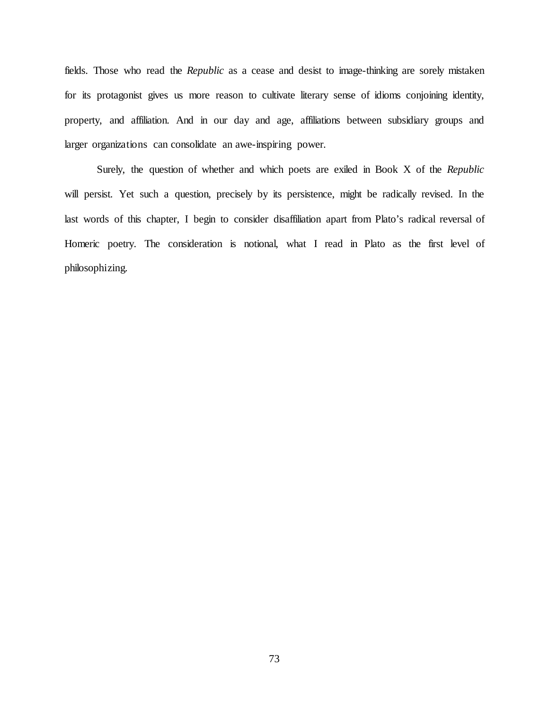fields. Those who read the *Republic* as a cease and desist to image-thinking are sorely mistaken for its protagonist gives us more reason to cultivate literary sense of idioms conjoining identity, property, and affiliation. And in our day and age, affiliations between subsidiary groups and larger organizations can consolidate an awe-inspiring power.

Surely, the question of whether and which poets are exiled in Book X of the *Republic* will persist. Yet such a question, precisely by its persistence, might be radically revised. In the last words of this chapter, I begin to consider disaffiliation apart from Plato's radical reversal of Homeric poetry. The consideration is notional, what I read in Plato as the first level of philosophizing.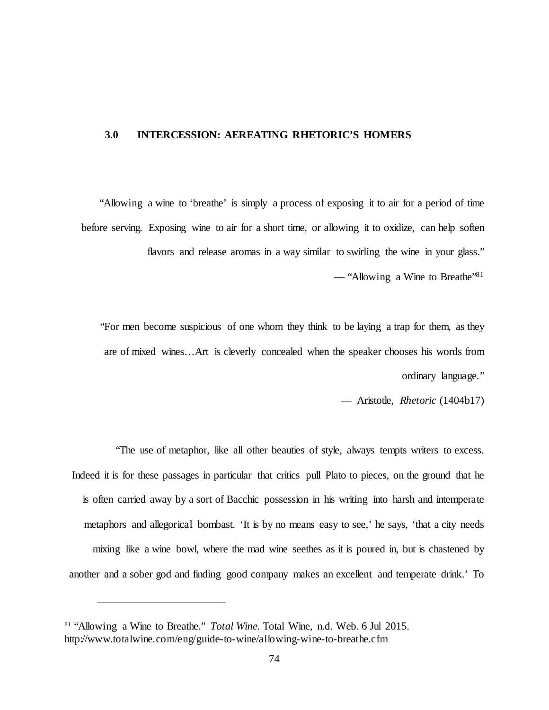# **3.0 INTERCESSION: AEREATING RHETORIC'S HOMERS**

"Allowing a wine to 'breathe' is simply a process of exposing it to air for a period of time before serving. Exposing wine to air for a short time, or allowing it to oxidize, can help soften flavors and release aromas in a way similar to swirling the wine in your glass." — "Allowing a Wine to Breathe"81

"For men become suspicious of one whom they think to be laying a trap for them, as they are of mixed wines…Art is cleverly concealed when the speaker chooses his words from ordinary language."

— Aristotle, *Rhetoric* (1404b17)

"The use of metaphor, like all other beauties of style, always tempts writers to excess. Indeed it is for these passages in particular that critics pull Plato to pieces, on the ground that he is often carried away by a sort of Bacchic possession in his writing into harsh and intemperate metaphors and allegorical bombast. 'It is by no means easy to see,' he says, 'that a city needs mixing like a wine bowl, where the mad wine seethes as it is poured in, but is chastened by another and a sober god and finding good company makes an excellent and temperate drink.' To

<sup>81</sup> "Allowing a Wine to Breathe." *Total Wine.* Total Wine, n.d. Web. 6 Jul 2015. http://www.totalwine.com/eng/guide-to-wine/allowing-wine-to-breathe.cfm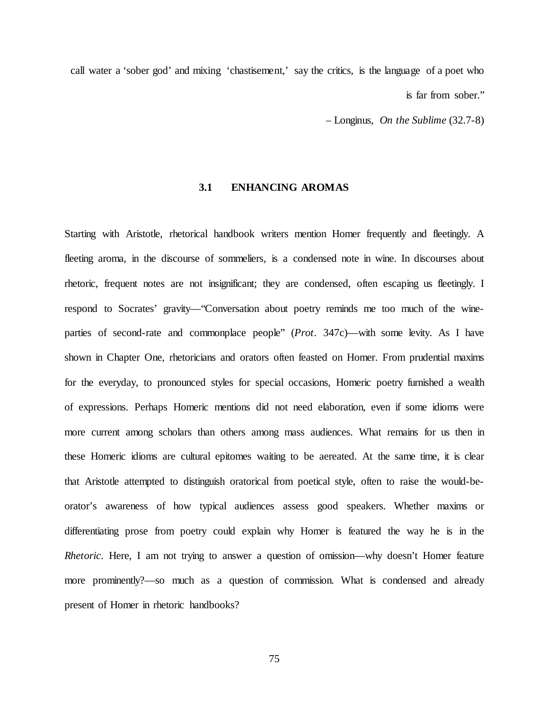call water a 'sober god' and mixing 'chastisement,' say the critics, is the language of a poet who is far from sober."

– Longinus, *On the Sublime* (32.7-8)

#### **3.1 ENHANCING AROMAS**

Starting with Aristotle, rhetorical handbook writers mention Homer frequently and fleetingly. A fleeting aroma, in the discourse of sommeliers, is a condensed note in wine. In discourses about rhetoric, frequent notes are not insignificant; they are condensed, often escaping us fleetingly. I respond to Socrates' gravity—"Conversation about poetry reminds me too much of the wineparties of second-rate and commonplace people" (*Prot*. 347c)—with some levity. As I have shown in Chapter One, rhetoricians and orators often feasted on Homer. From prudential maxims for the everyday, to pronounced styles for special occasions, Homeric poetry furnished a wealth of expressions. Perhaps Homeric mentions did not need elaboration, even if some idioms were more current among scholars than others among mass audiences. What remains for us then in these Homeric idioms are cultural epitomes waiting to be aereated. At the same time, it is clear that Aristotle attempted to distinguish oratorical from poetical style, often to raise the would-beorator's awareness of how typical audiences assess good speakers. Whether maxims or differentiating prose from poetry could explain why Homer is featured the way he is in the *Rhetoric*. Here, I am not trying to answer a question of omission—why doesn't Homer feature more prominently?—so much as a question of commission. What is condensed and already present of Homer in rhetoric handbooks?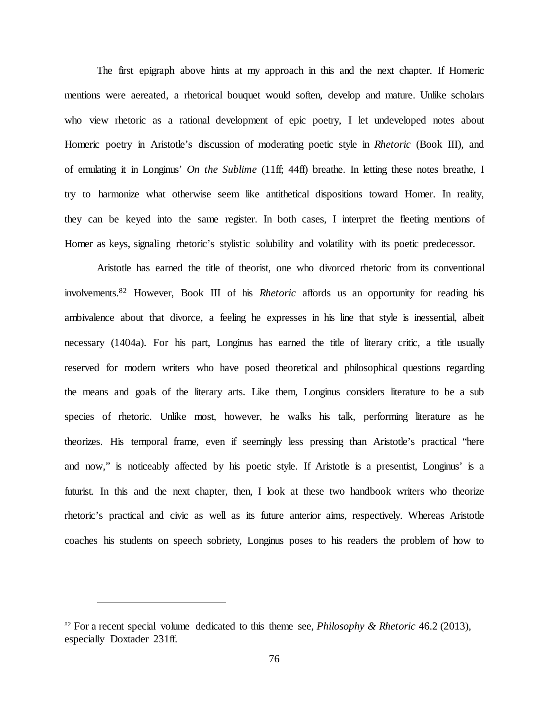The first epigraph above hints at my approach in this and the next chapter. If Homeric mentions were aereated, a rhetorical bouquet would soften, develop and mature. Unlike scholars who view rhetoric as a rational development of epic poetry. I let undeveloped notes about Homeric poetry in Aristotle's discussion of moderating poetic style in *Rhetoric* (Book III), and of emulating it in Longinus' *On the Sublime* (11ff; 44ff) breathe. In letting these notes breathe, I try to harmonize what otherwise seem like antithetical dispositions toward Homer. In reality, they can be keyed into the same register. In both cases, I interpret the fleeting mentions of Homer as keys, signaling rhetoric's stylistic solubility and volatility with its poetic predecessor.

Aristotle has earned the title of theorist, one who divorced rhetoric from its conventional involvements.82 However, Book III of his *Rhetoric* affords us an opportunity for reading his ambivalence about that divorce, a feeling he expresses in his line that style is inessential, albeit necessary (1404a). For his part, Longinus has earned the title of literary critic, a title usually reserved for modern writers who have posed theoretical and philosophical questions regarding the means and goals of the literary arts. Like them, Longinus considers literature to be a sub species of rhetoric. Unlike most, however, he walks his talk, performing literature as he theorizes. His temporal frame, even if seemingly less pressing than Aristotle's practical "here and now," is noticeably affected by his poetic style. If Aristotle is a presentist, Longinus' is a futurist. In this and the next chapter, then, I look at these two handbook writers who theorize rhetoric's practical and civic as well as its future anterior aims, respectively. Whereas Aristotle coaches his students on speech sobriety, Longinus poses to his readers the problem of how to

<sup>82</sup> For a recent special volume dedicated to this theme see, *Philosophy & Rhetoric* 46.2 (2013), especially Doxtader 231ff.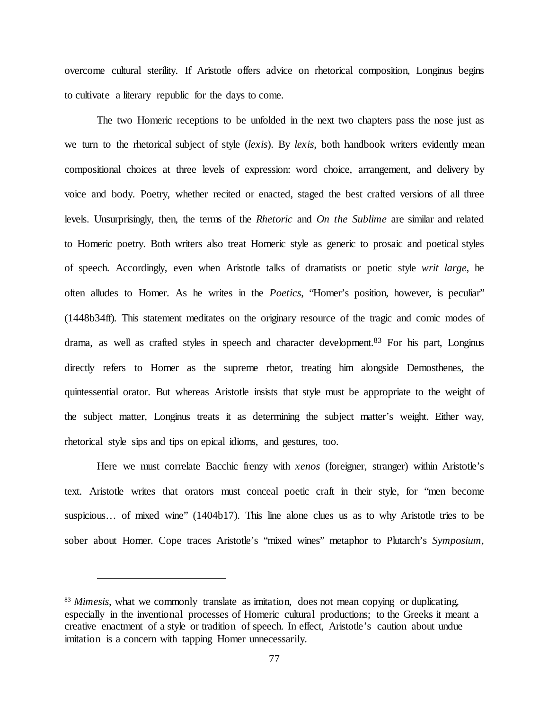overcome cultural sterility. If Aristotle offers advice on rhetorical composition, Longinus begins to cultivate a literary republic for the days to come.

The two Homeric receptions to be unfolded in the next two chapters pass the nose just as we turn to the rhetorical subject of style (*lexis*). By *lexis*, both handbook writers evidently mean compositional choices at three levels of expression: word choice, arrangement, and delivery by voice and body. Poetry, whether recited or enacted, staged the best crafted versions of all three levels. Unsurprisingly, then, the terms of the *Rhetoric* and *On the Sublime* are similar and related to Homeric poetry. Both writers also treat Homeric style as generic to prosaic and poetical styles of speech. Accordingly, even when Aristotle talks of dramatists or poetic style *writ large*, he often alludes to Homer. As he writes in the *Poetics*, "Homer's position, however, is peculiar" (1448b34ff)*.* This statement meditates on the originary resource of the tragic and comic modes of drama, as well as crafted styles in speech and character development.<sup>83</sup> For his part, Longinus directly refers to Homer as the supreme rhetor, treating him alongside Demosthenes, the quintessential orator. But whereas Aristotle insists that style must be appropriate to the weight of the subject matter, Longinus treats it as determining the subject matter's weight. Either way, rhetorical style sips and tips on epical idioms, and gestures, too.

Here we must correlate Bacchic frenzy with *xenos* (foreigner, stranger) within Aristotle's text. Aristotle writes that orators must conceal poetic craft in their style, for "men become suspicious... of mixed wine" (1404b17). This line alone clues us as to why Aristotle tries to be sober about Homer. Cope traces Aristotle's "mixed wines" metaphor to Plutarch's *Symposium*,

<sup>&</sup>lt;sup>83</sup> *Mimesis*, what we commonly translate as imitation, does not mean copying or duplicating, especially in the inventional processes of Homeric cultural productions; to the Greeks it meant a creative enactment of a style or tradition of speech. In effect, Aristotle's caution about undue imitation is a concern with tapping Homer unnecessarily.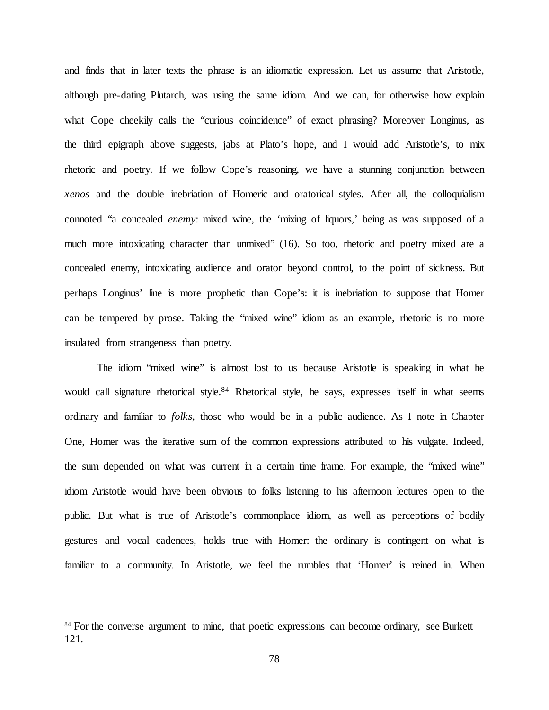and finds that in later texts the phrase is an idiomatic expression. Let us assume that Aristotle, although pre-dating Plutarch, was using the same idiom. And we can, for otherwise how explain what Cope cheekily calls the "curious coincidence" of exact phrasing? Moreover Longinus, as the third epigraph above suggests, jabs at Plato's hope, and I would add Aristotle's, to mix rhetoric and poetry. If we follow Cope's reasoning, we have a stunning conjunction between *xenos* and the double inebriation of Homeric and oratorical styles. After all, the colloquialism connoted "a concealed *enemy*: mixed wine, the 'mixing of liquors,' being as was supposed of a much more intoxicating character than unmixed" (16). So too, rhetoric and poetry mixed are a concealed enemy, intoxicating audience and orator beyond control, to the point of sickness. But perhaps Longinus' line is more prophetic than Cope's: it is inebriation to suppose that Homer can be tempered by prose. Taking the "mixed wine" idiom as an example, rhetoric is no more insulated from strangeness than poetry.

The idiom "mixed wine" is almost lost to us because Aristotle is speaking in what he would call signature rhetorical style.<sup>84</sup> Rhetorical style, he says, expresses itself in what seems ordinary and familiar to *folks*, those who would be in a public audience. As I note in Chapter One, Homer was the iterative sum of the common expressions attributed to his vulgate. Indeed, the sum depended on what was current in a certain time frame. For example, the "mixed wine" idiom Aristotle would have been obvious to folks listening to his afternoon lectures open to the public. But what is true of Aristotle's commonplace idiom, as well as perceptions of bodily gestures and vocal cadences, holds true with Homer: the ordinary is contingent on what is familiar to a community. In Aristotle, we feel the rumbles that 'Homer' is reined in. When

<sup>&</sup>lt;sup>84</sup> For the converse argument to mine, that poetic expressions can become ordinary, see Burkett 121.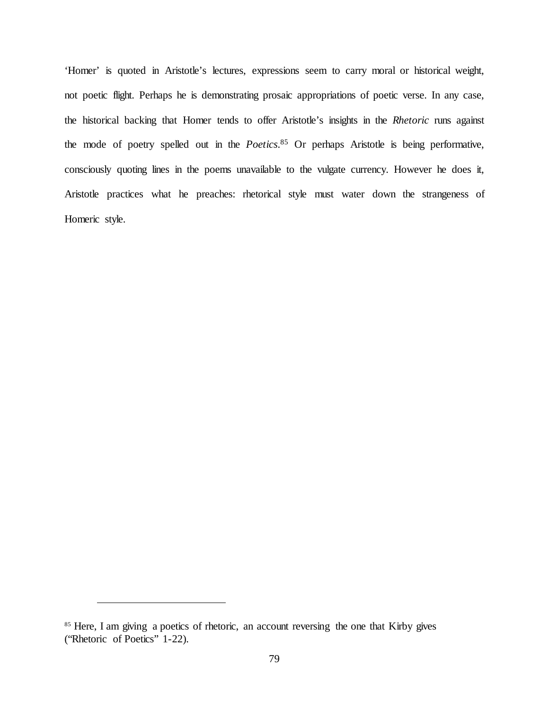'Homer' is quoted in Aristotle's lectures, expressions seem to carry moral or historical weight, not poetic flight. Perhaps he is demonstrating prosaic appropriations of poetic verse. In any case, the historical backing that Homer tends to offer Aristotle's insights in the *Rhetoric* runs against the mode of poetry spelled out in the *Poetics*. <sup>85</sup> Or perhaps Aristotle is being performative, consciously quoting lines in the poems unavailable to the vulgate currency. However he does it, Aristotle practices what he preaches: rhetorical style must water down the strangeness of Homeric style.

<sup>&</sup>lt;sup>85</sup> Here, I am giving a poetics of rhetoric, an account reversing the one that Kirby gives ("Rhetoric of Poetics" 1-22).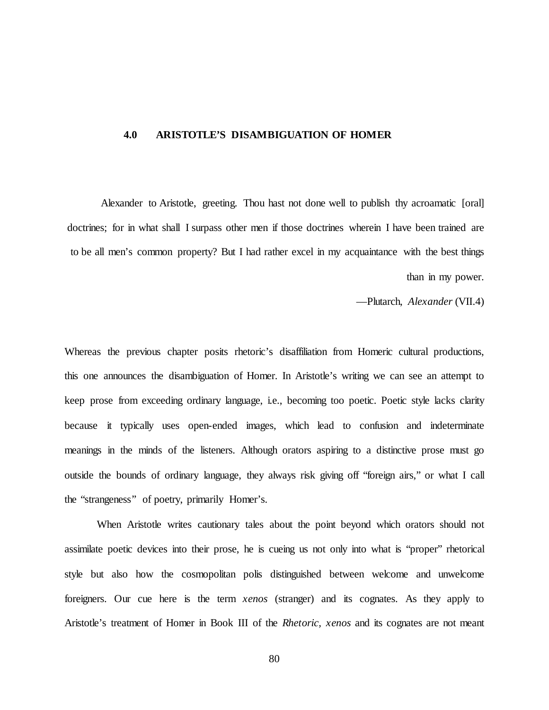### **4.0 ARISTOTLE'S DISAMBIGUATION OF HOMER**

Alexander to Aristotle, greeting. Thou hast not done well to publish thy acroamatic [oral] doctrines; for in what shall I surpass other men if those doctrines wherein I have been trained are to be all men's common property? But I had rather excel in my acquaintance with the best things than in my power.

—Plutarch, *Alexander* (VII.4)

Whereas the previous chapter posits rhetoric's disaffiliation from Homeric cultural productions, this one announces the disambiguation of Homer. In Aristotle's writing we can see an attempt to keep prose from exceeding ordinary language, i.e., becoming too poetic. Poetic style lacks clarity because it typically uses open-ended images, which lead to confusion and indeterminate meanings in the minds of the listeners. Although orators aspiring to a distinctive prose must go outside the bounds of ordinary language, they always risk giving off "foreign airs," or what I call the "strangeness" of poetry, primarily Homer's.

When Aristotle writes cautionary tales about the point beyond which orators should not assimilate poetic devices into their prose, he is cueing us not only into what is "proper" rhetorical style but also how the cosmopolitan polis distinguished between welcome and unwelcome foreigners. Our cue here is the term *xenos* (stranger) and its cognates. As they apply to Aristotle's treatment of Homer in Book III of the *Rhetoric, xenos* and its cognates are not meant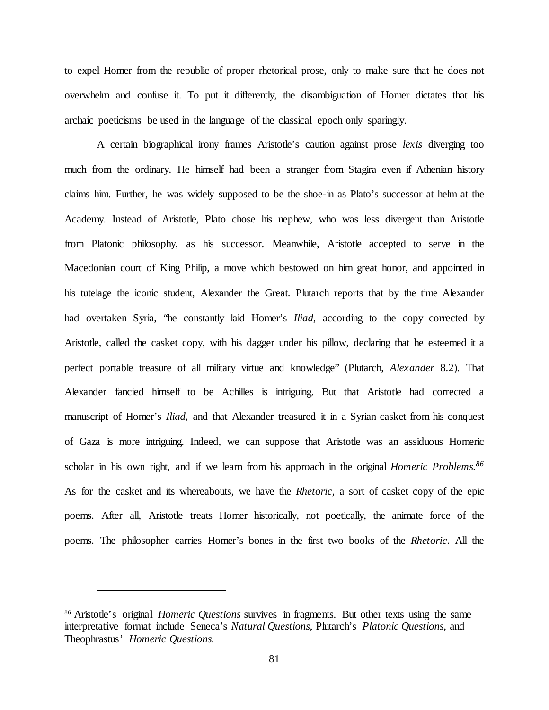to expel Homer from the republic of proper rhetorical prose, only to make sure that he does not overwhelm and confuse it. To put it differently, the disambiguation of Homer dictates that his archaic poeticisms be used in the language of the classical epoch only sparingly.

A certain biographical irony frames Aristotle's caution against prose *lexis* diverging too much from the ordinary. He himself had been a stranger from Stagira even if Athenian history claims him. Further, he was widely supposed to be the shoe-in as Plato's successor at helm at the Academy. Instead of Aristotle, Plato chose his nephew, who was less divergent than Aristotle from Platonic philosophy, as his successor. Meanwhile, Aristotle accepted to serve in the Macedonian court of King Philip, a move which bestowed on him great honor, and appointed in his tutelage the iconic student, Alexander the Great. Plutarch reports that by the time Alexander had overtaken Syria, "he constantly laid Homer's *Iliad*, according to the copy corrected by Aristotle, called the casket copy, with his dagger under his pillow, declaring that he esteemed it a perfect portable treasure of all military virtue and knowledge" (Plutarch, *Alexander* 8.2). That Alexander fancied himself to be Achilles is intriguing. But that Aristotle had corrected a manuscript of Homer's *Iliad*, and that Alexander treasured it in a Syrian casket from his conquest of Gaza is more intriguing. Indeed, we can suppose that Aristotle was an assiduous Homeric scholar in his own right, and if we learn from his approach in the original *Homeric Problems. 86* As for the casket and its whereabouts, we have the *Rhetoric,* a sort of casket copy of the epic poems. After all, Aristotle treats Homer historically, not poetically, the animate force of the poems. The philosopher carries Homer's bones in the first two books of the *Rhetoric*. All the

<sup>86</sup> Aristotle's original *Homeric Questions* survives in fragments. But other texts using the same interpretative format include Seneca's *Natural Questions*, Plutarch's *Platonic Questions,* and Theophrastus' *Homeric Questions.*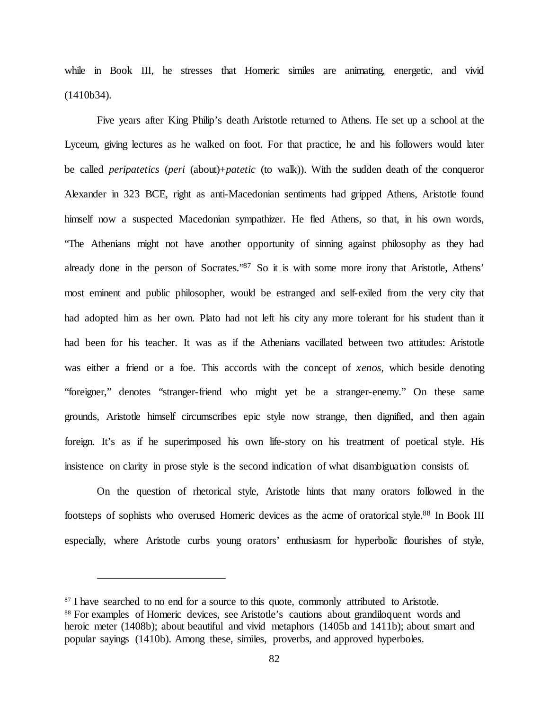while in Book III, he stresses that Homeric similes are animating, energetic, and vivid (1410b34).

Five years after King Philip's death Aristotle returned to Athens. He set up a school at the Lyceum, giving lectures as he walked on foot. For that practice, he and his followers would later be called *peripatetics* (*peri* (about)+*patetic* (to walk)). With the sudden death of the conqueror Alexander in 323 BCE, right as anti-Macedonian sentiments had gripped Athens, Aristotle found himself now a suspected Macedonian sympathizer. He fled Athens, so that, in his own words, "The Athenians might not have another opportunity of sinning against philosophy as they had already done in the person of Socrates."<sup>87</sup> So it is with some more irony that Aristotle, Athens' most eminent and public philosopher, would be estranged and self-exiled from the very city that had adopted him as her own. Plato had not left his city any more tolerant for his student than it had been for his teacher. It was as if the Athenians vacillated between two attitudes: Aristotle was either a friend or a foe. This accords with the concept of *xenos,* which beside denoting "foreigner," denotes "stranger-friend who might yet be a stranger-enemy." On these same grounds, Aristotle himself circumscribes epic style now strange, then dignified, and then again foreign. It's as if he superimposed his own life-story on his treatment of poetical style. His insistence on clarity in prose style is the second indication of what disambiguation consists of.

On the question of rhetorical style, Aristotle hints that many orators followed in the footsteps of sophists who overused Homeric devices as the acme of oratorical style.<sup>88</sup> In Book III especially, where Aristotle curbs young orators' enthusiasm for hyperbolic flourishes of style,

<sup>&</sup>lt;sup>87</sup> I have searched to no end for a source to this quote, commonly attributed to Aristotle. <sup>88</sup> For examples of Homeric devices, see Aristotle's cautions about grandiloquent words and heroic meter (1408b); about beautiful and vivid metaphors (1405b and 1411b); about smart and popular sayings (1410b). Among these, similes, proverbs, and approved hyperboles.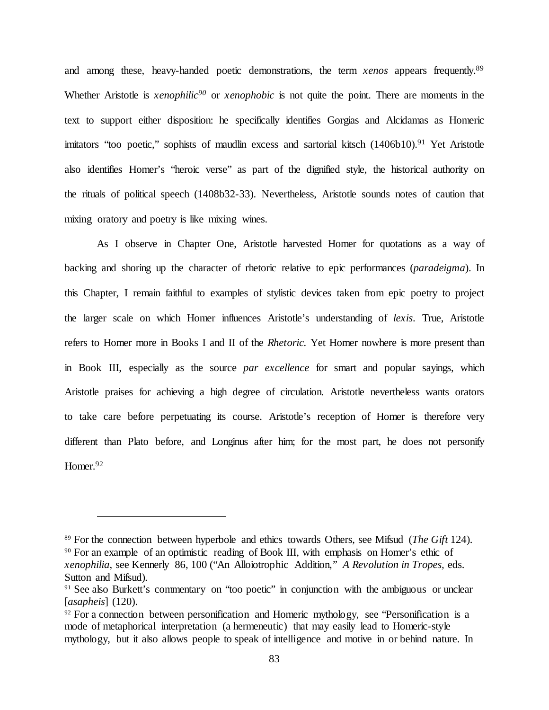and among these, heavy-handed poetic demonstrations, the term *xenos* appears frequently.<sup>89</sup> Whether Aristotle is *xenophilic<sup>90</sup>* or *xenophobic* is not quite the point. There are moments in the text to support either disposition: he specifically identifies Gorgias and Alcidamas as Homeric imitators "too poetic," sophists of maudlin excess and sartorial kitsch (1406b10).<sup>91</sup> Yet Aristotle also identifies Homer's "heroic verse" as part of the dignified style, the historical authority on the rituals of political speech (1408b32-33). Nevertheless, Aristotle sounds notes of caution that mixing oratory and poetry is like mixing wines.

As I observe in Chapter One, Aristotle harvested Homer for quotations as a way of backing and shoring up the character of rhetoric relative to epic performances (*paradeigma*). In this Chapter, I remain faithful to examples of stylistic devices taken from epic poetry to project the larger scale on which Homer influences Aristotle's understanding of *lexis*. True, Aristotle refers to Homer more in Books I and II of the *Rhetoric.* Yet Homer nowhere is more present than in Book III, especially as the source *par excellence* for smart and popular sayings, which Aristotle praises for achieving a high degree of circulation. Aristotle nevertheless wants orators to take care before perpetuating its course. Aristotle's reception of Homer is therefore very different than Plato before, and Longinus after him; for the most part, he does not personify Homer.<sup>92</sup>

<sup>89</sup> For the connection between hyperbole and ethics towards Others, see Mifsud (*The Gift* 124). <sup>90</sup> For an example of an optimistic reading of Book III, with emphasis on Homer's ethic of *xenophilia*, see Kennerly 86, 100 ("An Alloiotrophic Addition," *A Revolution in Tropes,* eds. Sutton and Mifsud)*.*

<sup>&</sup>lt;sup>91</sup> See also Burkett's commentary on "too poetic" in conjunction with the ambiguous or unclear [*asapheis*] (120).

 $92$  For a connection between personification and Homeric mythology, see "Personification is a mode of metaphorical interpretation (a hermeneutic) that may easily lead to Homeric-style mythology, but it also allows people to speak of intelligence and motive in or behind nature. In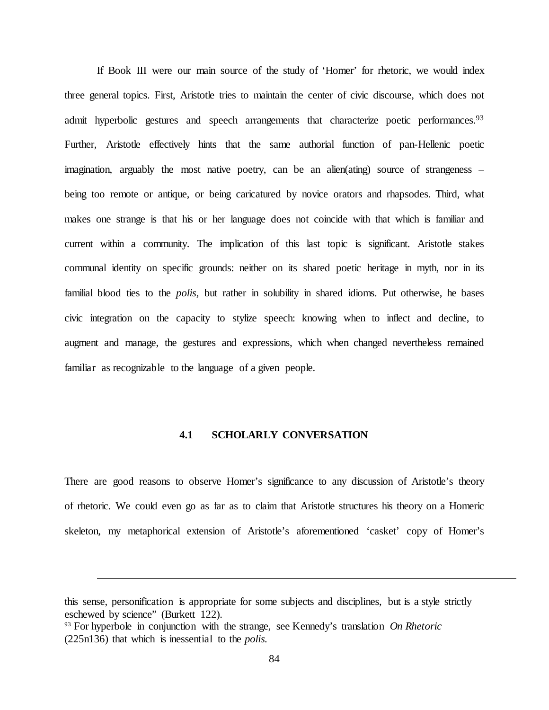If Book III were our main source of the study of 'Homer' for rhetoric, we would index three general topics. First, Aristotle tries to maintain the center of civic discourse, which does not admit hyperbolic gestures and speech arrangements that characterize poetic performances.<sup>93</sup> Further, Aristotle effectively hints that the same authorial function of pan-Hellenic poetic imagination, arguably the most native poetry, can be an alien(ating) source of strangeness – being too remote or antique, or being caricatured by novice orators and rhapsodes. Third, what makes one strange is that his or her language does not coincide with that which is familiar and current within a community. The implication of this last topic is significant. Aristotle stakes communal identity on specific grounds: neither on its shared poetic heritage in myth, nor in its familial blood ties to the *polis,* but rather in solubility in shared idioms. Put otherwise, he bases civic integration on the capacity to stylize speech: knowing when to inflect and decline, to augment and manage, the gestures and expressions, which when changed nevertheless remained familiar as recognizable to the language of a given people.

# **4.1 SCHOLARLY CONVERSATION**

There are good reasons to observe Homer's significance to any discussion of Aristotle's theory of rhetoric. We could even go as far as to claim that Aristotle structures his theory on a Homeric skeleton, my metaphorical extension of Aristotle's aforementioned 'casket' copy of Homer's

this sense, personification is appropriate for some subjects and disciplines, but is a style strictly eschewed by science" (Burkett 122).

<sup>93</sup> For hyperbole in conjunction with the strange, see Kennedy's translation *On Rhetoric* (225n136) that which is inessential to the *polis.*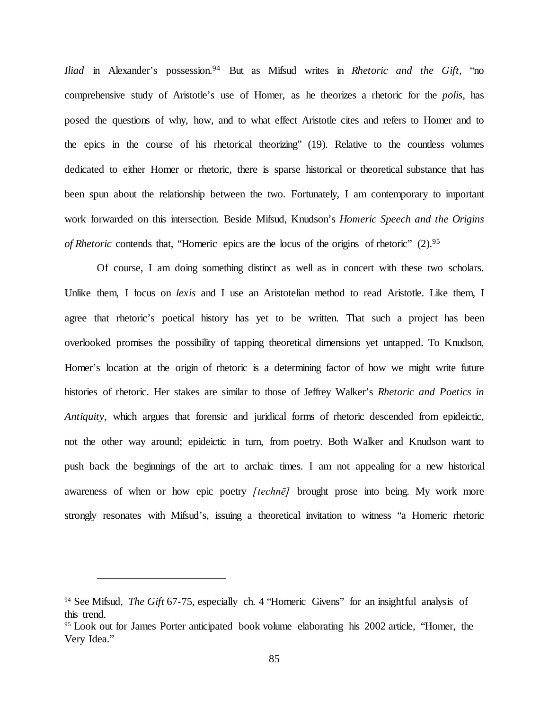*Iliad* in Alexander's possession.<sup>94</sup> But as Mifsud writes in *Rhetoric and the Gift*, "no comprehensive study of Aristotle's use of Homer, as he theorizes a rhetoric for the *polis*, has posed the questions of why, how, and to what effect Aristotle cites and refers to Homer and to the epics in the course of his rhetorical theorizing" (19). Relative to the countless volumes dedicated to either Homer or rhetoric, there is sparse historical or theoretical substance that has been spun about the relationship between the two. Fortunately, I am contemporary to important work forwarded on this intersection. Beside Mifsud, Knudson's *Homeric Speech and the Origins of Rhetoric* contends that, "Homeric epics are the locus of the origins of rhetoric" (2).<sup>95</sup>

Of course, I am doing something distinct as well as in concert with these two scholars. Unlike them, I focus on *lexis* and I use an Aristotelian method to read Aristotle. Like them, I agree that rhetoric's poetical history has yet to be written. That such a project has been overlooked promises the possibility of tapping theoretical dimensions yet untapped. To Knudson, Homer's location at the origin of rhetoric is a determining factor of how we might write future histories of rhetoric. Her stakes are similar to those of Jeffrey Walker's *Rhetoric and Poetics in Antiquity*, which argues that forensic and juridical forms of rhetoric descended from epideictic, not the other way around; epideictic in turn, from poetry. Both Walker and Knudson want to push back the beginnings of the art to archaic times. I am not appealing for a new historical awareness of when or how epic poetry *[technē]* brought prose into being. My work more strongly resonates with Mifsud's, issuing a theoretical invitation to witness "a Homeric rhetoric

<sup>94</sup> See Mifsud, *The Gift* 67-75, especially ch. 4 "Homeric Givens" for an insightful analysis of this trend.

<sup>&</sup>lt;sup>95</sup> Look out for James Porter anticipated book volume elaborating his 2002 article, "Homer, the Very Idea."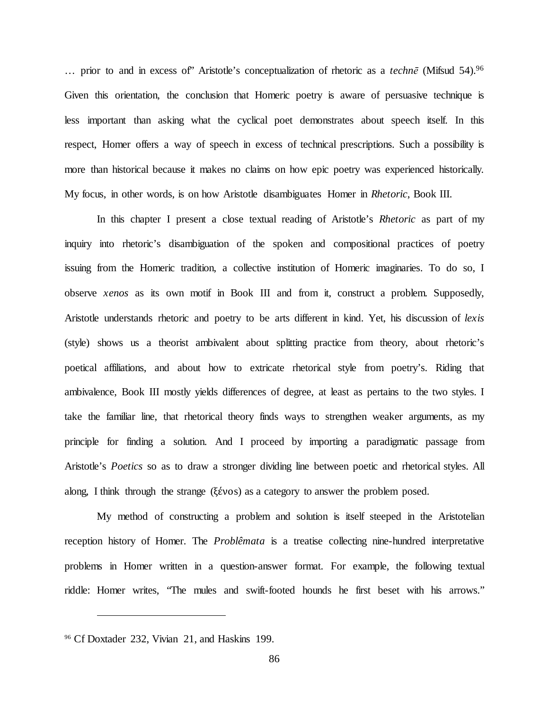… prior to and in excess of" Aristotle's conceptualization of rhetoric as a *technē* (Mifsud 54).96 Given this orientation, the conclusion that Homeric poetry is aware of persuasive technique is less important than asking what the cyclical poet demonstrates about speech itself. In this respect, Homer offers a way of speech in excess of technical prescriptions. Such a possibility is more than historical because it makes no claims on how epic poetry was experienced historically*.* My focus, in other words, is on how Aristotle disambiguates Homer in *Rhetoric*, Book III*.*

In this chapter I present a close textual reading of Aristotle's *Rhetoric* as part of my inquiry into rhetoric's disambiguation of the spoken and compositional practices of poetry issuing from the Homeric tradition, a collective institution of Homeric imaginaries. To do so, I observe *xenos* as its own motif in Book III and from it, construct a problem. Supposedly, Aristotle understands rhetoric and poetry to be arts different in kind. Yet, his discussion of *lexis* (style) shows us a theorist ambivalent about splitting practice from theory, about rhetoric's poetical affiliations, and about how to extricate rhetorical style from poetry's. Riding that ambivalence, Book III mostly yields differences of degree, at least as pertains to the two styles. I take the familiar line, that rhetorical theory finds ways to strengthen weaker arguments, as my principle for finding a solution. And I proceed by importing a paradigmatic passage from Aristotle's *Poetics* so as to draw a stronger dividing line between poetic and rhetorical styles. All along, I think through the strange (ξένοs) as a category to answer the problem posed.

My method of constructing a problem and solution is itself steeped in the Aristotelian reception history of Homer. The *Problêmata* is a treatise collecting nine-hundred interpretative problems in Homer written in a question-answer format. For example, the following textual riddle: Homer writes, "The mules and swift-footed hounds he first beset with his arrows."

<sup>96</sup> Cf Doxtader 232, Vivian 21, and Haskins 199.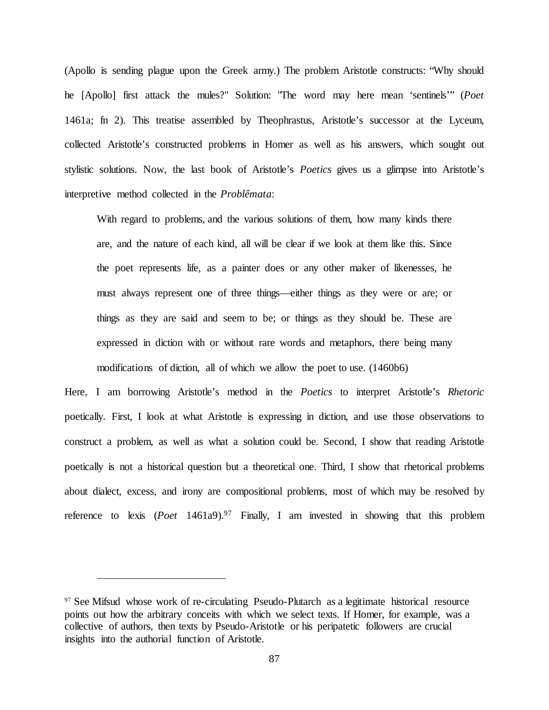(Apollo is sending plague upon the Greek army.) The problem Aristotle constructs: "Why should he [Apollo] first attack the mules?" Solution: "The word may here mean 'sentinels'" (*Poet*  1461a; fn 2). This treatise assembled by Theophrastus, Aristotle's successor at the Lyceum, collected Aristotle's constructed problems in Homer as well as his answers, which sought out stylistic solutions. Now, the last book of Aristotle's *Poetics* gives us a glimpse into Aristotle's interpretive method collected in the *Problêmata*:

With regard to problems, and the various solutions of them, how many kinds there are, and the nature of each kind, all will be clear if we look at them like this. Since the poet represents life, as a painter does or any other maker of likenesses, he must always represent one of three things—either things as they were or are; or things as they are said and seem to be; or things as they should be. These are expressed in diction with or without rare words and metaphors, there being many modifications of diction, all of which we allow the poet to use. (1460b6)

Here, I am borrowing Aristotle's method in the *Poetics* to interpret Aristotle's *Rhetoric* poetically. First, I look at what Aristotle is expressing in diction, and use those observations to construct a problem, as well as what a solution could be. Second, I show that reading Aristotle poetically is not a historical question but a theoretical one. Third, I show that rhetorical problems about dialect, excess, and irony are compositional problems, most of which may be resolved by reference to lexis (*Poet* 1461a9).<sup>97</sup> Finally, I am invested in showing that this problem

<sup>&</sup>lt;sup>97</sup> See Mifsud whose work of re-circulating Pseudo-Plutarch as a legitimate historical resource points out how the arbitrary conceits with which we select texts. If Homer, for example, was a collective of authors, then texts by Pseudo-Aristotle or his peripatetic followers are crucial insights into the authorial function of Aristotle.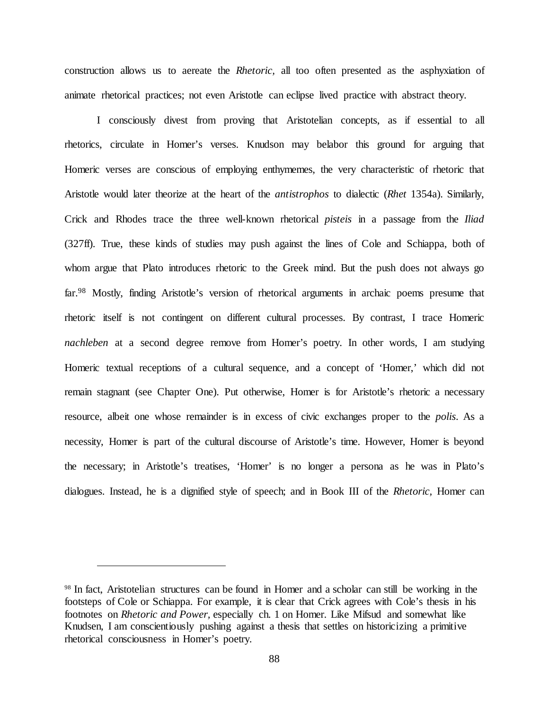construction allows us to aereate the *Rhetoric,* all too often presented as the asphyxiation of animate rhetorical practices; not even Aristotle can eclipse lived practice with abstract theory.

I consciously divest from proving that Aristotelian concepts, as if essential to all rhetorics, circulate in Homer's verses. Knudson may belabor this ground for arguing that Homeric verses are conscious of employing enthymemes, the very characteristic of rhetoric that Aristotle would later theorize at the heart of the *antistrophos* to dialectic (*Rhet* 1354a). Similarly, Crick and Rhodes trace the three well-known rhetorical *pisteis* in a passage from the *Iliad*  (327ff). True, these kinds of studies may push against the lines of Cole and Schiappa, both of whom argue that Plato introduces rhetoric to the Greek mind. But the push does not always go far.<sup>98</sup> Mostly, finding Aristotle's version of rhetorical arguments in archaic poems presume that rhetoric itself is not contingent on different cultural processes. By contrast, I trace Homeric *nachleben* at a second degree remove from Homer's poetry. In other words, I am studying Homeric textual receptions of a cultural sequence, and a concept of 'Homer,' which did not remain stagnant (see Chapter One). Put otherwise, Homer is for Aristotle's rhetoric a necessary resource, albeit one whose remainder is in excess of civic exchanges proper to the *polis*. As a necessity, Homer is part of the cultural discourse of Aristotle's time. However, Homer is beyond the necessary; in Aristotle's treatises, 'Homer' is no longer a persona as he was in Plato's dialogues. Instead, he is a dignified style of speech; and in Book III of the *Rhetoric,* Homer can

<sup>98</sup> In fact, Aristotelian structures can be found in Homer and a scholar can still be working in the footsteps of Cole or Schiappa. For example, it is clear that Crick agrees with Cole's thesis in his footnotes on *Rhetoric and Power,* especially ch. 1 on Homer. Like Mifsud and somewhat like Knudsen, I am conscientiously pushing against a thesis that settles on historicizing a primitive rhetorical consciousness in Homer's poetry.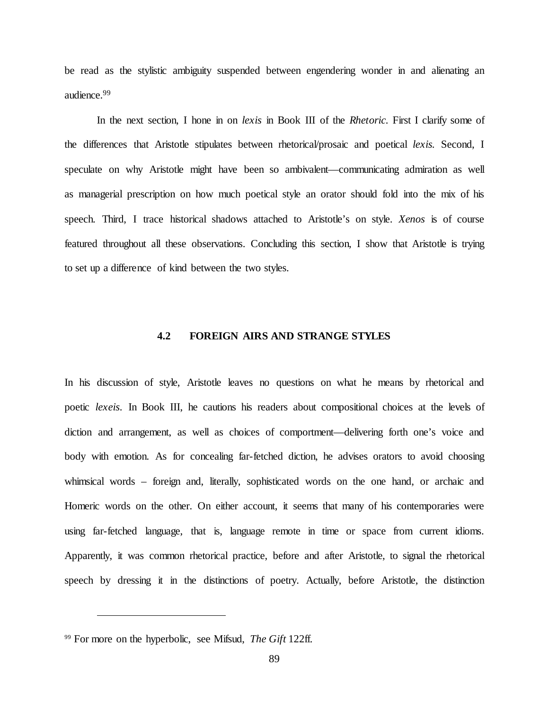be read as the stylistic ambiguity suspended between engendering wonder in and alienating an audience.99

In the next section, I hone in on *lexis* in Book III of the *Rhetoric.* First I clarify some of the differences that Aristotle stipulates between rhetorical/prosaic and poetical *lexis.* Second, I speculate on why Aristotle might have been so ambivalent—communicating admiration as well as managerial prescription on how much poetical style an orator should fold into the mix of his speech. Third, I trace historical shadows attached to Aristotle's on style. *Xenos* is of course featured throughout all these observations. Concluding this section, I show that Aristotle is trying to set up a difference of kind between the two styles.

## **4.2 FOREIGN AIRS AND STRANGE STYLES**

In his discussion of style, Aristotle leaves no questions on what he means by rhetorical and poetic *lexeis*. In Book III, he cautions his readers about compositional choices at the levels of diction and arrangement, as well as choices of comportment—delivering forth one's voice and body with emotion. As for concealing far-fetched diction, he advises orators to avoid choosing whimsical words – foreign and, literally, sophisticated words on the one hand, or archaic and Homeric words on the other. On either account, it seems that many of his contemporaries were using far-fetched language, that is, language remote in time or space from current idioms. Apparently, it was common rhetorical practice, before and after Aristotle, to signal the rhetorical speech by dressing it in the distinctions of poetry. Actually, before Aristotle, the distinction

<sup>99</sup> For more on the hyperbolic, see Mifsud, *The Gift* 122ff.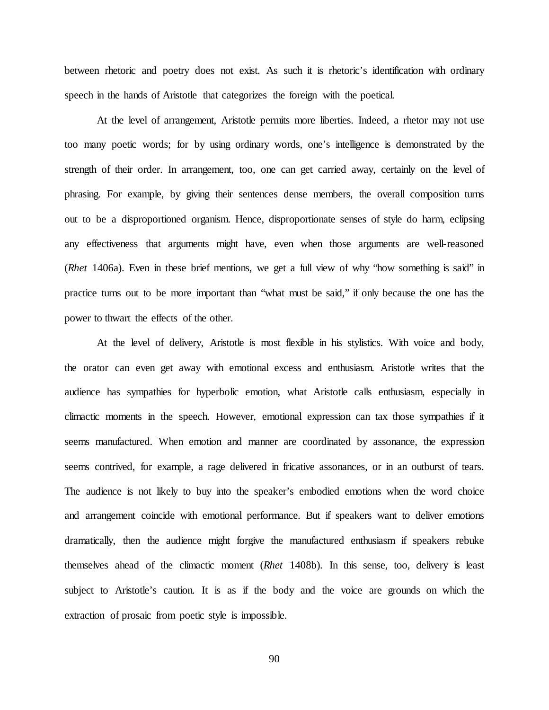between rhetoric and poetry does not exist. As such it is rhetoric's identification with ordinary speech in the hands of Aristotle that categorizes the foreign with the poetical.

At the level of arrangement, Aristotle permits more liberties. Indeed, a rhetor may not use too many poetic words; for by using ordinary words, one's intelligence is demonstrated by the strength of their order. In arrangement, too, one can get carried away, certainly on the level of phrasing. For example, by giving their sentences dense members, the overall composition turns out to be a disproportioned organism. Hence, disproportionate senses of style do harm, eclipsing any effectiveness that arguments might have, even when those arguments are well-reasoned (*Rhet* 1406a). Even in these brief mentions, we get a full view of why "how something is said" in practice turns out to be more important than "what must be said," if only because the one has the power to thwart the effects of the other.

At the level of delivery, Aristotle is most flexible in his stylistics. With voice and body, the orator can even get away with emotional excess and enthusiasm. Aristotle writes that the audience has sympathies for hyperbolic emotion, what Aristotle calls enthusiasm, especially in climactic moments in the speech. However, emotional expression can tax those sympathies if it seems manufactured. When emotion and manner are coordinated by assonance, the expression seems contrived, for example, a rage delivered in fricative assonances, or in an outburst of tears. The audience is not likely to buy into the speaker's embodied emotions when the word choice and arrangement coincide with emotional performance. But if speakers want to deliver emotions dramatically, then the audience might forgive the manufactured enthusiasm if speakers rebuke themselves ahead of the climactic moment (*Rhet* 1408b). In this sense, too, delivery is least subject to Aristotle's caution. It is as if the body and the voice are grounds on which the extraction of prosaic from poetic style is impossible.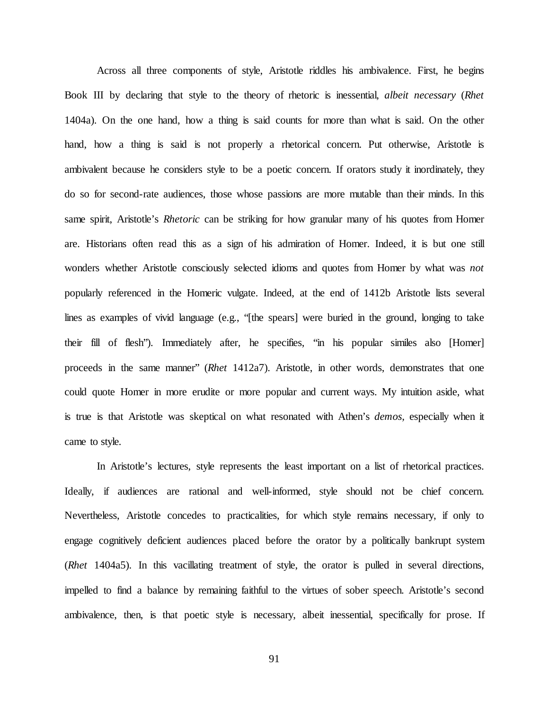Across all three components of style, Aristotle riddles his ambivalence. First, he begins Book III by declaring that style to the theory of rhetoric is inessential, *albeit necessary* (*Rhet*  1404a). On the one hand, how a thing is said counts for more than what is said. On the other hand, how a thing is said is not properly a rhetorical concern. Put otherwise, Aristotle is ambivalent because he considers style to be a poetic concern. If orators study it inordinately, they do so for second-rate audiences, those whose passions are more mutable than their minds. In this same spirit, Aristotle's *Rhetoric* can be striking for how granular many of his quotes from Homer are. Historians often read this as a sign of his admiration of Homer. Indeed, it is but one still wonders whether Aristotle consciously selected idioms and quotes from Homer by what was *not* popularly referenced in the Homeric vulgate. Indeed, at the end of 1412b Aristotle lists several lines as examples of vivid language (e.g., "[the spears] were buried in the ground, longing to take their fill of flesh"). Immediately after, he specifies, "in his popular similes also [Homer] proceeds in the same manner" (*Rhet* 1412a7). Aristotle, in other words, demonstrates that one could quote Homer in more erudite or more popular and current ways. My intuition aside, what is true is that Aristotle was skeptical on what resonated with Athen's *demos,* especially when it came to style*.* 

In Aristotle's lectures, style represents the least important on a list of rhetorical practices. Ideally, if audiences are rational and well-informed, style should not be chief concern. Nevertheless, Aristotle concedes to practicalities, for which style remains necessary, if only to engage cognitively deficient audiences placed before the orator by a politically bankrupt system (*Rhet* 1404a5). In this vacillating treatment of style, the orator is pulled in several directions, impelled to find a balance by remaining faithful to the virtues of sober speech. Aristotle's second ambivalence, then, is that poetic style is necessary, albeit inessential, specifically for prose. If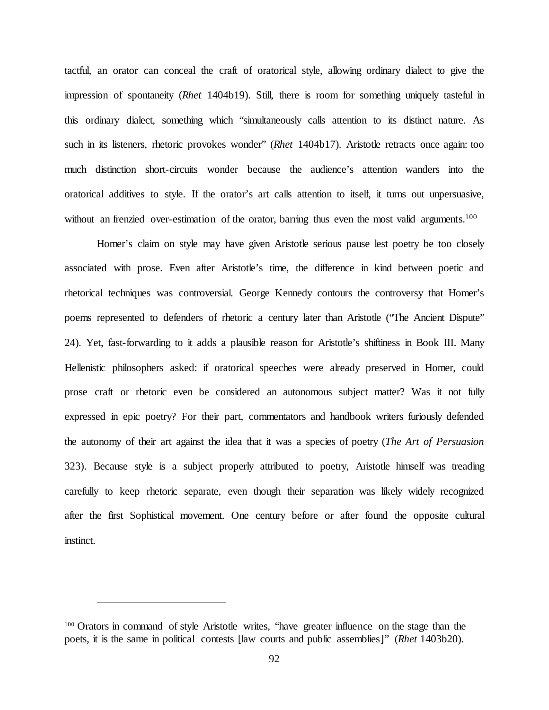tactful, an orator can conceal the craft of oratorical style, allowing ordinary dialect to give the impression of spontaneity (*Rhet* 1404b19). Still, there is room for something uniquely tasteful in this ordinary dialect, something which "simultaneously calls attention to its distinct nature. As such in its listeners, rhetoric provokes wonder" (*Rhet* 1404b17). Aristotle retracts once again: too much distinction short-circuits wonder because the audience's attention wanders into the oratorical additives to style. If the orator's art calls attention to itself, it turns out unpersuasive, without an frenzied over-estimation of the orator, barring thus even the most valid arguments.<sup>100</sup>

Homer's claim on style may have given Aristotle serious pause lest poetry be too closely associated with prose. Even after Aristotle's time, the difference in kind between poetic and rhetorical techniques was controversial. George Kennedy contours the controversy that Homer's poems represented to defenders of rhetoric a century later than Aristotle ("The Ancient Dispute" 24). Yet, fast-forwarding to it adds a plausible reason for Aristotle's shiftiness in Book III. Many Hellenistic philosophers asked: if oratorical speeches were already preserved in Homer, could prose craft or rhetoric even be considered an autonomous subject matter? Was it not fully expressed in epic poetry? For their part, commentators and handbook writers furiously defended the autonomy of their art against the idea that it was a species of poetry (*The Art of Persuasion*  323). Because style is a subject properly attributed to poetry, Aristotle himself was treading carefully to keep rhetoric separate, even though their separation was likely widely recognized after the first Sophistical movement. One century before or after found the opposite cultural instinct.

<sup>&</sup>lt;sup>100</sup> Orators in command of style Aristotle writes, "have greater influence on the stage than the poets, it is the same in political contests [law courts and public assemblies]" (*Rhet* 1403b20).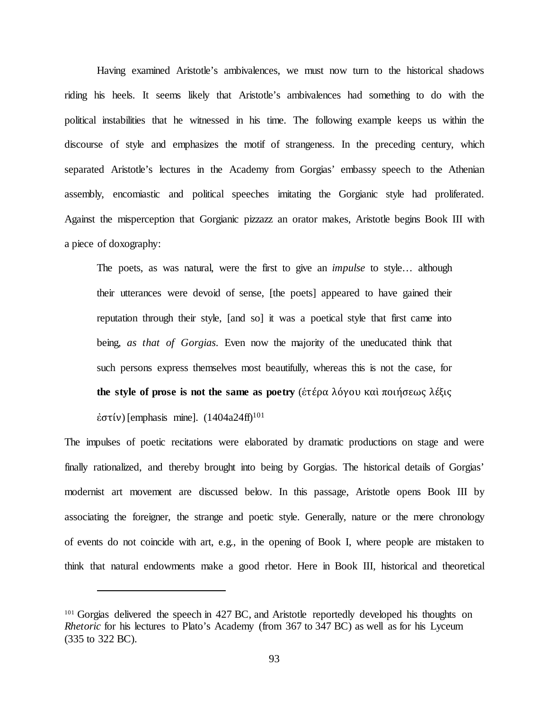Having examined Aristotle's ambivalences, we must now turn to the historical shadows riding his heels. It seems likely that Aristotle's ambivalences had something to do with the political instabilities that he witnessed in his time. The following example keeps us within the discourse of style and emphasizes the motif of strangeness. In the preceding century, which separated Aristotle's lectures in the Academy from Gorgias' embassy speech to the Athenian assembly, encomiastic and political speeches imitating the Gorgianic style had proliferated. Against the misperception that Gorgianic pizzazz an orator makes, Aristotle begins Book III with a piece of doxography:

The poets, as was natural, were the first to give an *impulse* to style… although their utterances were devoid of sense, [the poets] appeared to have gained their reputation through their style, [and so] it was a poetical style that first came into being, *as that of Gorgias*. Even now the majority of the uneducated think that such persons express themselves most beautifully, whereas this is not the case, for **the style of prose is not the same as poetry** (ἑτέρα λόγου καὶ ποιήσεως λέξις έστίν) [emphasis mine].  $(1404a24ff)^{101}$ 

The impulses of poetic recitations were elaborated by dramatic productions on stage and were finally rationalized, and thereby brought into being by Gorgias. The historical details of Gorgias' modernist art movement are discussed below. In this passage, Aristotle opens Book III by associating the foreigner, the strange and poetic style. Generally, nature or the mere chronology of events do not coincide with art, e.g., in the opening of Book I, where people are mistaken to think that natural endowments make a good rhetor. Here in Book III, historical and theoretical

<sup>&</sup>lt;sup>101</sup> Gorgias delivered the speech in 427 BC, and Aristotle reportedly developed his thoughts on *Rhetoric* for his lectures to Plato's Academy (from 367 to 347 BC) as well as for his Lyceum (335 to 322 BC).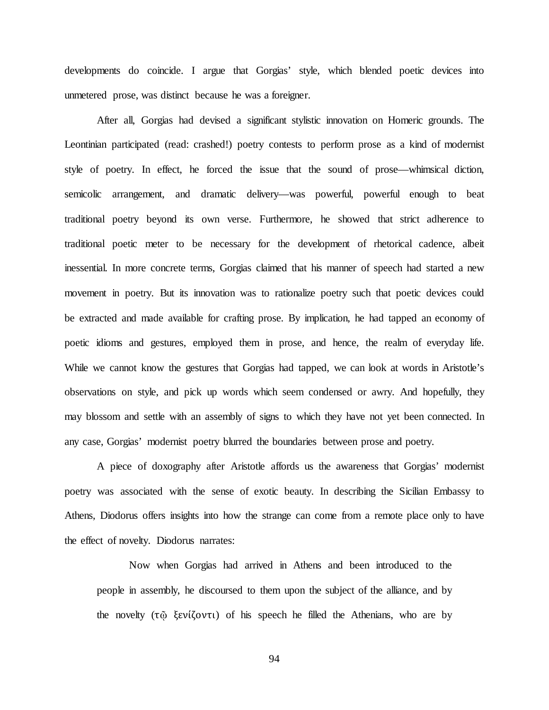developments do coincide. I argue that Gorgias' style, which blended poetic devices into unmetered prose, was distinct because he was a foreigner.

After all, Gorgias had devised a significant stylistic innovation on Homeric grounds. The Leontinian participated (read: crashed!) poetry contests to perform prose as a kind of modernist style of poetry. In effect, he forced the issue that the sound of prose—whimsical diction, semicolic arrangement, and dramatic delivery—was powerful, powerful enough to beat traditional poetry beyond its own verse. Furthermore, he showed that strict adherence to traditional poetic meter to be necessary for the development of rhetorical cadence, albeit inessential. In more concrete terms, Gorgias claimed that his manner of speech had started a new movement in poetry. But its innovation was to rationalize poetry such that poetic devices could be extracted and made available for crafting prose. By implication, he had tapped an economy of poetic idioms and gestures, employed them in prose, and hence, the realm of everyday life. While we cannot know the gestures that Gorgias had tapped, we can look at words in Aristotle's observations on style, and pick up words which seem condensed or awry. And hopefully, they may blossom and settle with an assembly of signs to which they have not yet been connected. In any case, Gorgias' modernist poetry blurred the boundaries between prose and poetry.

A piece of doxography after Aristotle affords us the awareness that Gorgias' modernist poetry was associated with the sense of exotic beauty. In describing the Sicilian Embassy to Athens, Diodorus offers insights into how the strange can come from a remote place only to have the effect of novelty. Diodorus narrates:

Now when Gorgias had arrived in Athens and been introduced to the people in assembly, he discoursed to them upon the subject of the alliance, and by the novelty (τῷ ξενίζοντι) of his speech he filled the Athenians, who are by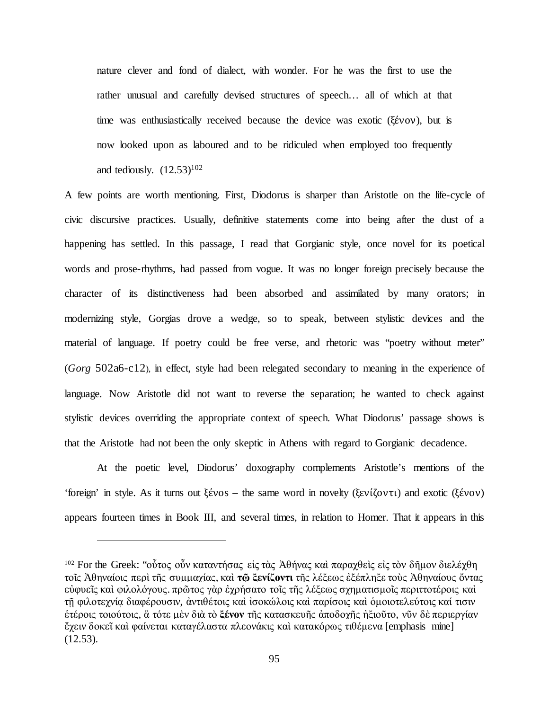nature clever and fond of dialect, with wonder. For he was the first to use the rather unusual and carefully devised structures of speech… all of which at that time was enthusiastically received because the device was exotic (ξένον), but is now looked upon as laboured and to be ridiculed when employed too frequently and tediously.  $(12.53)^{102}$ 

A few points are worth mentioning. First, Diodorus is sharper than Aristotle on the life-cycle of civic discursive practices. Usually, definitive statements come into being after the dust of a happening has settled. In this passage, I read that Gorgianic style, once novel for its poetical words and prose-rhythms, had passed from vogue. It was no longer foreign precisely because the character of its distinctiveness had been absorbed and assimilated by many orators; in modernizing style, Gorgias drove a wedge, so to speak, between stylistic devices and the material of language. If poetry could be free verse, and rhetoric was "poetry without meter" (*Gorg* 502a6-c12), in effect, style had been relegated secondary to meaning in the experience of language. Now Aristotle did not want to reverse the separation; he wanted to check against stylistic devices overriding the appropriate context of speech. What Diodorus' passage shows is that the Aristotle had not been the only skeptic in Athens with regard to Gorgianic decadence.

At the poetic level, Diodorus' doxography complements Aristotle's mentions of the 'foreign' in style. As it turns out ξένοs – the same word in novelty (ξενίζοντι) and exotic (ξένον) appears fourteen times in Book III, and several times, in relation to Homer. That it appears in this

<sup>102</sup> For the Greek: "οὗτος οὖν καταντήσας εἰς τὰς Ἀθήνας καὶ παραχθεὶς εἰς τὸν δῆμον διελέχθη τοῖς Ἀθηναίοις περὶ τῆς συμμαχίας, καὶ **τῷ ξενίζοντι** τῆς λέξεως ἐξέπληξε τοὺς Ἀθηναίους ὄντας εὐφυεῖς καὶ φιλολόγους. πρῶτος γὰρ ἐχρήσατο τοῖς τῆς λέξεως σχηματισμοῖς περιττοτέροις καὶ τῇ φιλοτεχνίᾳ διαφέρουσιν, ἀντιθέτοις καὶ ἰσοκώλοις καὶ παρίσοις καὶ ὁμοιοτελεύτοις καί τισιν ἑτέροις τοιούτοις, ἃ τότε μὲν διὰ τὸ **ξένον** τῆς κατασκευῆς ἀποδοχῆς ἠξιοῦτο, νῦν δὲ περιεργίαν ἔχειν δοκεῖ καὶ φαίνεται καταγέλαστα πλεονάκις καὶ κατακόρως τιθέμενα [emphasis mine] (12.53).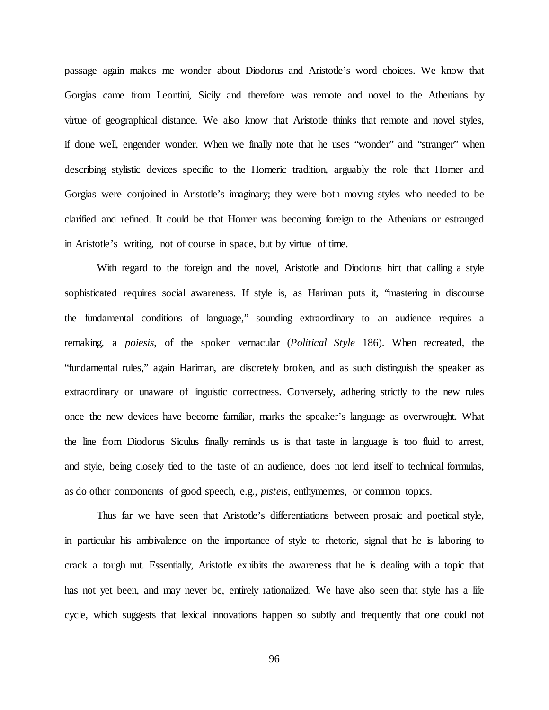passage again makes me wonder about Diodorus and Aristotle's word choices. We know that Gorgias came from Leontini, Sicily and therefore was remote and novel to the Athenians by virtue of geographical distance. We also know that Aristotle thinks that remote and novel styles, if done well, engender wonder. When we finally note that he uses "wonder" and "stranger" when describing stylistic devices specific to the Homeric tradition, arguably the role that Homer and Gorgias were conjoined in Aristotle's imaginary; they were both moving styles who needed to be clarified and refined. It could be that Homer was becoming foreign to the Athenians or estranged in Aristotle's writing, not of course in space, but by virtue of time.

With regard to the foreign and the novel, Aristotle and Diodorus hint that calling a style sophisticated requires social awareness. If style is, as Hariman puts it, "mastering in discourse the fundamental conditions of language," sounding extraordinary to an audience requires a remaking, a *poiesis*, of the spoken vernacular (*Political Style* 186). When recreated, the "fundamental rules," again Hariman, are discretely broken, and as such distinguish the speaker as extraordinary or unaware of linguistic correctness. Conversely, adhering strictly to the new rules once the new devices have become familiar, marks the speaker's language as overwrought. What the line from Diodorus Siculus finally reminds us is that taste in language is too fluid to arrest, and style, being closely tied to the taste of an audience, does not lend itself to technical formulas, as do other components of good speech, e.g., *pisteis*, enthymemes, or common topics.

Thus far we have seen that Aristotle's differentiations between prosaic and poetical style, in particular his ambivalence on the importance of style to rhetoric, signal that he is laboring to crack a tough nut. Essentially, Aristotle exhibits the awareness that he is dealing with a topic that has not yet been, and may never be, entirely rationalized. We have also seen that style has a life cycle, which suggests that lexical innovations happen so subtly and frequently that one could not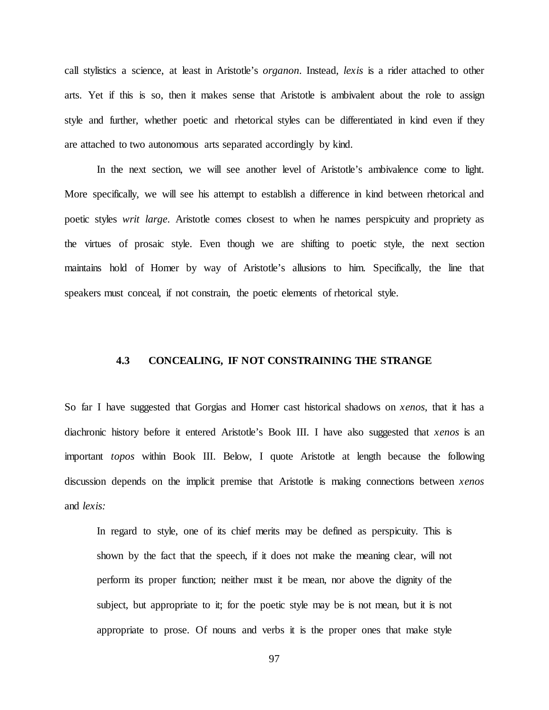call stylistics a science, at least in Aristotle's *organon*. Instead, *lexis* is a rider attached to other arts. Yet if this is so, then it makes sense that Aristotle is ambivalent about the role to assign style and further, whether poetic and rhetorical styles can be differentiated in kind even if they are attached to two autonomous arts separated accordingly by kind.

In the next section, we will see another level of Aristotle's ambivalence come to light. More specifically, we will see his attempt to establish a difference in kind between rhetorical and poetic styles *writ large*. Aristotle comes closest to when he names perspicuity and propriety as the virtues of prosaic style. Even though we are shifting to poetic style, the next section maintains hold of Homer by way of Aristotle's allusions to him. Specifically, the line that speakers must conceal, if not constrain, the poetic elements of rhetorical style.

## **4.3 CONCEALING, IF NOT CONSTRAINING THE STRANGE**

So far I have suggested that Gorgias and Homer cast historical shadows on *xenos*, that it has a diachronic history before it entered Aristotle's Book III. I have also suggested that *xenos* is an important *topos* within Book III. Below, I quote Aristotle at length because the following discussion depends on the implicit premise that Aristotle is making connections between *xenos*  and *lexis:*

In regard to style, one of its chief merits may be defined as perspicuity. This is shown by the fact that the speech, if it does not make the meaning clear, will not perform its proper function; neither must it be mean, nor above the dignity of the subject, but appropriate to it; for the poetic style may be is not mean, but it is not appropriate to prose. Of nouns and verbs it is the proper ones that make style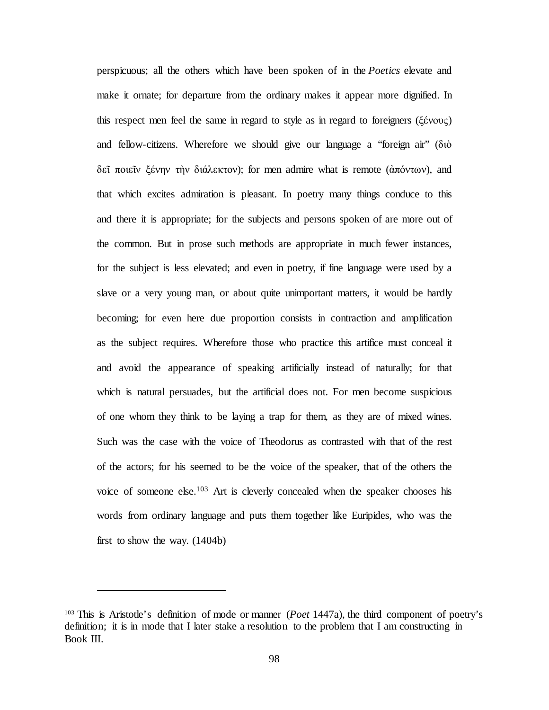perspicuous; all the others which have been spoken of in the *Poetics* elevate and make it ornate; for departure from the ordinary makes it appear more dignified. In this respect men feel the same in regard to style as in regard to foreigners (ξένους) and fellow-citizens. Wherefore we should give our language a "foreign air" (διὸ δεῖ ποιεῖν ξένην τὴν διάλεκτον); for men admire what is remote (ἀπόντων), and that which excites admiration is pleasant. In poetry many things conduce to this and there it is appropriate; for the subjects and persons spoken of are more out of the common. But in prose such methods are appropriate in much fewer instances, for the subject is less elevated; and even in poetry, if fine language were used by a slave or a very young man, or about quite unimportant matters, it would be hardly becoming; for even here due proportion consists in contraction and amplification as the subject requires. Wherefore those who practice this artifice must conceal it and avoid the appearance of speaking artificially instead of naturally; for that which is natural persuades, but the artificial does not. For men become suspicious of one whom they think to be laying a trap for them, as they are of mixed wines. Such was the case with the voice of Theodorus as contrasted with that of the rest of the actors; for his seemed to be the voice of the speaker, that of the others the voice of someone else.103 Art is cleverly concealed when the speaker chooses his words from ordinary language and puts them together like Euripides, who was the first to show the way. (1404b)

<sup>103</sup> This is Aristotle's definition of mode or manner (*Poet* 1447a), the third component of poetry's definition; it is in mode that I later stake a resolution to the problem that I am constructing in Book III.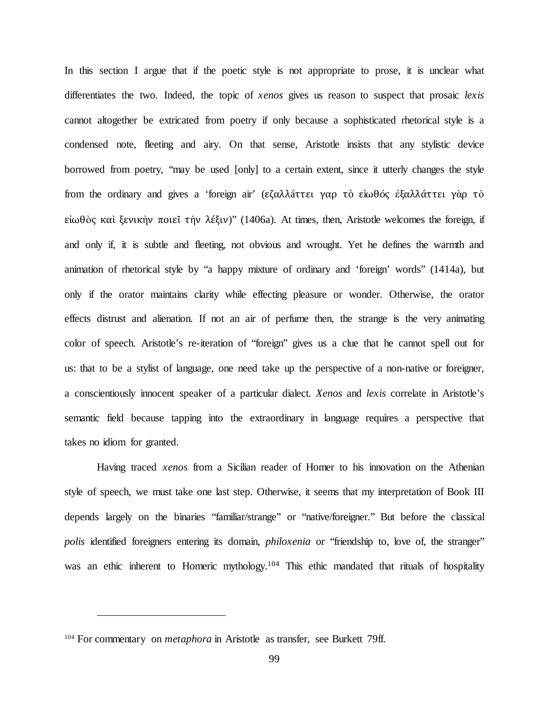In this section I argue that if the poetic style is not appropriate to prose, it is unclear what differentiates the two. Indeed, the topic of *xenos* gives us reason to suspect that prosaic *lexis*  cannot altogether be extricated from poetry if only because a sophisticated rhetorical style is a condensed note, fleeting and airy. On that sense, Aristotle insists that any stylistic device borrowed from poetry, "may be used [only] to a certain extent, since it utterly changes the style from the ordinary and gives a 'foreign air' (εζαλλáττει γαρ τò εìωθóς ἐξαλλάττει γὰρ τὸ εἰωθὸς καὶ ξενικὴν ποιεῖ τὴν λέξιν)" (1406a). At times, then, Aristotle welcomes the foreign, if and only if, it is subtle and fleeting, not obvious and wrought. Yet he defines the warmth and animation of rhetorical style by "a happy mixture of ordinary and 'foreign' words" (1414a), but only if the orator maintains clarity while effecting pleasure or wonder. Otherwise, the orator effects distrust and alienation. If not an air of perfume then, the strange is the very animating color of speech. Aristotle's re-iteration of "foreign" gives us a clue that he cannot spell out for us: that to be a stylist of language, one need take up the perspective of a non-native or foreigner, a conscientiously innocent speaker of a particular dialect. *Xenos* and *lexis* correlate in Aristotle's semantic field because tapping into the extraordinary in language requires a perspective that takes no idiom for granted.

Having traced *xenos* from a Sicilian reader of Homer to his innovation on the Athenian style of speech, we must take one last step. Otherwise, it seems that my interpretation of Book III depends largely on the binaries "familiar/strange" or "native/foreigner." But before the classical *polis* identified foreigners entering its domain, *philoxenia* or "friendship to, love of, the stranger" was an ethic inherent to Homeric mythology.<sup>104</sup> This ethic mandated that rituals of hospitality

<sup>&</sup>lt;sup>104</sup> For commentary on *metaphora* in Aristotle as transfer, see Burkett 79ff.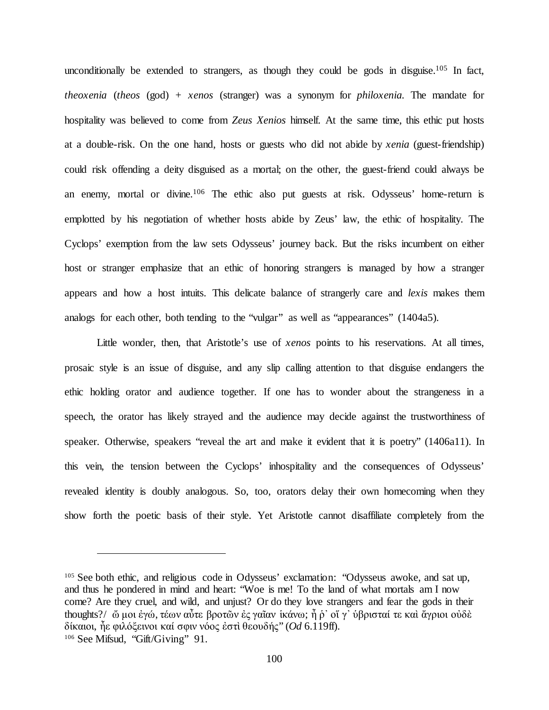unconditionally be extended to strangers, as though they could be gods in disguise.<sup>105</sup> In fact, *theoxenia* (*theos* (god) + *xenos* (stranger) was a synonym for *philoxenia.* The mandate for hospitality was believed to come from *Zeus Xenios* himself. At the same time, this ethic put hosts at a double-risk. On the one hand, hosts or guests who did not abide by *xenia* (guest-friendship) could risk offending a deity disguised as a mortal; on the other, the guest-friend could always be an enemy, mortal or divine.106 The ethic also put guests at risk. Odysseus' home-return is emplotted by his negotiation of whether hosts abide by Zeus' law, the ethic of hospitality. The Cyclops' exemption from the law sets Odysseus' journey back. But the risks incumbent on either host or stranger emphasize that an ethic of honoring strangers is managed by how a stranger appears and how a host intuits. This delicate balance of strangerly care and *lexis* makes them analogs for each other, both tending to the "vulgar" as well as "appearances" (1404a5).

Little wonder, then, that Aristotle's use of *xenos* points to his reservations. At all times, prosaic style is an issue of disguise, and any slip calling attention to that disguise endangers the ethic holding orator and audience together. If one has to wonder about the strangeness in a speech, the orator has likely strayed and the audience may decide against the trustworthiness of speaker. Otherwise, speakers "reveal the art and make it evident that it is poetry" (1406a11). In this vein, the tension between the Cyclops' inhospitality and the consequences of Odysseus' revealed identity is doubly analogous. So, too, orators delay their own homecoming when they show forth the poetic basis of their style. Yet Aristotle cannot disaffiliate completely from the

<sup>&</sup>lt;sup>105</sup> See both ethic, and religious code in Odysseus' exclamation: "Odysseus awoke, and sat up, and thus he pondered in mind and heart: "Woe is me! To the land of what mortals am I now come? Are they cruel, and wild, and unjust? Or do they love strangers and fear the gods in their thoughts?/ ὤ μοι ἐγώ, τέων αὖτε βροτῶν ἐς γαῖαν ἱκάνω; ἦ ῥ' οἵ γ' ὑβρισταί τε καὶ ἄγριοι οὐδὲ δίκαιοι, ἦε φιλόξεινοι καί σφιν νόος ἐστὶ θεουδής" (*Od* 6.119ff). <sup>106</sup> See Mifsud, "Gift/Giving" 91.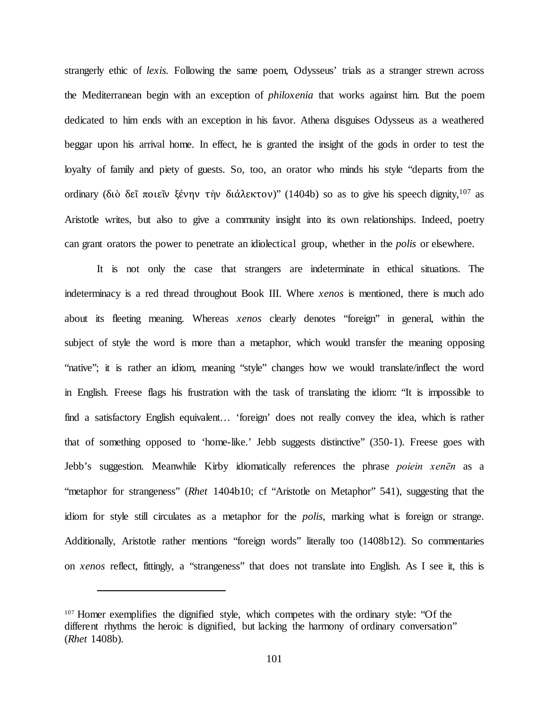strangerly ethic of *lexis.* Following the same poem, Odysseus' trials as a stranger strewn across the Mediterranean begin with an exception of *philoxenia* that works against him. But the poem dedicated to him ends with an exception in his favor. Athena disguises Odysseus as a weathered beggar upon his arrival home. In effect, he is granted the insight of the gods in order to test the loyalty of family and piety of guests. So, too, an orator who minds his style "departs from the ordinary (διὸ δεῖ ποιεῖν ξένην τὴν διάλεκτον)" (1404b) so as to give his speech dignity,  $107$  as Aristotle writes, but also to give a community insight into its own relationships. Indeed, poetry can grant orators the power to penetrate an idiolectical group, whether in the *polis* or elsewhere.

It is not only the case that strangers are indeterminate in ethical situations. The indeterminacy is a red thread throughout Book III. Where *xenos* is mentioned, there is much ado about its fleeting meaning. Whereas *xenos* clearly denotes "foreign" in general, within the subject of style the word is more than a metaphor, which would transfer the meaning opposing "native"; it is rather an idiom, meaning "style" changes how we would translate/inflect the word in English. Freese flags his frustration with the task of translating the idiom: "It is impossible to find a satisfactory English equivalent… 'foreign' does not really convey the idea, which is rather that of something opposed to 'home-like.' Jebb suggests distinctive" (350-1). Freese goes with Jebb's suggestion. Meanwhile Kirby idiomatically references the phrase *poiein xenēn* as a "metaphor for strangeness" (*Rhet* 1404b10; cf "Aristotle on Metaphor" 541), suggesting that the idiom for style still circulates as a metaphor for the *polis*, marking what is foreign or strange. Additionally, Aristotle rather mentions "foreign words" literally too (1408b12). So commentaries on *xenos* reflect, fittingly, a "strangeness" that does not translate into English. As I see it, this is

<sup>&</sup>lt;sup>107</sup> Homer exemplifies the dignified style, which competes with the ordinary style: "Of the different rhythms the heroic is dignified, but lacking the harmony of ordinary conversation" (*Rhet* 1408b).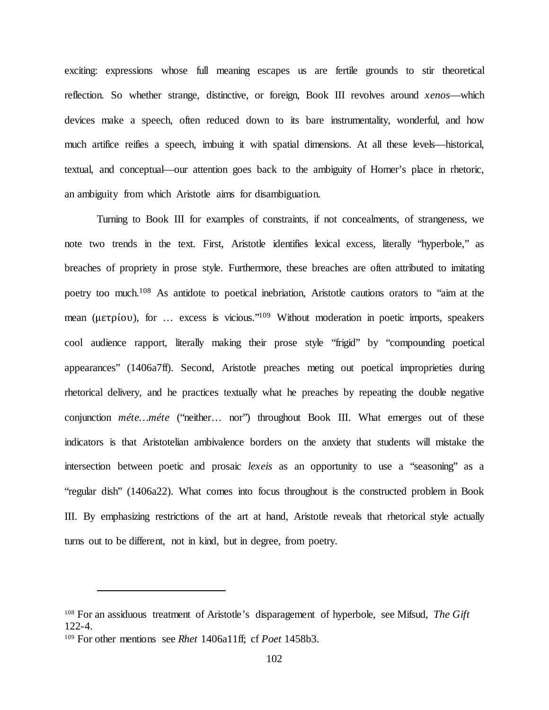exciting: expressions whose full meaning escapes us are fertile grounds to stir theoretical reflection. So whether strange, distinctive, or foreign, Book III revolves around *xenos*—which devices make a speech, often reduced down to its bare instrumentality, wonderful, and how much artifice reifies a speech, imbuing it with spatial dimensions. At all these levels—historical, textual, and conceptual—our attention goes back to the ambiguity of Homer's place in rhetoric, an ambiguity from which Aristotle aims for disambiguation.

Turning to Book III for examples of constraints, if not concealments, of strangeness, we note two trends in the text. First, Aristotle identifies lexical excess, literally "hyperbole," as breaches of propriety in prose style. Furthermore, these breaches are often attributed to imitating poetry too much.<sup>108</sup> As antidote to poetical inebriation, Aristotle cautions orators to "aim at the mean (μετρίου), for ... excess is vicious."<sup>109</sup> Without moderation in poetic imports, speakers cool audience rapport, literally making their prose style "frigid" by "compounding poetical appearances" (1406a7ff). Second, Aristotle preaches meting out poetical improprieties during rhetorical delivery, and he practices textually what he preaches by repeating the double negative conjunction *méte…méte* ("neither… nor") throughout Book III. What emerges out of these indicators is that Aristotelian ambivalence borders on the anxiety that students will mistake the intersection between poetic and prosaic *lexeis* as an opportunity to use a "seasoning" as a "regular dish" (1406a22). What comes into focus throughout is the constructed problem in Book III. By emphasizing restrictions of the art at hand, Aristotle reveals that rhetorical style actually turns out to be different, not in kind, but in degree, from poetry.

<sup>108</sup> For an assiduous treatment of Aristotle's disparagement of hyperbole, see Mifsud, *The Gift*  122-4.

<sup>109</sup> For other mentions see *Rhet* 1406a11ff; cf *Poet* 1458b3.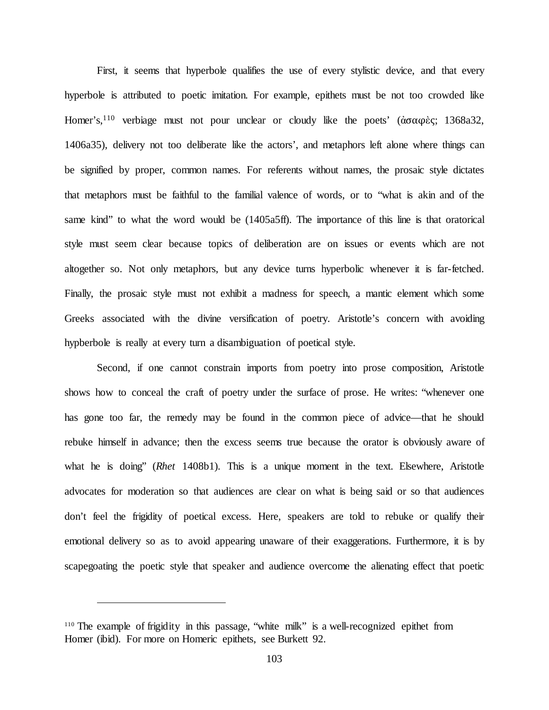First, it seems that hyperbole qualifies the use of every stylistic device, and that every hyperbole is attributed to poetic imitation. For example, epithets must be not too crowded like Homer's,110 verbiage must not pour unclear or cloudy like the poets' (ἀσαφὲς; 1368a32, 1406a35), delivery not too deliberate like the actors', and metaphors left alone where things can be signified by proper, common names. For referents without names, the prosaic style dictates that metaphors must be faithful to the familial valence of words, or to "what is akin and of the same kind" to what the word would be (1405a5ff). The importance of this line is that oratorical style must seem clear because topics of deliberation are on issues or events which are not altogether so. Not only metaphors, but any device turns hyperbolic whenever it is far-fetched. Finally, the prosaic style must not exhibit a madness for speech, a mantic element which some Greeks associated with the divine versification of poetry. Aristotle's concern with avoiding hypberbole is really at every turn a disambiguation of poetical style.

Second, if one cannot constrain imports from poetry into prose composition, Aristotle shows how to conceal the craft of poetry under the surface of prose. He writes: "whenever one has gone too far, the remedy may be found in the common piece of advice—that he should rebuke himself in advance; then the excess seems true because the orator is obviously aware of what he is doing" (*Rhet* 1408b1). This is a unique moment in the text. Elsewhere, Aristotle advocates for moderation so that audiences are clear on what is being said or so that audiences don't feel the frigidity of poetical excess. Here, speakers are told to rebuke or qualify their emotional delivery so as to avoid appearing unaware of their exaggerations. Furthermore, it is by scapegoating the poetic style that speaker and audience overcome the alienating effect that poetic

<sup>110</sup> The example of frigidity in this passage, "white milk" is a well-recognized epithet from Homer (ibid). For more on Homeric epithets, see Burkett 92.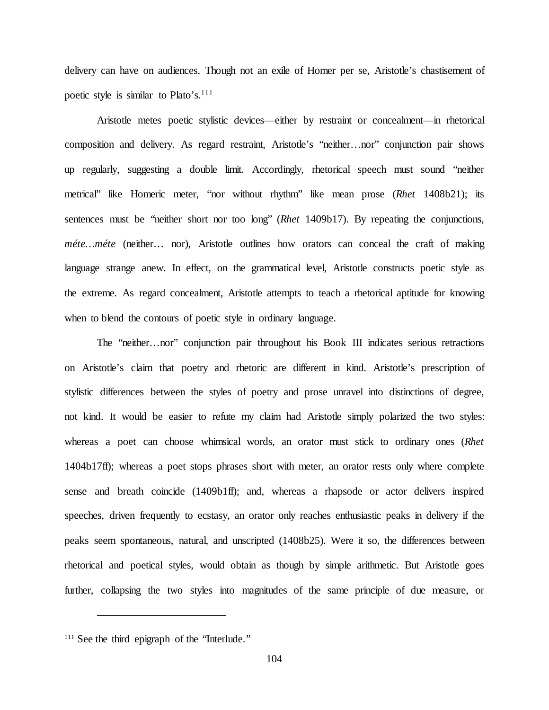delivery can have on audiences. Though not an exile of Homer per se, Aristotle's chastisement of poetic style is similar to Plato's.<sup>111</sup>

Aristotle metes poetic stylistic devices—either by restraint or concealment—in rhetorical composition and delivery. As regard restraint, Aristotle's "neither…nor" conjunction pair shows up regularly, suggesting a double limit. Accordingly, rhetorical speech must sound "neither metrical" like Homeric meter, "nor without rhythm" like mean prose (*Rhet* 1408b21); its sentences must be "neither short nor too long" (*Rhet* 1409b17). By repeating the conjunctions, *méte…méte* (neither… nor), Aristotle outlines how orators can conceal the craft of making language strange anew. In effect, on the grammatical level, Aristotle constructs poetic style as the extreme. As regard concealment, Aristotle attempts to teach a rhetorical aptitude for knowing when to blend the contours of poetic style in ordinary language.

The "neither…nor" conjunction pair throughout his Book III indicates serious retractions on Aristotle's claim that poetry and rhetoric are different in kind. Aristotle's prescription of stylistic differences between the styles of poetry and prose unravel into distinctions of degree, not kind. It would be easier to refute my claim had Aristotle simply polarized the two styles: whereas a poet can choose whimsical words, an orator must stick to ordinary ones (*Rhet*  1404b17ff); whereas a poet stops phrases short with meter, an orator rests only where complete sense and breath coincide (1409b1ff); and, whereas a rhapsode or actor delivers inspired speeches, driven frequently to ecstasy, an orator only reaches enthusiastic peaks in delivery if the peaks seem spontaneous, natural, and unscripted (1408b25). Were it so, the differences between rhetorical and poetical styles, would obtain as though by simple arithmetic. But Aristotle goes further, collapsing the two styles into magnitudes of the same principle of due measure, or

<sup>&</sup>lt;sup>111</sup> See the third epigraph of the "Interlude."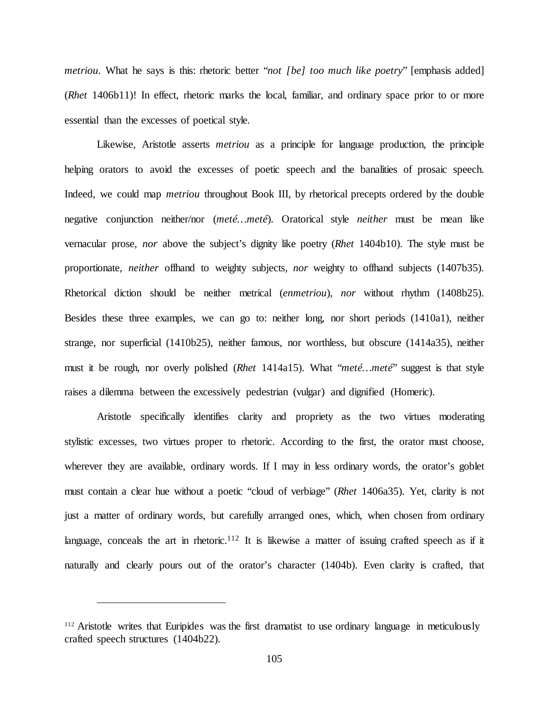*metriou*. What he says is this: rhetoric better "*not [be] too much like poetry*" [emphasis added] (*Rhet* 1406b11)! In effect, rhetoric marks the local, familiar, and ordinary space prior to or more essential than the excesses of poetical style.

Likewise, Aristotle asserts *metriou* as a principle for language production, the principle helping orators to avoid the excesses of poetic speech and the banalities of prosaic speech. Indeed, we could map *metriou* throughout Book III, by rhetorical precepts ordered by the double negative conjunction neither/nor (*meté…meté*). Oratorical style *neither* must be mean like vernacular prose, *nor* above the subject's dignity like poetry (*Rhet* 1404b10). The style must be proportionate, *neither* offhand to weighty subjects, *nor* weighty to offhand subjects (1407b35). Rhetorical diction should be neither metrical (*enmetriou*), *nor* without rhythm (1408b25). Besides these three examples, we can go to: neither long, nor short periods (1410a1), neither strange, nor superficial (1410b25), neither famous, nor worthless, but obscure (1414a35), neither must it be rough, nor overly polished (*Rhet* 1414a15). What "*meté…meté*" suggest is that style raises a dilemma between the excessively pedestrian (vulgar) and dignified (Homeric).

Aristotle specifically identifies clarity and propriety as the two virtues moderating stylistic excesses, two virtues proper to rhetoric. According to the first, the orator must choose, wherever they are available, ordinary words. If I may in less ordinary words, the orator's goblet must contain a clear hue without a poetic "cloud of verbiage" (*Rhet* 1406a35). Yet, clarity is not just a matter of ordinary words, but carefully arranged ones, which, when chosen from ordinary language, conceals the art in rhetoric.<sup>112</sup> It is likewise a matter of issuing crafted speech as if it naturally and clearly pours out of the orator's character (1404b). Even clarity is crafted, that

<sup>&</sup>lt;sup>112</sup> Aristotle writes that Euripides was the first dramatist to use ordinary language in meticulously crafted speech structures (1404b22).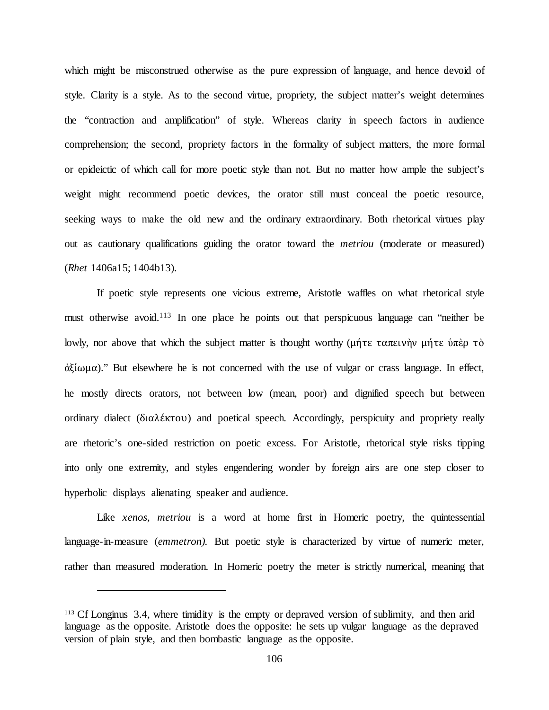which might be misconstrued otherwise as the pure expression of language, and hence devoid of style. Clarity is a style. As to the second virtue, propriety, the subject matter's weight determines the "contraction and amplification" of style. Whereas clarity in speech factors in audience comprehension; the second, propriety factors in the formality of subject matters, the more formal or epideictic of which call for more poetic style than not. But no matter how ample the subject's weight might recommend poetic devices, the orator still must conceal the poetic resource, seeking ways to make the old new and the ordinary extraordinary. Both rhetorical virtues play out as cautionary qualifications guiding the orator toward the *metriou* (moderate or measured) (*Rhet* 1406a15; 1404b13).

If poetic style represents one vicious extreme, Aristotle waffles on what rhetorical style must otherwise avoid.<sup>113</sup> In one place he points out that perspicuous language can "neither be lowly, nor above that which the subject matter is thought worthy (μήτε ταπεινὴν μήτε ὑπὲρ τὸ ἀξίωμα)." But elsewhere he is not concerned with the use of vulgar or crass language. In effect, he mostly directs orators, not between low (mean, poor) and dignified speech but between ordinary dialect (διαλέκτου) and poetical speech. Accordingly, perspicuity and propriety really are rhetoric's one-sided restriction on poetic excess. For Aristotle, rhetorical style risks tipping into only one extremity, and styles engendering wonder by foreign airs are one step closer to hyperbolic displays alienating speaker and audience.

Like *xenos, metriou* is a word at home first in Homeric poetry, the quintessential language-in-measure (*emmetron).* But poetic style is characterized by virtue of numeric meter, rather than measured moderation. In Homeric poetry the meter is strictly numerical, meaning that

<sup>113</sup> Cf Longinus 3.4, where timidity is the empty or depraved version of sublimity, and then arid language as the opposite. Aristotle does the opposite: he sets up vulgar language as the depraved version of plain style, and then bombastic language as the opposite.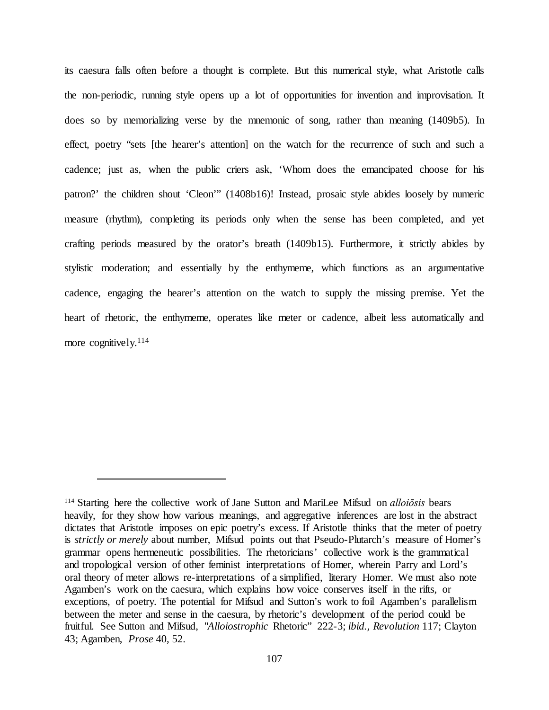its caesura falls often before a thought is complete. But this numerical style, what Aristotle calls the non-periodic, running style opens up a lot of opportunities for invention and improvisation. It does so by memorializing verse by the mnemonic of song, rather than meaning (1409b5). In effect, poetry "sets [the hearer's attention] on the watch for the recurrence of such and such a cadence; just as, when the public criers ask, 'Whom does the emancipated choose for his patron?' the children shout 'Cleon'" (1408b16)! Instead, prosaic style abides loosely by numeric measure (rhythm), completing its periods only when the sense has been completed, and yet crafting periods measured by the orator's breath (1409b15). Furthermore, it strictly abides by stylistic moderation; and essentially by the enthymeme, which functions as an argumentative cadence, engaging the hearer's attention on the watch to supply the missing premise. Yet the heart of rhetoric, the enthymeme, operates like meter or cadence, albeit less automatically and more cognitively.<sup>114</sup>

<sup>114</sup> Starting here the collective work of Jane Sutton and MariLee Mifsud on *alloiōsis* bears heavily, for they show how various meanings, and aggregative inferences are lost in the abstract dictates that Aristotle imposes on epic poetry's excess. If Aristotle thinks that the meter of poetry is *strictly or merely* about number, Mifsud points out that Pseudo-Plutarch's measure of Homer's grammar opens hermeneutic possibilities. The rhetoricians' collective work is the grammatical and tropological version of other feminist interpretations of Homer, wherein Parry and Lord's oral theory of meter allows re-interpretations of a simplified, literary Homer. We must also note Agamben's work on the caesura, which explains how voice conserves itself in the rifts, or exceptions, of poetry. The potential for Mifsud and Sutton's work to foil Agamben's parallelism between the meter and sense in the caesura, by rhetoric's development of the period could be fruitful. See Sutton and Mifsud, "*Alloiostrophic* Rhetoric" 222-3; *ibid., Revolution* 117; Clayton 43; Agamben, *Prose* 40, 52.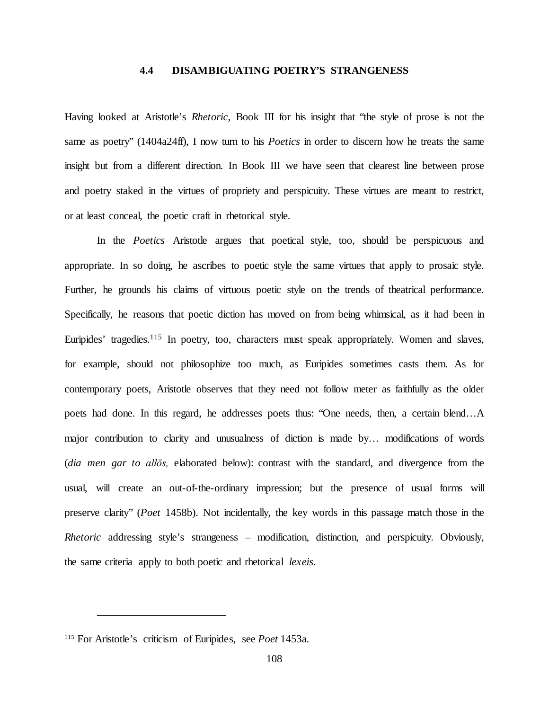# **4.4 DISAMBIGUATING POETRY'S STRANGENESS**

Having looked at Aristotle's *Rhetoric*, Book III for his insight that "the style of prose is not the same as poetry" (1404a24ff), I now turn to his *Poetics* in order to discern how he treats the same insight but from a different direction. In Book III we have seen that clearest line between prose and poetry staked in the virtues of propriety and perspicuity. These virtues are meant to restrict, or at least conceal, the poetic craft in rhetorical style.

In the *Poetics* Aristotle argues that poetical style, too, should be perspicuous and appropriate. In so doing, he ascribes to poetic style the same virtues that apply to prosaic style. Further, he grounds his claims of virtuous poetic style on the trends of theatrical performance. Specifically, he reasons that poetic diction has moved on from being whimsical, as it had been in Euripides' tragedies.<sup>115</sup> In poetry, too, characters must speak appropriately. Women and slaves, for example, should not philosophize too much, as Euripides sometimes casts them. As for contemporary poets, Aristotle observes that they need not follow meter as faithfully as the older poets had done. In this regard, he addresses poets thus: "One needs, then, a certain blend…A major contribution to clarity and unusualness of diction is made by… modifications of words (*dia men gar to allōs,* elaborated below): contrast with the standard, and divergence from the usual, will create an out-of-the-ordinary impression; but the presence of usual forms will preserve clarity" (*Poet* 1458b). Not incidentally, the key words in this passage match those in the *Rhetoric* addressing style's strangeness – modification, distinction, and perspicuity. Obviously, the same criteria apply to both poetic and rhetorical *lexeis*.

<sup>115</sup> For Aristotle's criticism of Euripides, see *Poet* 1453a.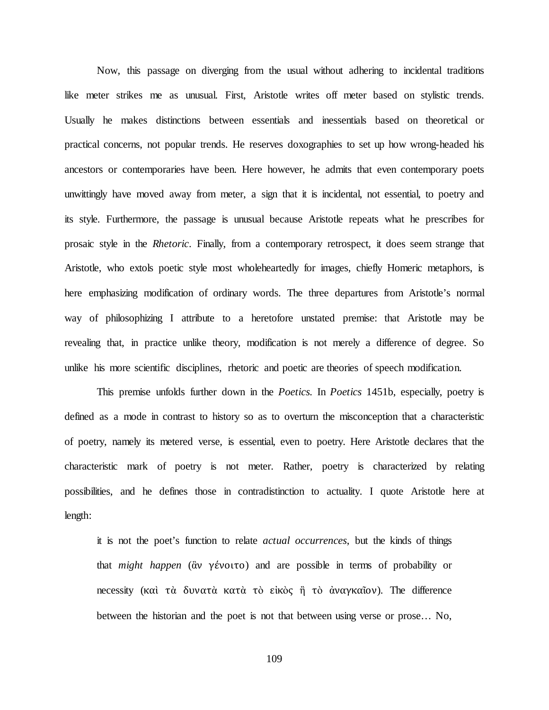Now, this passage on diverging from the usual without adhering to incidental traditions like meter strikes me as unusual. First, Aristotle writes off meter based on stylistic trends. Usually he makes distinctions between essentials and inessentials based on theoretical or practical concerns, not popular trends. He reserves doxographies to set up how wrong-headed his ancestors or contemporaries have been. Here however, he admits that even contemporary poets unwittingly have moved away from meter, a sign that it is incidental, not essential, to poetry and its style. Furthermore, the passage is unusual because Aristotle repeats what he prescribes for prosaic style in the *Rhetoric*. Finally, from a contemporary retrospect, it does seem strange that Aristotle, who extols poetic style most wholeheartedly for images, chiefly Homeric metaphors, is here emphasizing modification of ordinary words. The three departures from Aristotle's normal way of philosophizing I attribute to a heretofore unstated premise: that Aristotle may be revealing that, in practice unlike theory, modification is not merely a difference of degree. So unlike his more scientific disciplines, rhetoric and poetic are theories of speech modification.

This premise unfolds further down in the *Poetics.* In *Poetics* 1451b, especially, poetry is defined as a mode in contrast to history so as to overturn the misconception that a characteristic of poetry, namely its metered verse, is essential, even to poetry. Here Aristotle declares that the characteristic mark of poetry is not meter. Rather, poetry is characterized by relating possibilities, and he defines those in contradistinction to actuality. I quote Aristotle here at length:

it is not the poet's function to relate *actual occurrences*, but the kinds of things that *might happen* (ἂν γένοιτο) and are possible in terms of probability or necessity (καὶ τὰ δυνατὰ κατὰ τὸ εἰκὸς ἢ τὸ ἀναγκαῖον). The difference between the historian and the poet is not that between using verse or prose… No,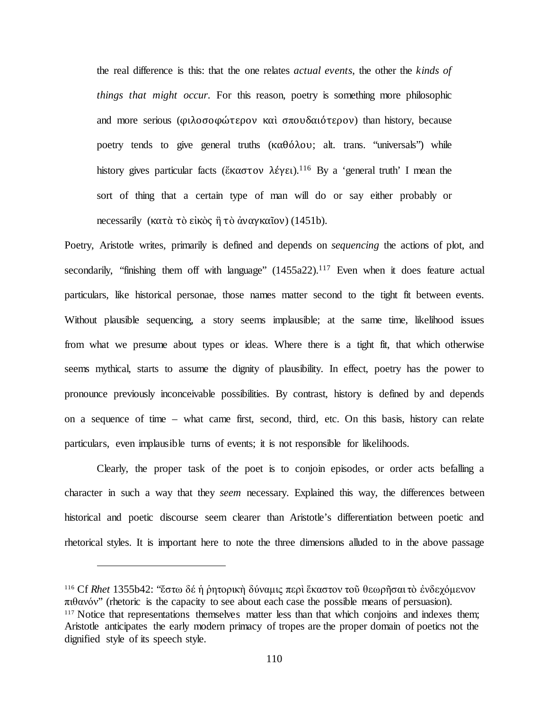the real difference is this: that the one relates *actual events*, the other the *kinds of things that might occur*. For this reason, poetry is something more philosophic and more serious (φιλοσοφώτερον καὶ σπουδαιότερον) than history, because poetry tends to give general truths (καθόλου; alt. trans. "universals") while history gives particular facts (ἕκαστον λέγει).<sup>116</sup> By a 'general truth' I mean the sort of thing that a certain type of man will do or say either probably or necessarily (κατὰ τὸ εἰκὸς ἢ τὸ ἀναγκαῖον) (1451b).

Poetry, Aristotle writes, primarily is defined and depends on *sequencing* the actions of plot, and secondarily, "finishing them off with language"  $(1455a22).<sup>117</sup>$  Even when it does feature actual particulars, like historical personae, those names matter second to the tight fit between events. Without plausible sequencing, a story seems implausible; at the same time, likelihood issues from what we presume about types or ideas. Where there is a tight fit, that which otherwise seems mythical, starts to assume the dignity of plausibility. In effect, poetry has the power to pronounce previously inconceivable possibilities. By contrast, history is defined by and depends on a sequence of time – what came first, second, third, etc. On this basis, history can relate particulars, even implausible turns of events; it is not responsible for likelihoods.

Clearly, the proper task of the poet is to conjoin episodes, or order acts befalling a character in such a way that they *seem* necessary. Explained this way, the differences between historical and poetic discourse seem clearer than Aristotle's differentiation between poetic and rhetorical styles. It is important here to note the three dimensions alluded to in the above passage

<sup>116</sup> Cf *Rhet* 1355b42: "ἔστω δέ ἡ ῥητορικὴ δύναμις περὶ ἕκαστον τοῦ θεωρῆσαι τὸ ἐνδεχόμενον  $πιθανόν"$  (rhetoric is the capacity to see about each case the possible means of persuasion).<br><sup>117</sup> Notice that representations themselves matter less than that which conjoins and indexes them; Aristotle anticipates the early modern primacy of tropes are the proper domain of poetics not the dignified style of its speech style.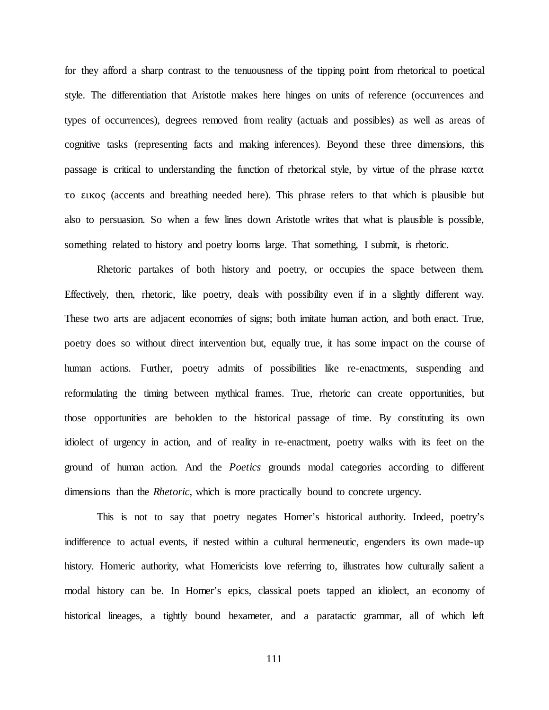for they afford a sharp contrast to the tenuousness of the tipping point from rhetorical to poetical style. The differentiation that Aristotle makes here hinges on units of reference (occurrences and types of occurrences), degrees removed from reality (actuals and possibles) as well as areas of cognitive tasks (representing facts and making inferences). Beyond these three dimensions, this passage is critical to understanding the function of rhetorical style, by virtue of the phrase κατα το εικος (accents and breathing needed here). This phrase refers to that which is plausible but also to persuasion. So when a few lines down Aristotle writes that what is plausible is possible, something related to history and poetry looms large. That something, I submit, is rhetoric.

Rhetoric partakes of both history and poetry, or occupies the space between them. Effectively, then, rhetoric, like poetry, deals with possibility even if in a slightly different way. These two arts are adjacent economies of signs; both imitate human action, and both enact. True, poetry does so without direct intervention but, equally true, it has some impact on the course of human actions. Further, poetry admits of possibilities like re-enactments, suspending and reformulating the timing between mythical frames. True, rhetoric can create opportunities, but those opportunities are beholden to the historical passage of time. By constituting its own idiolect of urgency in action, and of reality in re-enactment, poetry walks with its feet on the ground of human action. And the *Poetics* grounds modal categories according to different dimensions than the *Rhetoric*, which is more practically bound to concrete urgency.

This is not to say that poetry negates Homer's historical authority. Indeed, poetry's indifference to actual events, if nested within a cultural hermeneutic, engenders its own made-up history. Homeric authority, what Homericists love referring to, illustrates how culturally salient a modal history can be. In Homer's epics, classical poets tapped an idiolect, an economy of historical lineages, a tightly bound hexameter, and a paratactic grammar, all of which left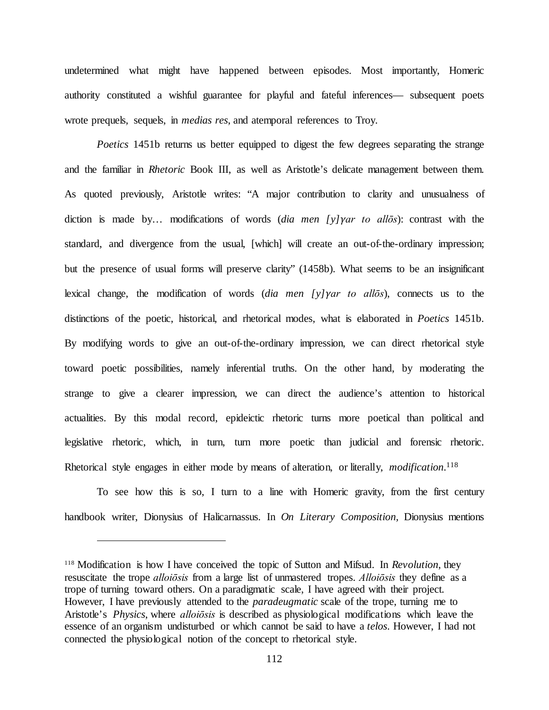undetermined what might have happened between episodes. Most importantly, Homeric authority constituted a wishful guarantee for playful and fateful inferences— subsequent poets wrote prequels, sequels, in *medias res*, and atemporal references to Troy.

*Poetics* 1451b returns us better equipped to digest the few degrees separating the strange and the familiar in *Rhetoric* Book III, as well as Aristotle's delicate management between them. As quoted previously, Aristotle writes: "A major contribution to clarity and unusualness of diction is made by… modifications of words (*dia men [y]γar to allōs*): contrast with the standard, and divergence from the usual, [which] will create an out-of-the-ordinary impression; but the presence of usual forms will preserve clarity" (1458b). What seems to be an insignificant lexical change, the modification of words (*dia men [y]γar to allōs*), connects us to the distinctions of the poetic, historical, and rhetorical modes, what is elaborated in *Poetics* 1451b. By modifying words to give an out-of-the-ordinary impression, we can direct rhetorical style toward poetic possibilities, namely inferential truths. On the other hand, by moderating the strange to give a clearer impression, we can direct the audience's attention to historical actualities. By this modal record, epideictic rhetoric turns more poetical than political and legislative rhetoric, which, in turn, turn more poetic than judicial and forensic rhetoric. Rhetorical style engages in either mode by means of alteration, or literally, *modification*. 118

To see how this is so, I turn to a line with Homeric gravity, from the first century handbook writer, Dionysius of Halicarnassus. In *On Literary Composition,* Dionysius mentions

<sup>118</sup> Modification is how I have conceived the topic of Sutton and Mifsud. In *Revolution*, they resuscitate the trope *alloiōsis* from a large list of unmastered tropes. *Alloiōsis* they define as a trope of turning toward others. On a paradigmatic scale, I have agreed with their project. However, I have previously attended to the *paradeugmatic* scale of the trope, turning me to Aristotle's *Physics*, where *alloiōsis* is described as physiological modifications which leave the essence of an organism undisturbed or which cannot be said to have a *telos*. However, I had not connected the physiological notion of the concept to rhetorical style.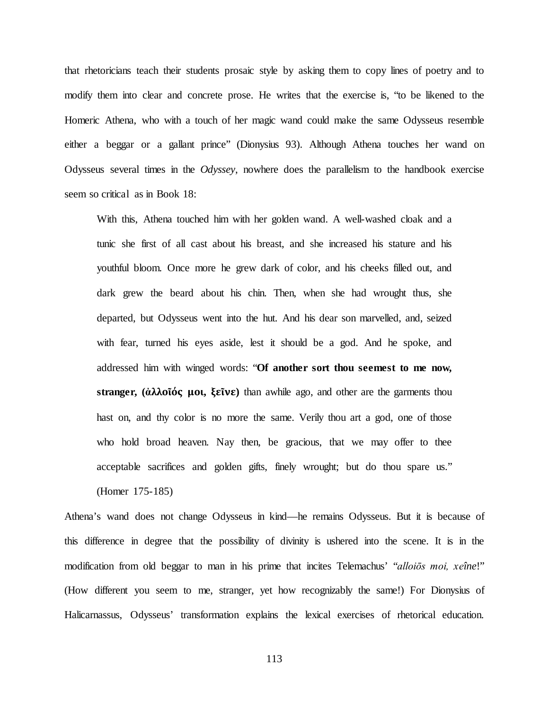that rhetoricians teach their students prosaic style by asking them to copy lines of poetry and to modify them into clear and concrete prose. He writes that the exercise is, "to be likened to the Homeric Athena, who with a touch of her magic wand could make the same Odysseus resemble either a beggar or a gallant prince" (Dionysius 93). Although Athena touches her wand on Odysseus several times in the *Odyssey*, nowhere does the parallelism to the handbook exercise seem so critical as in Book 18:

With this, Athena touched him with her golden wand. A well-washed cloak and a tunic she first of all cast about his breast, and she increased his stature and his youthful bloom. Once more he grew dark of color, and his cheeks filled out, and dark grew the beard about his chin. Then, when she had wrought thus, she departed, but Odysseus went into the hut. And his dear son marvelled, and, seized with fear, turned his eyes aside, lest it should be a god. And he spoke, and addressed him with winged words: "**Of another sort thou seemest to me now, stranger, (ἀλλοῖός μοι, ξεῖνε)** than awhile ago, and other are the garments thou hast on, and thy color is no more the same. Verily thou art a god, one of those who hold broad heaven. Nay then, be gracious, that we may offer to thee acceptable sacrifices and golden gifts, finely wrought; but do thou spare us." (Homer 175-185)

Athena's wand does not change Odysseus in kind—he remains Odysseus. But it is because of this difference in degree that the possibility of divinity is ushered into the scene. It is in the modification from old beggar to man in his prime that incites Telemachus' "*alloiōs moi, xeîne*!" (How different you seem to me, stranger, yet how recognizably the same!) For Dionysius of Halicarnassus, Odysseus' transformation explains the lexical exercises of rhetorical education.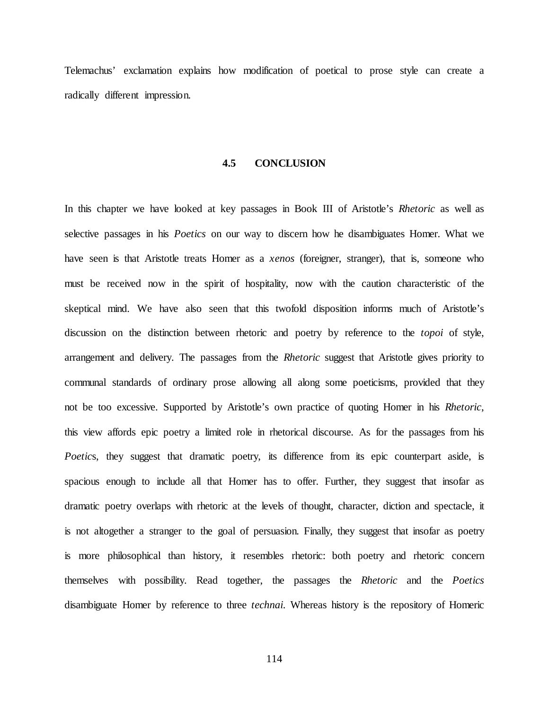Telemachus' exclamation explains how modification of poetical to prose style can create a radically different impression.

#### **4.5 CONCLUSION**

In this chapter we have looked at key passages in Book III of Aristotle's *Rhetoric* as well as selective passages in his *Poetics* on our way to discern how he disambiguates Homer. What we have seen is that Aristotle treats Homer as a *xenos* (foreigner, stranger), that is, someone who must be received now in the spirit of hospitality, now with the caution characteristic of the skeptical mind. We have also seen that this twofold disposition informs much of Aristotle's discussion on the distinction between rhetoric and poetry by reference to the *topoi* of style, arrangement and delivery. The passages from the *Rhetoric* suggest that Aristotle gives priority to communal standards of ordinary prose allowing all along some poeticisms, provided that they not be too excessive. Supported by Aristotle's own practice of quoting Homer in his *Rhetoric*, this view affords epic poetry a limited role in rhetorical discourse. As for the passages from his *Poetics*, they suggest that dramatic poetry, its difference from its epic counterpart aside, is spacious enough to include all that Homer has to offer. Further, they suggest that insofar as dramatic poetry overlaps with rhetoric at the levels of thought, character, diction and spectacle, it is not altogether a stranger to the goal of persuasion. Finally, they suggest that insofar as poetry is more philosophical than history, it resembles rhetoric: both poetry and rhetoric concern themselves with possibility. Read together, the passages the *Rhetoric* and the *Poetics* disambiguate Homer by reference to three *technai*. Whereas history is the repository of Homeric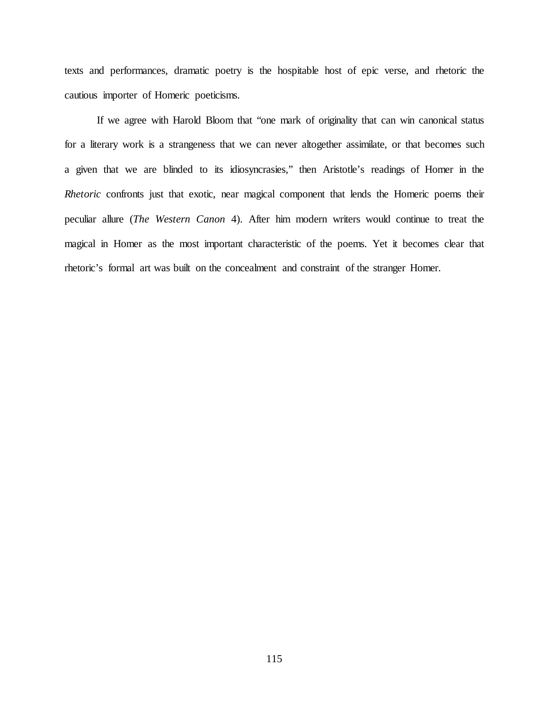texts and performances, dramatic poetry is the hospitable host of epic verse, and rhetoric the cautious importer of Homeric poeticisms.

If we agree with Harold Bloom that "one mark of originality that can win canonical status for a literary work is a strangeness that we can never altogether assimilate, or that becomes such a given that we are blinded to its idiosyncrasies," then Aristotle's readings of Homer in the *Rhetoric* confronts just that exotic, near magical component that lends the Homeric poems their peculiar allure (*The Western Canon* 4). After him modern writers would continue to treat the magical in Homer as the most important characteristic of the poems. Yet it becomes clear that rhetoric's formal art was built on the concealment and constraint of the stranger Homer.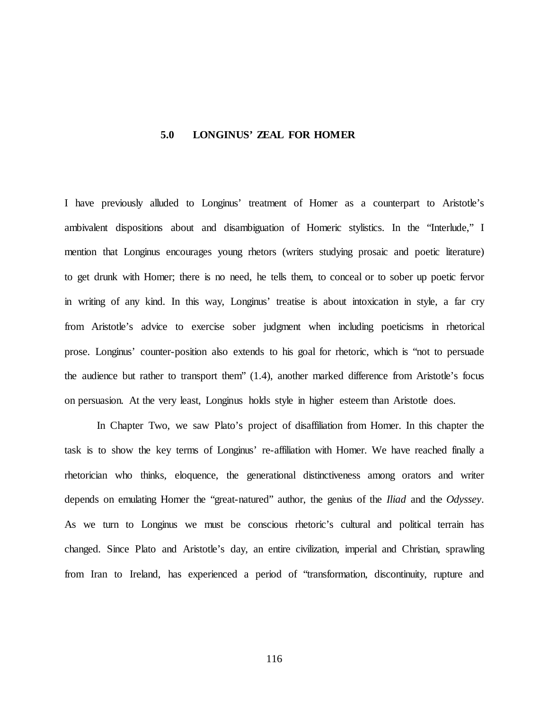## **5.0 LONGINUS' ZEAL FOR HOMER**

I have previously alluded to Longinus' treatment of Homer as a counterpart to Aristotle's ambivalent dispositions about and disambiguation of Homeric stylistics. In the "Interlude," I mention that Longinus encourages young rhetors (writers studying prosaic and poetic literature) to get drunk with Homer; there is no need, he tells them, to conceal or to sober up poetic fervor in writing of any kind. In this way, Longinus' treatise is about intoxication in style, a far cry from Aristotle's advice to exercise sober judgment when including poeticisms in rhetorical prose. Longinus' counter-position also extends to his goal for rhetoric, which is "not to persuade the audience but rather to transport them" (1.4), another marked difference from Aristotle's focus on persuasion. At the very least, Longinus holds style in higher esteem than Aristotle does.

In Chapter Two, we saw Plato's project of disaffiliation from Homer. In this chapter the task is to show the key terms of Longinus' re-affiliation with Homer. We have reached finally a rhetorician who thinks, eloquence, the generational distinctiveness among orators and writer depends on emulating Homer the "great-natured" author, the genius of the *Iliad* and the *Odyssey*. As we turn to Longinus we must be conscious rhetoric's cultural and political terrain has changed. Since Plato and Aristotle's day, an entire civilization, imperial and Christian, sprawling from Iran to Ireland, has experienced a period of "transformation, discontinuity, rupture and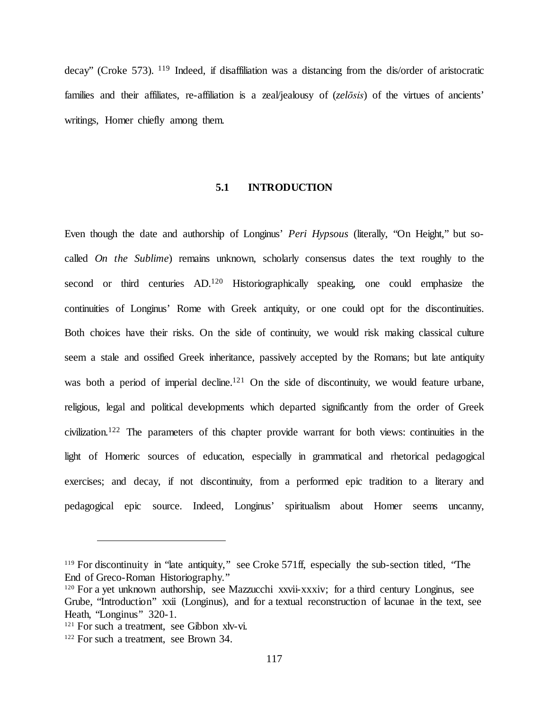decay" (Croke 573). <sup>119</sup> Indeed, if disaffiliation was a distancing from the dis/order of aristocratic families and their affiliates, re-affiliation is a zeal/jealousy of (*zelōsis*) of the virtues of ancients' writings, Homer chiefly among them.

## **5.1 INTRODUCTION**

Even though the date and authorship of Longinus' *Peri Hypsous* (literally, "On Height," but socalled *On the Sublime*) remains unknown, scholarly consensus dates the text roughly to the second or third centuries AD.120 Historiographically speaking, one could emphasize the continuities of Longinus' Rome with Greek antiquity, or one could opt for the discontinuities. Both choices have their risks. On the side of continuity, we would risk making classical culture seem a stale and ossified Greek inheritance, passively accepted by the Romans; but late antiquity was both a period of imperial decline.<sup>121</sup> On the side of discontinuity, we would feature urbane, religious, legal and political developments which departed significantly from the order of Greek civilization.122 The parameters of this chapter provide warrant for both views: continuities in the light of Homeric sources of education, especially in grammatical and rhetorical pedagogical exercises; and decay, if not discontinuity, from a performed epic tradition to a literary and pedagogical epic source. Indeed, Longinus' spiritualism about Homer seems uncanny,

<sup>&</sup>lt;sup>119</sup> For discontinuity in "late antiquity," see Croke 571ff, especially the sub-section titled, "The End of Greco-Roman Historiography."

<sup>&</sup>lt;sup>120</sup> For a yet unknown authorship, see Mazzucchi xxvii-xxxiv; for a third century Longinus, see Grube, "Introduction" xxii (Longinus), and for a textual reconstruction of lacunae in the text, see Heath, "Longinus" 320-1.

<sup>&</sup>lt;sup>121</sup> For such a treatment, see Gibbon xlv-vi.

<sup>122</sup> For such a treatment, see Brown 34.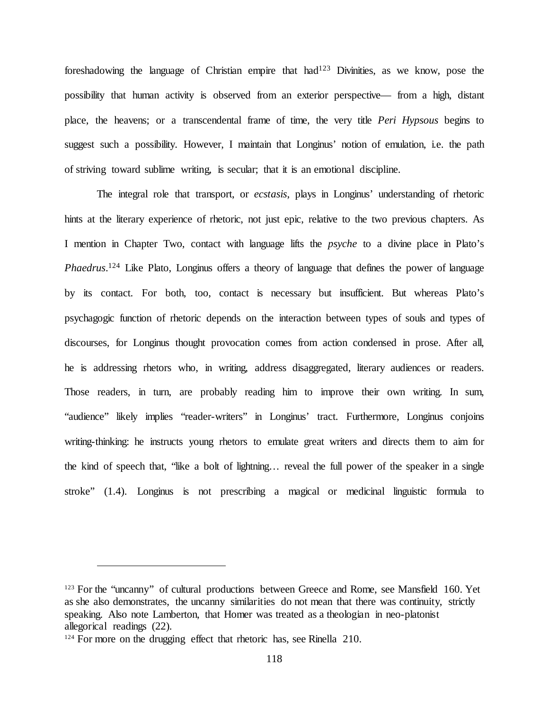foreshadowing the language of Christian empire that  $h$ ad<sup>123</sup> Divinities, as we know, pose the possibility that human activity is observed from an exterior perspective— from a high, distant place, the heavens; or a transcendental frame of time, the very title *Peri Hypsous* begins to suggest such a possibility. However, I maintain that Longinus' notion of emulation, i.e. the path of striving toward sublime writing, is secular; that it is an emotional discipline.

The integral role that transport, or *ecstasis*, plays in Longinus' understanding of rhetoric hints at the literary experience of rhetoric, not just epic, relative to the two previous chapters. As I mention in Chapter Two, contact with language lifts the *psyche* to a divine place in Plato's *Phaedrus*. <sup>124</sup> Like Plato, Longinus offers a theory of language that defines the power of language by its contact. For both, too, contact is necessary but insufficient. But whereas Plato's psychagogic function of rhetoric depends on the interaction between types of souls and types of discourses, for Longinus thought provocation comes from action condensed in prose. After all, he is addressing rhetors who, in writing, address disaggregated, literary audiences or readers. Those readers, in turn, are probably reading him to improve their own writing. In sum, "audience" likely implies "reader-writers" in Longinus' tract. Furthermore, Longinus conjoins writing-thinking: he instructs young rhetors to emulate great writers and directs them to aim for the kind of speech that, "like a bolt of lightning… reveal the full power of the speaker in a single stroke" (1.4). Longinus is not prescribing a magical or medicinal linguistic formula to

<sup>&</sup>lt;sup>123</sup> For the "uncanny" of cultural productions between Greece and Rome, see Mansfield 160. Yet as she also demonstrates, the uncanny similarities do not mean that there was continuity, strictly speaking. Also note Lamberton, that Homer was treated as a theologian in neo-platonist allegorical readings (22).

<sup>&</sup>lt;sup>124</sup> For more on the drugging effect that rhetoric has, see Rinella 210.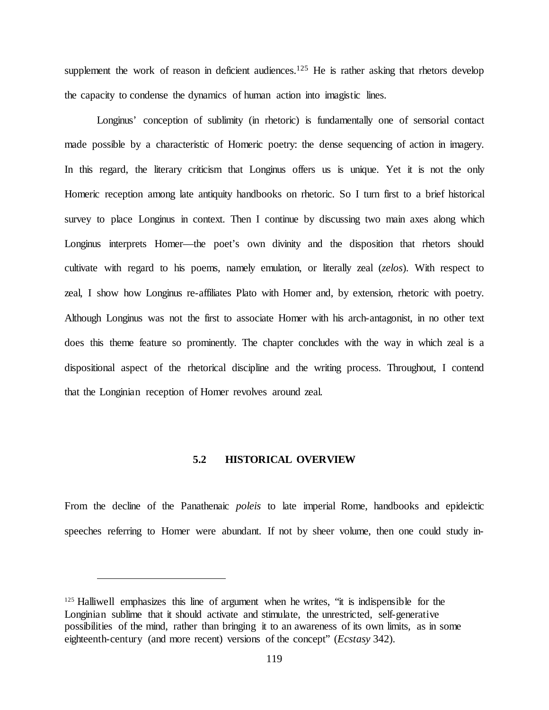supplement the work of reason in deficient audiences.<sup>125</sup> He is rather asking that rhetors develop the capacity to condense the dynamics of human action into imagistic lines.

Longinus' conception of sublimity (in rhetoric) is fundamentally one of sensorial contact made possible by a characteristic of Homeric poetry: the dense sequencing of action in imagery. In this regard, the literary criticism that Longinus offers us is unique. Yet it is not the only Homeric reception among late antiquity handbooks on rhetoric. So I turn first to a brief historical survey to place Longinus in context. Then I continue by discussing two main axes along which Longinus interprets Homer—the poet's own divinity and the disposition that rhetors should cultivate with regard to his poems, namely emulation, or literally zeal (*zelos*). With respect to zeal, I show how Longinus re-affiliates Plato with Homer and, by extension, rhetoric with poetry. Although Longinus was not the first to associate Homer with his arch-antagonist, in no other text does this theme feature so prominently. The chapter concludes with the way in which zeal is a dispositional aspect of the rhetorical discipline and the writing process. Throughout, I contend that the Longinian reception of Homer revolves around zeal.

#### **5.2 HISTORICAL OVERVIEW**

From the decline of the Panathenaic *poleis* to late imperial Rome, handbooks and epideictic speeches referring to Homer were abundant. If not by sheer volume, then one could study in-

<sup>&</sup>lt;sup>125</sup> Halliwell emphasizes this line of argument when he writes, "it is indispensible for the Longinian sublime that it should activate and stimulate, the unrestricted, self-generative possibilities of the mind, rather than bringing it to an awareness of its own limits, as in some eighteenth-century (and more recent) versions of the concept" (*Ecstasy* 342).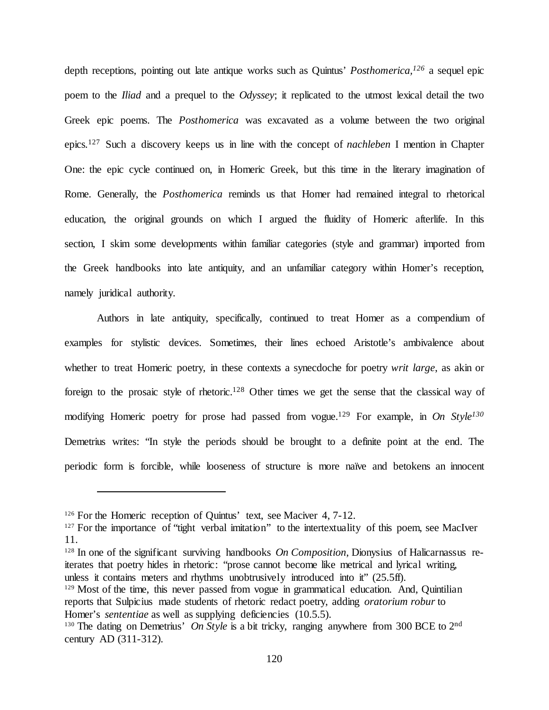depth receptions, pointing out late antique works such as Quintus' *Posthomerica,126* a sequel epic poem to the *Iliad* and a prequel to the *Odyssey*; it replicated to the utmost lexical detail the two Greek epic poems. The *Posthomerica* was excavated as a volume between the two original epics*.* <sup>127</sup> Such a discovery keeps us in line with the concept of *nachleben* I mention in Chapter One: the epic cycle continued on, in Homeric Greek, but this time in the literary imagination of Rome. Generally, the *Posthomerica* reminds us that Homer had remained integral to rhetorical education, the original grounds on which I argued the fluidity of Homeric afterlife. In this section, I skim some developments within familiar categories (style and grammar) imported from the Greek handbooks into late antiquity, and an unfamiliar category within Homer's reception, namely juridical authority.

Authors in late antiquity, specifically, continued to treat Homer as a compendium of examples for stylistic devices. Sometimes, their lines echoed Aristotle's ambivalence about whether to treat Homeric poetry, in these contexts a synecdoche for poetry *writ large*, as akin or foreign to the prosaic style of rhetoric.128 Other times we get the sense that the classical way of modifying Homeric poetry for prose had passed from vogue.129 For example, in *On Style130* Demetrius writes: "In style the periods should be brought to a definite point at the end. The periodic form is forcible, while looseness of structure is more naïve and betokens an innocent

 $\overline{a}$ 

iterates that poetry hides in rhetoric: "prose cannot become like metrical and lyrical writing, unless it contains meters and rhythms unobtrusively introduced into it" (25.5ff).

<sup>&</sup>lt;sup>126</sup> For the Homeric reception of Quintus' text, see Maciver 4, 7-12.

<sup>&</sup>lt;sup>127</sup> For the importance of "tight verbal imitation" to the intertextuality of this poem, see MacIver 11. 128 In one of the significant surviving handbooks *On Composition*, Dionysius of Halicarnassus re-

<sup>&</sup>lt;sup>129</sup> Most of the time, this never passed from vogue in grammatical education. And, Quintilian reports that Sulpicius made students of rhetoric redact poetry, adding *oratorium robur* to Homer's *sententiae* as well as supplying deficiencies (10.5.5).

<sup>&</sup>lt;sup>130</sup> The dating on Demetrius' *On Style* is a bit tricky, ranging anywhere from 300 BCE to 2<sup>nd</sup> century AD (311-312).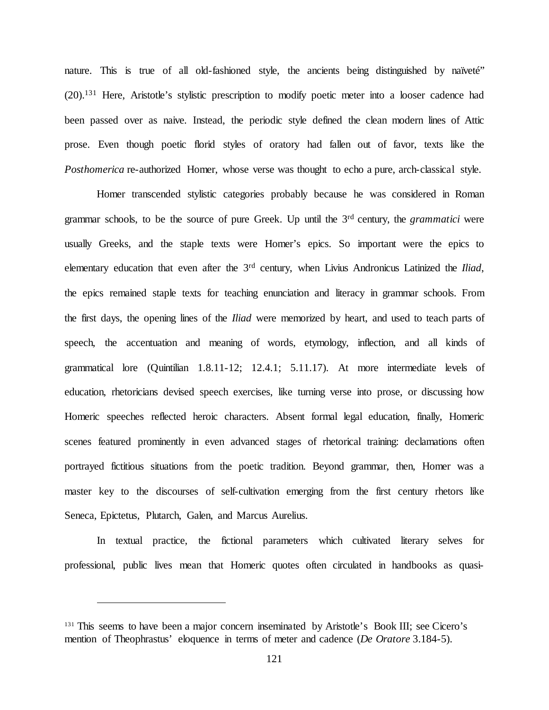nature. This is true of all old-fashioned style, the ancients being distinguished by naïveté" (20).131 Here, Aristotle's stylistic prescription to modify poetic meter into a looser cadence had been passed over as naive. Instead, the periodic style defined the clean modern lines of Attic prose. Even though poetic florid styles of oratory had fallen out of favor, texts like the *Posthomerica* re-authorized Homer, whose verse was thought to echo a pure, arch-classical style.

Homer transcended stylistic categories probably because he was considered in Roman grammar schools, to be the source of pure Greek. Up until the 3rd century, the *grammatici* were usually Greeks, and the staple texts were Homer's epics. So important were the epics to elementary education that even after the 3rd century, when Livius Andronicus Latinized the *Iliad*, the epics remained staple texts for teaching enunciation and literacy in grammar schools. From the first days, the opening lines of the *Iliad* were memorized by heart, and used to teach parts of speech, the accentuation and meaning of words, etymology, inflection, and all kinds of grammatical lore (Quintilian 1.8.11-12; 12.4.1; 5.11.17). At more intermediate levels of education, rhetoricians devised speech exercises, like turning verse into prose, or discussing how Homeric speeches reflected heroic characters. Absent formal legal education, finally, Homeric scenes featured prominently in even advanced stages of rhetorical training: declamations often portrayed fictitious situations from the poetic tradition. Beyond grammar, then, Homer was a master key to the discourses of self-cultivation emerging from the first century rhetors like Seneca, Epictetus, Plutarch, Galen, and Marcus Aurelius.

In textual practice, the fictional parameters which cultivated literary selves for professional, public lives mean that Homeric quotes often circulated in handbooks as quasi-

<sup>&</sup>lt;sup>131</sup> This seems to have been a major concern inseminated by Aristotle's Book III; see Cicero's mention of Theophrastus' eloquence in terms of meter and cadence (*De Oratore* 3.184-5).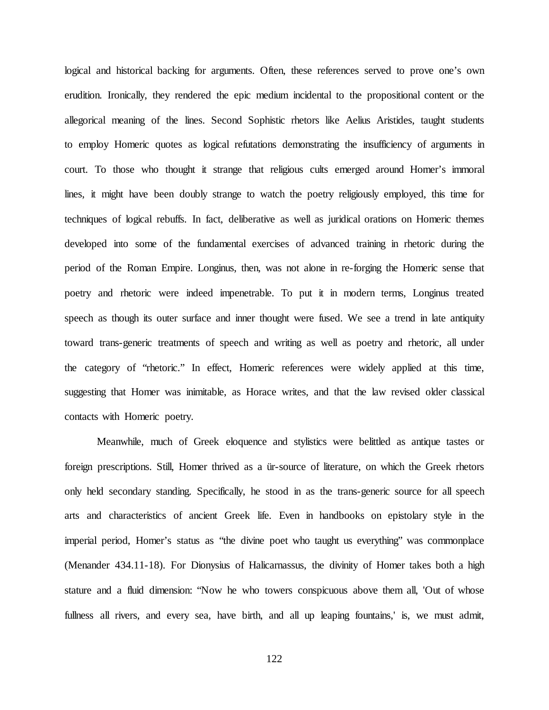logical and historical backing for arguments. Often, these references served to prove one's own erudition. Ironically, they rendered the epic medium incidental to the propositional content or the allegorical meaning of the lines. Second Sophistic rhetors like Aelius Aristides, taught students to employ Homeric quotes as logical refutations demonstrating the insufficiency of arguments in court. To those who thought it strange that religious cults emerged around Homer's immoral lines, it might have been doubly strange to watch the poetry religiously employed, this time for techniques of logical rebuffs. In fact, deliberative as well as juridical orations on Homeric themes developed into some of the fundamental exercises of advanced training in rhetoric during the period of the Roman Empire. Longinus, then, was not alone in re-forging the Homeric sense that poetry and rhetoric were indeed impenetrable. To put it in modern terms, Longinus treated speech as though its outer surface and inner thought were fused. We see a trend in late antiquity toward trans-generic treatments of speech and writing as well as poetry and rhetoric, all under the category of "rhetoric." In effect, Homeric references were widely applied at this time, suggesting that Homer was inimitable, as Horace writes, and that the law revised older classical contacts with Homeric poetry.

Meanwhile, much of Greek eloquence and stylistics were belittled as antique tastes or foreign prescriptions. Still, Homer thrived as a ür-source of literature, on which the Greek rhetors only held secondary standing. Specifically, he stood in as the trans-generic source for all speech arts and characteristics of ancient Greek life. Even in handbooks on epistolary style in the imperial period, Homer's status as "the divine poet who taught us everything" was commonplace (Menander 434.11-18). For Dionysius of Halicarnassus, the divinity of Homer takes both a high stature and a fluid dimension: "Now he who towers conspicuous above them all, 'Out of whose fullness all rivers, and every sea, have birth, and all up leaping fountains,' is, we must admit,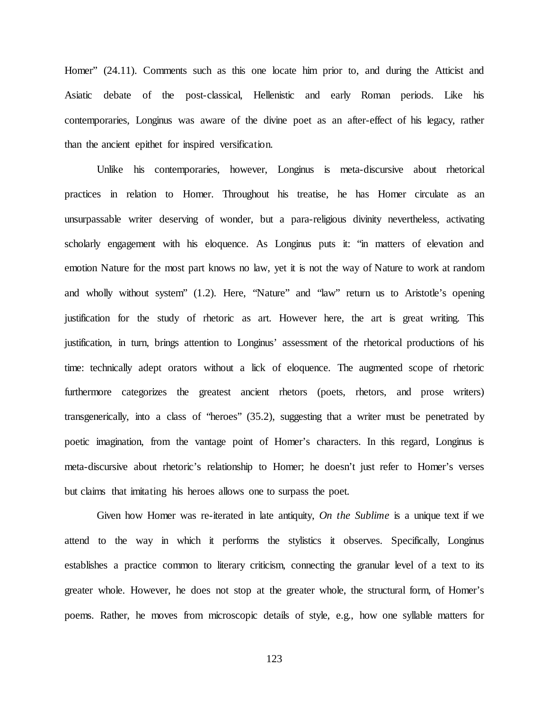Homer" (24.11). Comments such as this one locate him prior to, and during the Atticist and Asiatic debate of the post-classical, Hellenistic and early Roman periods. Like his contemporaries, Longinus was aware of the divine poet as an after-effect of his legacy, rather than the ancient epithet for inspired versification.

Unlike his contemporaries, however, Longinus is meta-discursive about rhetorical practices in relation to Homer. Throughout his treatise, he has Homer circulate as an unsurpassable writer deserving of wonder, but a para-religious divinity nevertheless, activating scholarly engagement with his eloquence. As Longinus puts it: "in matters of elevation and emotion Nature for the most part knows no law, yet it is not the way of Nature to work at random and wholly without system" (1.2). Here, "Nature" and "law" return us to Aristotle's opening justification for the study of rhetoric as art. However here, the art is great writing. This justification, in turn, brings attention to Longinus' assessment of the rhetorical productions of his time: technically adept orators without a lick of eloquence. The augmented scope of rhetoric furthermore categorizes the greatest ancient rhetors (poets, rhetors, and prose writers) transgenerically, into a class of "heroes" (35.2), suggesting that a writer must be penetrated by poetic imagination, from the vantage point of Homer's characters. In this regard, Longinus is meta-discursive about rhetoric's relationship to Homer; he doesn't just refer to Homer's verses but claims that imitating his heroes allows one to surpass the poet.

Given how Homer was re-iterated in late antiquity, *On the Sublime* is a unique text if we attend to the way in which it performs the stylistics it observes. Specifically, Longinus establishes a practice common to literary criticism, connecting the granular level of a text to its greater whole. However, he does not stop at the greater whole, the structural form, of Homer's poems. Rather, he moves from microscopic details of style, e.g., how one syllable matters for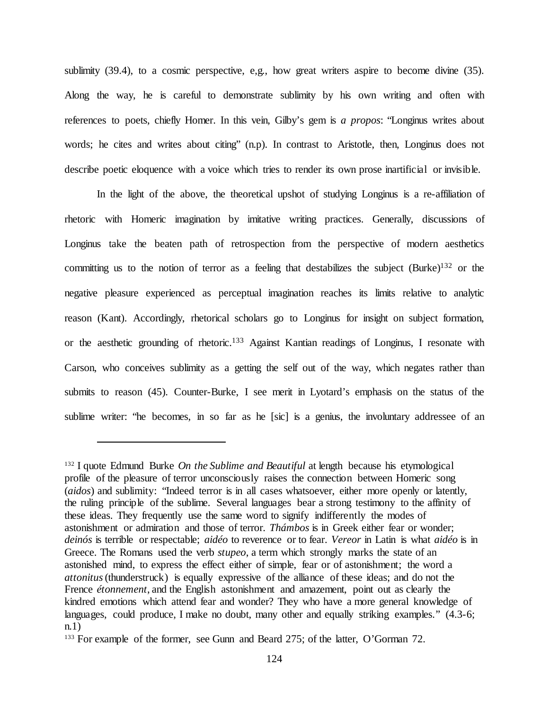sublimity (39.4), to a cosmic perspective, e,g., how great writers aspire to become divine (35). Along the way, he is careful to demonstrate sublimity by his own writing and often with references to poets, chiefly Homer. In this vein, Gilby's gem is *a propos*: "Longinus writes about words; he cites and writes about citing" (n.p). In contrast to Aristotle, then, Longinus does not describe poetic eloquence with a voice which tries to render its own prose inartificial or invisible.

In the light of the above, the theoretical upshot of studying Longinus is a re-affiliation of rhetoric with Homeric imagination by imitative writing practices. Generally, discussions of Longinus take the beaten path of retrospection from the perspective of modern aesthetics committing us to the notion of terror as a feeling that destabilizes the subject  $(Burke)^{132}$  or the negative pleasure experienced as perceptual imagination reaches its limits relative to analytic reason (Kant). Accordingly, rhetorical scholars go to Longinus for insight on subject formation, or the aesthetic grounding of rhetoric.133 Against Kantian readings of Longinus, I resonate with Carson, who conceives sublimity as a getting the self out of the way, which negates rather than submits to reason (45). Counter-Burke, I see merit in Lyotard's emphasis on the status of the sublime writer: "he becomes, in so far as he [sic] is a genius, the involuntary addressee of an

<sup>132</sup> I quote Edmund Burke *On the Sublime and Beautiful* at length because his etymological profile of the pleasure of terror unconsciously raises the connection between Homeric song (*aidos*) and sublimity: "Indeed terror is in all cases whatsoever, either more openly or latently, the ruling principle of the sublime. Several languages bear a strong testimony to the affinity of these ideas. They frequently use the same word to signify indifferently the modes of astonishment or admiration and those of terror. *Thámbos* is in Greek either fear or wonder; *deinós* is terrible or respectable; *aidéo* to reverence or to fear. *Vereor* in Latin is what *aidéo* is in Greece. The Romans used the verb *stupeo*, a term which strongly marks the state of an astonished mind, to express the effect either of simple, fear or of astonishment; the word a *attonitus* (thunderstruck) is equally expressive of the alliance of these ideas; and do not the Frence *étonnement*, and the English astonishment and amazement, point out as clearly the kindred emotions which attend fear and wonder? They who have a more general knowledge of languages, could produce, I make no doubt, many other and equally striking examples."  $(4.3-6;$ n.1)

<sup>133</sup> For example of the former, see Gunn and Beard 275; of the latter, O'Gorman 72.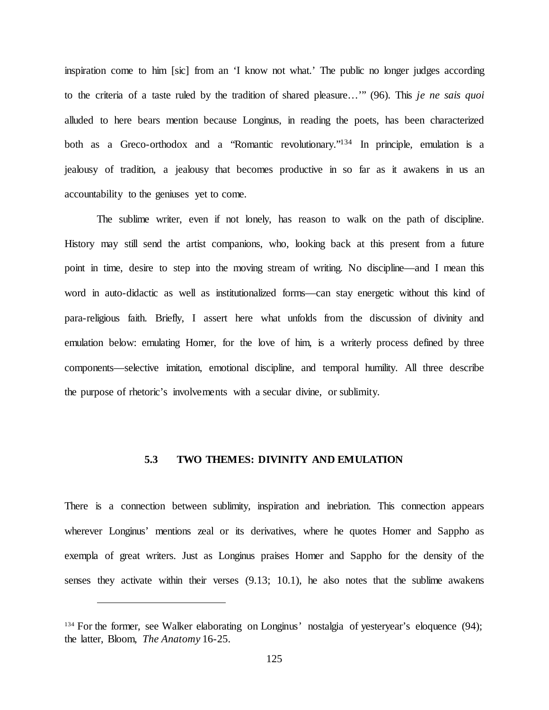inspiration come to him [sic] from an 'I know not what.' The public no longer judges according to the criteria of a taste ruled by the tradition of shared pleasure…'" (96). This *je ne sais quoi*  alluded to here bears mention because Longinus, in reading the poets, has been characterized both as a Greco-orthodox and a "Romantic revolutionary."<sup>134</sup> In principle, emulation is a jealousy of tradition, a jealousy that becomes productive in so far as it awakens in us an accountability to the geniuses yet to come.

The sublime writer, even if not lonely, has reason to walk on the path of discipline. History may still send the artist companions, who, looking back at this present from a future point in time, desire to step into the moving stream of writing. No discipline—and I mean this word in auto-didactic as well as institutionalized forms—can stay energetic without this kind of para-religious faith. Briefly, I assert here what unfolds from the discussion of divinity and emulation below: emulating Homer, for the love of him, is a writerly process defined by three components—selective imitation, emotional discipline, and temporal humility. All three describe the purpose of rhetoric's involvements with a secular divine, or sublimity.

## **5.3 TWO THEMES: DIVINITY AND EMULATION**

There is a connection between sublimity, inspiration and inebriation. This connection appears wherever Longinus' mentions zeal or its derivatives, where he quotes Homer and Sappho as exempla of great writers. Just as Longinus praises Homer and Sappho for the density of the senses they activate within their verses  $(9.13; 10.1)$ , he also notes that the sublime awakens

<sup>&</sup>lt;sup>134</sup> For the former, see Walker elaborating on Longinus' nostalgia of yesteryear's eloquence (94); the latter, Bloom, *The Anatomy* 16-25.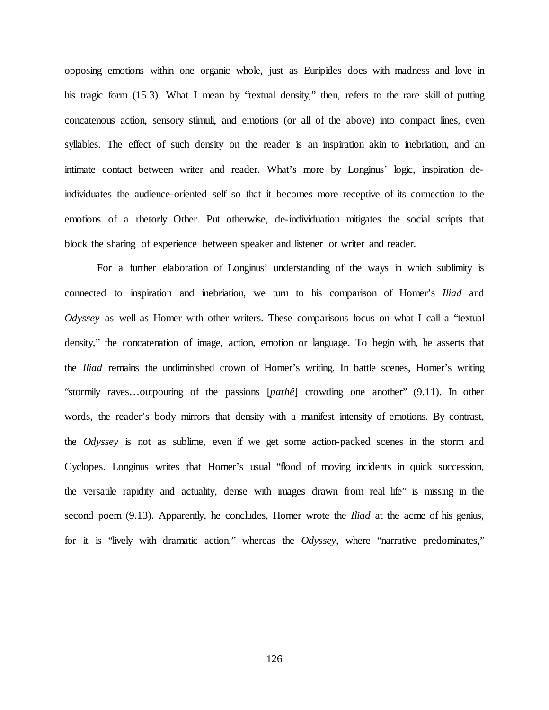opposing emotions within one organic whole, just as Euripides does with madness and love in his tragic form (15.3). What I mean by "textual density," then, refers to the rare skill of putting concatenous action, sensory stimuli, and emotions (or all of the above) into compact lines, even syllables. The effect of such density on the reader is an inspiration akin to inebriation, and an intimate contact between writer and reader. What's more by Longinus' logic, inspiration deindividuates the audience-oriented self so that it becomes more receptive of its connection to the emotions of a rhetorly Other. Put otherwise, de-individuation mitigates the social scripts that block the sharing of experience between speaker and listener or writer and reader.

For a further elaboration of Longinus' understanding of the ways in which sublimity is connected to inspiration and inebriation, we turn to his comparison of Homer's *Iliad* and *Odyssey* as well as Homer with other writers. These comparisons focus on what I call a "textual density," the concatenation of image, action, emotion or language. To begin with, he asserts that the *Iliad* remains the undiminished crown of Homer's writing. In battle scenes, Homer's writing "stormily raves…outpouring of the passions [*pathê*] crowding one another" (9.11). In other words, the reader's body mirrors that density with a manifest intensity of emotions. By contrast, the *Odyssey* is not as sublime, even if we get some action-packed scenes in the storm and Cyclopes. Longinus writes that Homer's usual "flood of moving incidents in quick succession, the versatile rapidity and actuality, dense with images drawn from real life" is missing in the second poem (9.13). Apparently, he concludes, Homer wrote the *Iliad* at the acme of his genius, for it is "lively with dramatic action," whereas the *Odyssey,* where "narrative predominates,"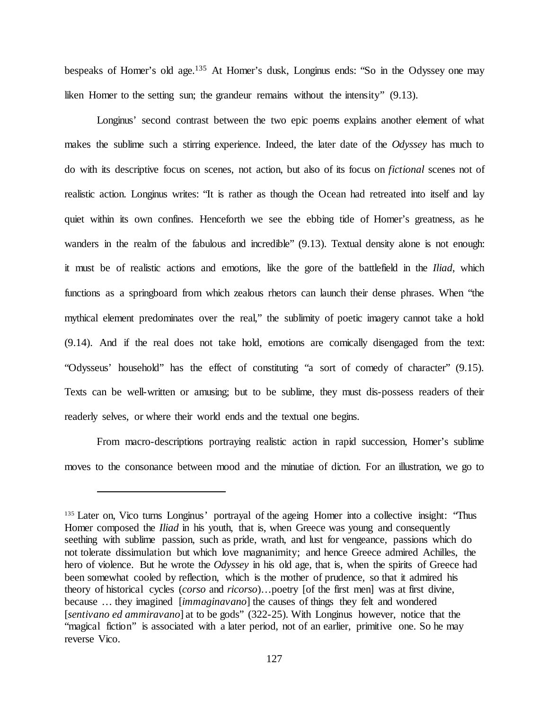bespeaks of Homer's old age.135 At Homer's dusk, Longinus ends: "So in the Odyssey one may liken Homer to the setting sun; the grandeur remains without the intensity" (9.13).

Longinus' second contrast between the two epic poems explains another element of what makes the sublime such a stirring experience. Indeed, the later date of the *Odyssey* has much to do with its descriptive focus on scenes, not action, but also of its focus on *fictional* scenes not of realistic action. Longinus writes: "It is rather as though the Ocean had retreated into itself and lay quiet within its own confines. Henceforth we see the ebbing tide of Homer's greatness, as he wanders in the realm of the fabulous and incredible" (9.13). Textual density alone is not enough: it must be of realistic actions and emotions, like the gore of the battlefield in the *Iliad*, which functions as a springboard from which zealous rhetors can launch their dense phrases. When "the mythical element predominates over the real," the sublimity of poetic imagery cannot take a hold (9.14). And if the real does not take hold, emotions are comically disengaged from the text: "Odysseus' household" has the effect of constituting "a sort of comedy of character" (9.15). Texts can be well-written or amusing; but to be sublime, they must dis-possess readers of their readerly selves, or where their world ends and the textual one begins.

From macro-descriptions portraying realistic action in rapid succession, Homer's sublime moves to the consonance between mood and the minutiae of diction. For an illustration, we go to

<sup>&</sup>lt;sup>135</sup> Later on, Vico turns Longinus' portrayal of the ageing Homer into a collective insight: "Thus Homer composed the *Iliad* in his youth, that is, when Greece was young and consequently seething with sublime passion, such as pride, wrath, and lust for vengeance, passions which do not tolerate dissimulation but which love magnanimity; and hence Greece admired Achilles, the hero of violence. But he wrote the *Odyssey* in his old age, that is, when the spirits of Greece had been somewhat cooled by reflection, which is the mother of prudence, so that it admired his theory of historical cycles (*corso* and *ricorso*)…poetry [of the first men] was at first divine, because … they imagined [*immaginavano*] the causes of things they felt and wondered [*sentivano ed ammiravano*] at to be gods" (322-25). With Longinus however, notice that the "magical fiction" is associated with a later period, not of an earlier, primitive one. So he may reverse Vico.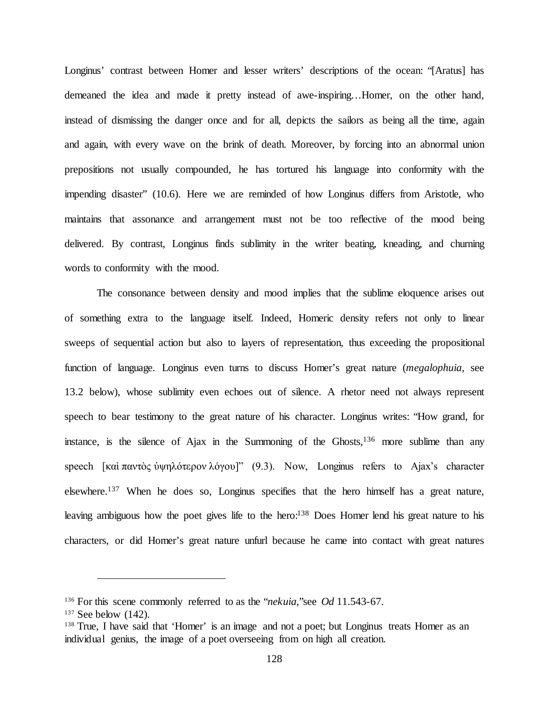Longinus' contrast between Homer and lesser writers' descriptions of the ocean: "[Aratus] has demeaned the idea and made it pretty instead of awe-inspiring…Homer, on the other hand, instead of dismissing the danger once and for all, depicts the sailors as being all the time, again and again, with every wave on the brink of death. Moreover, by forcing into an abnormal union prepositions not usually compounded, he has tortured his language into conformity with the impending disaster" (10.6). Here we are reminded of how Longinus differs from Aristotle, who maintains that assonance and arrangement must not be too reflective of the mood being delivered. By contrast, Longinus finds sublimity in the writer beating, kneading, and churning words to conformity with the mood.

The consonance between density and mood implies that the sublime eloquence arises out of something extra to the language itself. Indeed, Homeric density refers not only to linear sweeps of sequential action but also to layers of representation, thus exceeding the propositional function of language. Longinus even turns to discuss Homer's great nature (*megalophuia*, see 13.2 below), whose sublimity even echoes out of silence. A rhetor need not always represent speech to bear testimony to the great nature of his character. Longinus writes: "How grand, for instance, is the silence of Ajax in the Summoning of the Ghosts,  $136$  more sublime than any speech [καὶ παντὸς ὑψηλότερον λόγου]" (9.3). Now, Longinus refers to Ajax's character elsewhere.137 When he does so, Longinus specifies that the hero himself has a great nature, leaving ambiguous how the poet gives life to the hero:<sup>138</sup> Does Homer lend his great nature to his characters, or did Homer's great nature unfurl because he came into contact with great natures

<sup>136</sup> For this scene commonly referred to as the "*nekuia*,"see *Od* 11.543-67.

 $137$  See below  $(142)$ .

<sup>&</sup>lt;sup>138</sup> True, I have said that 'Homer' is an image and not a poet; but Longinus treats Homer as an individual genius, the image of a poet overseeing from on high all creation.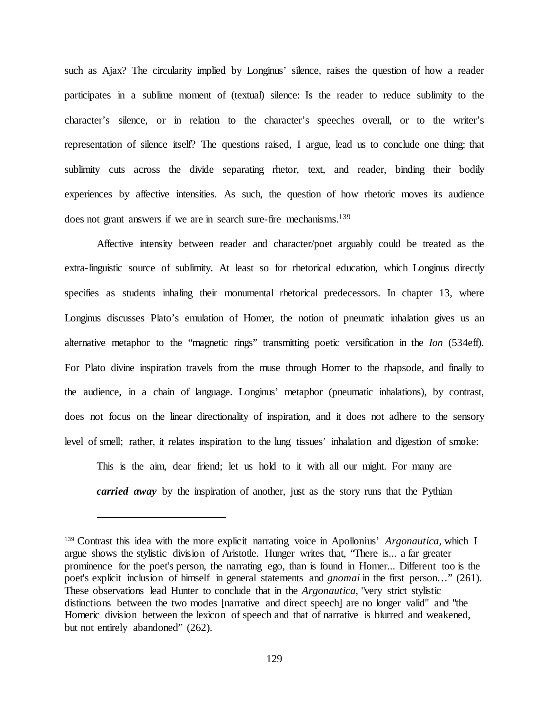such as Ajax? The circularity implied by Longinus' silence, raises the question of how a reader participates in a sublime moment of (textual) silence: Is the reader to reduce sublimity to the character's silence, or in relation to the character's speeches overall, or to the writer's representation of silence itself? The questions raised, I argue, lead us to conclude one thing: that sublimity cuts across the divide separating rhetor, text, and reader, binding their bodily experiences by affective intensities. As such, the question of how rhetoric moves its audience does not grant answers if we are in search sure-fire mechanisms.<sup>139</sup>

Affective intensity between reader and character/poet arguably could be treated as the extra-linguistic source of sublimity. At least so for rhetorical education, which Longinus directly specifies as students inhaling their monumental rhetorical predecessors. In chapter 13, where Longinus discusses Plato's emulation of Homer, the notion of pneumatic inhalation gives us an alternative metaphor to the "magnetic rings" transmitting poetic versification in the *Ion* (534eff). For Plato divine inspiration travels from the muse through Homer to the rhapsode, and finally to the audience, in a chain of language. Longinus' metaphor (pneumatic inhalations), by contrast, does not focus on the linear directionality of inspiration, and it does not adhere to the sensory level of smell; rather, it relates inspiration to the lung tissues' inhalation and digestion of smoke:

This is the aim, dear friend; let us hold to it with all our might. For many are *carried away* by the inspiration of another, just as the story runs that the Pythian

<sup>139</sup> Contrast this idea with the more explicit narrating voice in Apollonius' *Argonautica,* which I argue shows the stylistic division of Aristotle. Hunger writes that, "There is... a far greater prominence for the poet's person, the narrating ego, than is found in Homer... Different too is the poet's explicit inclusion of himself in general statements and *gnomai* in the first person…" (261). These observations lead Hunter to conclude that in the *Argonautica*, "very strict stylistic distinctions between the two modes [narrative and direct speech] are no longer valid" and "the Homeric division between the lexicon of speech and that of narrative is blurred and weakened, but not entirely abandoned" (262).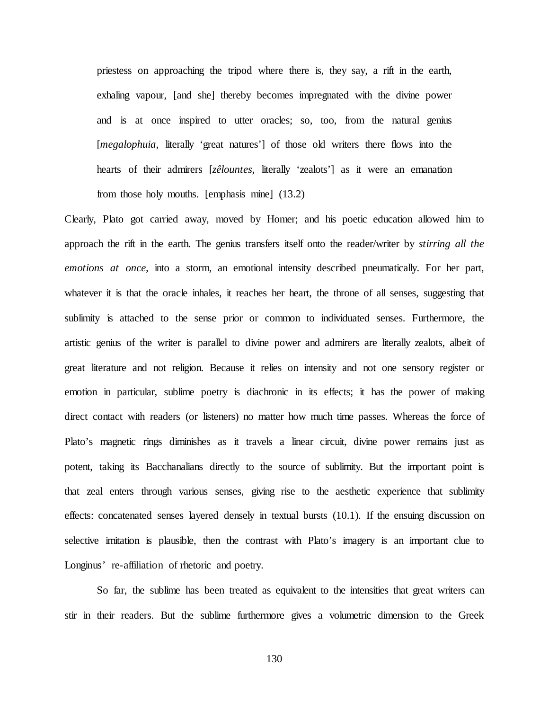priestess on approaching the tripod where there is, they say, a rift in the earth, exhaling vapour, [and she] thereby becomes impregnated with the divine power and is at once inspired to utter oracles; so, too, from the natural genius [*megalophuia*, literally 'great natures'] of those old writers there flows into the hearts of their admirers [*zêlountes,* literally 'zealots'] as it were an emanation from those holy mouths. [emphasis mine] (13.2)

Clearly, Plato got carried away, moved by Homer; and his poetic education allowed him to approach the rift in the earth. The genius transfers itself onto the reader/writer by *stirring all the emotions at once,* into a storm, an emotional intensity described pneumatically. For her part, whatever it is that the oracle inhales, it reaches her heart, the throne of all senses, suggesting that sublimity is attached to the sense prior or common to individuated senses. Furthermore, the artistic genius of the writer is parallel to divine power and admirers are literally zealots, albeit of great literature and not religion. Because it relies on intensity and not one sensory register or emotion in particular, sublime poetry is diachronic in its effects; it has the power of making direct contact with readers (or listeners) no matter how much time passes. Whereas the force of Plato's magnetic rings diminishes as it travels a linear circuit, divine power remains just as potent, taking its Bacchanalians directly to the source of sublimity. But the important point is that zeal enters through various senses, giving rise to the aesthetic experience that sublimity effects: concatenated senses layered densely in textual bursts (10.1). If the ensuing discussion on selective imitation is plausible, then the contrast with Plato's imagery is an important clue to Longinus' re-affiliation of rhetoric and poetry.

So far, the sublime has been treated as equivalent to the intensities that great writers can stir in their readers. But the sublime furthermore gives a volumetric dimension to the Greek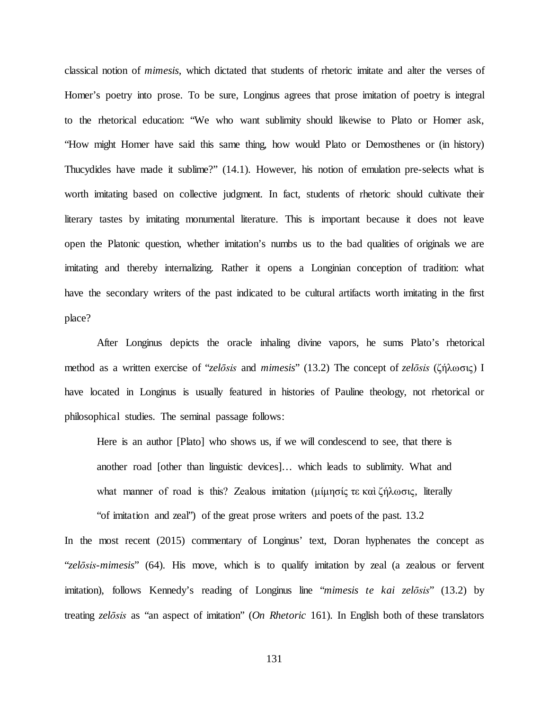classical notion of *mimesis*, which dictated that students of rhetoric imitate and alter the verses of Homer's poetry into prose. To be sure, Longinus agrees that prose imitation of poetry is integral to the rhetorical education: "We who want sublimity should likewise to Plato or Homer ask, "How might Homer have said this same thing, how would Plato or Demosthenes or (in history) Thucydides have made it sublime?" (14.1). However, his notion of emulation pre-selects what is worth imitating based on collective judgment. In fact, students of rhetoric should cultivate their literary tastes by imitating monumental literature. This is important because it does not leave open the Platonic question, whether imitation's numbs us to the bad qualities of originals we are imitating and thereby internalizing. Rather it opens a Longinian conception of tradition: what have the secondary writers of the past indicated to be cultural artifacts worth imitating in the first place?

After Longinus depicts the oracle inhaling divine vapors, he sums Plato's rhetorical method as a written exercise of "*zelōsis* and *mimesis*" (13.2) The concept of *zelōsis* (ζήλωσις) I have located in Longinus is usually featured in histories of Pauline theology, not rhetorical or philosophical studies. The seminal passage follows:

Here is an author [Plato] who shows us, if we will condescend to see, that there is another road [other than linguistic devices]… which leads to sublimity. What and what manner of road is this? Zealous imitation (μίμησίς τε καὶ ζήλωσις, literally

"of imitation and zeal") of the great prose writers and poets of the past. 13.2

In the most recent (2015) commentary of Longinus' text, Doran hyphenates the concept as "*zelōsis*-*mimesis*" (64). His move, which is to qualify imitation by zeal (a zealous or fervent imitation), follows Kennedy's reading of Longinus line "*mimesis te kai zelōsis*" (13.2) by treating *zelōsis* as "an aspect of imitation" (*On Rhetoric* 161). In English both of these translators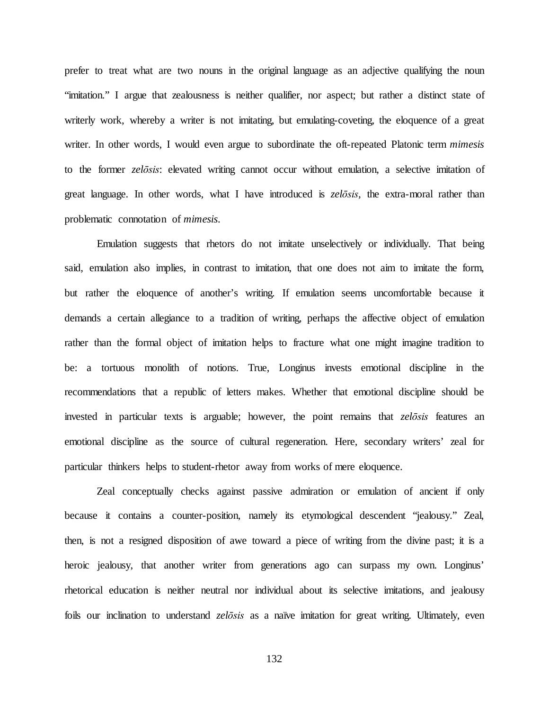prefer to treat what are two nouns in the original language as an adjective qualifying the noun "imitation." I argue that zealousness is neither qualifier, nor aspect; but rather a distinct state of writerly work, whereby a writer is not imitating, but emulating-coveting, the eloquence of a great writer. In other words, I would even argue to subordinate the oft-repeated Platonic term *mimesis*  to the former *zelōsis*: elevated writing cannot occur without emulation, a selective imitation of great language. In other words, what I have introduced is *zelōsis,* the extra-moral rather than problematic connotation of *mimesis*.

Emulation suggests that rhetors do not imitate unselectively or individually. That being said, emulation also implies, in contrast to imitation, that one does not aim to imitate the form, but rather the eloquence of another's writing. If emulation seems uncomfortable because it demands a certain allegiance to a tradition of writing, perhaps the affective object of emulation rather than the formal object of imitation helps to fracture what one might imagine tradition to be: a tortuous monolith of notions. True, Longinus invests emotional discipline in the recommendations that a republic of letters makes. Whether that emotional discipline should be invested in particular texts is arguable; however, the point remains that *zelōsis* features an emotional discipline as the source of cultural regeneration. Here, secondary writers' zeal for particular thinkers helps to student-rhetor away from works of mere eloquence.

Zeal conceptually checks against passive admiration or emulation of ancient if only because it contains a counter-position, namely its etymological descendent "jealousy." Zeal, then, is not a resigned disposition of awe toward a piece of writing from the divine past; it is a heroic jealousy, that another writer from generations ago can surpass my own. Longinus' rhetorical education is neither neutral nor individual about its selective imitations, and jealousy foils our inclination to understand *zelōsis* as a naïve imitation for great writing. Ultimately, even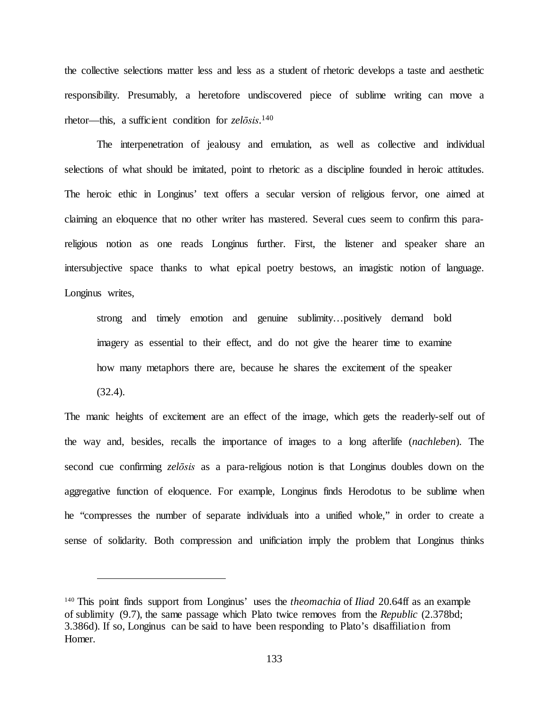the collective selections matter less and less as a student of rhetoric develops a taste and aesthetic responsibility. Presumably, a heretofore undiscovered piece of sublime writing can move a rhetor—this, a sufficient condition for *zelōsis*. 140

The interpenetration of jealousy and emulation, as well as collective and individual selections of what should be imitated, point to rhetoric as a discipline founded in heroic attitudes. The heroic ethic in Longinus' text offers a secular version of religious fervor, one aimed at claiming an eloquence that no other writer has mastered. Several cues seem to confirm this parareligious notion as one reads Longinus further. First, the listener and speaker share an intersubjective space thanks to what epical poetry bestows, an imagistic notion of language. Longinus writes,

strong and timely emotion and genuine sublimity…positively demand bold imagery as essential to their effect, and do not give the hearer time to examine how many metaphors there are, because he shares the excitement of the speaker (32.4).

The manic heights of excitement are an effect of the image, which gets the readerly-self out of the way and, besides, recalls the importance of images to a long afterlife (*nachleben*). The second cue confirming *zelōsis* as a para-religious notion is that Longinus doubles down on the aggregative function of eloquence. For example, Longinus finds Herodotus to be sublime when he "compresses the number of separate individuals into a unified whole," in order to create a sense of solidarity. Both compression and unificiation imply the problem that Longinus thinks

<sup>140</sup> This point finds support from Longinus' uses the *theomachia* of *Iliad* 20.64ff as an example of sublimity (9.7), the same passage which Plato twice removes from the *Republic* (2.378bd; 3.386d). If so, Longinus can be said to have been responding to Plato's disaffiliation from Homer.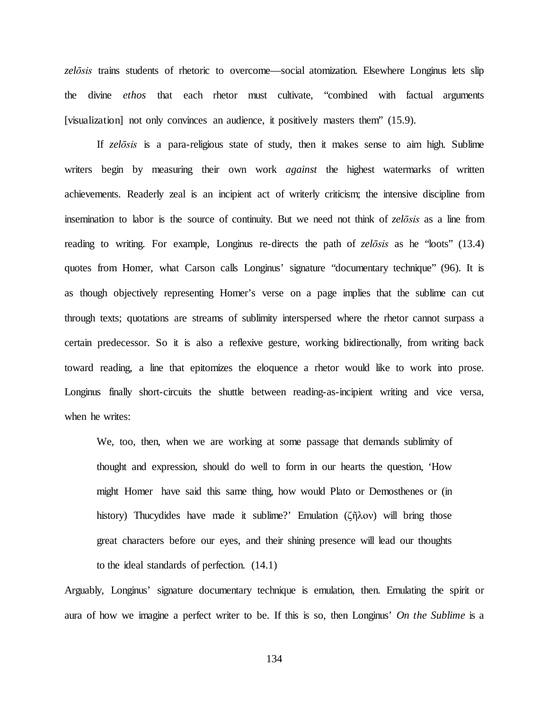*zelōsis* trains students of rhetoric to overcome—social atomization. Elsewhere Longinus lets slip the divine *ethos* that each rhetor must cultivate, "combined with factual arguments [visualization] not only convinces an audience, it positively masters them" (15.9).

If *zelōsis* is a para-religious state of study, then it makes sense to aim high. Sublime writers begin by measuring their own work *against* the highest watermarks of written achievements. Readerly zeal is an incipient act of writerly criticism; the intensive discipline from insemination to labor is the source of continuity. But we need not think of *zelōsis* as a line from reading to writing. For example, Longinus re-directs the path of *zelōsis* as he "loots" (13.4) quotes from Homer, what Carson calls Longinus' signature "documentary technique" (96). It is as though objectively representing Homer's verse on a page implies that the sublime can cut through texts; quotations are streams of sublimity interspersed where the rhetor cannot surpass a certain predecessor. So it is also a reflexive gesture, working bidirectionally, from writing back toward reading, a line that epitomizes the eloquence a rhetor would like to work into prose. Longinus finally short-circuits the shuttle between reading-as-incipient writing and vice versa, when he writes:

We, too, then, when we are working at some passage that demands sublimity of thought and expression, should do well to form in our hearts the question, 'How might Homer have said this same thing, how would Plato or Demosthenes or (in history) Thucydides have made it sublime?' Emulation (ζῆλον) will bring those great characters before our eyes, and their shining presence will lead our thoughts to the ideal standards of perfection. (14.1)

Arguably, Longinus' signature documentary technique is emulation, then. Emulating the spirit or aura of how we imagine a perfect writer to be. If this is so, then Longinus' *On the Sublime* is a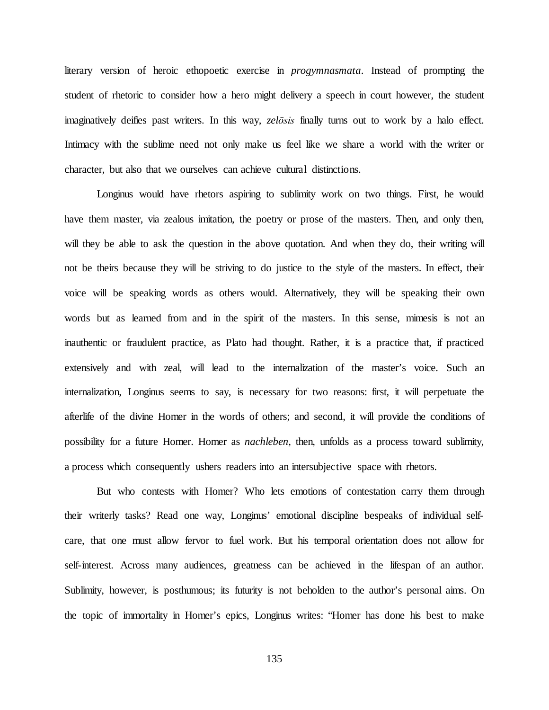literary version of heroic ethopoetic exercise in *progymnasmata*. Instead of prompting the student of rhetoric to consider how a hero might delivery a speech in court however, the student imaginatively deifies past writers. In this way, *zelōsis* finally turns out to work by a halo effect. Intimacy with the sublime need not only make us feel like we share a world with the writer or character, but also that we ourselves can achieve cultural distinctions.

Longinus would have rhetors aspiring to sublimity work on two things. First, he would have them master, via zealous imitation, the poetry or prose of the masters. Then, and only then, will they be able to ask the question in the above quotation. And when they do, their writing will not be theirs because they will be striving to do justice to the style of the masters. In effect, their voice will be speaking words as others would. Alternatively, they will be speaking their own words but as learned from and in the spirit of the masters. In this sense, mimesis is not an inauthentic or fraudulent practice, as Plato had thought. Rather, it is a practice that, if practiced extensively and with zeal, will lead to the internalization of the master's voice. Such an internalization, Longinus seems to say, is necessary for two reasons: first, it will perpetuate the afterlife of the divine Homer in the words of others; and second, it will provide the conditions of possibility for a future Homer. Homer as *nachleben,* then, unfolds as a process toward sublimity, a process which consequently ushers readers into an intersubjective space with rhetors.

But who contests with Homer? Who lets emotions of contestation carry them through their writerly tasks? Read one way, Longinus' emotional discipline bespeaks of individual selfcare, that one must allow fervor to fuel work. But his temporal orientation does not allow for self-interest. Across many audiences, greatness can be achieved in the lifespan of an author. Sublimity, however, is posthumous; its futurity is not beholden to the author's personal aims. On the topic of immortality in Homer's epics, Longinus writes: "Homer has done his best to make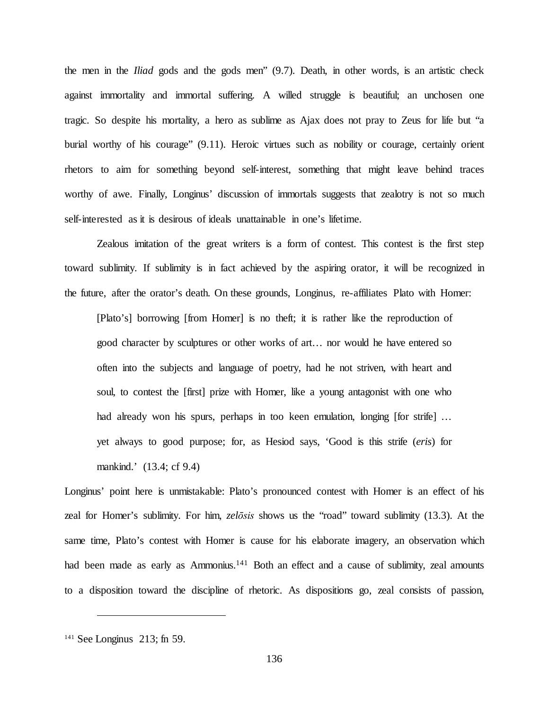the men in the *Iliad* gods and the gods men" (9.7). Death, in other words, is an artistic check against immortality and immortal suffering. A willed struggle is beautiful; an unchosen one tragic. So despite his mortality, a hero as sublime as Ajax does not pray to Zeus for life but "a burial worthy of his courage" (9.11). Heroic virtues such as nobility or courage, certainly orient rhetors to aim for something beyond self-interest, something that might leave behind traces worthy of awe. Finally, Longinus' discussion of immortals suggests that zealotry is not so much self-interested as it is desirous of ideals unattainable in one's lifetime.

Zealous imitation of the great writers is a form of contest. This contest is the first step toward sublimity. If sublimity is in fact achieved by the aspiring orator, it will be recognized in the future, after the orator's death. On these grounds, Longinus, re-affiliates Plato with Homer:

[Plato's] borrowing [from Homer] is no theft; it is rather like the reproduction of good character by sculptures or other works of art… nor would he have entered so often into the subjects and language of poetry, had he not striven, with heart and soul, to contest the [first] prize with Homer, like a young antagonist with one who had already won his spurs, perhaps in too keen emulation, longing [for strife] ... yet always to good purpose; for, as Hesiod says, 'Good is this strife (*eris*) for mankind.' (13.4; cf 9.4)

Longinus' point here is unmistakable: Plato's pronounced contest with Homer is an effect of his zeal for Homer's sublimity. For him, *zelōsis* shows us the "road" toward sublimity (13.3). At the same time, Plato's contest with Homer is cause for his elaborate imagery, an observation which had been made as early as Ammonius.<sup>141</sup> Both an effect and a cause of sublimity, zeal amounts to a disposition toward the discipline of rhetoric. As dispositions go, zeal consists of passion,

<sup>141</sup> See Longinus 213; fn 59.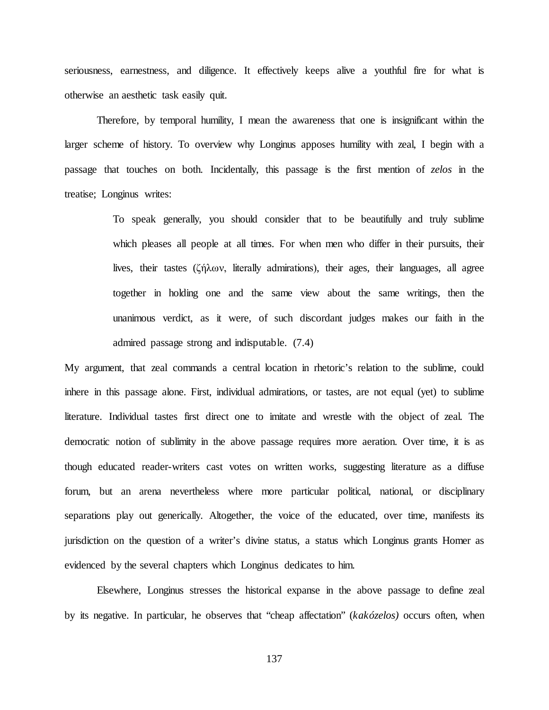seriousness, earnestness, and diligence. It effectively keeps alive a youthful fire for what is otherwise an aesthetic task easily quit.

Therefore, by temporal humility, I mean the awareness that one is insignificant within the larger scheme of history. To overview why Longinus apposes humility with zeal, I begin with a passage that touches on both. Incidentally, this passage is the first mention of *zelos* in the treatise; Longinus writes:

> To speak generally, you should consider that to be beautifully and truly sublime which pleases all people at all times. For when men who differ in their pursuits, their lives, their tastes (ζήλων, literally admirations), their ages, their languages, all agree together in holding one and the same view about the same writings, then the unanimous verdict, as it were, of such discordant judges makes our faith in the admired passage strong and indisputable. (7.4)

My argument, that zeal commands a central location in rhetoric's relation to the sublime, could inhere in this passage alone. First, individual admirations, or tastes, are not equal (yet) to sublime literature. Individual tastes first direct one to imitate and wrestle with the object of zeal. The democratic notion of sublimity in the above passage requires more aeration. Over time, it is as though educated reader-writers cast votes on written works, suggesting literature as a diffuse forum, but an arena nevertheless where more particular political, national, or disciplinary separations play out generically. Altogether, the voice of the educated, over time, manifests its jurisdiction on the question of a writer's divine status, a status which Longinus grants Homer as evidenced by the several chapters which Longinus dedicates to him.

Elsewhere, Longinus stresses the historical expanse in the above passage to define zeal by its negative. In particular, he observes that "cheap affectation" (*kakózelos)* occurs often, when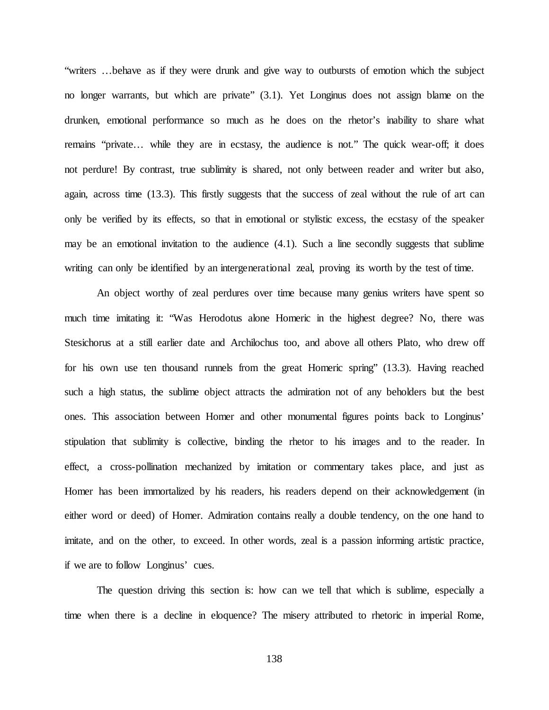"writers …behave as if they were drunk and give way to outbursts of emotion which the subject no longer warrants, but which are private" (3.1). Yet Longinus does not assign blame on the drunken, emotional performance so much as he does on the rhetor's inability to share what remains "private… while they are in ecstasy, the audience is not." The quick wear-off; it does not perdure! By contrast, true sublimity is shared, not only between reader and writer but also, again, across time (13.3). This firstly suggests that the success of zeal without the rule of art can only be verified by its effects, so that in emotional or stylistic excess, the ecstasy of the speaker may be an emotional invitation to the audience  $(4.1)$ . Such a line secondly suggests that sublime writing can only be identified by an intergenerational zeal, proving its worth by the test of time.

An object worthy of zeal perdures over time because many genius writers have spent so much time imitating it: "Was Herodotus alone Homeric in the highest degree? No, there was Stesichorus at a still earlier date and Archilochus too, and above all others Plato, who drew off for his own use ten thousand runnels from the great Homeric spring" (13.3). Having reached such a high status, the sublime object attracts the admiration not of any beholders but the best ones. This association between Homer and other monumental figures points back to Longinus' stipulation that sublimity is collective, binding the rhetor to his images and to the reader. In effect, a cross-pollination mechanized by imitation or commentary takes place, and just as Homer has been immortalized by his readers, his readers depend on their acknowledgement (in either word or deed) of Homer. Admiration contains really a double tendency, on the one hand to imitate, and on the other, to exceed. In other words, zeal is a passion informing artistic practice, if we are to follow Longinus' cues.

The question driving this section is: how can we tell that which is sublime, especially a time when there is a decline in eloquence? The misery attributed to rhetoric in imperial Rome,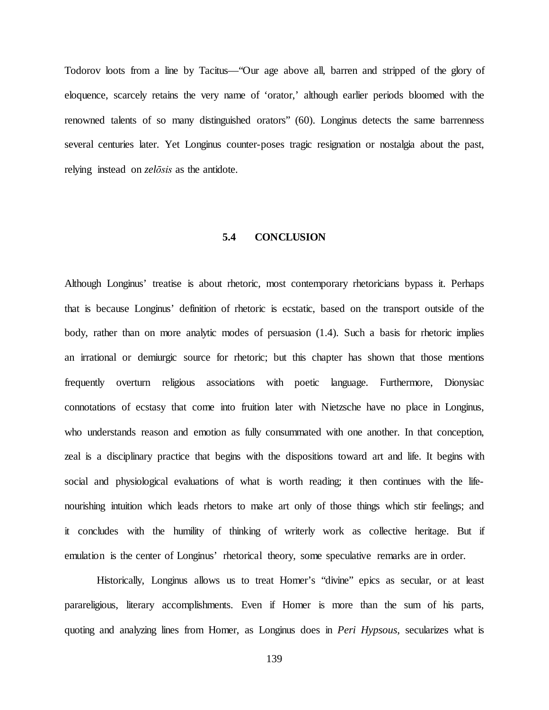Todorov loots from a line by Tacitus—"Our age above all, barren and stripped of the glory of eloquence, scarcely retains the very name of 'orator,' although earlier periods bloomed with the renowned talents of so many distinguished orators" (60). Longinus detects the same barrenness several centuries later. Yet Longinus counter-poses tragic resignation or nostalgia about the past, relying instead on *zelōsis* as the antidote.

#### **5.4 CONCLUSION**

Although Longinus' treatise is about rhetoric, most contemporary rhetoricians bypass it. Perhaps that is because Longinus' definition of rhetoric is ecstatic, based on the transport outside of the body, rather than on more analytic modes of persuasion  $(1.4)$ . Such a basis for rhetoric implies an irrational or demiurgic source for rhetoric; but this chapter has shown that those mentions frequently overturn religious associations with poetic language. Furthermore, Dionysiac connotations of ecstasy that come into fruition later with Nietzsche have no place in Longinus, who understands reason and emotion as fully consummated with one another. In that conception, zeal is a disciplinary practice that begins with the dispositions toward art and life. It begins with social and physiological evaluations of what is worth reading; it then continues with the lifenourishing intuition which leads rhetors to make art only of those things which stir feelings; and it concludes with the humility of thinking of writerly work as collective heritage. But if emulation is the center of Longinus' rhetorical theory, some speculative remarks are in order.

Historically, Longinus allows us to treat Homer's "divine" epics as secular, or at least parareligious, literary accomplishments. Even if Homer is more than the sum of his parts, quoting and analyzing lines from Homer, as Longinus does in *Peri Hypsous*, secularizes what is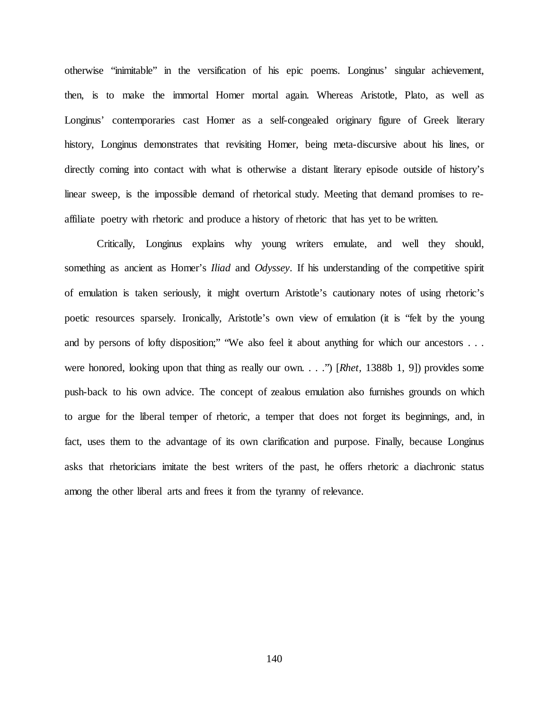otherwise "inimitable" in the versification of his epic poems. Longinus' singular achievement, then, is to make the immortal Homer mortal again. Whereas Aristotle, Plato, as well as Longinus' contemporaries cast Homer as a self-congealed originary figure of Greek literary history, Longinus demonstrates that revisiting Homer, being meta-discursive about his lines, or directly coming into contact with what is otherwise a distant literary episode outside of history's linear sweep, is the impossible demand of rhetorical study. Meeting that demand promises to reaffiliate poetry with rhetoric and produce a history of rhetoric that has yet to be written.

Critically, Longinus explains why young writers emulate, and well they should, something as ancient as Homer's *Iliad* and *Odyssey*. If his understanding of the competitive spirit of emulation is taken seriously, it might overturn Aristotle's cautionary notes of using rhetoric's poetic resources sparsely. Ironically, Aristotle's own view of emulation (it is "felt by the young and by persons of lofty disposition;" "We also feel it about anything for which our ancestors . . . were honored, looking upon that thing as really our own. . . .") [*Rhet,* 1388b 1, 9]) provides some push-back to his own advice. The concept of zealous emulation also furnishes grounds on which to argue for the liberal temper of rhetoric, a temper that does not forget its beginnings, and, in fact, uses them to the advantage of its own clarification and purpose. Finally, because Longinus asks that rhetoricians imitate the best writers of the past, he offers rhetoric a diachronic status among the other liberal arts and frees it from the tyranny of relevance.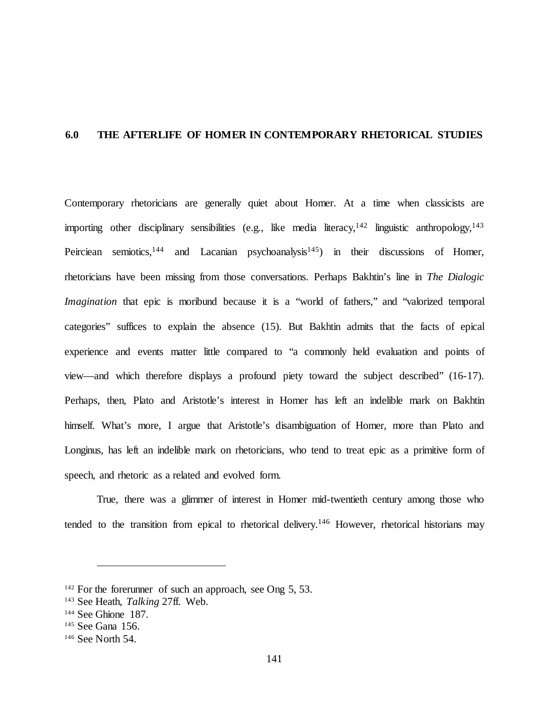# **6.0 THE AFTERLIFE OF HOMER IN CONTEMPORARY RHETORICAL STUDIES**

Contemporary rhetoricians are generally quiet about Homer. At a time when classicists are importing other disciplinary sensibilities (e.g., like media literacy,  $142$  linguistic anthropology,  $143$ Peirciean semiotics,<sup>144</sup> and Lacanian psychoanalysis<sup>145</sup>) in their discussions of Homer, rhetoricians have been missing from those conversations. Perhaps Bakhtin's line in *The Dialogic Imagination* that epic is moribund because it is a "world of fathers," and "valorized temporal categories" suffices to explain the absence (15). But Bakhtin admits that the facts of epical experience and events matter little compared to "a commonly held evaluation and points of view—and which therefore displays a profound piety toward the subject described" (16-17). Perhaps, then, Plato and Aristotle's interest in Homer has left an indelible mark on Bakhtin himself. What's more, I argue that Aristotle's disambiguation of Homer, more than Plato and Longinus, has left an indelible mark on rhetoricians, who tend to treat epic as a primitive form of speech, and rhetoric as a related and evolved form.

True, there was a glimmer of interest in Homer mid-twentieth century among those who tended to the transition from epical to rhetorical delivery.<sup>146</sup> However, rhetorical historians may

 $142$  For the forerunner of such an approach, see Ong 5, 53.

<sup>143</sup> See Heath, *Talking* 27ff. Web.

<sup>&</sup>lt;sup>144</sup> See Ghione 187.<br><sup>145</sup> See Gana 156.<br><sup>146</sup> See North 54.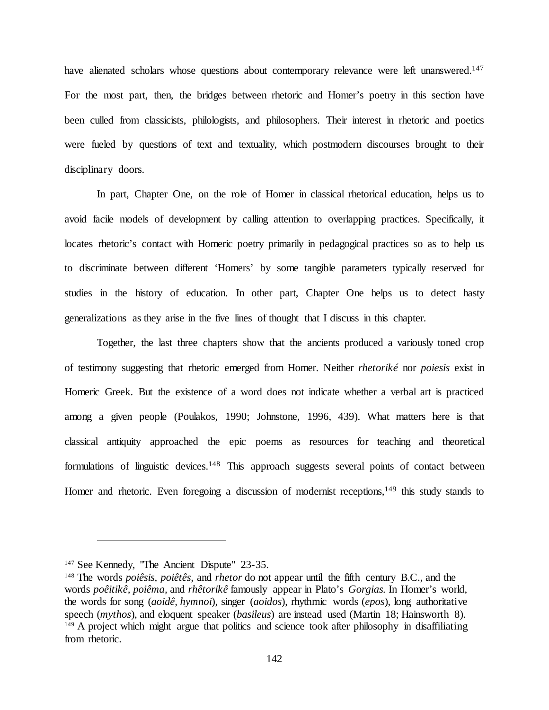have alienated scholars whose questions about contemporary relevance were left unanswered.<sup>147</sup> For the most part, then, the bridges between rhetoric and Homer's poetry in this section have been culled from classicists, philologists, and philosophers. Their interest in rhetoric and poetics were fueled by questions of text and textuality, which postmodern discourses brought to their disciplinary doors.

In part, Chapter One, on the role of Homer in classical rhetorical education, helps us to avoid facile models of development by calling attention to overlapping practices. Specifically, it locates rhetoric's contact with Homeric poetry primarily in pedagogical practices so as to help us to discriminate between different 'Homers' by some tangible parameters typically reserved for studies in the history of education. In other part, Chapter One helps us to detect hasty generalizations as they arise in the five lines of thought that I discuss in this chapter.

Together, the last three chapters show that the ancients produced a variously toned crop of testimony suggesting that rhetoric emerged from Homer. Neither *rhetoriké* nor *poiesis* exist in Homeric Greek. But the existence of a word does not indicate whether a verbal art is practiced among a given people (Poulakos, 1990; Johnstone, 1996, 439). What matters here is that classical antiquity approached the epic poems as resources for teaching and theoretical formulations of linguistic devices.<sup>148</sup> This approach suggests several points of contact between Homer and rhetoric. Even foregoing a discussion of modernist receptions,  $149$  this study stands to

<sup>&</sup>lt;sup>147</sup> See Kennedy, 'The Ancient Dispute'' 23-35.

<sup>148</sup> The words *poiêsis, poiêtês,* and *rhetor* do not appear until the fifth century B.C., and the words *poêitikê, poiêma,* and *rhêtorikê* famously appear in Plato's *Gorgias.* In Homer's world, the words for song (*aoidê, hymnoi*), singer (*aoidos*), rhythmic words (*epos*), long authoritative speech (*mythos*), and eloquent speaker (*basileus*) are instead used (Martin 18; Hainsworth 8). <sup>149</sup> A project which might argue that politics and science took after philosophy in disaffiliating from rhetoric.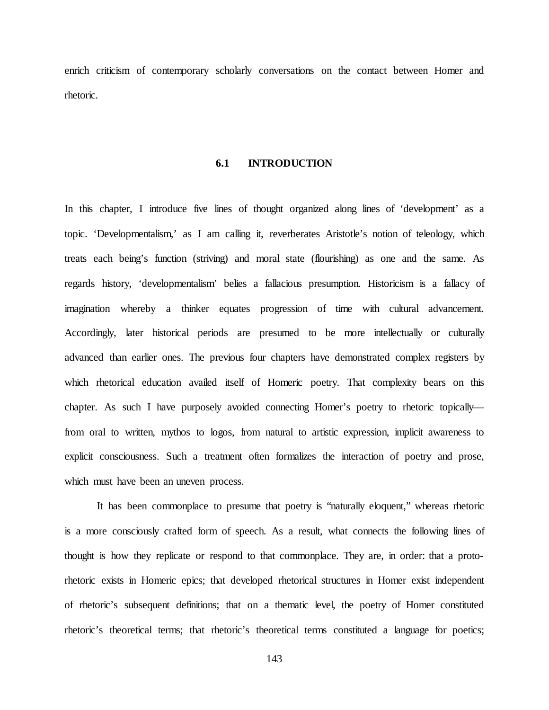enrich criticism of contemporary scholarly conversations on the contact between Homer and rhetoric.

#### **6.1 INTRODUCTION**

In this chapter, I introduce five lines of thought organized along lines of 'development' as a topic. 'Developmentalism,' as I am calling it, reverberates Aristotle's notion of teleology, which treats each being's function (striving) and moral state (flourishing) as one and the same. As regards history, 'developmentalism' belies a fallacious presumption. Historicism is a fallacy of imagination whereby a thinker equates progression of time with cultural advancement. Accordingly, later historical periods are presumed to be more intellectually or culturally advanced than earlier ones. The previous four chapters have demonstrated complex registers by which rhetorical education availed itself of Homeric poetry. That complexity bears on this chapter. As such I have purposely avoided connecting Homer's poetry to rhetoric topically from oral to written, mythos to logos, from natural to artistic expression, implicit awareness to explicit consciousness. Such a treatment often formalizes the interaction of poetry and prose, which must have been an uneven process.

It has been commonplace to presume that poetry is "naturally eloquent," whereas rhetoric is a more consciously crafted form of speech. As a result, what connects the following lines of thought is how they replicate or respond to that commonplace. They are, in order: that a protorhetoric exists in Homeric epics; that developed rhetorical structures in Homer exist independent of rhetoric's subsequent definitions; that on a thematic level, the poetry of Homer constituted rhetoric's theoretical terms; that rhetoric's theoretical terms constituted a language for poetics;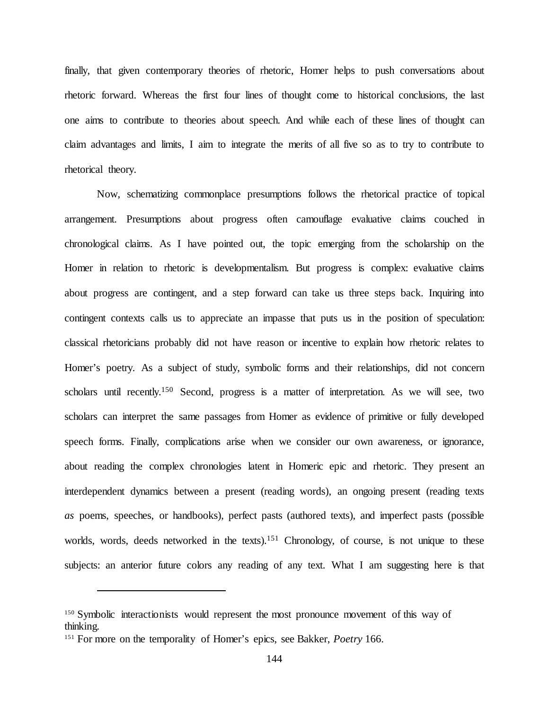finally, that given contemporary theories of rhetoric, Homer helps to push conversations about rhetoric forward. Whereas the first four lines of thought come to historical conclusions, the last one aims to contribute to theories about speech. And while each of these lines of thought can claim advantages and limits, I aim to integrate the merits of all five so as to try to contribute to rhetorical theory.

Now, schematizing commonplace presumptions follows the rhetorical practice of topical arrangement. Presumptions about progress often camouflage evaluative claims couched in chronological claims. As I have pointed out, the topic emerging from the scholarship on the Homer in relation to rhetoric is developmentalism. But progress is complex: evaluative claims about progress are contingent, and a step forward can take us three steps back. Inquiring into contingent contexts calls us to appreciate an impasse that puts us in the position of speculation: classical rhetoricians probably did not have reason or incentive to explain how rhetoric relates to Homer's poetry. As a subject of study, symbolic forms and their relationships, did not concern scholars until recently.<sup>150</sup> Second, progress is a matter of interpretation. As we will see, two scholars can interpret the same passages from Homer as evidence of primitive or fully developed speech forms. Finally, complications arise when we consider our own awareness, or ignorance, about reading the complex chronologies latent in Homeric epic and rhetoric. They present an interdependent dynamics between a present (reading words), an ongoing present (reading texts *as* poems, speeches, or handbooks), perfect pasts (authored texts), and imperfect pasts (possible worlds, words, deeds networked in the texts).<sup>151</sup> Chronology, of course, is not unique to these subjects: an anterior future colors any reading of any text. What I am suggesting here is that

<sup>&</sup>lt;sup>150</sup> Symbolic interactionists would represent the most pronounce movement of this way of thinking.

<sup>151</sup> For more on the temporality of Homer's epics, see Bakker, *Poetry* 166.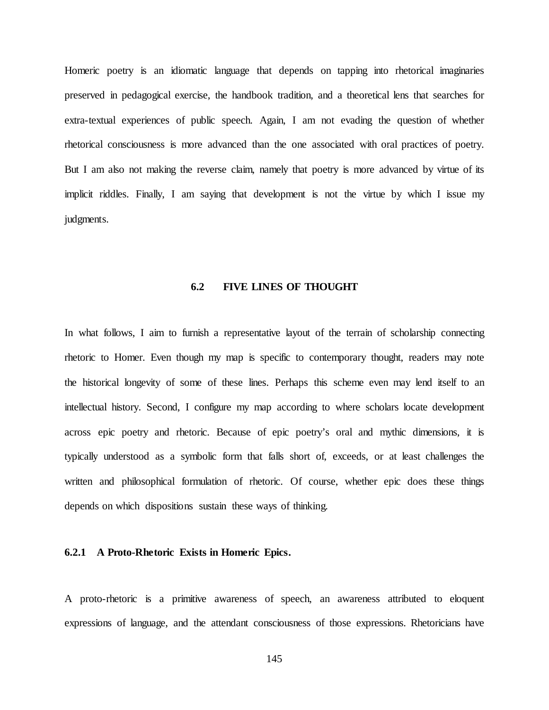Homeric poetry is an idiomatic language that depends on tapping into rhetorical imaginaries preserved in pedagogical exercise, the handbook tradition, and a theoretical lens that searches for extra-textual experiences of public speech. Again, I am not evading the question of whether rhetorical consciousness is more advanced than the one associated with oral practices of poetry. But I am also not making the reverse claim, namely that poetry is more advanced by virtue of its implicit riddles. Finally, I am saying that development is not the virtue by which I issue my judgments.

## **6.2 FIVE LINES OF THOUGHT**

In what follows, I aim to furnish a representative layout of the terrain of scholarship connecting rhetoric to Homer. Even though my map is specific to contemporary thought, readers may note the historical longevity of some of these lines. Perhaps this scheme even may lend itself to an intellectual history. Second, I configure my map according to where scholars locate development across epic poetry and rhetoric. Because of epic poetry's oral and mythic dimensions, it is typically understood as a symbolic form that falls short of, exceeds, or at least challenges the written and philosophical formulation of rhetoric. Of course, whether epic does these things depends on which dispositions sustain these ways of thinking.

## **6.2.1 A Proto-Rhetoric Exists in Homeric Epics.**

A proto-rhetoric is a primitive awareness of speech, an awareness attributed to eloquent expressions of language, and the attendant consciousness of those expressions. Rhetoricians have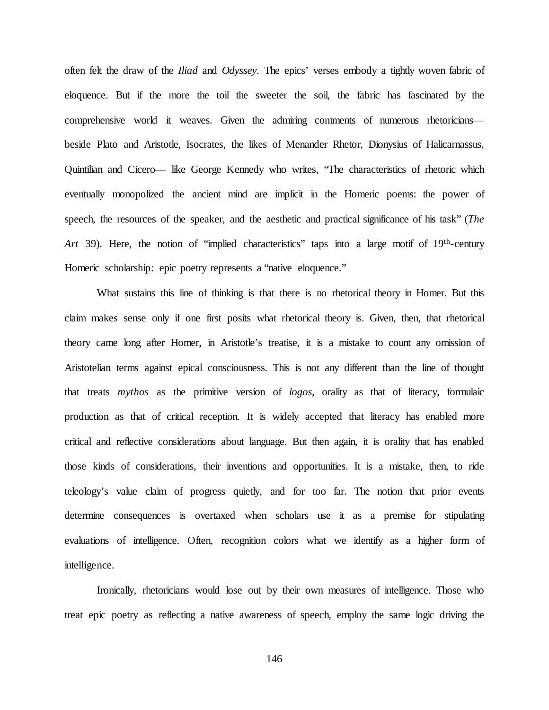often felt the draw of the *Iliad* and *Odyssey.* The epics' verses embody a tightly woven fabric of eloquence. But if the more the toil the sweeter the soil, the fabric has fascinated by the comprehensive world it weaves. Given the admiring comments of numerous rhetoricians beside Plato and Aristotle, Isocrates, the likes of Menander Rhetor, Dionysius of Halicarnassus, Quintilian and Cicero— like George Kennedy who writes, "The characteristics of rhetoric which eventually monopolized the ancient mind are implicit in the Homeric poems: the power of speech, the resources of the speaker, and the aesthetic and practical significance of his task" (*The Art* 39). Here, the notion of "implied characteristics" taps into a large motif of 19th-century Homeric scholarship: epic poetry represents a "native eloquence."

What sustains this line of thinking is that there is no rhetorical theory in Homer. But this claim makes sense only if one first posits what rhetorical theory is. Given, then, that rhetorical theory came long after Homer, in Aristotle's treatise, it is a mistake to count any omission of Aristotelian terms against epical consciousness. This is not any different than the line of thought that treats *mythos* as the primitive version of *logos*, orality as that of literacy, formulaic production as that of critical reception. It is widely accepted that literacy has enabled more critical and reflective considerations about language. But then again, it is orality that has enabled those kinds of considerations, their inventions and opportunities. It is a mistake, then, to ride teleology's value claim of progress quietly, and for too far. The notion that prior events determine consequences is overtaxed when scholars use it as a premise for stipulating evaluations of intelligence. Often, recognition colors what we identify as a higher form of intelligence.

Ironically, rhetoricians would lose out by their own measures of intelligence. Those who treat epic poetry as reflecting a native awareness of speech, employ the same logic driving the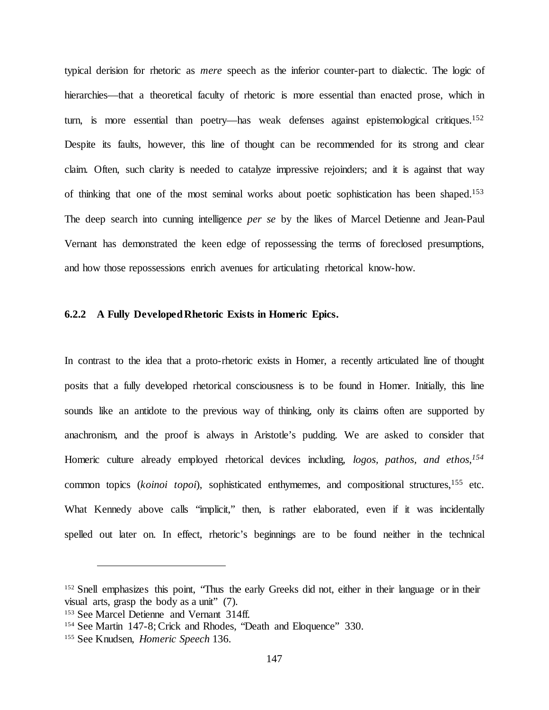typical derision for rhetoric as *mere* speech as the inferior counter-part to dialectic. The logic of hierarchies—that a theoretical faculty of rhetoric is more essential than enacted prose, which in turn, is more essential than poetry—has weak defenses against epistemological critiques.<sup>152</sup> Despite its faults, however, this line of thought can be recommended for its strong and clear claim. Often, such clarity is needed to catalyze impressive rejoinders; and it is against that way of thinking that one of the most seminal works about poetic sophistication has been shaped.153 The deep search into cunning intelligence *per se* by the likes of Marcel Detienne and Jean-Paul Vernant has demonstrated the keen edge of repossessing the terms of foreclosed presumptions, and how those repossessions enrich avenues for articulating rhetorical know-how.

#### **6.2.2 A Fully Developed Rhetoric Exists in Homeric Epics.**

In contrast to the idea that a proto-rhetoric exists in Homer, a recently articulated line of thought posits that a fully developed rhetorical consciousness is to be found in Homer. Initially, this line sounds like an antidote to the previous way of thinking, only its claims often are supported by anachronism, and the proof is always in Aristotle's pudding. We are asked to consider that Homeric culture already employed rhetorical devices including, *logos, pathos, and ethos*, *154* common topics (*koinoi topoi*), sophisticated enthymemes, and compositional structures,<sup>155</sup> etc. What Kennedy above calls "implicit," then, is rather elaborated, even if it was incidentally spelled out later on. In effect, rhetoric's beginnings are to be found neither in the technical

<sup>&</sup>lt;sup>152</sup> Snell emphasizes this point, "Thus the early Greeks did not, either in their language or in their visual arts, grasp the body as a unit" (7).

<sup>153</sup> See Marcel Detienne and Vernant 314ff.

<sup>154</sup> See Martin 147-8; Crick and Rhodes, "Death and Eloquence" 330.

<sup>155</sup> See Knudsen, *Homeric Speech* 136.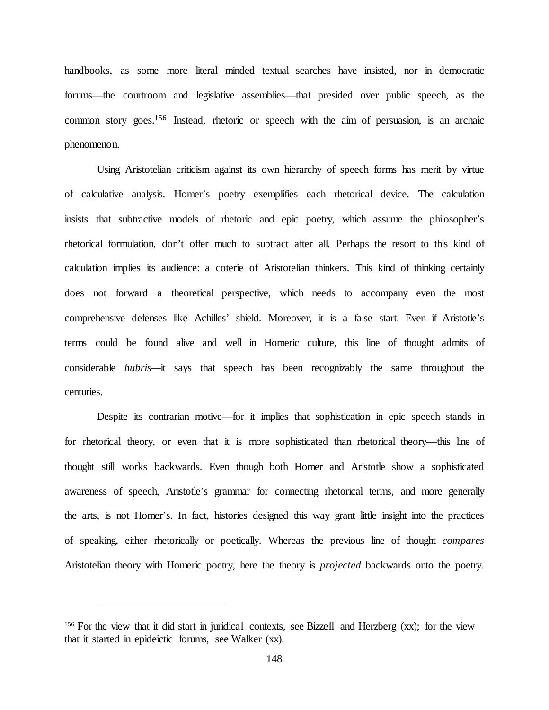handbooks, as some more literal minded textual searches have insisted, nor in democratic forums—the courtroom and legislative assemblies—that presided over public speech, as the common story goes.156 Instead, rhetoric or speech with the aim of persuasion, is an archaic phenomenon.

Using Aristotelian criticism against its own hierarchy of speech forms has merit by virtue of calculative analysis. Homer's poetry exemplifies each rhetorical device. The calculation insists that subtractive models of rhetoric and epic poetry, which assume the philosopher's rhetorical formulation, don't offer much to subtract after all. Perhaps the resort to this kind of calculation implies its audience: a coterie of Aristotelian thinkers. This kind of thinking certainly does not forward a theoretical perspective, which needs to accompany even the most comprehensive defenses like Achilles' shield. Moreover, it is a false start. Even if Aristotle's terms could be found alive and well in Homeric culture, this line of thought admits of considerable *hubris—*it says that speech has been recognizably the same throughout the centuries.

Despite its contrarian motive—for it implies that sophistication in epic speech stands in for rhetorical theory, or even that it is more sophisticated than rhetorical theory—this line of thought still works backwards. Even though both Homer and Aristotle show a sophisticated awareness of speech, Aristotle's grammar for connecting rhetorical terms, and more generally the arts, is not Homer's. In fact, histories designed this way grant little insight into the practices of speaking, either rhetorically or poetically. Whereas the previous line of thought *compares* Aristotelian theory with Homeric poetry, here the theory is *projected* backwards onto the poetry.

<sup>156</sup> For the view that it did start in juridical contexts, see Bizzell and Herzberg (xx); for the view that it started in epideictic forums, see Walker (xx).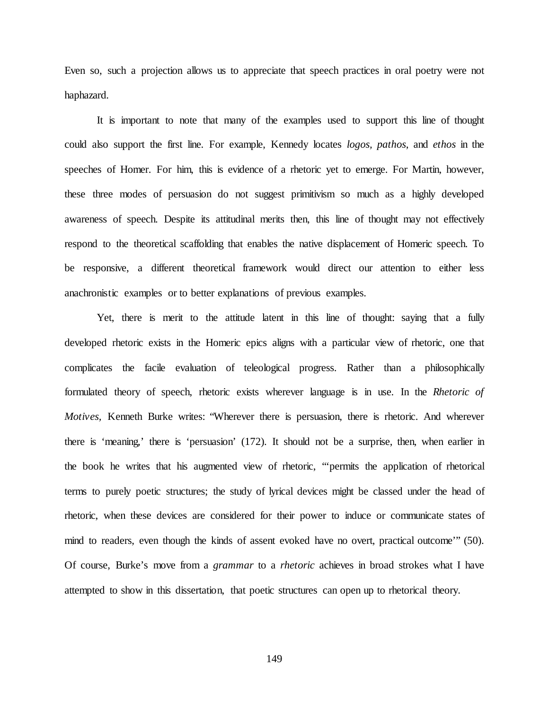Even so, such a projection allows us to appreciate that speech practices in oral poetry were not haphazard.

It is important to note that many of the examples used to support this line of thought could also support the first line. For example, Kennedy locates *logos, pathos*, and *ethos* in the speeches of Homer. For him, this is evidence of a rhetoric yet to emerge. For Martin, however, these three modes of persuasion do not suggest primitivism so much as a highly developed awareness of speech. Despite its attitudinal merits then, this line of thought may not effectively respond to the theoretical scaffolding that enables the native displacement of Homeric speech. To be responsive, a different theoretical framework would direct our attention to either less anachronistic examples or to better explanations of previous examples.

Yet, there is merit to the attitude latent in this line of thought: saying that a fully developed rhetoric exists in the Homeric epics aligns with a particular view of rhetoric, one that complicates the facile evaluation of teleological progress. Rather than a philosophically formulated theory of speech, rhetoric exists wherever language is in use. In the *Rhetoric of Motives,* Kenneth Burke writes: "Wherever there is persuasion, there is rhetoric. And wherever there is 'meaning,' there is 'persuasion' (172). It should not be a surprise, then, when earlier in the book he writes that his augmented view of rhetoric, "'permits the application of rhetorical terms to purely poetic structures; the study of lyrical devices might be classed under the head of rhetoric, when these devices are considered for their power to induce or communicate states of mind to readers, even though the kinds of assent evoked have no overt, practical outcome'" (50). Of course, Burke's move from a *grammar* to a *rhetoric* achieves in broad strokes what I have attempted to show in this dissertation, that poetic structures can open up to rhetorical theory.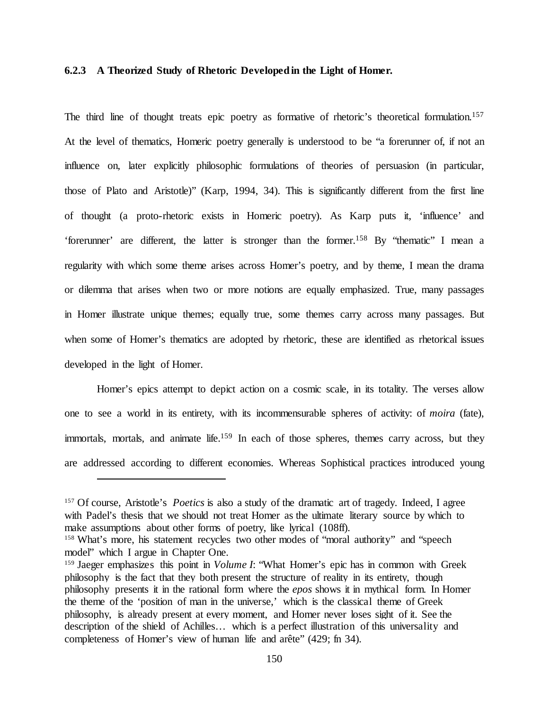## **6.2.3 A Theorized Study of Rhetoric Developed in the Light of Homer.**

The third line of thought treats epic poetry as formative of rhetoric's theoretical formulation.<sup>157</sup> At the level of thematics, Homeric poetry generally is understood to be "a forerunner of, if not an influence on, later explicitly philosophic formulations of theories of persuasion (in particular, those of Plato and Aristotle)" (Karp, 1994, 34). This is significantly different from the first line of thought (a proto-rhetoric exists in Homeric poetry). As Karp puts it, 'influence' and 'forerunner' are different, the latter is stronger than the former.158 By "thematic" I mean a regularity with which some theme arises across Homer's poetry, and by theme, I mean the drama or dilemma that arises when two or more notions are equally emphasized. True, many passages in Homer illustrate unique themes; equally true, some themes carry across many passages. But when some of Homer's thematics are adopted by rhetoric, these are identified as rhetorical issues developed in the light of Homer.

Homer's epics attempt to depict action on a cosmic scale, in its totality. The verses allow one to see a world in its entirety, with its incommensurable spheres of activity: of *moira* (fate), immortals, mortals, and animate life.<sup>159</sup> In each of those spheres, themes carry across, but they are addressed according to different economies. Whereas Sophistical practices introduced young

<sup>157</sup> Of course, Aristotle's *Poetics* is also a study of the dramatic art of tragedy. Indeed, I agree with Padel's thesis that we should not treat Homer as the ultimate literary source by which to make assumptions about other forms of poetry, like lyrical (108ff).

<sup>&</sup>lt;sup>158</sup> What's more, his statement recycles two other modes of "moral authority" and "speech model" which I argue in Chapter One.

<sup>&</sup>lt;sup>159</sup> Jaeger emphasizes this point in *Volume I*: "What Homer's epic has in common with Greek philosophy is the fact that they both present the structure of reality in its entirety, though philosophy presents it in the rational form where the *epos* shows it in mythical form. In Homer the theme of the 'position of man in the universe,' which is the classical theme of Greek philosophy, is already present at every moment, and Homer never loses sight of it. See the description of the shield of Achilles… which is a perfect illustration of this universality and completeness of Homer's view of human life and arête" (429; fn 34).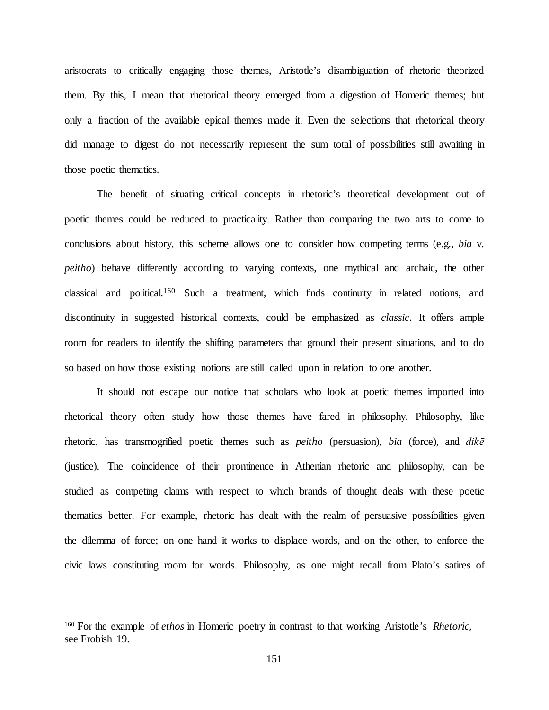aristocrats to critically engaging those themes, Aristotle's disambiguation of rhetoric theorized them. By this, I mean that rhetorical theory emerged from a digestion of Homeric themes; but only a fraction of the available epical themes made it. Even the selections that rhetorical theory did manage to digest do not necessarily represent the sum total of possibilities still awaiting in those poetic thematics.

The benefit of situating critical concepts in rhetoric's theoretical development out of poetic themes could be reduced to practicality. Rather than comparing the two arts to come to conclusions about history, this scheme allows one to consider how competing terms (e.g., *bia* v. *peitho*) behave differently according to varying contexts, one mythical and archaic, the other classical and political.160 Such a treatment, which finds continuity in related notions, and discontinuity in suggested historical contexts, could be emphasized as *classic*. It offers ample room for readers to identify the shifting parameters that ground their present situations, and to do so based on how those existing notions are still called upon in relation to one another.

It should not escape our notice that scholars who look at poetic themes imported into rhetorical theory often study how those themes have fared in philosophy. Philosophy, like rhetoric, has transmogrified poetic themes such as *peitho* (persuasion)*, bia* (force)*,* and *dikē*  (justice). The coincidence of their prominence in Athenian rhetoric and philosophy, can be studied as competing claims with respect to which brands of thought deals with these poetic thematics better. For example, rhetoric has dealt with the realm of persuasive possibilities given the dilemma of force; on one hand it works to displace words, and on the other, to enforce the civic laws constituting room for words. Philosophy, as one might recall from Plato's satires of

<sup>160</sup> For the example of *ethos* in Homeric poetry in contrast to that working Aristotle's *Rhetoric,*  see Frobish 19.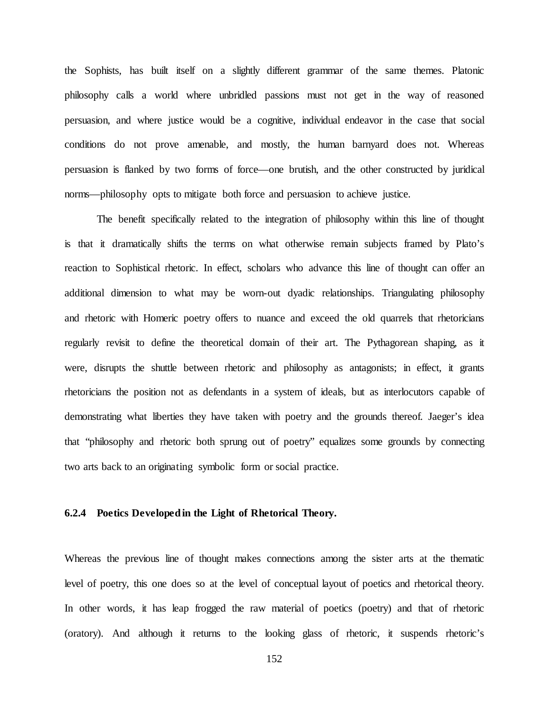the Sophists, has built itself on a slightly different grammar of the same themes. Platonic philosophy calls a world where unbridled passions must not get in the way of reasoned persuasion, and where justice would be a cognitive, individual endeavor in the case that social conditions do not prove amenable, and mostly, the human barnyard does not. Whereas persuasion is flanked by two forms of force—one brutish, and the other constructed by juridical norms—philosophy opts to mitigate both force and persuasion to achieve justice.

The benefit specifically related to the integration of philosophy within this line of thought is that it dramatically shifts the terms on what otherwise remain subjects framed by Plato's reaction to Sophistical rhetoric. In effect, scholars who advance this line of thought can offer an additional dimension to what may be worn-out dyadic relationships. Triangulating philosophy and rhetoric with Homeric poetry offers to nuance and exceed the old quarrels that rhetoricians regularly revisit to define the theoretical domain of their art. The Pythagorean shaping, as it were, disrupts the shuttle between rhetoric and philosophy as antagonists; in effect, it grants rhetoricians the position not as defendants in a system of ideals, but as interlocutors capable of demonstrating what liberties they have taken with poetry and the grounds thereof. Jaeger's idea that "philosophy and rhetoric both sprung out of poetry" equalizes some grounds by connecting two arts back to an originating symbolic form or social practice.

## **6.2.4 Poetics Developed in the Light of Rhetorical Theory.**

Whereas the previous line of thought makes connections among the sister arts at the thematic level of poetry, this one does so at the level of conceptual layout of poetics and rhetorical theory. In other words, it has leap frogged the raw material of poetics (poetry) and that of rhetoric (oratory). And although it returns to the looking glass of rhetoric, it suspends rhetoric's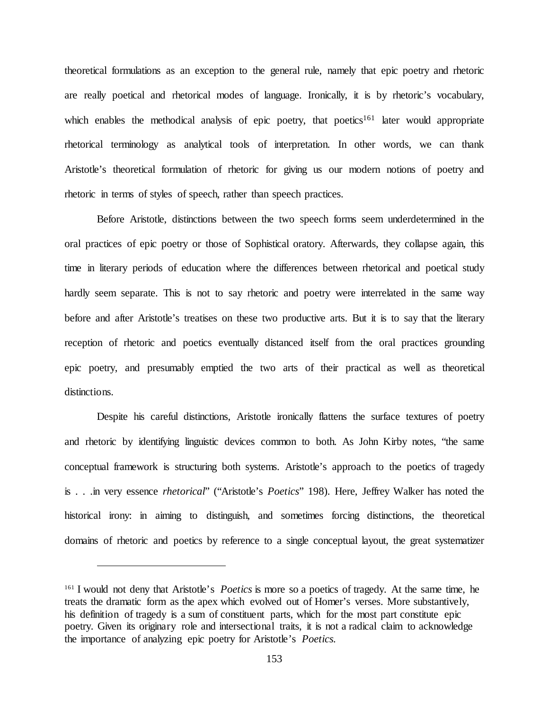theoretical formulations as an exception to the general rule, namely that epic poetry and rhetoric are really poetical and rhetorical modes of language. Ironically, it is by rhetoric's vocabulary, which enables the methodical analysis of epic poetry, that poetics<sup>161</sup> later would appropriate rhetorical terminology as analytical tools of interpretation. In other words, we can thank Aristotle's theoretical formulation of rhetoric for giving us our modern notions of poetry and rhetoric in terms of styles of speech, rather than speech practices.

Before Aristotle, distinctions between the two speech forms seem underdetermined in the oral practices of epic poetry or those of Sophistical oratory. Afterwards, they collapse again, this time in literary periods of education where the differences between rhetorical and poetical study hardly seem separate. This is not to say rhetoric and poetry were interrelated in the same way before and after Aristotle's treatises on these two productive arts. But it is to say that the literary reception of rhetoric and poetics eventually distanced itself from the oral practices grounding epic poetry, and presumably emptied the two arts of their practical as well as theoretical distinctions.

Despite his careful distinctions, Aristotle ironically flattens the surface textures of poetry and rhetoric by identifying linguistic devices common to both. As John Kirby notes, "the same conceptual framework is structuring both systems. Aristotle's approach to the poetics of tragedy is . . .in very essence *rhetorical*" ("Aristotle's *Poetics*" 198). Here, Jeffrey Walker has noted the historical irony: in aiming to distinguish, and sometimes forcing distinctions, the theoretical domains of rhetoric and poetics by reference to a single conceptual layout, the great systematizer

<sup>161</sup> I would not deny that Aristotle's *Poetics* is more so a poetics of tragedy. At the same time, he treats the dramatic form as the apex which evolved out of Homer's verses. More substantively, his definition of tragedy is a sum of constituent parts, which for the most part constitute epic poetry. Given its originary role and intersectional traits, it is not a radical claim to acknowledge the importance of analyzing epic poetry for Aristotle's *Poetics.*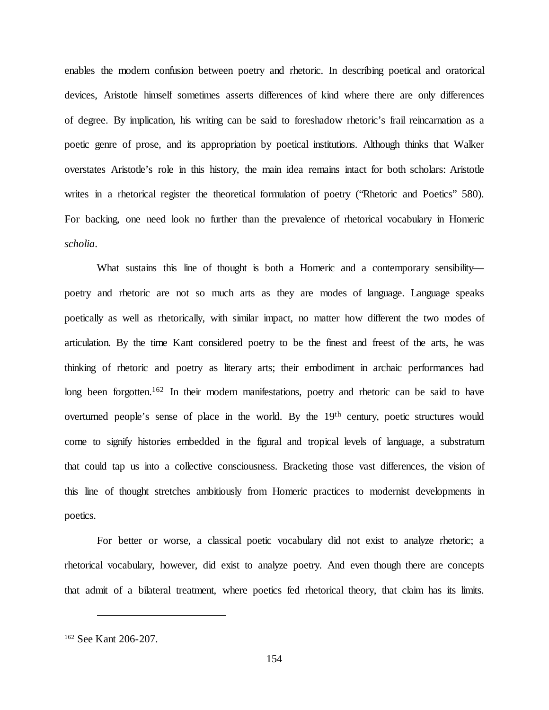enables the modern confusion between poetry and rhetoric. In describing poetical and oratorical devices, Aristotle himself sometimes asserts differences of kind where there are only differences of degree. By implication, his writing can be said to foreshadow rhetoric's frail reincarnation as a poetic genre of prose, and its appropriation by poetical institutions. Although thinks that Walker overstates Aristotle's role in this history, the main idea remains intact for both scholars: Aristotle writes in a rhetorical register the theoretical formulation of poetry ("Rhetoric and Poetics" 580). For backing, one need look no further than the prevalence of rhetorical vocabulary in Homeric *scholia*.

What sustains this line of thought is both a Homeric and a contemporary sensibility poetry and rhetoric are not so much arts as they are modes of language. Language speaks poetically as well as rhetorically, with similar impact, no matter how different the two modes of articulation. By the time Kant considered poetry to be the finest and freest of the arts, he was thinking of rhetoric and poetry as literary arts; their embodiment in archaic performances had long been forgotten.<sup>162</sup> In their modern manifestations, poetry and rhetoric can be said to have overturned people's sense of place in the world. By the 19th century, poetic structures would come to signify histories embedded in the figural and tropical levels of language, a substratum that could tap us into a collective consciousness. Bracketing those vast differences, the vision of this line of thought stretches ambitiously from Homeric practices to modernist developments in poetics.

For better or worse, a classical poetic vocabulary did not exist to analyze rhetoric; a rhetorical vocabulary, however, did exist to analyze poetry. And even though there are concepts that admit of a bilateral treatment, where poetics fed rhetorical theory, that claim has its limits.

<sup>162</sup> See Kant 206-207.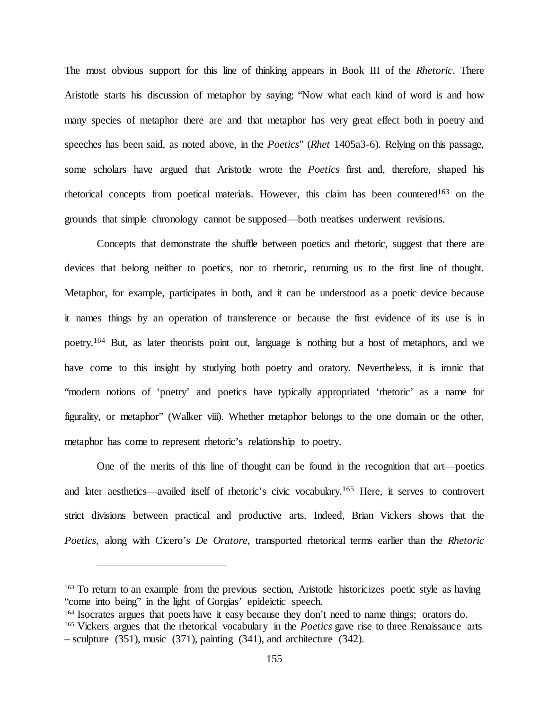The most obvious support for this line of thinking appears in Book III of the *Rhetoric*. There Aristotle starts his discussion of metaphor by saying: "Now what each kind of word is and how many species of metaphor there are and that metaphor has very great effect both in poetry and speeches has been said, as noted above, in the *Poetics*" (*Rhet* 1405a3-6). Relying on this passage, some scholars have argued that Aristotle wrote the *Poetics* first and, therefore, shaped his rhetorical concepts from poetical materials. However, this claim has been countered<sup>163</sup> on the grounds that simple chronology cannot be supposed—both treatises underwent revisions.

Concepts that demonstrate the shuffle between poetics and rhetoric, suggest that there are devices that belong neither to poetics, nor to rhetoric, returning us to the first line of thought. Metaphor, for example, participates in both, and it can be understood as a poetic device because it names things by an operation of transference or because the first evidence of its use is in poetry.164 But, as later theorists point out, language is nothing but a host of metaphors, and we have come to this insight by studying both poetry and oratory. Nevertheless, it is ironic that "modern notions of 'poetry' and poetics have typically appropriated 'rhetoric' as a name for figurality, or metaphor" (Walker viii). Whether metaphor belongs to the one domain or the other, metaphor has come to represent rhetoric's relationship to poetry.

One of the merits of this line of thought can be found in the recognition that art—poetics and later aesthetics—availed itself of rhetoric's civic vocabulary.165 Here, it serves to controvert strict divisions between practical and productive arts. Indeed, Brian Vickers shows that the *Poetics,* along with Cicero's *De Oratore,* transported rhetorical terms earlier than the *Rhetoric*

<sup>&</sup>lt;sup>163</sup> To return to an example from the previous section, Aristotle historicizes poetic style as having "come into being" in the light of Gorgias' epideictic speech.

<sup>&</sup>lt;sup>164</sup> Isocrates argues that poets have it easy because they don't need to name things; orators do. <sup>165</sup> Vickers argues that the rhetorical vocabulary in the *Poetics* gave rise to three Renaissance arts – sculpture (351), music (371), painting (341), and architecture (342).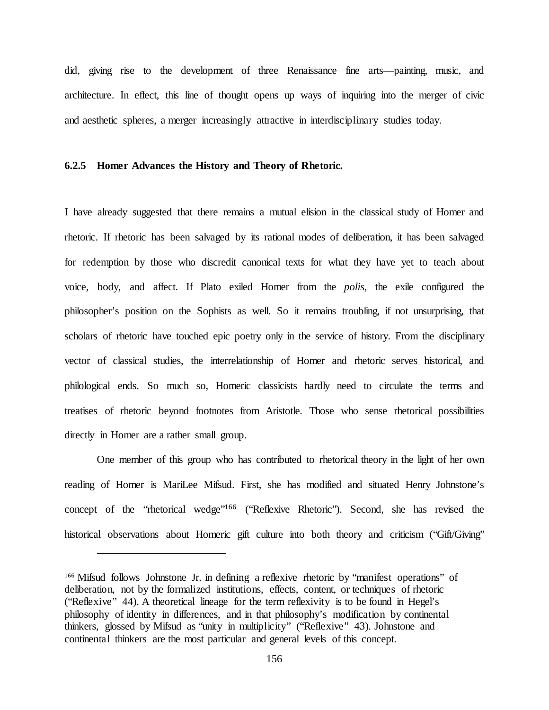did, giving rise to the development of three Renaissance fine arts—painting, music, and architecture. In effect, this line of thought opens up ways of inquiring into the merger of civic and aesthetic spheres, a merger increasingly attractive in interdisciplinary studies today.

#### **6.2.5 Homer Advances the History and Theory of Rhetoric.**

I have already suggested that there remains a mutual elision in the classical study of Homer and rhetoric. If rhetoric has been salvaged by its rational modes of deliberation, it has been salvaged for redemption by those who discredit canonical texts for what they have yet to teach about voice, body, and affect. If Plato exiled Homer from the *polis*, the exile configured the philosopher's position on the Sophists as well. So it remains troubling, if not unsurprising, that scholars of rhetoric have touched epic poetry only in the service of history. From the disciplinary vector of classical studies, the interrelationship of Homer and rhetoric serves historical, and philological ends. So much so, Homeric classicists hardly need to circulate the terms and treatises of rhetoric beyond footnotes from Aristotle. Those who sense rhetorical possibilities directly in Homer are a rather small group.

One member of this group who has contributed to rhetorical theory in the light of her own reading of Homer is MariLee Mifsud. First, she has modified and situated Henry Johnstone's concept of the "rhetorical wedge"166 ("Reflexive Rhetoric"). Second, she has revised the historical observations about Homeric gift culture into both theory and criticism ("Gift/Giving"

<sup>166</sup> Mifsud follows Johnstone Jr. in defining a reflexive rhetoric by "manifest operations" of deliberation, not by the formalized institutions, effects, content, or techniques of rhetoric ("Reflexive" 44). A theoretical lineage for the term reflexivity is to be found in Hegel's philosophy of identity in differences, and in that philosophy's modification by continental thinkers, glossed by Mifsud as "unity in multiplicity" ("Reflexive" 43). Johnstone and continental thinkers are the most particular and general levels of this concept.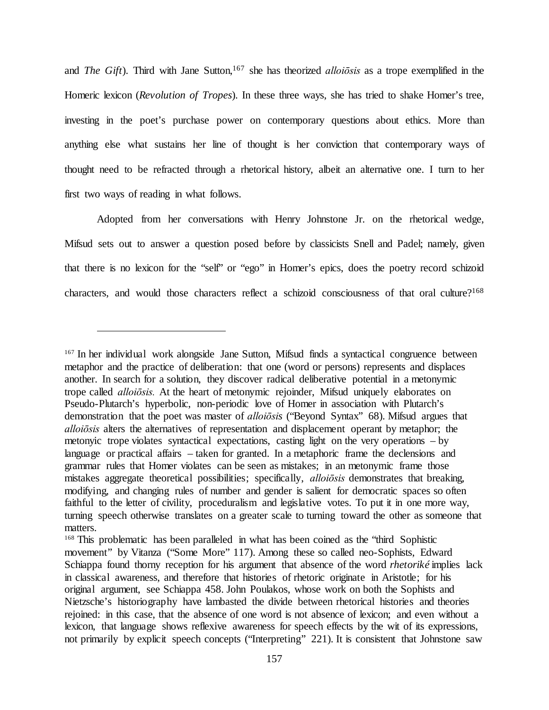and *The Gift*). Third with Jane Sutton,<sup>167</sup> she has theorized *alloiosis* as a trope exemplified in the Homeric lexicon (*Revolution of Tropes*). In these three ways, she has tried to shake Homer's tree, investing in the poet's purchase power on contemporary questions about ethics. More than anything else what sustains her line of thought is her conviction that contemporary ways of thought need to be refracted through a rhetorical history, albeit an alternative one. I turn to her first two ways of reading in what follows.

Adopted from her conversations with Henry Johnstone Jr. on the rhetorical wedge, Mifsud sets out to answer a question posed before by classicists Snell and Padel; namely, given that there is no lexicon for the "self" or "ego" in Homer's epics, does the poetry record schizoid characters, and would those characters reflect a schizoid consciousness of that oral culture?<sup>168</sup>

<sup>167</sup> In her individual work alongside Jane Sutton, Mifsud finds a syntactical congruence between metaphor and the practice of deliberation: that one (word or persons) represents and displaces another. In search for a solution, they discover radical deliberative potential in a metonymic trope called *alloiōsis.* At the heart of metonymic rejoinder, Mifsud uniquely elaborates on Pseudo-Plutarch's hyperbolic, non-periodic love of Homer in association with Plutarch's demonstration that the poet was master of *alloiōsis* ("Beyond Syntax" 68). Mifsud argues that *alloiōsis* alters the alternatives of representation and displacement operant by metaphor; the metonyic trope violates syntactical expectations, casting light on the very operations – by language or practical affairs – taken for granted. In a metaphoric frame the declensions and grammar rules that Homer violates can be seen as mistakes; in an metonymic frame those mistakes aggregate theoretical possibilities; specifically, *alloiōsis* demonstrates that breaking, modifying, and changing rules of number and gender is salient for democratic spaces so often faithful to the letter of civility, proceduralism and legislative votes. To put it in one more way, turning speech otherwise translates on a greater scale to turning toward the other as someone that matters.

<sup>&</sup>lt;sup>168</sup> This problematic has been paralleled in what has been coined as the "third Sophistic movement" by Vitanza ("Some More" 117). Among these so called neo-Sophists, Edward Schiappa found thorny reception for his argument that absence of the word *rhetoriké* implies lack in classical awareness, and therefore that histories of rhetoric originate in Aristotle; for his original argument, see Schiappa 458. John Poulakos, whose work on both the Sophists and Nietzsche's historiography have lambasted the divide between rhetorical histories and theories rejoined: in this case, that the absence of one word is not absence of lexicon; and even without a lexicon, that language shows reflexive awareness for speech effects by the wit of its expressions, not primarily by explicit speech concepts ("Interpreting" 221). It is consistent that Johnstone saw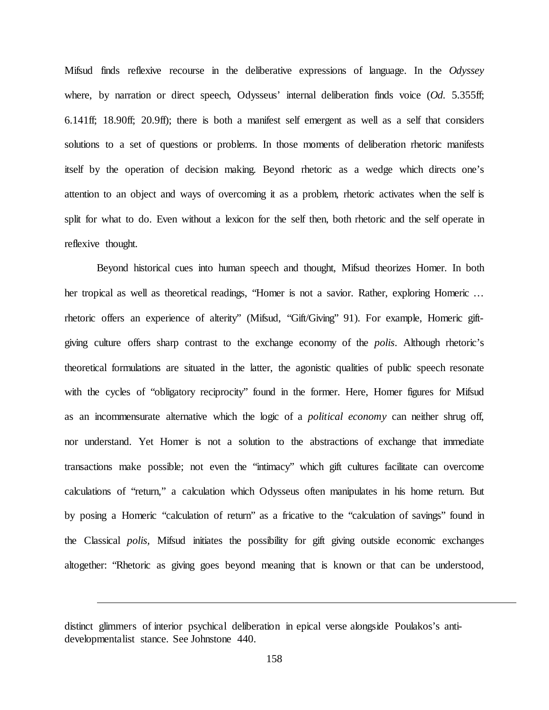Mifsud finds reflexive recourse in the deliberative expressions of language. In the *Odyssey* where, by narration or direct speech, Odysseus' internal deliberation finds voice (*Od.* 5.355ff; 6.141ff; 18.90ff; 20.9ff); there is both a manifest self emergent as well as a self that considers solutions to a set of questions or problems. In those moments of deliberation rhetoric manifests itself by the operation of decision making. Beyond rhetoric as a wedge which directs one's attention to an object and ways of overcoming it as a problem, rhetoric activates when the self is split for what to do. Even without a lexicon for the self then, both rhetoric and the self operate in reflexive thought.

Beyond historical cues into human speech and thought, Mifsud theorizes Homer. In both her tropical as well as theoretical readings, "Homer is not a savior. Rather, exploring Homeric … rhetoric offers an experience of alterity" (Mifsud, "Gift/Giving" 91). For example, Homeric giftgiving culture offers sharp contrast to the exchange economy of the *polis*. Although rhetoric's theoretical formulations are situated in the latter, the agonistic qualities of public speech resonate with the cycles of "obligatory reciprocity" found in the former. Here, Homer figures for Mifsud as an incommensurate alternative which the logic of a *political economy* can neither shrug off, nor understand. Yet Homer is not a solution to the abstractions of exchange that immediate transactions make possible; not even the "intimacy" which gift cultures facilitate can overcome calculations of "return," a calculation which Odysseus often manipulates in his home return. But by posing a Homeric "calculation of return" as a fricative to the "calculation of savings" found in the Classical *polis,* Mifsud initiates the possibility for gift giving outside economic exchanges altogether: "Rhetoric as giving goes beyond meaning that is known or that can be understood,

distinct glimmers of interior psychical deliberation in epical verse alongside Poulakos's antidevelopmentalist stance. See Johnstone 440.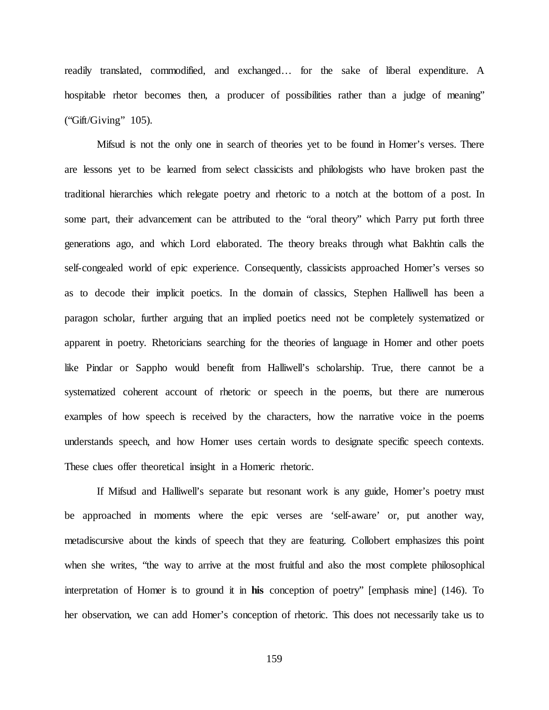readily translated, commodified, and exchanged… for the sake of liberal expenditure. A hospitable rhetor becomes then, a producer of possibilities rather than a judge of meaning" ("Gift/Giving" 105).

Mifsud is not the only one in search of theories yet to be found in Homer's verses. There are lessons yet to be learned from select classicists and philologists who have broken past the traditional hierarchies which relegate poetry and rhetoric to a notch at the bottom of a post. In some part, their advancement can be attributed to the "oral theory" which Parry put forth three generations ago, and which Lord elaborated. The theory breaks through what Bakhtin calls the self-congealed world of epic experience. Consequently, classicists approached Homer's verses so as to decode their implicit poetics. In the domain of classics, Stephen Halliwell has been a paragon scholar, further arguing that an implied poetics need not be completely systematized or apparent in poetry. Rhetoricians searching for the theories of language in Homer and other poets like Pindar or Sappho would benefit from Halliwell's scholarship. True, there cannot be a systematized coherent account of rhetoric or speech in the poems, but there are numerous examples of how speech is received by the characters, how the narrative voice in the poems understands speech, and how Homer uses certain words to designate specific speech contexts. These clues offer theoretical insight in a Homeric rhetoric.

If Mifsud and Halliwell's separate but resonant work is any guide, Homer's poetry must be approached in moments where the epic verses are 'self-aware' or, put another way, metadiscursive about the kinds of speech that they are featuring. Collobert emphasizes this point when she writes, "the way to arrive at the most fruitful and also the most complete philosophical interpretation of Homer is to ground it in **his** conception of poetry" [emphasis mine] (146). To her observation, we can add Homer's conception of rhetoric. This does not necessarily take us to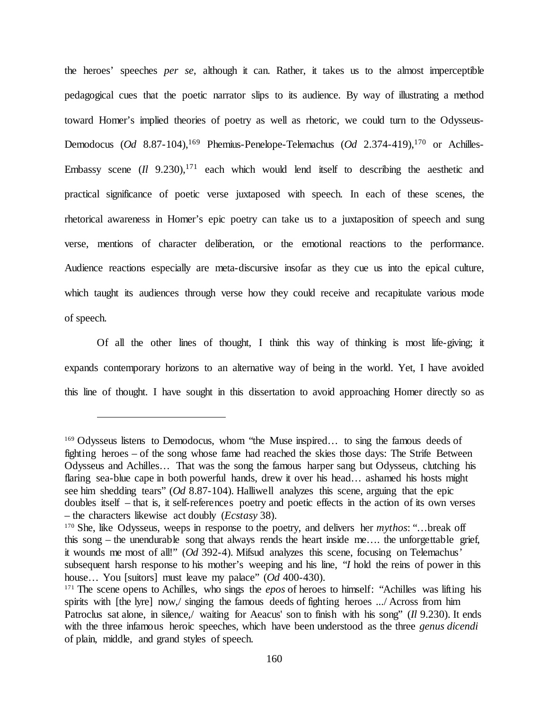the heroes' speeches *per se*, although it can. Rather, it takes us to the almost imperceptible pedagogical cues that the poetic narrator slips to its audience. By way of illustrating a method toward Homer's implied theories of poetry as well as rhetoric, we could turn to the Odysseus-Demodocus (*Od* 8.87-104),<sup>169</sup> Phemius-Penelope-Telemachus (*Od* 2.374-419),<sup>170</sup> or Achilles-Embassy scene  $(Il \ 9.230)$ ,<sup>171</sup> each which would lend itself to describing the aesthetic and practical significance of poetic verse juxtaposed with speech. In each of these scenes, the rhetorical awareness in Homer's epic poetry can take us to a juxtaposition of speech and sung verse, mentions of character deliberation, or the emotional reactions to the performance. Audience reactions especially are meta-discursive insofar as they cue us into the epical culture, which taught its audiences through verse how they could receive and recapitulate various mode of speech.

Of all the other lines of thought, I think this way of thinking is most life-giving; it expands contemporary horizons to an alternative way of being in the world. Yet, I have avoided this line of thought. I have sought in this dissertation to avoid approaching Homer directly so as

<sup>&</sup>lt;sup>169</sup> Odysseus listens to Demodocus, whom "the Muse inspired... to sing the famous deeds of fighting heroes – of the song whose fame had reached the skies those days: The Strife Between Odysseus and Achilles… That was the song the famous harper sang but Odysseus, clutching his flaring sea-blue cape in both powerful hands, drew it over his head... ashamed his hosts might see him shedding tears" (*Od* 8.87-104). Halliwell analyzes this scene, arguing that the epic doubles itself – that is, it self-references poetry and poetic effects in the action of its own verses – the characters likewise act doubly (*Ecstasy* 38).

<sup>170</sup> She, like Odysseus, weeps in response to the poetry, and delivers her *mythos*: "…break off this song – the unendurable song that always rends the heart inside me…. the unforgettable grief, it wounds me most of all!" (*Od* 392-4). Mifsud analyzes this scene, focusing on Telemachus' subsequent harsh response to his mother's weeping and his line, "*I* hold the reins of power in this house… You [suitors] must leave my palace" (*Od* 400-430).

<sup>171</sup> The scene opens to Achilles, who sings the *epos* of heroes to himself: "Achilles was lifting his spirits with [the lyre] now,/ singing the famous deeds of fighting heroes .../ Across from him Patroclus sat alone, in silence,/ waiting for Aeacus' son to finish with his song" (*Il* 9.230). It ends with the three infamous heroic speeches, which have been understood as the three *genus dicendi* of plain, middle, and grand styles of speech.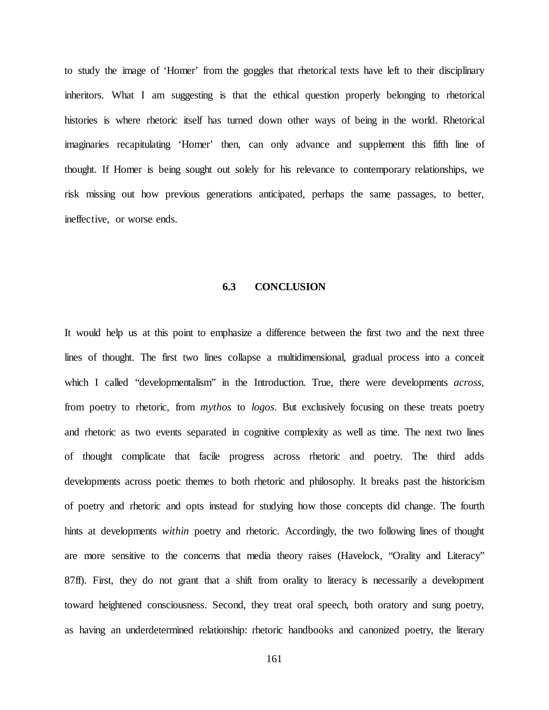to study the image of 'Homer' from the goggles that rhetorical texts have left to their disciplinary inheritors. What I am suggesting is that the ethical question properly belonging to rhetorical histories is where rhetoric itself has turned down other ways of being in the world. Rhetorical imaginaries recapitulating 'Homer' then, can only advance and supplement this fifth line of thought. If Homer is being sought out solely for his relevance to contemporary relationships, we risk missing out how previous generations anticipated, perhaps the same passages, to better, ineffective, or worse ends.

## **6.3 CONCLUSION**

It would help us at this point to emphasize a difference between the first two and the next three lines of thought. The first two lines collapse a multidimensional, gradual process into a conceit which I called "developmentalism" in the Introduction. True, there were developments *across*, from poetry to rhetoric, from *mythos* to *logos*. But exclusively focusing on these treats poetry and rhetoric as two events separated in cognitive complexity as well as time. The next two lines of thought complicate that facile progress across rhetoric and poetry. The third adds developments across poetic themes to both rhetoric and philosophy. It breaks past the historicism of poetry and rhetoric and opts instead for studying how those concepts did change. The fourth hints at developments *within* poetry and rhetoric. Accordingly, the two following lines of thought are more sensitive to the concerns that media theory raises (Havelock, "Orality and Literacy" 87ff). First, they do not grant that a shift from orality to literacy is necessarily a development toward heightened consciousness. Second, they treat oral speech, both oratory and sung poetry, as having an underdetermined relationship: rhetoric handbooks and canonized poetry, the literary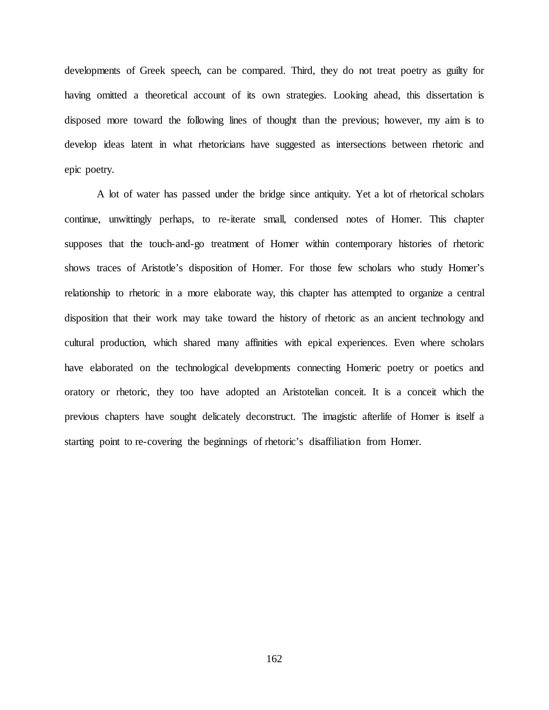developments of Greek speech, can be compared. Third, they do not treat poetry as guilty for having omitted a theoretical account of its own strategies. Looking ahead, this dissertation is disposed more toward the following lines of thought than the previous; however, my aim is to develop ideas latent in what rhetoricians have suggested as intersections between rhetoric and epic poetry.

A lot of water has passed under the bridge since antiquity. Yet a lot of rhetorical scholars continue, unwittingly perhaps, to re-iterate small, condensed notes of Homer. This chapter supposes that the touch-and-go treatment of Homer within contemporary histories of rhetoric shows traces of Aristotle's disposition of Homer. For those few scholars who study Homer's relationship to rhetoric in a more elaborate way, this chapter has attempted to organize a central disposition that their work may take toward the history of rhetoric as an ancient technology and cultural production, which shared many affinities with epical experiences. Even where scholars have elaborated on the technological developments connecting Homeric poetry or poetics and oratory or rhetoric, they too have adopted an Aristotelian conceit. It is a conceit which the previous chapters have sought delicately deconstruct. The imagistic afterlife of Homer is itself a starting point to re-covering the beginnings of rhetoric's disaffiliation from Homer.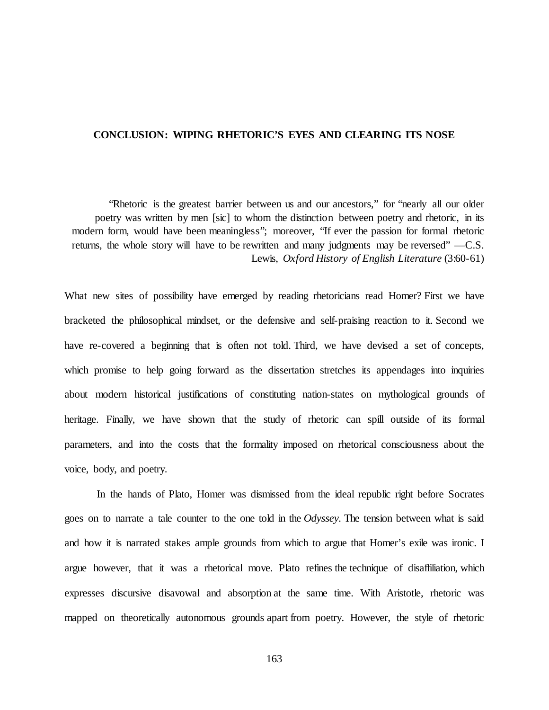## **CONCLUSION: WIPING RHETORIC'S EYES AND CLEARING ITS NOSE**

"Rhetoric is the greatest barrier between us and our ancestors," for "nearly all our older poetry was written by men [sic] to whom the distinction between poetry and rhetoric, in its modern form, would have been meaningless"; moreover, "If ever the passion for formal rhetoric returns, the whole story will have to be rewritten and many judgments may be reversed" —C.S. Lewis, *Oxford History of English Literature* (3:60-61)

What new sites of possibility have emerged by reading rhetoricians read Homer? First we have bracketed the philosophical mindset, or the defensive and self-praising reaction to it. Second we have re-covered a beginning that is often not told. Third, we have devised a set of concepts, which promise to help going forward as the dissertation stretches its appendages into inquiries about modern historical justifications of constituting nation-states on mythological grounds of heritage. Finally, we have shown that the study of rhetoric can spill outside of its formal parameters, and into the costs that the formality imposed on rhetorical consciousness about the voice, body, and poetry.

In the hands of Plato, Homer was dismissed from the ideal republic right before Socrates goes on to narrate a tale counter to the one told in the *Odyssey.* The tension between what is said and how it is narrated stakes ample grounds from which to argue that Homer's exile was ironic. I argue however, that it was a rhetorical move. Plato refines the technique of disaffiliation, which expresses discursive disavowal and absorption at the same time. With Aristotle, rhetoric was mapped on theoretically autonomous grounds apart from poetry. However, the style of rhetoric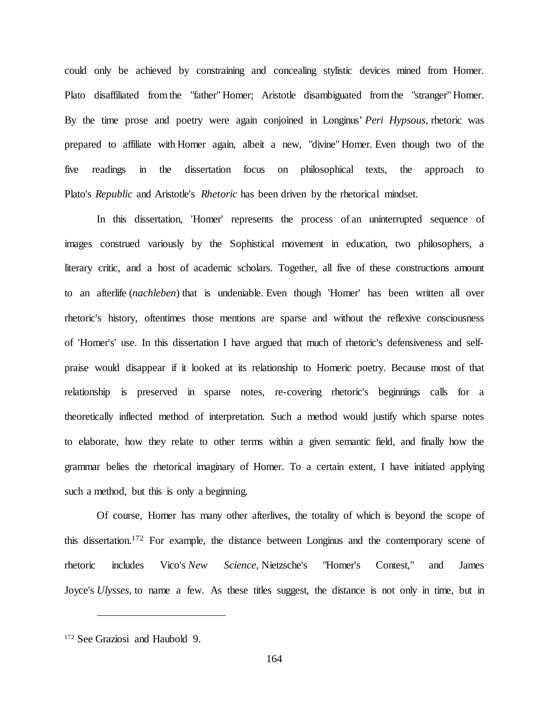could only be achieved by constraining and concealing stylistic devices mined from Homer. Plato disaffiliated from the "father" Homer; Aristotle disambiguated from the "stranger" Homer. By the time prose and poetry were again conjoined in Longinus' *Peri Hypsous,* rhetoric was prepared to affiliate with Homer again, albeit a new, "divine" Homer. Even though two of the five readings in the dissertation focus on philosophical texts, the approach to Plato's *Republic* and Aristotle's *Rhetoric* has been driven by the rhetorical mindset.

In this dissertation, 'Homer' represents the process of an uninterrupted sequence of images construed variously by the Sophistical movement in education, two philosophers, a literary critic, and a host of academic scholars. Together, all five of these constructions amount to an afterlife (*nachleben*) that is undeniable. Even though 'Homer' has been written all over rhetoric's history, oftentimes those mentions are sparse and without the reflexive consciousness of 'Homer's' use. In this dissertation I have argued that much of rhetoric's defensiveness and selfpraise would disappear if it looked at its relationship to Homeric poetry. Because most of that relationship is preserved in sparse notes, re-covering rhetoric's beginnings calls for a theoretically inflected method of interpretation. Such a method would justify which sparse notes to elaborate, how they relate to other terms within a given semantic field, and finally how the grammar belies the rhetorical imaginary of Homer. To a certain extent, I have initiated applying such a method, but this is only a beginning.

Of course, Homer has many other afterlives, the totality of which is beyond the scope of this dissertation.172 For example, the distance between Longinus and the contemporary scene of rhetoric includes Vico's *New Science,* Nietzsche's "Homer's Contest," and James Joyce's *Ulysses,* to name a few. As these titles suggest, the distance is not only in time, but in

<sup>172</sup> See Graziosi and Haubold 9.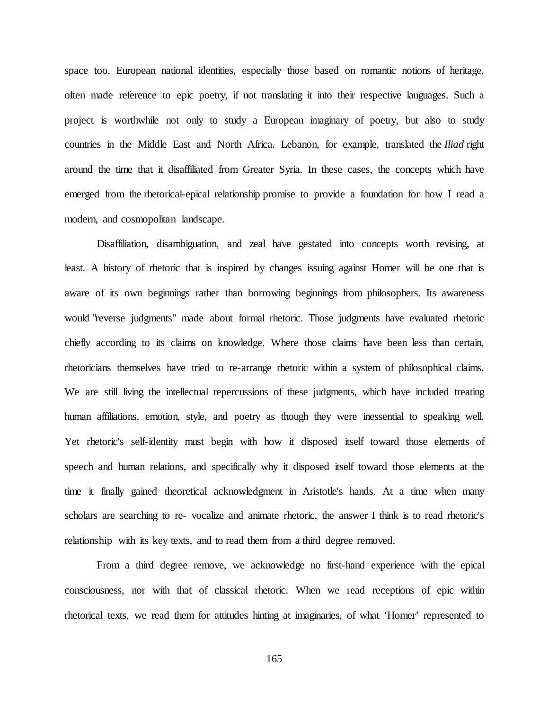space too. European national identities, especially those based on romantic notions of heritage, often made reference to epic poetry, if not translating it into their respective languages. Such a project is worthwhile not only to study a European imaginary of poetry, but also to study countries in the Middle East and North Africa. Lebanon, for example, translated the *Iliad* right around the time that it disaffiliated from Greater Syria. In these cases, the concepts which have emerged from the rhetorical-epical relationship promise to provide a foundation for how I read a modern, and cosmopolitan landscape.

Disaffiliation, disambiguation, and zeal have gestated into concepts worth revising, at least. A history of rhetoric that is inspired by changes issuing against Homer will be one that is aware of its own beginnings rather than borrowing beginnings from philosophers. Its awareness would "reverse judgments" made about formal rhetoric. Those judgments have evaluated rhetoric chiefly according to its claims on knowledge. Where those claims have been less than certain, rhetoricians themselves have tried to re-arrange rhetoric within a system of philosophical claims. We are still living the intellectual repercussions of these judgments, which have included treating human affiliations, emotion, style, and poetry as though they were inessential to speaking well. Yet rhetoric's self-identity must begin with how it disposed itself toward those elements of speech and human relations, and specifically why it disposed itself toward those elements at the time it finally gained theoretical acknowledgment in Aristotle's hands. At a time when many scholars are searching to re- vocalize and animate rhetoric, the answer I think is to read rhetoric's relationship with its key texts, and to read them from a third degree removed.

From a third degree remove, we acknowledge no first-hand experience with the epical consciousness, nor with that of classical rhetoric. When we read receptions of epic within rhetorical texts, we read them for attitudes hinting at imaginaries, of what 'Homer' represented to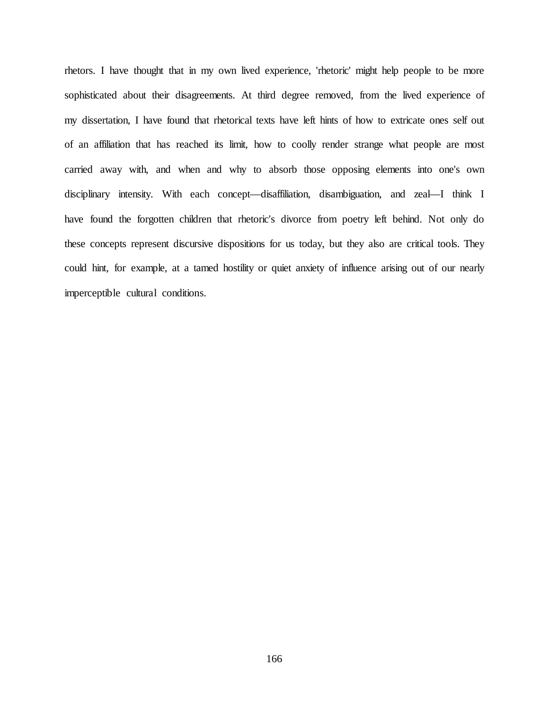rhetors. I have thought that in my own lived experience, 'rhetoric' might help people to be more sophisticated about their disagreements. At third degree removed, from the lived experience of my dissertation, I have found that rhetorical texts have left hints of how to extricate ones self out of an affiliation that has reached its limit, how to coolly render strange what people are most carried away with, and when and why to absorb those opposing elements into one's own disciplinary intensity. With each concept—disaffiliation, disambiguation, and zeal—I think I have found the forgotten children that rhetoric's divorce from poetry left behind. Not only do these concepts represent discursive dispositions for us today, but they also are critical tools. They could hint, for example, at a tamed hostility or quiet anxiety of influence arising out of our nearly imperceptible cultural conditions.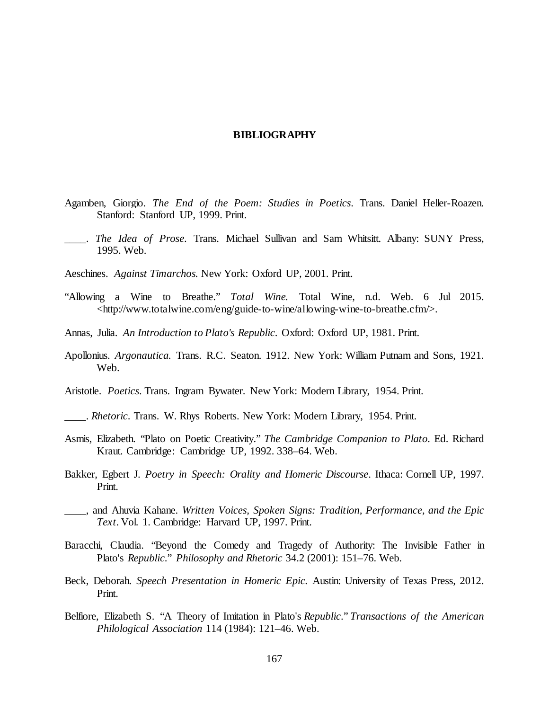#### **BIBLIOGRAPHY**

- Agamben, Giorgio. *The End of the Poem: Studies in Poetics*. Trans. Daniel Heller-Roazen. Stanford: Stanford UP, 1999. Print.
- \_\_\_\_. *The Idea of Prose*. Trans. Michael Sullivan and Sam Whitsitt. Albany: SUNY Press, 1995. Web.
- Aeschines. *Against Timarchos.* New York: Oxford UP, 2001. Print.
- "Allowing a Wine to Breathe." *Total Wine.* Total Wine, n.d. Web. 6 Jul 2015. <http://www.totalwine.com/eng/guide-to-wine/allowing-wine-to-breathe.cfm/>.
- Annas, Julia. *An Introduction to Plato's Republic*. Oxford: Oxford UP, 1981. Print.
- Apollonius. *Argonautica.* Trans. R.C. Seaton. 1912. New York: William Putnam and Sons, 1921. Web.
- Aristotle. *Poetics*. Trans. Ingram Bywater. New York: Modern Library, 1954. Print.
- \_\_\_\_. *Rhetoric*. Trans. W. Rhys Roberts. New York: Modern Library, 1954. Print.
- Asmis, Elizabeth. "Plato on Poetic Creativity." *The Cambridge Companion to Plato*. Ed. Richard Kraut. Cambridge: Cambridge UP, 1992. 338–64. Web.
- Bakker, Egbert J. *Poetry in Speech: Orality and Homeric Discourse*. Ithaca: Cornell UP, 1997. Print.
- \_\_\_\_, and Ahuvia Kahane. *Written Voices, Spoken Signs: Tradition, Performance, and the Epic Text*. Vol. 1. Cambridge: Harvard UP, 1997. Print.
- Baracchi, Claudia. "Beyond the Comedy and Tragedy of Authority: The Invisible Father in Plato's *Republic*." *Philosophy and Rhetoric* 34.2 (2001): 151–76. Web.
- Beck, Deborah. *Speech Presentation in Homeric Epic.* Austin: University of Texas Press, 2012. Print.
- Belfiore, Elizabeth S. "A Theory of Imitation in Plato's *Republic*." *Transactions of the American Philological Association* 114 (1984): 121–46. Web.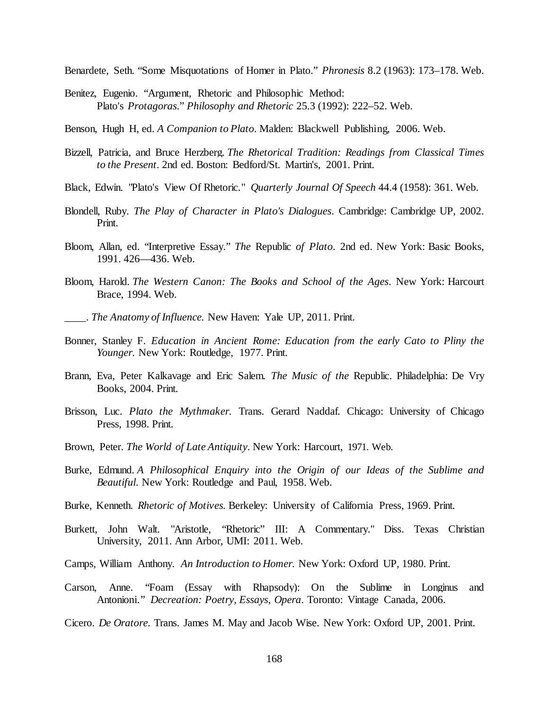Benardete, Seth. "Some Misquotations of Homer in Plato." *Phronesis* 8.2 (1963): 173–178. Web.

Benitez, Eugenio. "Argument, Rhetoric and Philosophic Method: Plato's *Protagoras*." *Philosophy and Rhetoric* 25.3 (1992): 222–52. Web.

Benson, Hugh H, ed. *A Companion to Plato*. Malden: Blackwell Publishing, 2006. Web.

- Bizzell, Patricia, and Bruce Herzberg. *The Rhetorical Tradition: Readings from Classical Times to the Present*. 2nd ed. Boston: Bedford/St. Martin's, 2001. Print.
- Black, Edwin. "Plato's View Of Rhetoric." *Quarterly Journal Of Speech* 44.4 (1958): 361. Web.
- Blondell, Ruby. *The Play of Character in Plato's Dialogues*. Cambridge: Cambridge UP, 2002. Print.
- Bloom, Allan, ed. "Interpretive Essay." *The* Republic *of Plato*. 2nd ed. New York: Basic Books, 1991. 426—436. Web.
- Bloom, Harold. *The Western Canon: The Books and School of the Ages*. New York: Harcourt Brace, 1994. Web.
- \_\_\_\_. *The Anatomy of Influence.* New Haven: Yale UP*,* 2011. Print.
- Bonner, Stanley F. *Education in Ancient Rome: Education from the early Cato to Pliny the Younger.* New York: Routledge, 1977. Print.
- Brann, Eva, Peter Kalkavage and Eric Salem. *The Music of the* Republic. Philadelphia: De Vry Books, 2004. Print.
- Brisson, Luc. *Plato the Mythmaker.* Trans. Gerard Naddaf. Chicago: University of Chicago Press, 1998. Print.
- Brown, Peter. *The World of Late Antiquity*. New York: Harcourt, 1971. Web.
- Burke, Edmund. *A Philosophical Enquiry into the Origin of our Ideas of the Sublime and Beautiful*. New York: Routledge and Paul, 1958. Web.
- Burke, Kenneth. *Rhetoric of Motives.* Berkeley: University of California Press, 1969. Print.
- Burkett, John Walt. "Aristotle, "Rhetoric" III: A Commentary." Diss. Texas Christian University, 2011. Ann Arbor, UMI: 2011. Web.
- Camps, William Anthony. *An Introduction to Homer.* New York: Oxford UP, 1980. Print.
- Carson, Anne. "Foam (Essay with Rhapsody): On the Sublime in Longinus and Antonioni." *Decreation: Poetry, Essays, Opera*. Toronto: Vintage Canada, 2006.
- Cicero. *De Oratore.* Trans. James M. May and Jacob Wise. New York: Oxford UP, 2001. Print.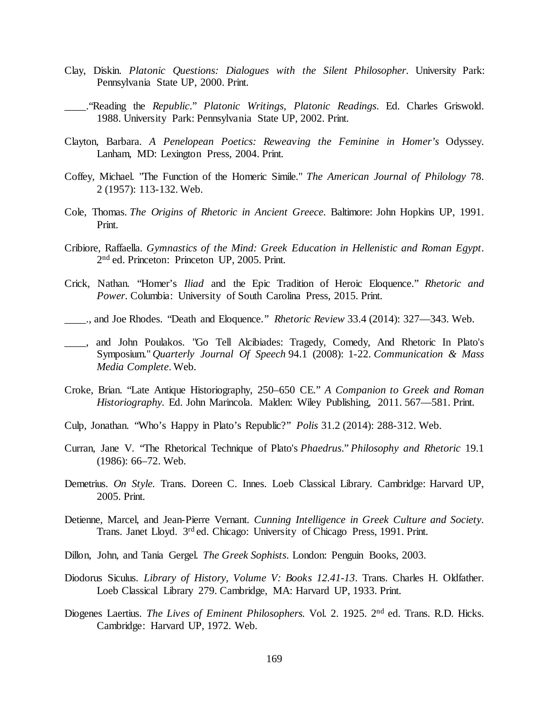- Clay, Diskin. *Platonic Questions: Dialogues with the Silent Philosopher*. University Park: Pennsylvania State UP, 2000. Print.
- \_\_\_\_."Reading the *Republic*." *Platonic Writings, Platonic Readings*. Ed. Charles Griswold. 1988. University Park: Pennsylvania State UP, 2002. Print.
- Clayton, Barbara. *A Penelopean Poetics: Reweaving the Feminine in Homer's* Odyssey. Lanham, MD: Lexington Press, 2004. Print.
- Coffey, Michael. "The Function of the Homeric Simile." *The American Journal of Philology* 78. 2 (1957): 113-132. Web.
- Cole, Thomas. *The Origins of Rhetoric in Ancient Greece*. Baltimore: John Hopkins UP, 1991. Print.
- Cribiore, Raffaella. *Gymnastics of the Mind: Greek Education in Hellenistic and Roman Egypt*. 2nd ed. Princeton: Princeton UP, 2005. Print.
- Crick, Nathan. "Homer's *Iliad* and the Epic Tradition of Heroic Eloquence." *Rhetoric and Power*. Columbia: University of South Carolina Press, 2015. Print.
- \_\_\_\_., and Joe Rhodes. "Death and Eloquence." *Rhetoric Review* 33.4 (2014): 327—343. Web.
- \_\_\_\_, and John Poulakos. "Go Tell Alcibiades: Tragedy, Comedy, And Rhetoric In Plato's Symposium." *Quarterly Journal Of Speech* 94.1 (2008): 1-22. *Communication & Mass Media Complete*. Web.
- Croke, Brian. "Late Antique Historiography, 250–650 CE." *A Companion to Greek and Roman Historiography.* Ed. John Marincola. Malden: Wiley Publishing, 2011. 567—581. Print.
- Culp, Jonathan. "Who's Happy in Plato's Republic?" *Polis* 31.2 (2014): 288-312. Web.
- Curran, Jane V. "The Rhetorical Technique of Plato's *Phaedrus*." *Philosophy and Rhetoric* 19.1 (1986): 66–72. Web.
- Demetrius. *On Style.* Trans. Doreen C. Innes. Loeb Classical Library. Cambridge: Harvard UP, 2005. Print.
- Detienne, Marcel, and Jean-Pierre Vernant. *Cunning Intelligence in Greek Culture and Society*. Trans. Janet Lloyd. 3rd ed. Chicago: University of Chicago Press, 1991. Print.
- Dillon, John, and Tania Gergel. *The Greek Sophists*. London: Penguin Books, 2003.
- Diodorus Siculus. *Library of History, Volume V: Books 12.41-13*. Trans. Charles H. Oldfather. Loeb Classical Library 279. Cambridge, MA: Harvard UP, 1933. Print.
- Diogenes Laertius. *The Lives of Eminent Philosophers.* Vol. 2. 1925. 2nd ed. Trans. R.D. Hicks. Cambridge: Harvard UP, 1972. Web.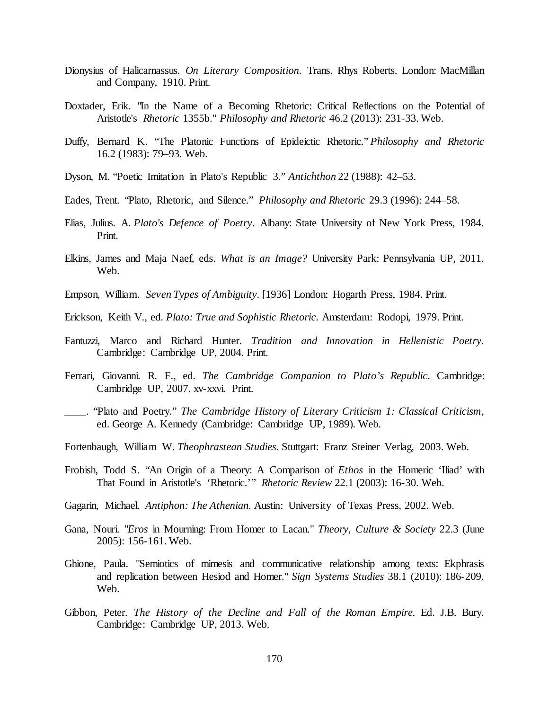- Dionysius of Halicarnassus. *On Literary Composition.* Trans. Rhys Roberts. London: MacMillan and Company, 1910. Print.
- Doxtader, Erik. "In the Name of a Becoming Rhetoric: Critical Reflections on the Potential of Aristotle's *Rhetoric* 1355b." *Philosophy and Rhetoric* 46.2 (2013): 231-33. Web.
- Duffy, Bernard K. "The Platonic Functions of Epideictic Rhetoric." *Philosophy and Rhetoric* 16.2 (1983): 79–93. Web.
- Dyson, M. "Poetic Imitation in Plato's Republic 3." *Antichthon* 22 (1988): 42–53.
- Eades, Trent. "Plato, Rhetoric, and Silence." *Philosophy and Rhetoric* 29.3 (1996): 244–58.
- Elias, Julius. A. *Plato's Defence of Poetry*. Albany: State University of New York Press, 1984. Print.
- Elkins, James and Maja Naef, eds. *What is an Image?* University Park: Pennsylvania UP, 2011. Web.
- Empson, William. *Seven Types of Ambiguity*. [1936] London: Hogarth Press, 1984. Print.
- Erickson, Keith V., ed. *Plato: True and Sophistic Rhetoric*. Amsterdam: Rodopi, 1979. Print.
- Fantuzzi, Marco and Richard Hunter. *Tradition and Innovation in Hellenistic Poetry.* Cambridge: Cambridge UP, 2004. Print.
- Ferrari, Giovanni. R. F., ed. *The Cambridge Companion to Plato's Republic*. Cambridge: Cambridge UP, 2007. xv-xxvi. Print.
- \_\_\_\_. "Plato and Poetry." *The Cambridge History of Literary Criticism 1: Classical Criticism*, ed. George A. Kennedy (Cambridge: Cambridge UP, 1989). Web.
- Fortenbaugh, William W. *Theophrastean Studies.* Stuttgart: Franz Steiner Verlag, 2003. Web.
- Frobish, Todd S. "An Origin of a Theory: A Comparison of *Ethos* in the Homeric 'Iliad' with That Found in Aristotle's 'Rhetoric.'" *Rhetoric Review* 22.1 (2003): 16-30. Web.
- Gagarin, Michael. *Antiphon: The Athenian.* Austin: University of Texas Press, 2002. Web.
- Gana, Nouri. "*Eros* in Mourning: From Homer to Lacan." *Theory, Culture & Society* 22.3 (June 2005): 156-161. Web.
- Ghione, Paula. "Semiotics of mimesis and communicative relationship among texts: Ekphrasis and replication between Hesiod and Homer." *Sign Systems Studies* 38.1 (2010): 186-209. Web.
- Gibbon, Peter. *The History of the Decline and Fall of the Roman Empire.* Ed. J.B. Bury. Cambridge: Cambridge UP, 2013. Web.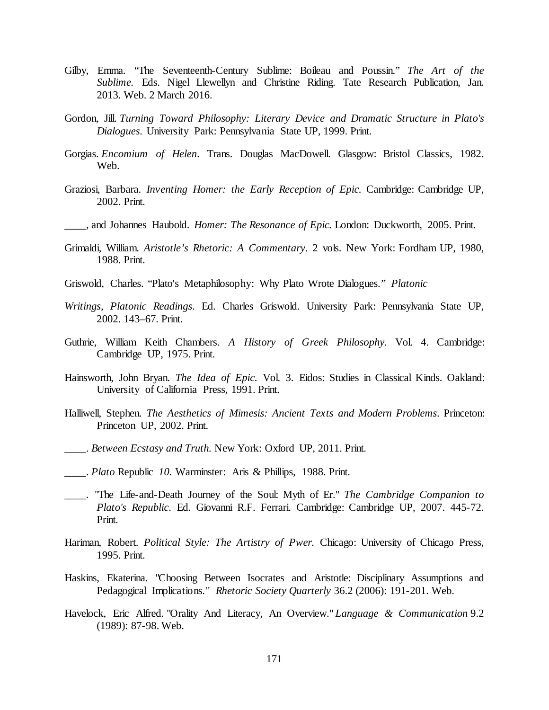- Gilby, Emma. "The Seventeenth-Century Sublime: Boileau and Poussin." *The Art of the Sublime.* Eds. Nigel Llewellyn and Christine Riding. Tate Research Publication, Jan. 2013. Web. 2 March 2016.
- Gordon, Jill. *Turning Toward Philosophy: Literary Device and Dramatic Structure in Plato's Dialogues*. University Park: Pennsylvania State UP, 1999. Print.
- Gorgias. *Encomium of Helen*. Trans. Douglas MacDowell. Glasgow: Bristol Classics, 1982. Web.
- Graziosi, Barbara. *Inventing Homer: the Early Reception of Epic.* Cambridge: Cambridge UP, 2002. Print.
- \_\_\_\_, and Johannes Haubold. *Homer: The Resonance of Epic.* London: Duckworth, 2005. Print.
- Grimaldi, William. *Aristotle's Rhetoric: A Commentary*. 2 vols. New York: Fordham UP, 1980, 1988. Print.
- Griswold, Charles. "Plato's Metaphilosophy: Why Plato Wrote Dialogues." *Platonic*
- *Writings, Platonic Readings*. Ed. Charles Griswold. University Park: Pennsylvania State UP, 2002. 143–67. Print.
- Guthrie, William Keith Chambers. *A History of Greek Philosophy.* Vol. 4. Cambridge: Cambridge UP, 1975. Print.
- Hainsworth, John Bryan. *The Idea of Epic.* Vol. 3. Eidos: Studies in Classical Kinds. Oakland: University of California Press, 1991. Print.
- Halliwell, Stephen. *The Aesthetics of Mimesis: Ancient Texts and Modern Problems*. Princeton: Princeton UP, 2002. Print.
- \_\_\_\_. *Between Ecstasy and Truth.* New York: Oxford UP, 2011. Print.
- \_\_\_\_. *Plato* Republic *10.* Warminster: Aris & Phillips, 1988. Print.
- \_\_\_\_. "The Life-and-Death Journey of the Soul: Myth of Er." *The Cambridge Companion to Plato's Republic*. Ed. Giovanni R.F. Ferrari. Cambridge: Cambridge UP, 2007. 445-72. Print.
- Hariman, Robert. *Political Style: The Artistry of Pwer.* Chicago: University of Chicago Press, 1995. Print.
- Haskins, Ekaterina. "Choosing Between Isocrates and Aristotle: Disciplinary Assumptions and Pedagogical Implications." *Rhetoric Society Quarterly* 36.2 (2006): 191-201. Web.
- Havelock, Eric Alfred. "Orality And Literacy, An Overview." *Language & Communication* 9.2 (1989): 87-98. Web.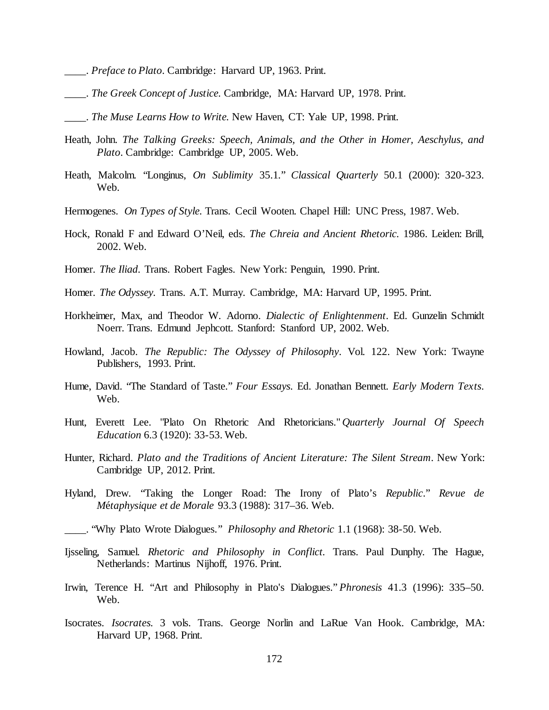- \_\_\_\_. *Preface to Plato*. Cambridge: Harvard UP, 1963. Print.
- \_\_\_\_. *The Greek Concept of Justice.* Cambridge, MA: Harvard UP, 1978. Print.
- \_\_\_\_. *The Muse Learns How to Write.* New Haven, CT: Yale UP, 1998. Print.
- Heath, John. *The Talking Greeks: Speech, Animals, and the Other in Homer, Aeschylus, and Plato*. Cambridge: Cambridge UP, 2005. Web.
- Heath, Malcolm. "Longinus, *On Sublimity* 35.1*.*" *Classical Quarterly* 50.1 (2000): 320-323. Web.
- Hermogenes. *On Types of Style.* Trans. Cecil Wooten. Chapel Hill: UNC Press, 1987. Web.
- Hock, Ronald F and Edward O'Neil, eds. *The Chreia and Ancient Rhetoric.* 1986. Leiden: Brill, 2002. Web.
- Homer. *The Iliad*. Trans. Robert Fagles. New York: Penguin, 1990. Print.
- Homer. *The Odyssey.* Trans. A.T. Murray. Cambridge, MA: Harvard UP, 1995. Print.
- Horkheimer, Max, and Theodor W. Adorno. *Dialectic of Enlightenment*. Ed. Gunzelin Schmidt Noerr. Trans. Edmund Jephcott. Stanford: Stanford UP, 2002. Web.
- Howland, Jacob. *The Republic: The Odyssey of Philosophy*. Vol. 122. New York: Twayne Publishers, 1993. Print.
- Hume, David. "The Standard of Taste." *Four Essays.* Ed. Jonathan Bennett. *Early Modern Texts*. Web.
- Hunt, Everett Lee. "Plato On Rhetoric And Rhetoricians." *Quarterly Journal Of Speech Education* 6.3 (1920): 33-53. Web.
- Hunter, Richard. *Plato and the Traditions of Ancient Literature: The Silent Stream*. New York: Cambridge UP, 2012. Print.
- Hyland, Drew. "Taking the Longer Road: The Irony of Plato's *Republic*." *Revue de M*é*taphysique et de Morale* 93.3 (1988): 317–36. Web.
- \_\_\_\_. "Why Plato Wrote Dialogues." *Philosophy and Rhetoric* 1.1 (1968): 38-50. Web.
- Ijsseling, Samuel. *Rhetoric and Philosophy in Conflict.* Trans. Paul Dunphy. The Hague, Netherlands: Martinus Nijhoff, 1976. Print.
- Irwin, Terence H. "Art and Philosophy in Plato's Dialogues." *Phronesis* 41.3 (1996): 335–50. Web.
- Isocrates. *Isocrates.* 3 vols. Trans. George Norlin and LaRue Van Hook. Cambridge, MA: Harvard UP, 1968. Print.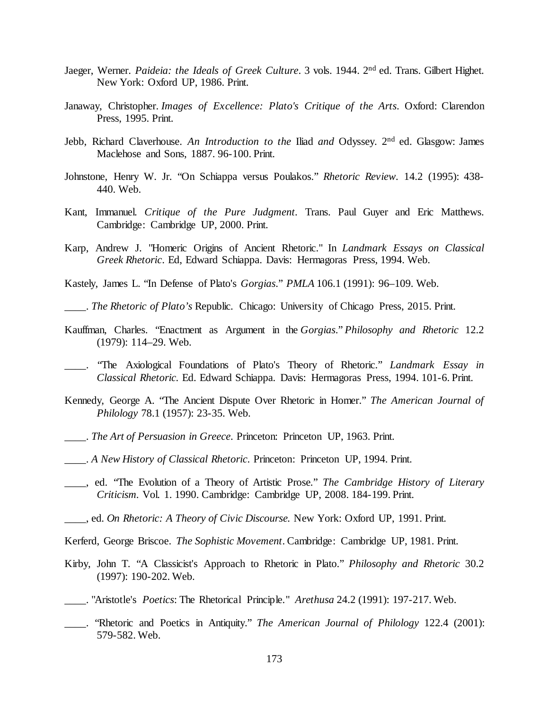- Jaeger, Werner. *Paideia: the Ideals of Greek Culture*. 3 vols. 1944. 2nd ed. Trans. Gilbert Highet. New York: Oxford UP, 1986. Print.
- Janaway, Christopher. *Images of Excellence: Plato's Critique of the Arts*. Oxford: Clarendon Press, 1995. Print.
- Jebb, Richard Claverhouse. *An Introduction to the* Iliad *and* Odyssey. 2nd ed. Glasgow: James Maclehose and Sons, 1887. 96-100. Print.
- Johnstone, Henry W. Jr. "On Schiappa versus Poulakos." *Rhetoric Review.* 14.2 (1995): 438- 440. Web.
- Kant, Immanuel. *Critique of the Pure Judgment.* Trans. Paul Guyer and Eric Matthews. Cambridge: Cambridge UP, 2000. Print.
- Karp, Andrew J. "Homeric Origins of Ancient Rhetoric." In *Landmark Essays on Classical Greek Rhetoric*. Ed, Edward Schiappa. Davis: Hermagoras Press, 1994. Web.
- Kastely, James L. "In Defense of Plato's *Gorgias*." *PMLA* 106.1 (1991): 96–109. Web.
- \_\_\_\_. *The Rhetoric of Plato's* Republic. Chicago: University of Chicago Press, 2015. Print.
- Kauffman, Charles. "Enactment as Argument in the *Gorgias*." *Philosophy and Rhetoric* 12.2 (1979): 114–29. Web.
- \_\_\_\_. "The Axiological Foundations of Plato's Theory of Rhetoric." *Landmark Essay in Classical Rhetoric.* Ed. Edward Schiappa. Davis: Hermagoras Press, 1994. 101-6. Print.
- Kennedy, George A. "The Ancient Dispute Over Rhetoric in Homer." *The American Journal of Philology* 78.1 (1957): 23-35. Web.
- \_\_\_\_. *The Art of Persuasion in Greece*. Princeton: Princeton UP, 1963. Print.
- \_\_\_\_. *A New History of Classical Rhetoric*. Princeton: Princeton UP, 1994. Print.
- \_\_\_\_, ed. "The Evolution of a Theory of Artistic Prose*.*" *The Cambridge History of Literary Criticism.* Vol. 1. 1990. Cambridge: Cambridge UP, 2008. 184-199. Print.
- \_\_\_\_, ed. *On Rhetoric: A Theory of Civic Discourse.* New York: Oxford UP, 1991. Print.
- Kerferd, George Briscoe. *The Sophistic Movement*. Cambridge: Cambridge UP, 1981. Print.
- Kirby, John T. "A Classicist's Approach to Rhetoric in Plato." *Philosophy and Rhetoric* 30.2 (1997): 190-202. Web.
- \_\_\_\_. "Aristotle's *Poetics*: The Rhetorical Principle." *Arethusa* 24.2 (1991): 197-217. Web.
- \_\_\_\_. "Rhetoric and Poetics in Antiquity." *The American Journal of Philology* 122.4 (2001): 579-582. Web.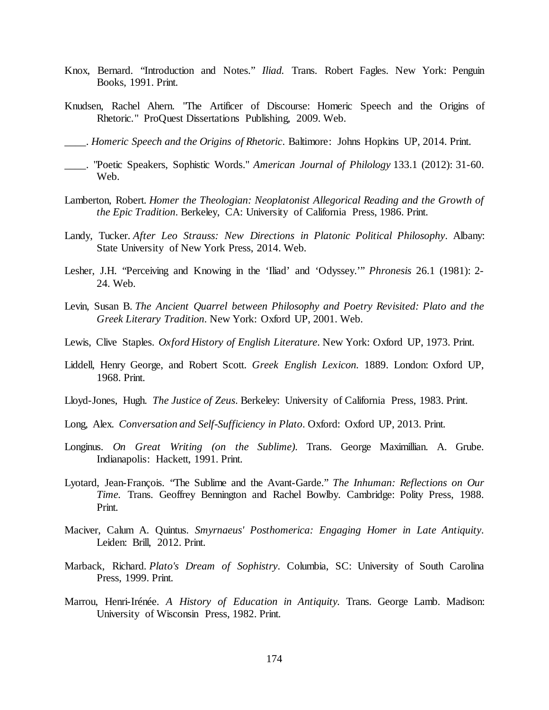- Knox, Bernard. "Introduction and Notes." *Iliad.* Trans. Robert Fagles. New York: Penguin Books, 1991. Print.
- Knudsen, Rachel Ahern. "The Artificer of Discourse: Homeric Speech and the Origins of Rhetoric." ProQuest Dissertations Publishing, 2009. Web.

\_\_\_\_. *Homeric Speech and the Origins of Rhetoric*. Baltimore: Johns Hopkins UP, 2014. Print.

- \_\_\_\_. "Poetic Speakers, Sophistic Words." *American Journal of Philology* 133.1 (2012): 31-60. Web.
- Lamberton, Robert. *Homer the Theologian: Neoplatonist Allegorical Reading and the Growth of the Epic Tradition*. Berkeley, CA: University of California Press, 1986. Print.
- Landy, Tucker. *After Leo Strauss: New Directions in Platonic Political Philosophy*. Albany: State University of New York Press, 2014. Web.
- Lesher, J.H. "Perceiving and Knowing in the 'Iliad' and 'Odyssey.'" *Phronesis* 26.1 (1981): 2- 24. Web.
- Levin, Susan B. *The Ancient Quarrel between Philosophy and Poetry Revisited: Plato and the Greek Literary Tradition*. New York: Oxford UP, 2001. Web.
- Lewis, Clive Staples. *Oxford History of English Literature*. New York: Oxford UP, 1973. Print.
- Liddell, Henry George, and Robert Scott. *Greek English Lexicon.* 1889. London: Oxford UP, 1968. Print.
- Lloyd-Jones, Hugh. *The Justice of Zeus*. Berkeley: University of California Press, 1983. Print.
- Long, Alex. *Conversation and Self-Sufficiency in Plato*. Oxford: Oxford UP, 2013. Print.
- Longinus. *On Great Writing (on the Sublime)*. Trans. George Maximillian. A. Grube. Indianapolis: Hackett, 1991. Print.
- Lyotard, Jean-François. "The Sublime and the Avant-Garde." *The Inhuman: Reflections on Our Time.* Trans. Geoffrey Bennington and Rachel Bowlby. Cambridge: Polity Press, 1988. Print.
- Maciver, Calum A. Quintus. *Smyrnaeus' Posthomerica: Engaging Homer in Late Antiquity*. Leiden: Brill, 2012. Print.
- Marback, Richard. *Plato's Dream of Sophistry*. Columbia, SC: University of South Carolina Press, 1999. Print.
- Marrou, Henri-Irénée. *A History of Education in Antiquity.* Trans. George Lamb. Madison: University of Wisconsin Press, 1982. Print.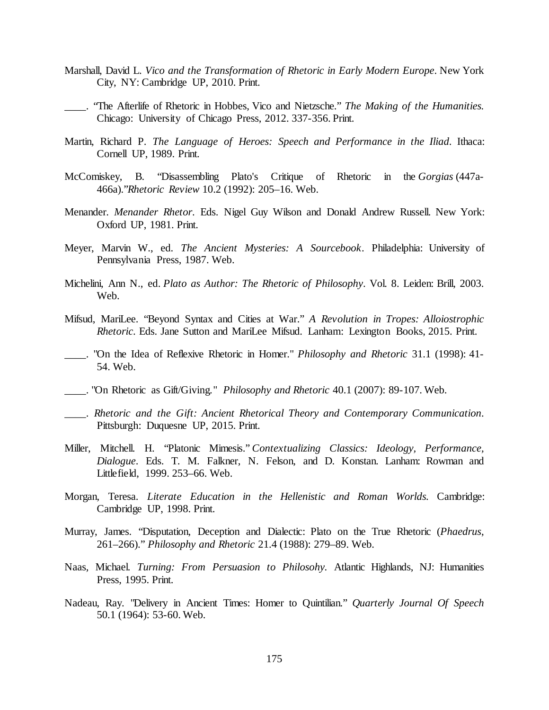- Marshall, David L. *Vico and the Transformation of Rhetoric in Early Modern Europe*. New York City, NY: Cambridge UP, 2010. Print.
- \_\_\_\_. "The Afterlife of Rhetoric in Hobbes, Vico and Nietzsche." *The Making of the Humanities.* Chicago: University of Chicago Press, 2012. 337-356. Print.
- Martin, Richard P. *The Language of Heroes: Speech and Performance in the Iliad*. Ithaca: Cornell UP, 1989. Print.
- McComiskey, B. "Disassembling Plato's Critique of Rhetoric in the *Gorgias* (447a-466a)."*Rhetoric Review* 10.2 (1992): 205–16. Web.
- Menander. *Menander Rhetor*. Eds. Nigel Guy Wilson and Donald Andrew Russell. New York: Oxford UP, 1981. Print.
- Meyer, Marvin W., ed. *The Ancient Mysteries: A Sourcebook*. Philadelphia: University of Pennsylvania Press, 1987. Web.
- Michelini, Ann N., ed. *Plato as Author: The Rhetoric of Philosophy*. Vol. 8. Leiden: Brill, 2003. Web.
- Mifsud, MariLee. "Beyond Syntax and Cities at War." *A Revolution in Tropes: Alloiostrophic Rhetoric*. Eds. Jane Sutton and MariLee Mifsud. Lanham: Lexington Books, 2015. Print.
- \_\_\_\_. "On the Idea of Reflexive Rhetoric in Homer." *Philosophy and Rhetoric* 31.1 (1998): 41- 54. Web.
- \_\_\_\_. "On Rhetoric as Gift/Giving." *Philosophy and Rhetoric* 40.1 (2007): 89-107. Web.
- \_\_\_\_. *Rhetoric and the Gift: Ancient Rhetorical Theory and Contemporary Communication*. Pittsburgh: Duquesne UP, 2015. Print.
- Miller, Mitchell. H. "Platonic Mimesis." *Contextualizing Classics: Ideology, Performance, Dialogue*. Eds. T. M. Falkner, N. Felson, and D. Konstan. Lanham: Rowman and Littlefield, 1999. 253–66. Web.
- Morgan, Teresa. *Literate Education in the Hellenistic and Roman Worlds.* Cambridge: Cambridge UP, 1998. Print.
- Murray, James. "Disputation, Deception and Dialectic: Plato on the True Rhetoric (*Phaedrus*, 261–266)." *Philosophy and Rhetoric* 21.4 (1988): 279–89. Web.
- Naas, Michael. *Turning: From Persuasion to Philosohy.* Atlantic Highlands, NJ: Humanities Press, 1995. Print.
- Nadeau, Ray. "Delivery in Ancient Times: Homer to Quintilian." *Quarterly Journal Of Speech* 50.1 (1964): 53-60. Web.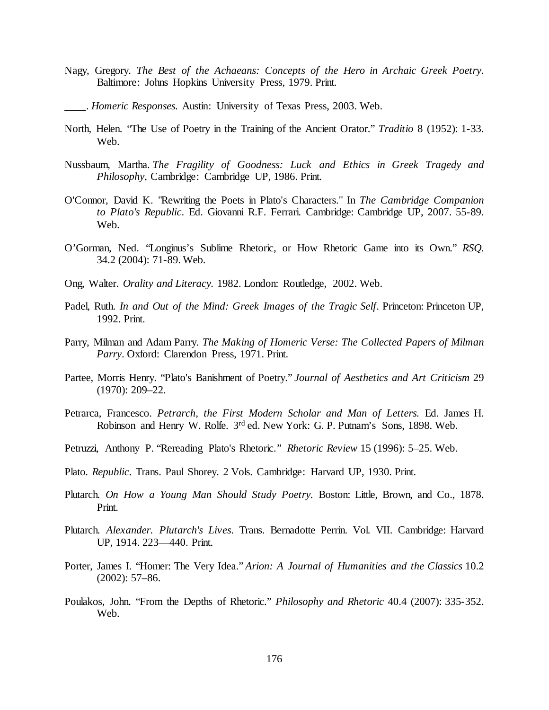- Nagy, Gregory. *The Best of the Achaeans: Concepts of the Hero in Archaic Greek Poetry*. Baltimore: Johns Hopkins University Press, 1979. Print.
- \_\_\_\_. *Homeric Responses.* Austin: University of Texas Press, 2003. Web.
- North, Helen. "The Use of Poetry in the Training of the Ancient Orator." *Traditio* 8 (1952): 1-33. Web.
- Nussbaum, Martha. *The Fragility of Goodness: Luck and Ethics in Greek Tragedy and Philosophy*, Cambridge: Cambridge UP, 1986. Print.
- O'Connor, David K. "Rewriting the Poets in Plato's Characters." In *The Cambridge Companion to Plato's Republic*. Ed. Giovanni R.F. Ferrari. Cambridge: Cambridge UP, 2007. 55-89. Web.
- O'Gorman, Ned. "Longinus's Sublime Rhetoric, or How Rhetoric Game into its Own." *RSQ.* 34.2 (2004): 71-89. Web.
- Ong, Walter. *Orality and Literacy.* 1982. London: Routledge, 2002. Web.
- Padel, Ruth. *In and Out of the Mind: Greek Images of the Tragic Self*. Princeton: Princeton UP, 1992. Print.
- Parry, Milman and Adam Parry. *The Making of Homeric Verse: The Collected Papers of Milman Parry*. Oxford: Clarendon Press, 1971. Print.
- Partee, Morris Henry. "Plato's Banishment of Poetry." *Journal of Aesthetics and Art Criticism* 29 (1970): 209–22.
- Petrarca, Francesco. *Petrarch, the First Modern Scholar and Man of Letters.* Ed. James H. Robinson and Henry W. Rolfe. 3<sup>rd</sup> ed. New York: G. P. Putnam's Sons, 1898. Web.
- Petruzzi, Anthony P. "Rereading Plato's Rhetoric." *Rhetoric Review* 15 (1996): 5–25. Web.
- Plato. *Republic*. Trans. Paul Shorey. 2 Vols. Cambridge: Harvard UP, 1930. Print.
- Plutarch. *On How a Young Man Should Study Poetry.* Boston: Little, Brown, and Co., 1878. Print.
- Plutarch. *Alexander. Plutarch's Lives*. Trans. Bernadotte Perrin. Vol. VII. Cambridge: Harvard UP, 1914. 223—440. Print.
- Porter, James I. "Homer: The Very Idea." *Arion: A Journal of Humanities and the Classics* 10.2 (2002): 57–86.
- Poulakos, John. "From the Depths of Rhetoric." *Philosophy and Rhetoric* 40.4 (2007): 335-352. Web.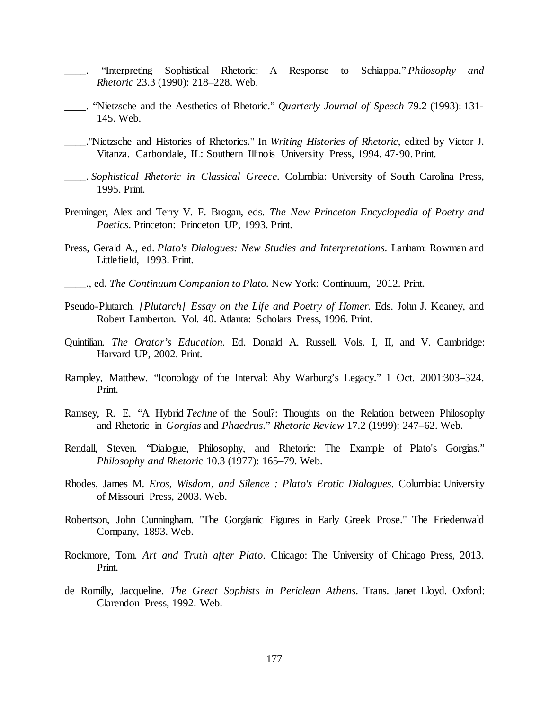- \_\_\_\_. "Interpreting Sophistical Rhetoric: A Response to Schiappa." *Philosophy and Rhetoric* 23.3 (1990): 218–228. Web.
- \_\_\_\_. "Nietzsche and the Aesthetics of Rhetoric." *Quarterly Journal of Speech* 79.2 (1993): 131- 145. Web.
- \_\_\_\_."Nietzsche and Histories of Rhetorics." In *Writing Histories of Rhetoric*, edited by Victor J. Vitanza. Carbondale, IL: Southern Illinois University Press, 1994. 47-90. Print.
- \_\_\_\_. *Sophistical Rhetoric in Classical Greece*. Columbia: University of South Carolina Press, 1995. Print.
- Preminger, Alex and Terry V. F. Brogan, eds. *The New Princeton Encyclopedia of Poetry and Poetics*. Princeton: Princeton UP, 1993. Print.
- Press, Gerald A., ed. *Plato's Dialogues: New Studies and Interpretations*. Lanham: Rowman and Littlefield, 1993. Print.
- \_\_\_\_., ed. *The Continuum Companion to Plato.* New York: Continuum, 2012. Print.
- Pseudo-Plutarch. *[Plutarch] Essay on the Life and Poetry of Homer.* Eds. John J. Keaney, and Robert Lamberton. Vol. 40. Atlanta: Scholars Press, 1996. Print.
- Quintilian. *The Orator's Education.* Ed. Donald A. Russell. Vols. I, II, and V. Cambridge: Harvard UP, 2002. Print.
- Rampley, Matthew. "Iconology of the Interval: Aby Warburg's Legacy." 1 Oct. 2001:303–324. Print.
- Ramsey, R. E. "A Hybrid *Techne* of the Soul?: Thoughts on the Relation between Philosophy and Rhetoric in *Gorgias* and *Phaedrus*." *Rhetoric Review* 17.2 (1999): 247–62. Web.
- Rendall, Steven. "Dialogue, Philosophy, and Rhetoric: The Example of Plato's Gorgias." *Philosophy and Rhetori*c 10.3 (1977): 165–79. Web.
- Rhodes, James M. *Eros, Wisdom, and Silence : Plato's Erotic Dialogues*. Columbia: University of Missouri Press, 2003. Web.
- Robertson, John Cunningham. "The Gorgianic Figures in Early Greek Prose." The Friedenwald Company, 1893. Web.
- Rockmore, Tom. *Art and Truth after Plato*. Chicago: The University of Chicago Press, 2013. Print.
- de Romilly, Jacqueline. *The Great Sophists in Periclean Athens*. Trans. Janet Lloyd. Oxford: Clarendon Press, 1992. Web.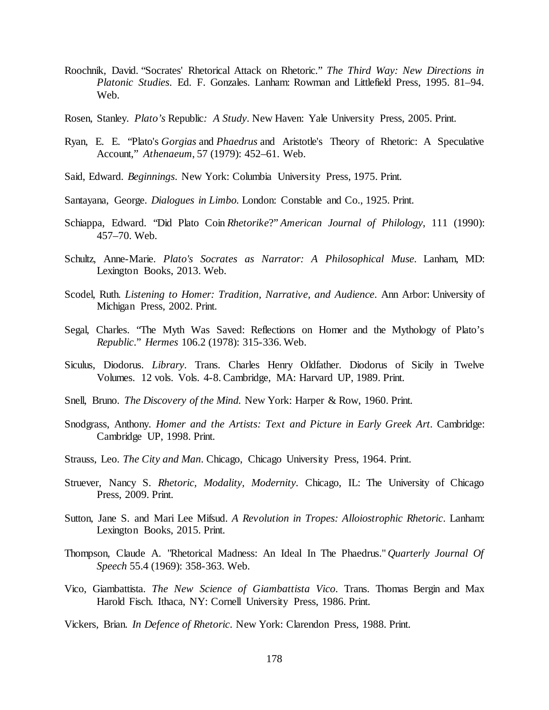- Roochnik, David. "Socrates' Rhetorical Attack on Rhetoric." *The Third Way: New Directions in Platonic Studies*. Ed. F. Gonzales. Lanham: Rowman and Littlefield Press, 1995. 81–94. Web.
- Rosen, Stanley. *Plato's* Republic*: A Study*. New Haven: Yale University Press, 2005. Print.
- Ryan, E. E. "Plato's *Gorgias* and *Phaedrus* and Aristotle's Theory of Rhetoric: A Speculative Account," *Athenaeum*, 57 (1979): 452–61. Web.
- Said, Edward. *Beginnings*. New York: Columbia University Press, 1975. Print.
- Santayana, George. *Dialogues in Limbo.* London: Constable and Co., 1925. Print.
- Schiappa, Edward. "Did Plato Coin *Rhetorike*?" *American Journal of Philology*, 111 (1990): 457–70. Web.
- Schultz, Anne-Marie. *Plato's Socrates as Narrator: A Philosophical Muse*. Lanham, MD: Lexington Books, 2013. Web.
- Scodel, Ruth. *Listening to Homer: Tradition, Narrative, and Audience*. Ann Arbor: University of Michigan Press, 2002. Print.
- Segal, Charles. "The Myth Was Saved: Reflections on Homer and the Mythology of Plato's *Republic*." *Hermes* 106.2 (1978): 315-336. Web.
- Siculus, Diodorus. *Library*. Trans. Charles Henry Oldfather. Diodorus of Sicily in Twelve Volumes. 12 vols. Vols. 4-8. Cambridge, MA: Harvard UP, 1989. Print.
- Snell, Bruno. *The Discovery of the Mind.* New York: Harper & Row, 1960. Print.
- Snodgrass, Anthony. *Homer and the Artists: Text and Picture in Early Greek Art.* Cambridge: Cambridge UP, 1998. Print.
- Strauss, Leo. *The City and Man*. Chicago, Chicago University Press, 1964. Print.
- Struever, Nancy S. *Rhetoric, Modality, Modernity*. Chicago, IL: The University of Chicago Press, 2009. Print.
- Sutton, Jane S. and Mari Lee Mifsud. *A Revolution in Tropes: Alloiostrophic Rhetoric*. Lanham: Lexington Books, 2015. Print.
- Thompson, Claude A. "Rhetorical Madness: An Ideal In The Phaedrus." *Quarterly Journal Of Speech* 55.4 (1969): 358-363. Web.
- Vico, Giambattista. *The New Science of Giambattista Vico*. Trans. Thomas Bergin and Max Harold Fisch. Ithaca, NY: Cornell University Press, 1986. Print.
- Vickers, Brian. *In Defence of Rhetoric*. New York: Clarendon Press, 1988. Print.